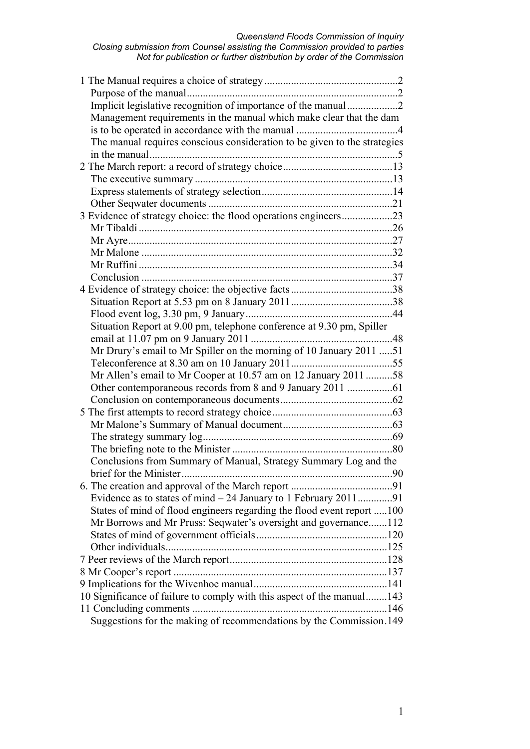| Implicit legislative recognition of importance of the manual2             |  |
|---------------------------------------------------------------------------|--|
| Management requirements in the manual which make clear that the dam       |  |
|                                                                           |  |
| The manual requires conscious consideration to be given to the strategies |  |
|                                                                           |  |
|                                                                           |  |
|                                                                           |  |
|                                                                           |  |
|                                                                           |  |
| 3 Evidence of strategy choice: the flood operations engineers23           |  |
|                                                                           |  |
|                                                                           |  |
|                                                                           |  |
|                                                                           |  |
|                                                                           |  |
|                                                                           |  |
|                                                                           |  |
|                                                                           |  |
| Situation Report at 9.00 pm, telephone conference at 9.30 pm, Spiller     |  |
|                                                                           |  |
| Mr Drury's email to Mr Spiller on the morning of 10 January 2011 51       |  |
|                                                                           |  |
| Mr Allen's email to Mr Cooper at 10.57 am on 12 January 2011 58           |  |
| Other contemporaneous records from 8 and 9 January 2011 61                |  |
|                                                                           |  |
|                                                                           |  |
|                                                                           |  |
|                                                                           |  |
|                                                                           |  |
| Conclusions from Summary of Manual, Strategy Summary Log and the          |  |
|                                                                           |  |
|                                                                           |  |
|                                                                           |  |
| States of mind of flood engineers regarding the flood event report 100    |  |
| Mr Borrows and Mr Pruss: Seqwater's oversight and governance112           |  |
|                                                                           |  |
|                                                                           |  |
|                                                                           |  |
|                                                                           |  |
|                                                                           |  |
| 10 Significance of failure to comply with this aspect of the manual 143   |  |
|                                                                           |  |
| Suggestions for the making of recommendations by the Commission.149       |  |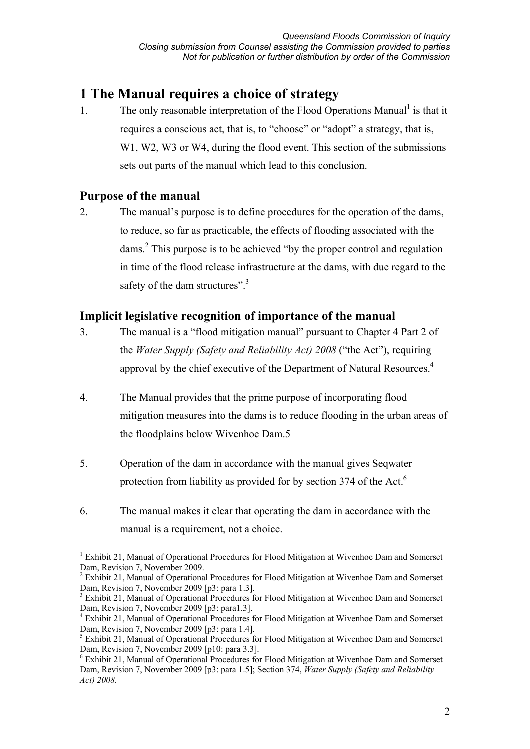# **1 The Manual requires a choice of strategy**

1. The only reasonable interpretation of the Flood Operations Manual<sup>1</sup> is that it requires a conscious act, that is, to "choose" or "adopt" a strategy, that is, W1, W2, W3 or W4, during the flood event. This section of the submissions sets out parts of the manual which lead to this conclusion.

## **Purpose of the manual**

2. The manual's purpose is to define procedures for the operation of the dams, to reduce, so far as practicable, the effects of flooding associated with the dams.<sup>2</sup> This purpose is to be achieved "by the proper control and regulation in time of the flood release infrastructure at the dams, with due regard to the safety of the dam structures".<sup>3</sup>

# **Implicit legislative recognition of importance of the manual**

- 3. The manual is a "flood mitigation manual" pursuant to Chapter 4 Part 2 of the *Water Supply (Safety and Reliability Act) 2008* ("the Act"), requiring approval by the chief executive of the Department of Natural Resources.<sup>4</sup>
- 4. The Manual provides that the prime purpose of incorporating flood mitigation measures into the dams is to reduce flooding in the urban areas of the floodplains below Wivenhoe Dam.5
- 5. Operation of the dam in accordance with the manual gives Seqwater protection from liability as provided for by section 374 of the Act.<sup>6</sup>
- 6. The manual makes it clear that operating the dam in accordance with the manual is a requirement, not a choice.

 $\overline{a}$ <sup>1</sup> Exhibit 21, Manual of Operational Procedures for Flood Mitigation at Wivenhoe Dam and Somerset Dam, Revision 7, November 2009.

<sup>&</sup>lt;sup>2</sup> Exhibit 21, Manual of Operational Procedures for Flood Mitigation at Wivenhoe Dam and Somerset Dam, Revision 7, November 2009 [p3: para 1.3].

<sup>&</sup>lt;sup>3</sup> Exhibit 21, Manual of Operational Procedures for Flood Mitigation at Wivenhoe Dam and Somerset Dam, Revision 7, November 2009 [p3: para1.3].

<sup>&</sup>lt;sup>4</sup> Exhibit 21, Manual of Operational Procedures for Flood Mitigation at Wivenhoe Dam and Somerset Dam, Revision 7, November 2009 [p3: para 1.4].

<sup>&</sup>lt;sup>5</sup> Exhibit 21, Manual of Operational Procedures for Flood Mitigation at Wivenhoe Dam and Somerset Dam, Revision 7, November 2009 [p10: para 3.3].

<sup>&</sup>lt;sup>6</sup> Exhibit 21, Manual of Operational Procedures for Flood Mitigation at Wivenhoe Dam and Somerset Dam, Revision 7, November 2009 [p3: para 1.5]; Section 374, *Water Supply (Safety and Reliability Act) 2008*.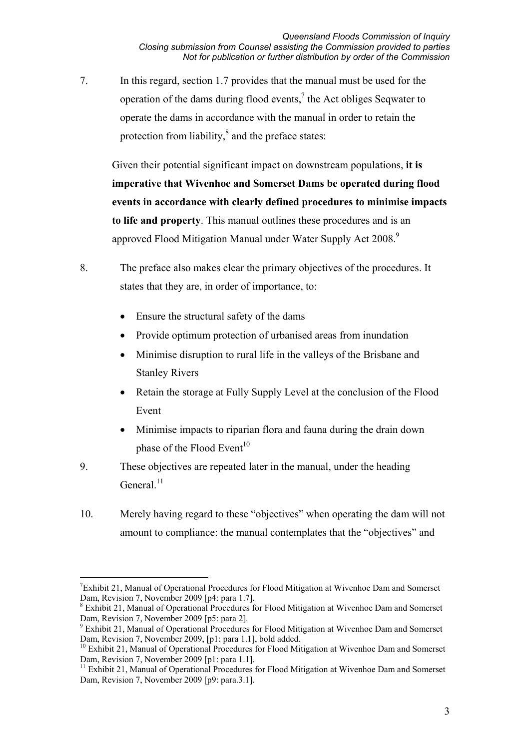7. In this regard, section 1.7 provides that the manual must be used for the operation of the dams during flood events, $\lambda$  the Act obliges Seqwater to operate the dams in accordance with the manual in order to retain the protection from liability, $\delta$  and the preface states:

Given their potential significant impact on downstream populations, **it is imperative that Wivenhoe and Somerset Dams be operated during flood events in accordance with clearly defined procedures to minimise impacts to life and property**. This manual outlines these procedures and is an approved Flood Mitigation Manual under Water Supply Act 2008.<sup>9</sup>

- 8. The preface also makes clear the primary objectives of the procedures. It states that they are, in order of importance, to:
	- Ensure the structural safety of the dams
	- Provide optimum protection of urbanised areas from inundation
	- Minimise disruption to rural life in the valleys of the Brisbane and Stanley Rivers
	- Retain the storage at Fully Supply Level at the conclusion of the Flood Event
	- Minimise impacts to riparian flora and fauna during the drain down phase of the Flood Event<sup>10</sup>
- 9. These objectives are repeated later in the manual, under the heading General $11$
- 10. Merely having regard to these "objectives" when operating the dam will not amount to compliance: the manual contemplates that the "objectives" and

 $\overline{a}$ <sup>7</sup>Exhibit 21, Manual of Operational Procedures for Flood Mitigation at Wivenhoe Dam and Somerset Dam, Revision 7, November 2009 [p4: para 1.7].

<sup>&</sup>lt;sup>8</sup> Exhibit 21, Manual of Operational Procedures for Flood Mitigation at Wivenhoe Dam and Somerset Dam, Revision 7, November 2009 [p5: para 2].

<sup>&</sup>lt;sup>9</sup> Exhibit 21, Manual of Operational Procedures for Flood Mitigation at Wivenhoe Dam and Somerset Dam, Revision 7, November 2009, [p1: para 1.1], bold added.

<sup>&</sup>lt;sup>10</sup> Exhibit 21, Manual of Operational Procedures for Flood Mitigation at Wivenhoe Dam and Somerset Dam, Revision 7, November 2009 [p1: para 1.1].

<sup>&</sup>lt;sup>11</sup> Exhibit 21, Manual of Operational Procedures for Flood Mitigation at Wivenhoe Dam and Somerset Dam, Revision 7, November 2009 [p9: para.3.1].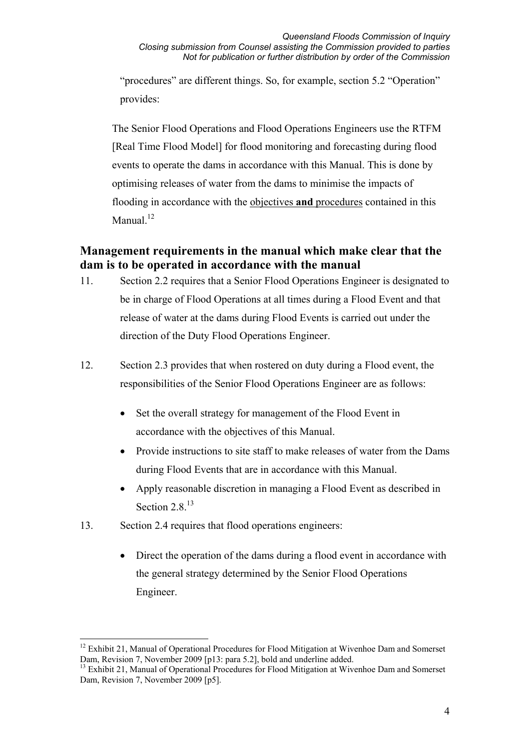"procedures" are different things. So, for example, section 5.2 "Operation" provides:

The Senior Flood Operations and Flood Operations Engineers use the RTFM [Real Time Flood Model] for flood monitoring and forecasting during flood events to operate the dams in accordance with this Manual. This is done by optimising releases of water from the dams to minimise the impacts of flooding in accordance with the objectives **and** procedures contained in this Manual.<sup>12</sup>

# **Management requirements in the manual which make clear that the dam is to be operated in accordance with the manual**

- 11. Section 2.2 requires that a Senior Flood Operations Engineer is designated to be in charge of Flood Operations at all times during a Flood Event and that release of water at the dams during Flood Events is carried out under the direction of the Duty Flood Operations Engineer.
- 12. Section 2.3 provides that when rostered on duty during a Flood event, the responsibilities of the Senior Flood Operations Engineer are as follows:
	- Set the overall strategy for management of the Flood Event in accordance with the objectives of this Manual.
	- Provide instructions to site staff to make releases of water from the Dams during Flood Events that are in accordance with this Manual.
	- Apply reasonable discretion in managing a Flood Event as described in Section 2.8 $13$
- 13. Section 2.4 requires that flood operations engineers:
	- Direct the operation of the dams during a flood event in accordance with the general strategy determined by the Senior Flood Operations Engineer.

 $\overline{a}$ <sup>12</sup> Exhibit 21, Manual of Operational Procedures for Flood Mitigation at Wivenhoe Dam and Somerset Dam, Revision 7, November 2009 [p13: para 5.2], bold and underline added.

<sup>&</sup>lt;sup>13</sup> Exhibit 21, Manual of Operational Procedures for Flood Mitigation at Wivenhoe Dam and Somerset Dam, Revision 7, November 2009 [p5].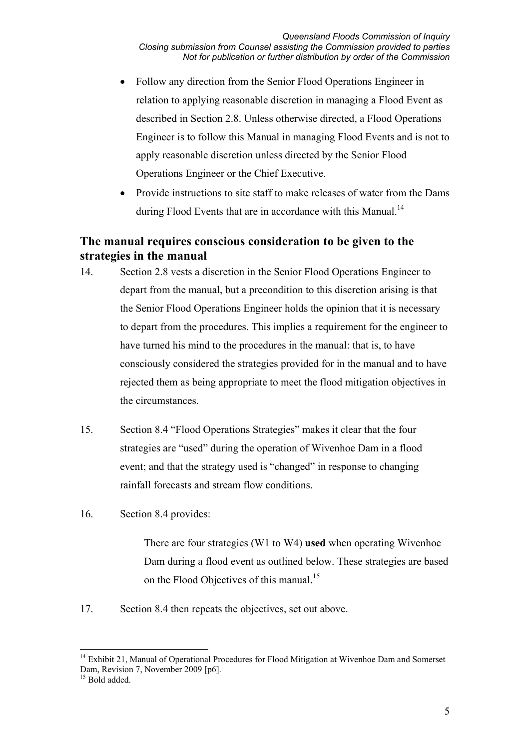- Follow any direction from the Senior Flood Operations Engineer in relation to applying reasonable discretion in managing a Flood Event as described in Section 2.8. Unless otherwise directed, a Flood Operations Engineer is to follow this Manual in managing Flood Events and is not to apply reasonable discretion unless directed by the Senior Flood Operations Engineer or the Chief Executive.
- Provide instructions to site staff to make releases of water from the Dams during Flood Events that are in accordance with this Manual.<sup>14</sup>

# **The manual requires conscious consideration to be given to the strategies in the manual**

- 14. Section 2.8 vests a discretion in the Senior Flood Operations Engineer to depart from the manual, but a precondition to this discretion arising is that the Senior Flood Operations Engineer holds the opinion that it is necessary to depart from the procedures. This implies a requirement for the engineer to have turned his mind to the procedures in the manual: that is, to have consciously considered the strategies provided for in the manual and to have rejected them as being appropriate to meet the flood mitigation objectives in the circumstances.
- 15. Section 8.4 "Flood Operations Strategies" makes it clear that the four strategies are "used" during the operation of Wivenhoe Dam in a flood event; and that the strategy used is "changed" in response to changing rainfall forecasts and stream flow conditions.
- 16. Section 8.4 provides:

There are four strategies (W1 to W4) **used** when operating Wivenhoe Dam during a flood event as outlined below. These strategies are based on the Flood Objectives of this manual.<sup>15</sup>

17. Section 8.4 then repeats the objectives, set out above.

 $\overline{a}$ 

<sup>&</sup>lt;sup>14</sup> Exhibit 21, Manual of Operational Procedures for Flood Mitigation at Wivenhoe Dam and Somerset Dam, Revision 7, November 2009 [p6].

<sup>&</sup>lt;sup>15</sup> Bold added.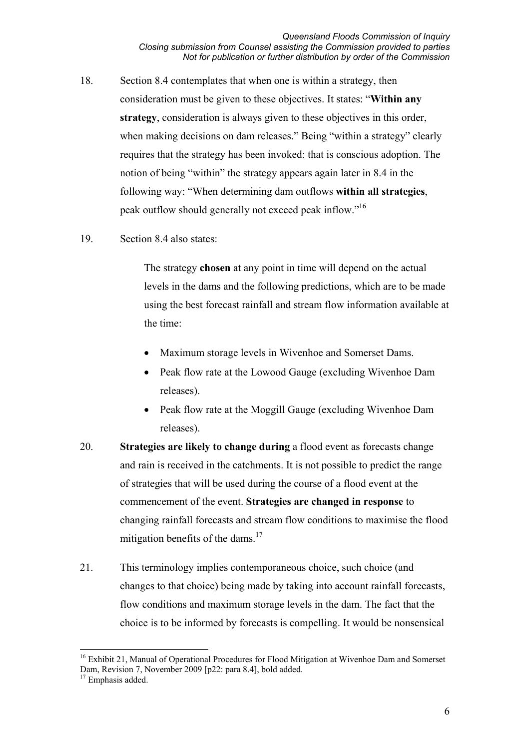- 18. Section 8.4 contemplates that when one is within a strategy, then consideration must be given to these objectives. It states: "**Within any strategy**, consideration is always given to these objectives in this order, when making decisions on dam releases." Being "within a strategy" clearly requires that the strategy has been invoked: that is conscious adoption. The notion of being "within" the strategy appears again later in 8.4 in the following way: "When determining dam outflows **within all strategies**, peak outflow should generally not exceed peak inflow."16
- 19. Section 8.4 also states:

The strategy **chosen** at any point in time will depend on the actual levels in the dams and the following predictions, which are to be made using the best forecast rainfall and stream flow information available at the time:

- Maximum storage levels in Wivenhoe and Somerset Dams.
- Peak flow rate at the Lowood Gauge (excluding Wivenhoe Dam releases).
- Peak flow rate at the Moggill Gauge (excluding Wivenhoe Dam releases).
- 20. **Strategies are likely to change during** a flood event as forecasts change and rain is received in the catchments. It is not possible to predict the range of strategies that will be used during the course of a flood event at the commencement of the event. **Strategies are changed in response** to changing rainfall forecasts and stream flow conditions to maximise the flood mitigation benefits of the dams. $17$
- 21. This terminology implies contemporaneous choice, such choice (and changes to that choice) being made by taking into account rainfall forecasts, flow conditions and maximum storage levels in the dam. The fact that the choice is to be informed by forecasts is compelling. It would be nonsensical

 $\overline{a}$ 

<sup>&</sup>lt;sup>16</sup> Exhibit 21, Manual of Operational Procedures for Flood Mitigation at Wivenhoe Dam and Somerset Dam, Revision 7, November 2009 [p22: para 8.4], bold added.

<sup>&</sup>lt;sup>17</sup> Emphasis added.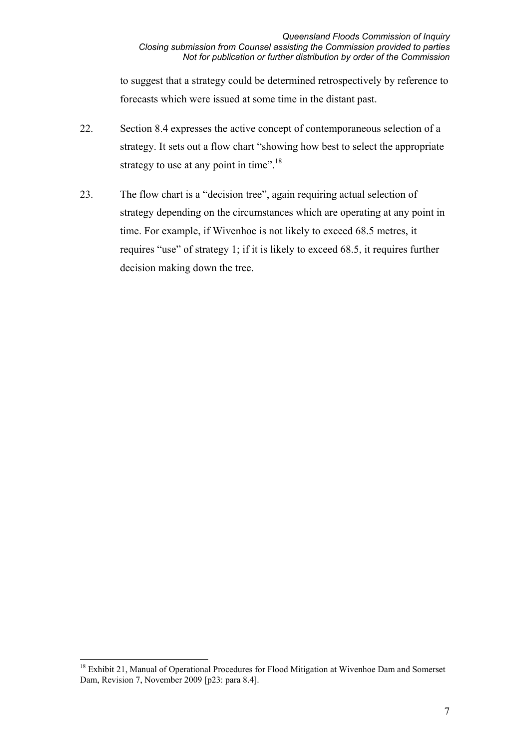to suggest that a strategy could be determined retrospectively by reference to forecasts which were issued at some time in the distant past.

- 22. Section 8.4 expresses the active concept of contemporaneous selection of a strategy. It sets out a flow chart "showing how best to select the appropriate strategy to use at any point in time".<sup>18</sup>
- 23. The flow chart is a "decision tree", again requiring actual selection of strategy depending on the circumstances which are operating at any point in time. For example, if Wivenhoe is not likely to exceed 68.5 metres, it requires "use" of strategy 1; if it is likely to exceed 68.5, it requires further decision making down the tree.

 $\overline{a}$ <sup>18</sup> Exhibit 21, Manual of Operational Procedures for Flood Mitigation at Wivenhoe Dam and Somerset Dam, Revision 7, November 2009 [p23: para 8.4].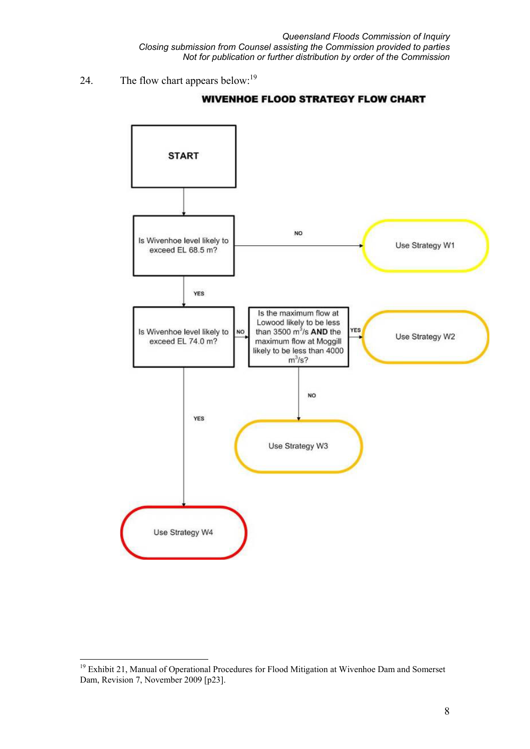*Queensland Floods Commission of Inquiry Closing submission from Counsel assisting the Commission provided to parties Not for publication or further distribution by order of the Commission* 

24. The flow chart appears below:<sup>19</sup>



#### **WIVENHOE FLOOD STRATEGY FLOW CHART**

 $\overline{a}$ <sup>19</sup> Exhibit 21, Manual of Operational Procedures for Flood Mitigation at Wivenhoe Dam and Somerset Dam, Revision 7, November 2009 [p23].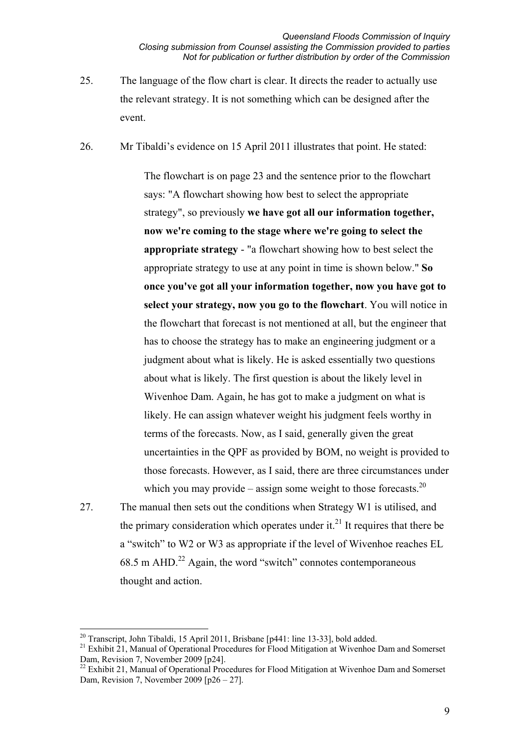25. The language of the flow chart is clear. It directs the reader to actually use the relevant strategy. It is not something which can be designed after the event.

26. Mr Tibaldi's evidence on 15 April 2011 illustrates that point. He stated:

The flowchart is on page 23 and the sentence prior to the flowchart says: "A flowchart showing how best to select the appropriate strategy", so previously **we have got all our information together, now we're coming to the stage where we're going to select the appropriate strategy** - "a flowchart showing how to best select the appropriate strategy to use at any point in time is shown below." **So once you've got all your information together, now you have got to select your strategy, now you go to the flowchart**. You will notice in the flowchart that forecast is not mentioned at all, but the engineer that has to choose the strategy has to make an engineering judgment or a judgment about what is likely. He is asked essentially two questions about what is likely. The first question is about the likely level in Wivenhoe Dam. Again, he has got to make a judgment on what is likely. He can assign whatever weight his judgment feels worthy in terms of the forecasts. Now, as I said, generally given the great uncertainties in the QPF as provided by BOM, no weight is provided to those forecasts. However, as I said, there are three circumstances under which you may provide – assign some weight to those forecasts. $^{20}$ 

27. The manual then sets out the conditions when Strategy W1 is utilised, and the primary consideration which operates under it.<sup>21</sup> It requires that there be a "switch" to W2 or W3 as appropriate if the level of Wivenhoe reaches EL  $68.5$  m AHD.<sup>22</sup> Again, the word "switch" connotes contemporaneous thought and action.

 $\overline{a}$ 

<sup>&</sup>lt;sup>20</sup> Transcript, John Tibaldi, 15 April 2011, Brisbane [p441: line 13-33], bold added.

<sup>&</sup>lt;sup>21</sup> Exhibit 21, Manual of Operational Procedures for Flood Mitigation at Wivenhoe Dam and Somerset Dam, Revision 7, November 2009 [p24].

<sup>&</sup>lt;sup>22</sup> Exhibit 21, Manual of Operational Procedures for Flood Mitigation at Wivenhoe Dam and Somerset Dam, Revision 7, November 2009 [p26 – 27].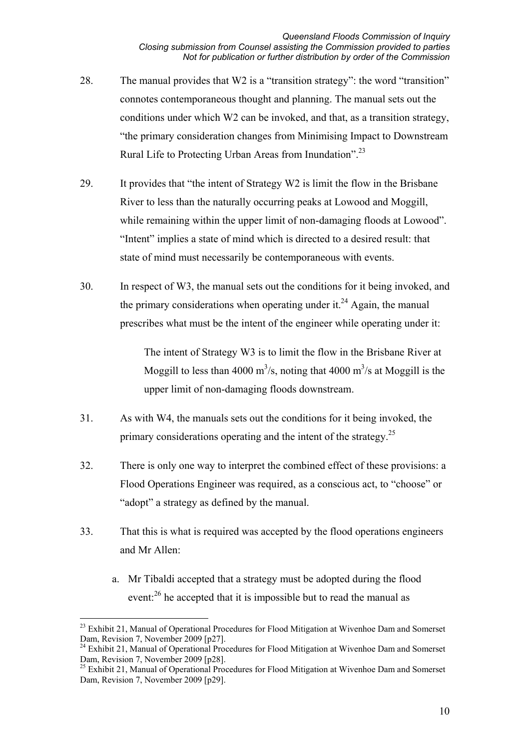- 28. The manual provides that W2 is a "transition strategy": the word "transition" connotes contemporaneous thought and planning. The manual sets out the conditions under which W2 can be invoked, and that, as a transition strategy, "the primary consideration changes from Minimising Impact to Downstream Rural Life to Protecting Urban Areas from Inundation".<sup>23</sup>
- 29. It provides that "the intent of Strategy W2 is limit the flow in the Brisbane River to less than the naturally occurring peaks at Lowood and Moggill, while remaining within the upper limit of non-damaging floods at Lowood". "Intent" implies a state of mind which is directed to a desired result: that state of mind must necessarily be contemporaneous with events.
- 30. In respect of W3, the manual sets out the conditions for it being invoked, and the primary considerations when operating under it.<sup>24</sup> Again, the manual prescribes what must be the intent of the engineer while operating under it:

The intent of Strategy W3 is to limit the flow in the Brisbane River at Moggill to less than 4000 m<sup>3</sup>/s, noting that 4000 m<sup>3</sup>/s at Moggill is the upper limit of non-damaging floods downstream.

- 31. As with W4, the manuals sets out the conditions for it being invoked, the primary considerations operating and the intent of the strategy.<sup>25</sup>
- 32. There is only one way to interpret the combined effect of these provisions: a Flood Operations Engineer was required, as a conscious act, to "choose" or "adopt" a strategy as defined by the manual.
- 33. That this is what is required was accepted by the flood operations engineers and Mr Allen:
	- a. Mr Tibaldi accepted that a strategy must be adopted during the flood event:<sup>26</sup> he accepted that it is impossible but to read the manual as

 $\overline{a}$ 

<sup>&</sup>lt;sup>23</sup> Exhibit 21, Manual of Operational Procedures for Flood Mitigation at Wivenhoe Dam and Somerset Dam, Revision 7, November 2009 [p27].

<sup>&</sup>lt;sup>24</sup> Exhibit 21, Manual of Operational Procedures for Flood Mitigation at Wivenhoe Dam and Somerset Dam, Revision 7, November 2009 [p28].

<sup>&</sup>lt;sup>25</sup> Exhibit 21, Manual of Operational Procedures for Flood Mitigation at Wivenhoe Dam and Somerset Dam, Revision 7, November 2009 [p29].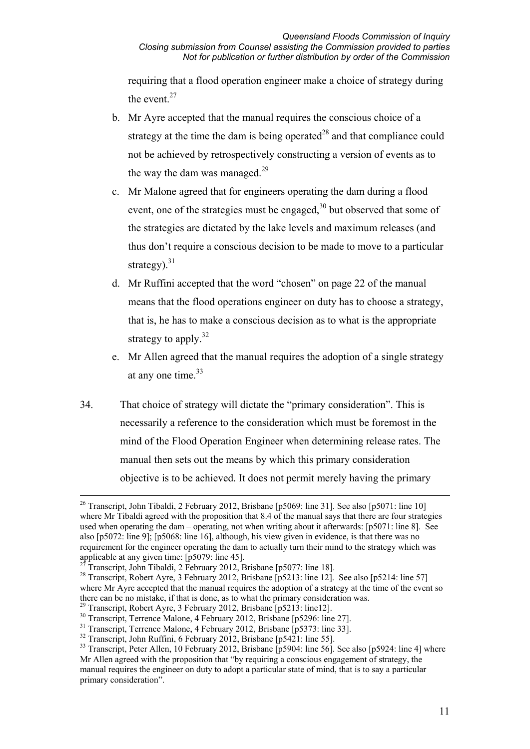requiring that a flood operation engineer make a choice of strategy during the event. $27$ 

- b. Mr Ayre accepted that the manual requires the conscious choice of a strategy at the time the dam is being operated<sup>28</sup> and that compliance could not be achieved by retrospectively constructing a version of events as to the way the dam was managed. $29$
- c. Mr Malone agreed that for engineers operating the dam during a flood event, one of the strategies must be engaged,<sup>30</sup> but observed that some of the strategies are dictated by the lake levels and maximum releases (and thus don't require a conscious decision to be made to move to a particular strategy).<sup>31</sup>
- d. Mr Ruffini accepted that the word "chosen" on page 22 of the manual means that the flood operations engineer on duty has to choose a strategy, that is, he has to make a conscious decision as to what is the appropriate strategy to apply. $32$
- e. Mr Allen agreed that the manual requires the adoption of a single strategy at any one time.  $33$
- 34. That choice of strategy will dictate the "primary consideration". This is necessarily a reference to the consideration which must be foremost in the mind of the Flood Operation Engineer when determining release rates. The manual then sets out the means by which this primary consideration objective is to be achieved. It does not permit merely having the primary

<sup>&</sup>lt;sup>26</sup> Transcript, John Tibaldi, 2 February 2012, Brisbane [p5069: line 31]. See also [p5071: line 10] where Mr Tibaldi agreed with the proposition that 8.4 of the manual says that there are four strategies used when operating the dam – operating, not when writing about it afterwards: [p5071: line 8]. See also [p5072: line 9]; [p5068: line 16], although, his view given in evidence, is that there was no requirement for the engineer operating the dam to actually turn their mind to the strategy which was applicable at any given time: [p5079: line 45].

<sup>27</sup> Transcript, John Tibaldi, 2 February 2012, Brisbane [p5077: line 18].

<sup>&</sup>lt;sup>28</sup> Transcript, Robert Ayre, 3 February 2012, Brisbane [p5213: line 12]. See also [p5214: line 57] where Mr Ayre accepted that the manual requires the adoption of a strategy at the time of the event so there can be no mistake, if that is done, as to what the primary consideration was.

<sup>&</sup>lt;sup>29</sup> Transcript, Robert Ayre, 3 February 2012, Brisbane [p5213: line12].

<sup>&</sup>lt;sup>30</sup> Transcript, Terrence Malone, 4 February 2012, Brisbane [p5296: line 27].

<sup>&</sup>lt;sup>31</sup> Transcript, Terrence Malone, 4 February 2012, Brisbane [p5373: line 33].

<sup>&</sup>lt;sup>32</sup> Transcript, John Ruffini, 6 February 2012, Brisbane [p5421: line 55].

<sup>&</sup>lt;sup>33</sup> Transcript, Peter Allen, 10 February 2012, Brisbane [p5904: line 56]. See also [p5924: line 4] where Mr Allen agreed with the proposition that "by requiring a conscious engagement of strategy, the manual requires the engineer on duty to adopt a particular state of mind, that is to say a particular primary consideration".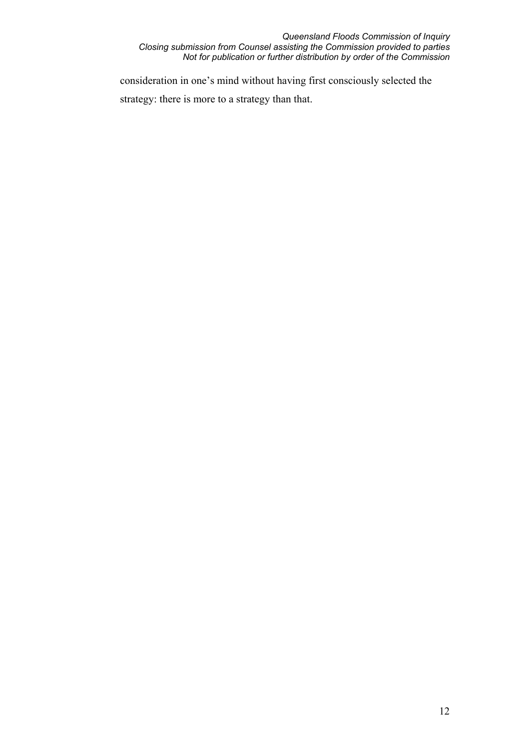#### *Queensland Floods Commission of Inquiry Closing submission from Counsel assisting the Commission provided to parties Not for publication or further distribution by order of the Commission*

consideration in one's mind without having first consciously selected the strategy: there is more to a strategy than that.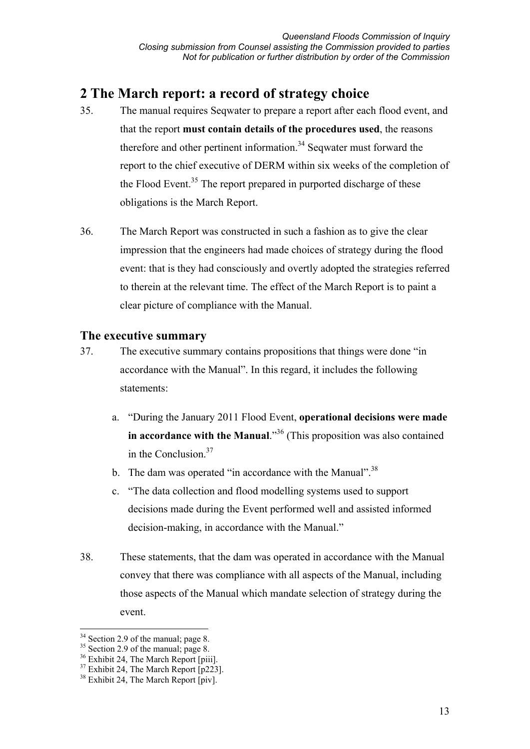# **2 The March report: a record of strategy choice**

- 35. The manual requires Seqwater to prepare a report after each flood event, and that the report **must contain details of the procedures used**, the reasons therefore and other pertinent information.<sup>34</sup> Seqwater must forward the report to the chief executive of DERM within six weeks of the completion of the Flood Event.<sup>35</sup> The report prepared in purported discharge of these obligations is the March Report.
- 36. The March Report was constructed in such a fashion as to give the clear impression that the engineers had made choices of strategy during the flood event: that is they had consciously and overtly adopted the strategies referred to therein at the relevant time. The effect of the March Report is to paint a clear picture of compliance with the Manual.

# **The executive summary**

- 37. The executive summary contains propositions that things were done "in accordance with the Manual". In this regard, it includes the following statements:
	- a. "During the January 2011 Flood Event, **operational decisions were made in accordance with the Manual.**<sup>356</sup> (This proposition was also contained in the Conclusion.37
	- b. The dam was operated "in accordance with the Manual".<sup>38</sup>
	- c. "The data collection and flood modelling systems used to support decisions made during the Event performed well and assisted informed decision-making, in accordance with the Manual."
- 38. These statements, that the dam was operated in accordance with the Manual convey that there was compliance with all aspects of the Manual, including those aspects of the Manual which mandate selection of strategy during the event.

-

<sup>&</sup>lt;sup>34</sup> Section 2.9 of the manual; page 8.

<sup>&</sup>lt;sup>35</sup> Section 2.9 of the manual; page 8.

<sup>&</sup>lt;sup>36</sup> Exhibit 24, The March Report [piii].

 $37$  Exhibit 24. The March Report [p223].

 $38$  Exhibit 24, The March Report [piv].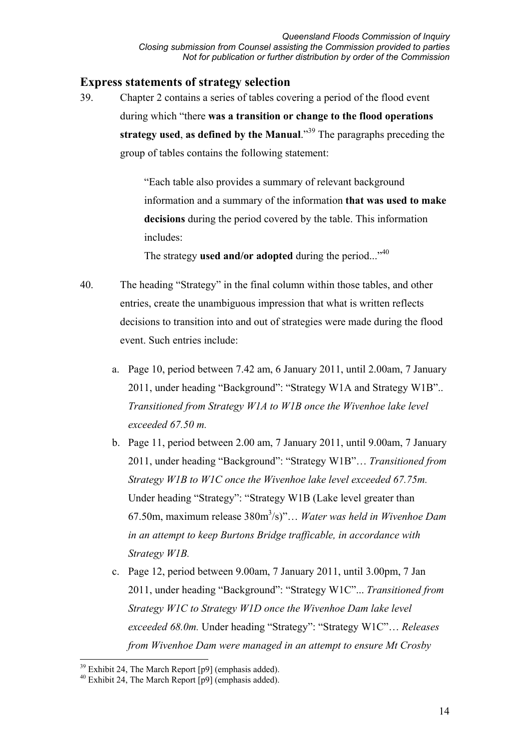### **Express statements of strategy selection**

39. Chapter 2 contains a series of tables covering a period of the flood event during which "there **was a transition or change to the flood operations strategy used**, **as defined by the Manual**."39 The paragraphs preceding the group of tables contains the following statement:

> "Each table also provides a summary of relevant background information and a summary of the information **that was used to make decisions** during the period covered by the table. This information includes:

The strategy **used and/or adopted** during the period..."40

- 40. The heading "Strategy" in the final column within those tables, and other entries, create the unambiguous impression that what is written reflects decisions to transition into and out of strategies were made during the flood event. Such entries include:
	- a. Page 10, period between 7.42 am, 6 January 2011, until 2.00am, 7 January 2011, under heading "Background": "Strategy W1A and Strategy W1B".. *Transitioned from Strategy W1A to W1B once the Wivenhoe lake level exceeded 67.50 m.*
	- b. Page 11, period between 2.00 am, 7 January 2011, until 9.00am, 7 January 2011, under heading "Background": "Strategy W1B"… *Transitioned from Strategy W1B to W1C once the Wivenhoe lake level exceeded 67.75m.*  Under heading "Strategy": "Strategy W1B (Lake level greater than 67.50m, maximum release 380m3 /s)"… *Water was held in Wivenhoe Dam in an attempt to keep Burtons Bridge trafficable, in accordance with Strategy W1B.*
	- c. Page 12, period between 9.00am, 7 January 2011, until 3.00pm, 7 Jan 2011, under heading "Background": "Strategy W1C"... *Transitioned from Strategy W1C to Strategy W1D once the Wivenhoe Dam lake level exceeded 68.0m.* Under heading "Strategy": "Strategy W1C"… *Releases from Wivenhoe Dam were managed in an attempt to ensure Mt Crosby*

<sup>-</sup> $39$  Exhibit 24, The March Report [p9] (emphasis added).

 $40$  Exhibit 24, The March Report  $\overline{[p9]}$  (emphasis added).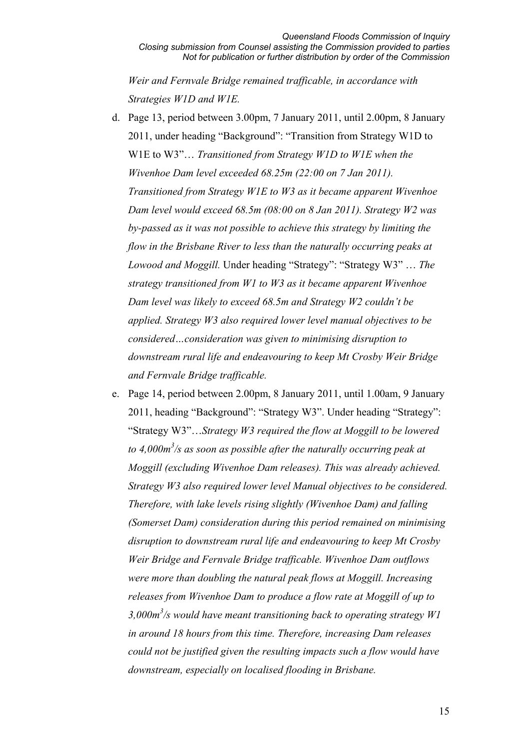*Weir and Fernvale Bridge remained trafficable, in accordance with Strategies W1D and W1E.*

- d. Page 13, period between 3.00pm, 7 January 2011, until 2.00pm, 8 January 2011, under heading "Background": "Transition from Strategy W1D to W1E to W3"… *Transitioned from Strategy W1D to W1E when the Wivenhoe Dam level exceeded 68.25m (22:00 on 7 Jan 2011). Transitioned from Strategy W1E to W3 as it became apparent Wivenhoe Dam level would exceed 68.5m (08:00 on 8 Jan 2011). Strategy W2 was by-passed as it was not possible to achieve this strategy by limiting the flow in the Brisbane River to less than the naturally occurring peaks at Lowood and Moggill.* Under heading "Strategy": "Strategy W3" … *The strategy transitioned from W1 to W3 as it became apparent Wivenhoe Dam level was likely to exceed 68.5m and Strategy W2 couldn't be applied. Strategy W3 also required lower level manual objectives to be considered…consideration was given to minimising disruption to downstream rural life and endeavouring to keep Mt Crosby Weir Bridge and Fernvale Bridge trafficable.*
- e. Page 14, period between 2.00pm, 8 January 2011, until 1.00am, 9 January 2011, heading "Background": "Strategy W3". Under heading "Strategy": "Strategy W3"…*Strategy W3 required the flow at Moggill to be lowered to 4,000m3 /s as soon as possible after the naturally occurring peak at Moggill (excluding Wivenhoe Dam releases). This was already achieved. Strategy W3 also required lower level Manual objectives to be considered. Therefore, with lake levels rising slightly (Wivenhoe Dam) and falling (Somerset Dam) consideration during this period remained on minimising disruption to downstream rural life and endeavouring to keep Mt Crosby Weir Bridge and Fernvale Bridge trafficable. Wivenhoe Dam outflows were more than doubling the natural peak flows at Moggill. Increasing releases from Wivenhoe Dam to produce a flow rate at Moggill of up to 3,000m3 /s would have meant transitioning back to operating strategy W1 in around 18 hours from this time. Therefore, increasing Dam releases could not be justified given the resulting impacts such a flow would have downstream, especially on localised flooding in Brisbane.*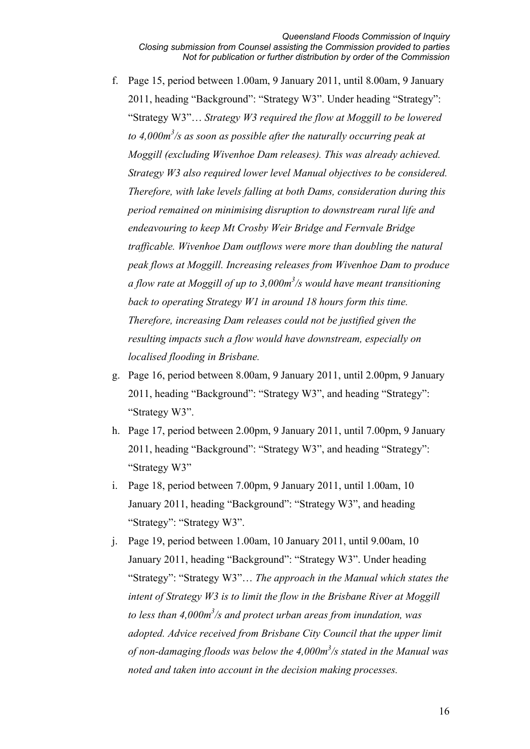- f. Page 15, period between 1.00am, 9 January 2011, until 8.00am, 9 January 2011, heading "Background": "Strategy W3". Under heading "Strategy": "Strategy W3"… *Strategy W3 required the flow at Moggill to be lowered to 4,000m3 /s as soon as possible after the naturally occurring peak at Moggill (excluding Wivenhoe Dam releases). This was already achieved. Strategy W3 also required lower level Manual objectives to be considered. Therefore, with lake levels falling at both Dams, consideration during this period remained on minimising disruption to downstream rural life and endeavouring to keep Mt Crosby Weir Bridge and Fernvale Bridge trafficable. Wivenhoe Dam outflows were more than doubling the natural peak flows at Moggill. Increasing releases from Wivenhoe Dam to produce a flow rate at Moggill of up to 3,000m3 /s would have meant transitioning back to operating Strategy W1 in around 18 hours form this time. Therefore, increasing Dam releases could not be justified given the resulting impacts such a flow would have downstream, especially on localised flooding in Brisbane.*
- g. Page 16, period between 8.00am, 9 January 2011, until 2.00pm, 9 January 2011, heading "Background": "Strategy W3", and heading "Strategy": "Strategy W3".
- h. Page 17, period between 2.00pm, 9 January 2011, until 7.00pm, 9 January 2011, heading "Background": "Strategy W3", and heading "Strategy": "Strategy W3"
- i. Page 18, period between 7.00pm, 9 January 2011, until 1.00am, 10 January 2011, heading "Background": "Strategy W3", and heading "Strategy": "Strategy W3".
- j. Page 19, period between 1.00am, 10 January 2011, until 9.00am, 10 January 2011, heading "Background": "Strategy W3". Under heading "Strategy": "Strategy W3"… *The approach in the Manual which states the intent of Strategy W3 is to limit the flow in the Brisbane River at Moggill to less than 4,000m3 /s and protect urban areas from inundation, was adopted. Advice received from Brisbane City Council that the upper limit of non-damaging floods was below the 4,000m3 /s stated in the Manual was noted and taken into account in the decision making processes.*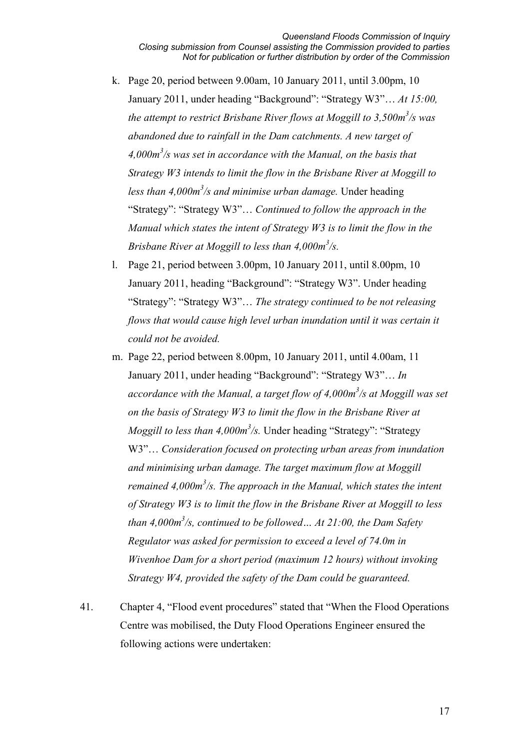- k. Page 20, period between 9.00am, 10 January 2011, until 3.00pm, 10 January 2011, under heading "Background": "Strategy W3"… *At 15:00,*  the attempt to restrict Brisbane River flows at Moggill to 3,500m<sup>3</sup>/s was *abandoned due to rainfall in the Dam catchments. A new target of 4,000m3 /s was set in accordance with the Manual, on the basis that Strategy W3 intends to limit the flow in the Brisbane River at Moggill to*  less than 4,000m<sup>3</sup>/s and minimise urban damage. Under heading "Strategy": "Strategy W3"… *Continued to follow the approach in the Manual which states the intent of Strategy W3 is to limit the flow in the Brisbane River at Moggill to less than 4,000m3 /s.*
- l. Page 21, period between 3.00pm, 10 January 2011, until 8.00pm, 10 January 2011, heading "Background": "Strategy W3". Under heading "Strategy": "Strategy W3"… *The strategy continued to be not releasing flows that would cause high level urban inundation until it was certain it could not be avoided.*
- m. Page 22, period between 8.00pm, 10 January 2011, until 4.00am, 11 January 2011, under heading "Background": "Strategy W3"… *In accordance with the Manual, a target flow of 4,000m3 /s at Moggill was set on the basis of Strategy W3 to limit the flow in the Brisbane River at Moggill to less than 4,000m<sup>3</sup>/s.* Under heading "Strategy": "Strategy W3"… *Consideration focused on protecting urban areas from inundation and minimising urban damage. The target maximum flow at Moggill remained 4,000m<sup>3</sup>/s. The approach in the Manual, which states the intent of Strategy W3 is to limit the flow in the Brisbane River at Moggill to less than 4,000m3 /s, continued to be followed… At 21:00, the Dam Safety Regulator was asked for permission to exceed a level of 74.0m in Wivenhoe Dam for a short period (maximum 12 hours) without invoking Strategy W4, provided the safety of the Dam could be guaranteed.*
- 41. Chapter 4, "Flood event procedures" stated that "When the Flood Operations Centre was mobilised, the Duty Flood Operations Engineer ensured the following actions were undertaken: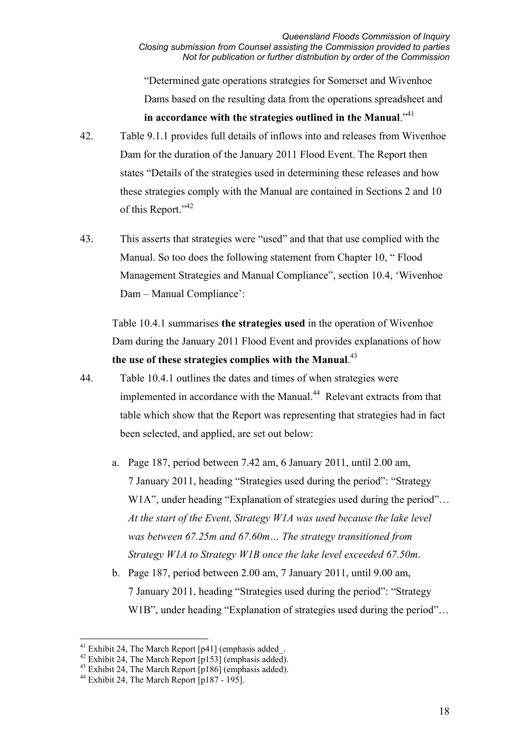"Determined gate operations strategies for Somerset and Wivenhoe Dams based on the resulting data from the operations spreadsheet and **in accordance with the strategies outlined in the Manual**."<sup>41</sup>

- 42. Table 9.1.1 provides full details of inflows into and releases from Wivenhoe Dam for the duration of the January 2011 Flood Event. The Report then states "Details of the strategies used in determining these releases and how these strategies comply with the Manual are contained in Sections 2 and 10 of this Report."<sup>42</sup>
- 43. This asserts that strategies were "used" and that that use complied with the Manual. So too does the following statement from Chapter 10, " Flood Management Strategies and Manual Compliance", section 10.4, 'Wivenhoe Dam – Manual Compliance':

Table 10.4.1 summarises **the strategies used** in the operation of Wivenhoe Dam during the January 2011 Flood Event and provides explanations of how **the use of these strategies complies with the Manual**. 43

- 44. Table 10.4.1 outlines the dates and times of when strategies were implemented in accordance with the Manual.<sup>44</sup> Relevant extracts from that table which show that the Report was representing that strategies had in fact been selected, and applied, are set out below:
	- a. Page 187, period between 7.42 am, 6 January 2011, until 2.00 am, 7 January 2011, heading "Strategies used during the period": "Strategy W1A", under heading "Explanation of strategies used during the period"... *At the start of the Event, Strategy W1A was used because the lake level was between 67.25m and 67.60m… The strategy transitioned from Strategy W1A to Strategy W1B once the lake level exceeded 67.50m*.
	- b. Page 187, period between 2.00 am, 7 January 2011, until 9.00 am, 7 January 2011, heading "Strategies used during the period": "Strategy W1B", under heading "Explanation of strategies used during the period"...

-

<sup>&</sup>lt;sup>41</sup> Exhibit 24, The March Report  $[p41]$  (emphasis added.

<sup>&</sup>lt;sup>42</sup> Exhibit 24, The March Report  $\overline{[p153]}$  (emphasis added).

<sup>&</sup>lt;sup>43</sup> Exhibit 24, The March Report [p186] (emphasis added).

<sup>&</sup>lt;sup>44</sup> Exhibit 24, The March Report  $\lceil p187 - 195 \rceil$ .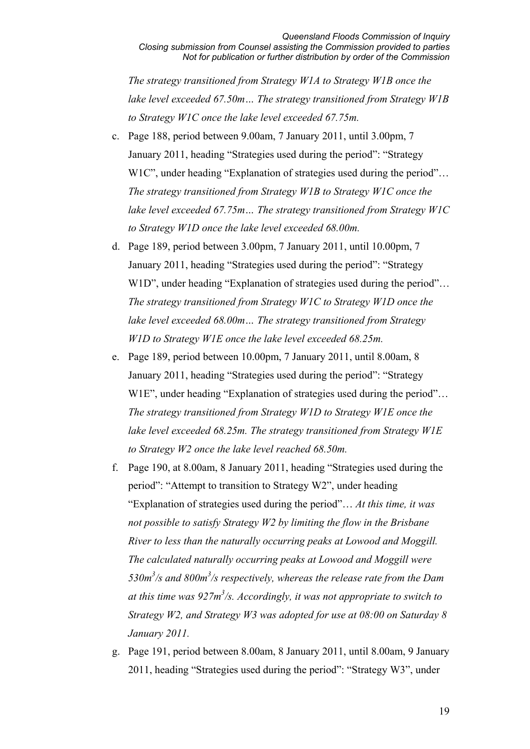*The strategy transitioned from Strategy W1A to Strategy W1B once the lake level exceeded 67.50m… The strategy transitioned from Strategy W1B to Strategy W1C once the lake level exceeded 67.75m.*

- c. Page 188, period between 9.00am, 7 January 2011, until 3.00pm, 7 January 2011, heading "Strategies used during the period": "Strategy W1C", under heading "Explanation of strategies used during the period"... *The strategy transitioned from Strategy W1B to Strategy W1C once the lake level exceeded 67.75m… The strategy transitioned from Strategy W1C to Strategy W1D once the lake level exceeded 68.00m.*
- d. Page 189, period between 3.00pm, 7 January 2011, until 10.00pm, 7 January 2011, heading "Strategies used during the period": "Strategy W1D", under heading "Explanation of strategies used during the period"... *The strategy transitioned from Strategy W1C to Strategy W1D once the lake level exceeded 68.00m… The strategy transitioned from Strategy W1D to Strategy W1E once the lake level exceeded 68.25m.*
- e. Page 189, period between 10.00pm, 7 January 2011, until 8.00am, 8 January 2011, heading "Strategies used during the period": "Strategy W1E", under heading "Explanation of strategies used during the period"... *The strategy transitioned from Strategy W1D to Strategy W1E once the lake level exceeded 68.25m. The strategy transitioned from Strategy W1E to Strategy W2 once the lake level reached 68.50m.*
- f. Page 190, at 8.00am, 8 January 2011, heading "Strategies used during the period": "Attempt to transition to Strategy W2", under heading "Explanation of strategies used during the period"… *At this time, it was not possible to satisfy Strategy W2 by limiting the flow in the Brisbane River to less than the naturally occurring peaks at Lowood and Moggill. The calculated naturally occurring peaks at Lowood and Moggill were*  530m<sup>3</sup>/s and 800m<sup>3</sup>/s respectively, whereas the release rate from the Dam *at this time was 927m3 /s. Accordingly, it was not appropriate to switch to Strategy W2, and Strategy W3 was adopted for use at 08:00 on Saturday 8 January 2011.*
- g. Page 191, period between 8.00am, 8 January 2011, until 8.00am, 9 January 2011, heading "Strategies used during the period": "Strategy W3", under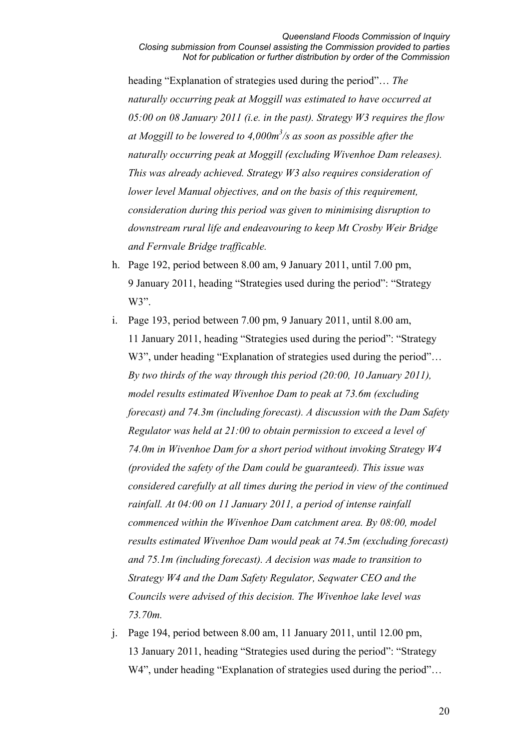heading "Explanation of strategies used during the period"… *The naturally occurring peak at Moggill was estimated to have occurred at 05:00 on 08 January 2011 (i.e. in the past). Strategy W3 requires the flow at Moggill to be lowered to 4,000m3 /s as soon as possible after the naturally occurring peak at Moggill (excluding Wivenhoe Dam releases). This was already achieved. Strategy W3 also requires consideration of lower level Manual objectives, and on the basis of this requirement, consideration during this period was given to minimising disruption to downstream rural life and endeavouring to keep Mt Crosby Weir Bridge and Fernvale Bridge trafficable.*

- h. Page 192, period between 8.00 am, 9 January 2011, until 7.00 pm, 9 January 2011, heading "Strategies used during the period": "Strategy W<sub>3</sub>".
- i. Page 193, period between 7.00 pm, 9 January 2011, until 8.00 am, 11 January 2011, heading "Strategies used during the period": "Strategy W3", under heading "Explanation of strategies used during the period"... *By two thirds of the way through this period (20:00, 10 January 2011), model results estimated Wivenhoe Dam to peak at 73.6m (excluding forecast) and 74.3m (including forecast). A discussion with the Dam Safety Regulator was held at 21:00 to obtain permission to exceed a level of 74.0m in Wivenhoe Dam for a short period without invoking Strategy W4 (provided the safety of the Dam could be guaranteed). This issue was considered carefully at all times during the period in view of the continued rainfall. At 04:00 on 11 January 2011, a period of intense rainfall commenced within the Wivenhoe Dam catchment area. By 08:00, model results estimated Wivenhoe Dam would peak at 74.5m (excluding forecast) and 75.1m (including forecast). A decision was made to transition to Strategy W4 and the Dam Safety Regulator, Seqwater CEO and the Councils were advised of this decision. The Wivenhoe lake level was 73.70m.*
- j. Page 194, period between 8.00 am, 11 January 2011, until 12.00 pm, 13 January 2011, heading "Strategies used during the period": "Strategy W4", under heading "Explanation of strategies used during the period"...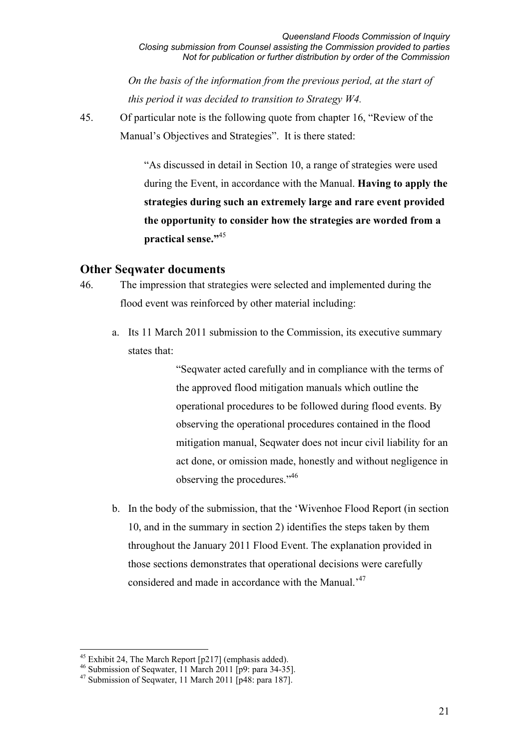*On the basis of the information from the previous period, at the start of this period it was decided to transition to Strategy W4.*

45. Of particular note is the following quote from chapter 16, "Review of the Manual's Objectives and Strategies". It is there stated:

> "As discussed in detail in Section 10, a range of strategies were used during the Event, in accordance with the Manual. **Having to apply the strategies during such an extremely large and rare event provided the opportunity to consider how the strategies are worded from a practical sense."**<sup>45</sup>

#### **Other Seqwater documents**

- 46. The impression that strategies were selected and implemented during the flood event was reinforced by other material including:
	- a. Its 11 March 2011 submission to the Commission, its executive summary states that:

"Seqwater acted carefully and in compliance with the terms of the approved flood mitigation manuals which outline the operational procedures to be followed during flood events. By observing the operational procedures contained in the flood mitigation manual, Seqwater does not incur civil liability for an act done, or omission made, honestly and without negligence in observing the procedures."46

b. In the body of the submission, that the 'Wivenhoe Flood Report (in section 10, and in the summary in section 2) identifies the steps taken by them throughout the January 2011 Flood Event. The explanation provided in those sections demonstrates that operational decisions were carefully considered and made in accordance with the Manual.'47

<sup>&</sup>lt;u>.</u>  $45$  Exhibit 24, The March Report [p217] (emphasis added).

<sup>46</sup> Submission of Seqwater, 11 March 2011 [p9: para 34-35].

 $47$  Submission of Seqwater, 11 March 2011  $\overline{p}$ 48: para 187.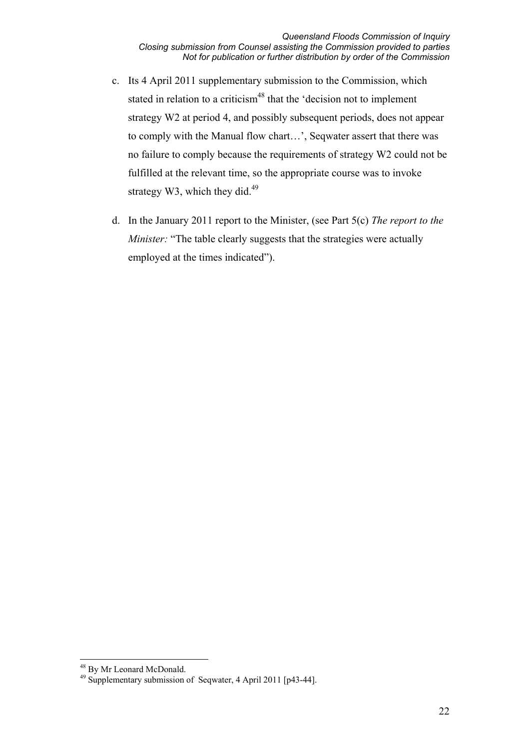- c. Its 4 April 2011 supplementary submission to the Commission, which stated in relation to a criticism<sup>48</sup> that the 'decision not to implement strategy W2 at period 4, and possibly subsequent periods, does not appear to comply with the Manual flow chart…', Seqwater assert that there was no failure to comply because the requirements of strategy W2 could not be fulfilled at the relevant time, so the appropriate course was to invoke strategy W3, which they did.<sup>49</sup>
- d. In the January 2011 report to the Minister, (see Part 5(c) *The report to the Minister:* "The table clearly suggests that the strategies were actually employed at the times indicated").

-

<sup>48</sup> By Mr Leonard McDonald.

<sup>49</sup> Supplementary submission of Seqwater, 4 April 2011 [p43-44].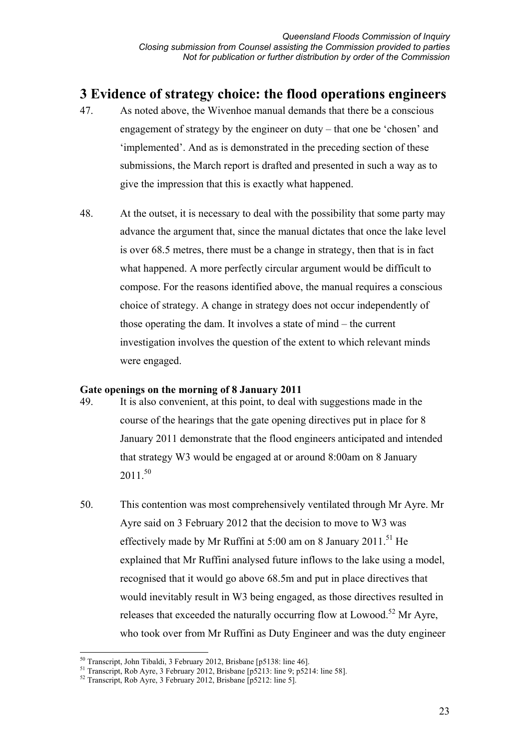# **3 Evidence of strategy choice: the flood operations engineers**

- 47. As noted above, the Wivenhoe manual demands that there be a conscious engagement of strategy by the engineer on duty – that one be 'chosen' and 'implemented'. And as is demonstrated in the preceding section of these submissions, the March report is drafted and presented in such a way as to give the impression that this is exactly what happened.
- 48. At the outset, it is necessary to deal with the possibility that some party may advance the argument that, since the manual dictates that once the lake level is over 68.5 metres, there must be a change in strategy, then that is in fact what happened. A more perfectly circular argument would be difficult to compose. For the reasons identified above, the manual requires a conscious choice of strategy. A change in strategy does not occur independently of those operating the dam. It involves a state of mind – the current investigation involves the question of the extent to which relevant minds were engaged.

#### **Gate openings on the morning of 8 January 2011**

- 49. It is also convenient, at this point, to deal with suggestions made in the course of the hearings that the gate opening directives put in place for 8 January 2011 demonstrate that the flood engineers anticipated and intended that strategy W3 would be engaged at or around 8:00am on 8 January  $2011^{50}$
- 50. This contention was most comprehensively ventilated through Mr Ayre. Mr Ayre said on 3 February 2012 that the decision to move to W3 was effectively made by Mr Ruffini at  $5:00$  am on 8 January 2011.<sup>51</sup> He explained that Mr Ruffini analysed future inflows to the lake using a model, recognised that it would go above 68.5m and put in place directives that would inevitably result in W3 being engaged, as those directives resulted in releases that exceeded the naturally occurring flow at Lowood.<sup>52</sup> Mr Ayre, who took over from Mr Ruffini as Duty Engineer and was the duty engineer

 $\overline{a}$ 

<sup>&</sup>lt;sup>50</sup> Transcript, John Tibaldi, 3 February 2012, Brisbane [p5138: line 46].<br><sup>51</sup> Transcript, Rob Ayre, 3 February 2012, Brisbane [p5213: line 9; p5214: line 58].<br><sup>52</sup> Transcript, Rob Ayre, 3 February 2012, Brisbane [p5212: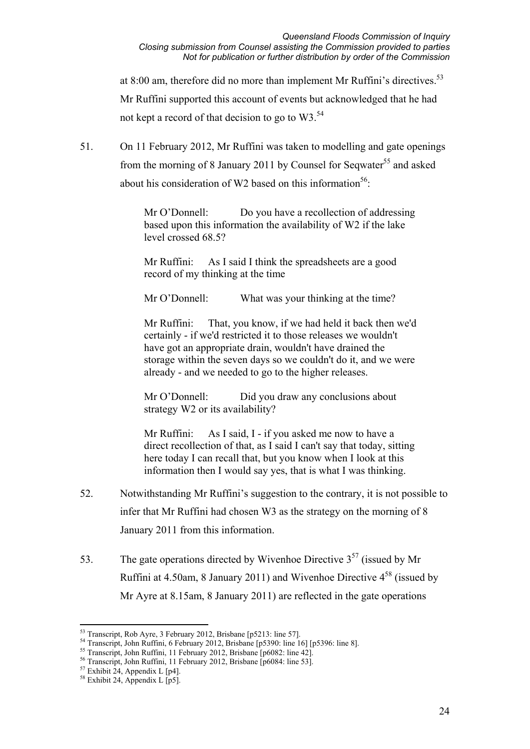at 8:00 am, therefore did no more than implement Mr Ruffini's directives.<sup>53</sup> Mr Ruffini supported this account of events but acknowledged that he had not kept a record of that decision to go to W3.<sup>54</sup>

51. On 11 February 2012, Mr Ruffini was taken to modelling and gate openings from the morning of 8 January 2011 by Counsel for Seqwater<sup>55</sup> and asked about his consideration of W2 based on this information<sup>56</sup>:

> Mr O'Donnell: Do you have a recollection of addressing based upon this information the availability of W2 if the lake level crossed 68.5?

Mr Ruffini: As I said I think the spreadsheets are a good record of my thinking at the time

Mr O'Donnell: What was your thinking at the time?

Mr Ruffini: That, you know, if we had held it back then we'd certainly - if we'd restricted it to those releases we wouldn't have got an appropriate drain, wouldn't have drained the storage within the seven days so we couldn't do it, and we were already - and we needed to go to the higher releases.

Mr O'Donnell: Did you draw any conclusions about strategy W2 or its availability?

Mr Ruffini: As I said, I - if you asked me now to have a direct recollection of that, as I said I can't say that today, sitting here today I can recall that, but you know when I look at this information then I would say yes, that is what I was thinking.

- 52. Notwithstanding Mr Ruffini's suggestion to the contrary, it is not possible to infer that Mr Ruffini had chosen W3 as the strategy on the morning of 8 January 2011 from this information.
- 53. The gate operations directed by Wivenhoe Directive  $3^{57}$  (issued by Mr Ruffini at 4.50am, 8 January 2011) and Wivenhoe Directive  $4^{58}$  (issued by Mr Ayre at 8.15am, 8 January 2011) are reflected in the gate operations

<sup>&</sup>lt;sup>53</sup> Transcript, Rob Ayre, 3 February 2012, Brisbane [p5213: line 57].

<sup>&</sup>lt;sup>54</sup> Transcript, John Ruffini, 6 February 2012, Brisbane [p5390: line 16] [p5396: line 8].<br><sup>55</sup> Transcript, John Ruffini, 11 February 2012, Brisbane [p6082: line 42].

<sup>56</sup> Transcript, John Ruffini, 11 February 2012, Brisbane [p6084: line 53].

 $57$  Exhibit 24, Appendix L [p4].

 $58$  Exhibit 24, Appendix L  $\overline{p5}$ .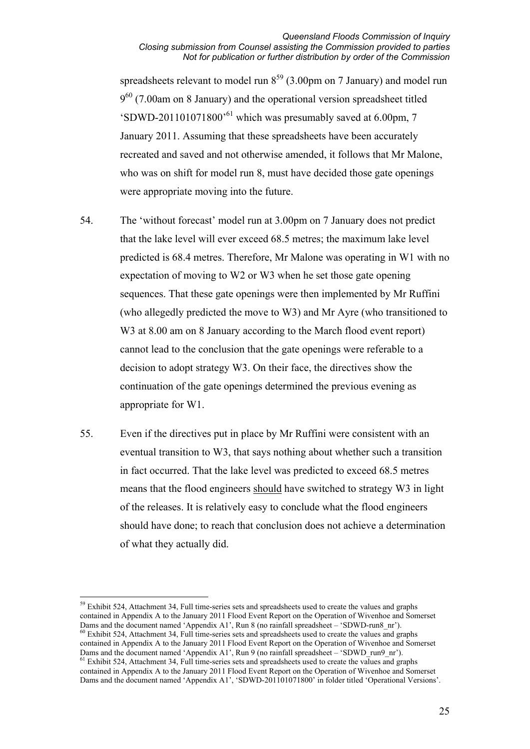#### *Queensland Floods Commission of Inquiry Closing submission from Counsel assisting the Commission provided to parties Not for publication or further distribution by order of the Commission*

spreadsheets relevant to model run  $8^{59}$  (3.00pm on 7 January) and model run  $9^{60}$  (7.00am on 8 January) and the operational version spreadsheet titled 'SDWD-201101071800'61 which was presumably saved at 6.00pm, 7 January 2011. Assuming that these spreadsheets have been accurately recreated and saved and not otherwise amended, it follows that Mr Malone, who was on shift for model run 8, must have decided those gate openings were appropriate moving into the future.

- 54. The 'without forecast' model run at 3.00pm on 7 January does not predict that the lake level will ever exceed 68.5 metres; the maximum lake level predicted is 68.4 metres. Therefore, Mr Malone was operating in W1 with no expectation of moving to W2 or W3 when he set those gate opening sequences. That these gate openings were then implemented by Mr Ruffini (who allegedly predicted the move to W3) and Mr Ayre (who transitioned to W<sub>3</sub> at 8.00 am on 8 January according to the March flood event report) cannot lead to the conclusion that the gate openings were referable to a decision to adopt strategy W3. On their face, the directives show the continuation of the gate openings determined the previous evening as appropriate for W1.
- 55. Even if the directives put in place by Mr Ruffini were consistent with an eventual transition to W3, that says nothing about whether such a transition in fact occurred. That the lake level was predicted to exceed 68.5 metres means that the flood engineers should have switched to strategy W3 in light of the releases. It is relatively easy to conclude what the flood engineers should have done; to reach that conclusion does not achieve a determination of what they actually did.

 $\overline{a}$ <sup>59</sup> Exhibit 524, Attachment 34, Full time-series sets and spreadsheets used to create the values and graphs contained in Appendix A to the January 2011 Flood Event Report on the Operation of Wivenhoe and Somerset Dams and the document named 'Appendix A1', Run 8 (no rainfall spreadsheet – 'SDWD-run8 nr').  $\frac{60}{100}$  Exhibit 524, Attachment 34, Full time-series sets and spreadsheets used to create the values and graphs contained in Appendix A to the January 2011 Flood Event Report on the Operation of Wivenhoe and Somerset Dams and the document named 'Appendix A1', Run 9 (no rainfall spreadsheet – 'SDWD run9 nr'). <sup>61</sup> Exhibit 524, Attachment 34, Full time-series sets and spreadsheets used to create the values and graphs

contained in Appendix A to the January 2011 Flood Event Report on the Operation of Wivenhoe and Somerset Dams and the document named 'Appendix A1', 'SDWD-201101071800' in folder titled 'Operational Versions'.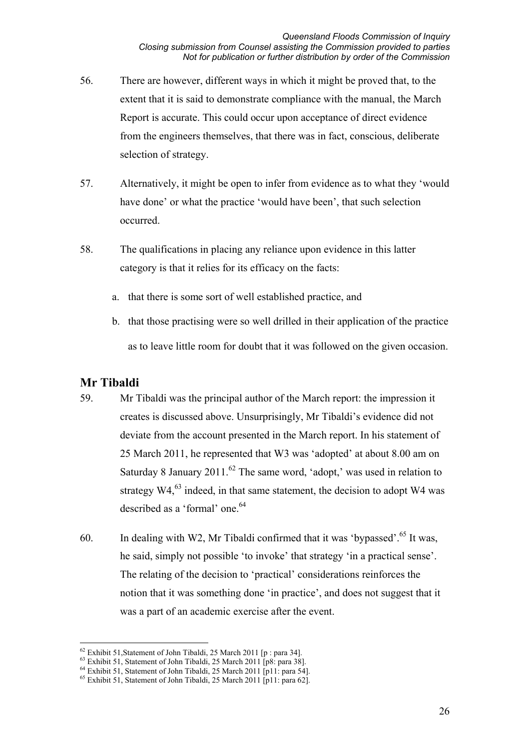- 56. There are however, different ways in which it might be proved that, to the extent that it is said to demonstrate compliance with the manual, the March Report is accurate. This could occur upon acceptance of direct evidence from the engineers themselves, that there was in fact, conscious, deliberate selection of strategy.
- 57. Alternatively, it might be open to infer from evidence as to what they 'would have done' or what the practice 'would have been', that such selection occurred.
- 58. The qualifications in placing any reliance upon evidence in this latter category is that it relies for its efficacy on the facts:
	- a. that there is some sort of well established practice, and
	- b. that those practising were so well drilled in their application of the practice as to leave little room for doubt that it was followed on the given occasion.

### **Mr Tibaldi**

- 59. Mr Tibaldi was the principal author of the March report: the impression it creates is discussed above. Unsurprisingly, Mr Tibaldi's evidence did not deviate from the account presented in the March report. In his statement of 25 March 2011, he represented that W3 was 'adopted' at about 8.00 am on Saturday 8 January 2011.<sup>62</sup> The same word, 'adopt,' was used in relation to strategy  $W4<sup>63</sup>$  indeed, in that same statement, the decision to adopt W4 was described as a 'formal' one.<sup>64</sup>
- 60. In dealing with W2, Mr Tibaldi confirmed that it was 'bypassed'.<sup>65</sup> It was, he said, simply not possible 'to invoke' that strategy 'in a practical sense'. The relating of the decision to 'practical' considerations reinforces the notion that it was something done 'in practice', and does not suggest that it was a part of an academic exercise after the event.

<sup>&</sup>lt;sup>62</sup> Exhibit 51, Statement of John Tibaldi, 25 March 2011 [p : para 34].

<sup>&</sup>lt;sup>63</sup> Exhibit 51, Statement of John Tibaldi, 25 March 2011 [p8: para 38].<br><sup>64</sup> Exhibit 51, Statement of John Tibaldi, 25 March 2011 [p11: para 54].<br><sup>65</sup> Exhibit 51, Statement of John Tibaldi, 25 March 2011 [p11: para 62].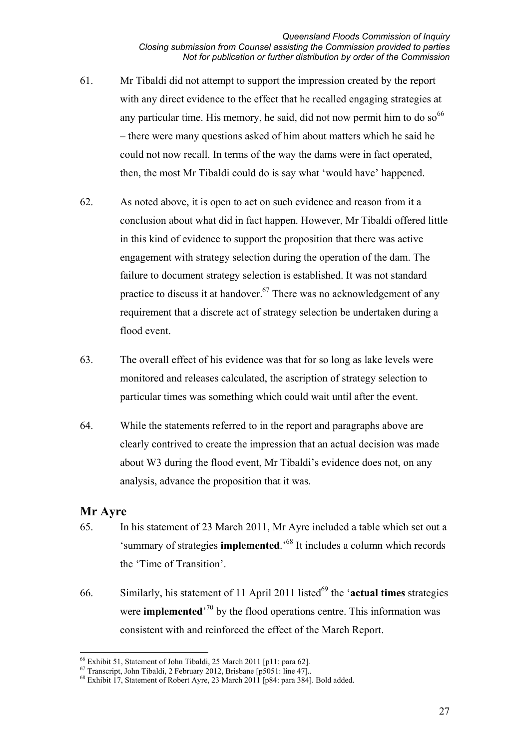- 61. Mr Tibaldi did not attempt to support the impression created by the report with any direct evidence to the effect that he recalled engaging strategies at any particular time. His memory, he said, did not now permit him to do so  $66$ – there were many questions asked of him about matters which he said he could not now recall. In terms of the way the dams were in fact operated, then, the most Mr Tibaldi could do is say what 'would have' happened.
- 62. As noted above, it is open to act on such evidence and reason from it a conclusion about what did in fact happen. However, Mr Tibaldi offered little in this kind of evidence to support the proposition that there was active engagement with strategy selection during the operation of the dam. The failure to document strategy selection is established. It was not standard practice to discuss it at handover.<sup>67</sup> There was no acknowledgement of any requirement that a discrete act of strategy selection be undertaken during a flood event.
- 63. The overall effect of his evidence was that for so long as lake levels were monitored and releases calculated, the ascription of strategy selection to particular times was something which could wait until after the event.
- 64. While the statements referred to in the report and paragraphs above are clearly contrived to create the impression that an actual decision was made about W3 during the flood event, Mr Tibaldi's evidence does not, on any analysis, advance the proposition that it was.

### **Mr Ayre**

- 65. In his statement of 23 March 2011, Mr Ayre included a table which set out a 'summary of strategies **implemented**.'68 It includes a column which records the 'Time of Transition'.
- 66. Similarly, his statement of 11 April 2011 listed<sup>69</sup> the '**actual times** strategies were **implemented**<sup>70</sup> by the flood operations centre. This information was consistent with and reinforced the effect of the March Report.

 $\overline{a}$ <sup>66</sup> Exhibit 51, Statement of John Tibaldi, 25 March 2011 [p11: para 62].<br><sup>67</sup> Transcript, John Tibaldi, 2 February 2012, Brisbane [p5051: line 47]..

<sup>&</sup>lt;sup>68</sup> Exhibit 17, Statement of Robert Ayre, 23 March 2011 [p84: para 384]. Bold added.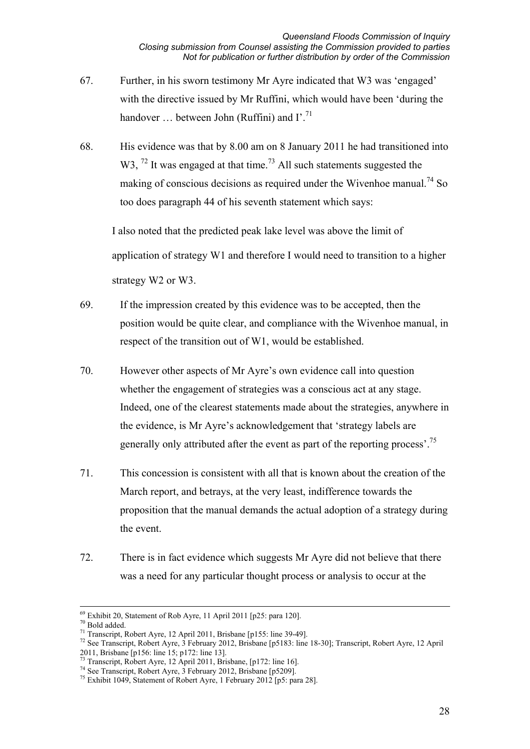- 67. Further, in his sworn testimony Mr Ayre indicated that W3 was 'engaged' with the directive issued by Mr Ruffini, which would have been 'during the handover ... between John (Ruffini) and I'.<sup>71</sup>
- 68. His evidence was that by 8.00 am on 8 January 2011 he had transitioned into W3,  $^{72}$  It was engaged at that time.<sup>73</sup> All such statements suggested the making of conscious decisions as required under the Wivenhoe manual.<sup>74</sup> So too does paragraph 44 of his seventh statement which says:

I also noted that the predicted peak lake level was above the limit of application of strategy W1 and therefore I would need to transition to a higher strategy W2 or W3.

- 69. If the impression created by this evidence was to be accepted, then the position would be quite clear, and compliance with the Wivenhoe manual, in respect of the transition out of W1, would be established.
- 70. However other aspects of Mr Ayre's own evidence call into question whether the engagement of strategies was a conscious act at any stage. Indeed, one of the clearest statements made about the strategies, anywhere in the evidence, is Mr Ayre's acknowledgement that 'strategy labels are generally only attributed after the event as part of the reporting process'.<sup>75</sup>
- 71. This concession is consistent with all that is known about the creation of the March report, and betrays, at the very least, indifference towards the proposition that the manual demands the actual adoption of a strategy during the event.
- 72. There is in fact evidence which suggests Mr Ayre did not believe that there was a need for any particular thought process or analysis to occur at the

<sup>&</sup>lt;sup>69</sup> Exhibit 20, Statement of Rob Ayre, 11 April 2011 [p25: para 120].<br><sup>70</sup> Bold added.<br><sup>71</sup> Transcript, Robert Ayre, 12 April 2011, Brisbane [p155: line 39-49].

<sup>71</sup> Transcript, Robert Ayre, 12 April 2011, Brisbane [p155: line 39-49]. 72 See Transcript, Robert Ayre, 3 February 2012, Brisbane [p5183: line 18-30]; Transcript, Robert Ayre, 12 April 2011, Brisbane [p156: line 15; p172: line 13].

<sup>&</sup>lt;sup>73</sup> Transcript, Robert Ayre, 12 April 2011, Brisbane, [p172: line 16].

<sup>74</sup> See Transcript, Robert Ayre, 3 February 2012, Brisbane [p5209]. 75 Exhibit 1049, Statement of Robert Ayre, 1 February 2012 [p5: para 28].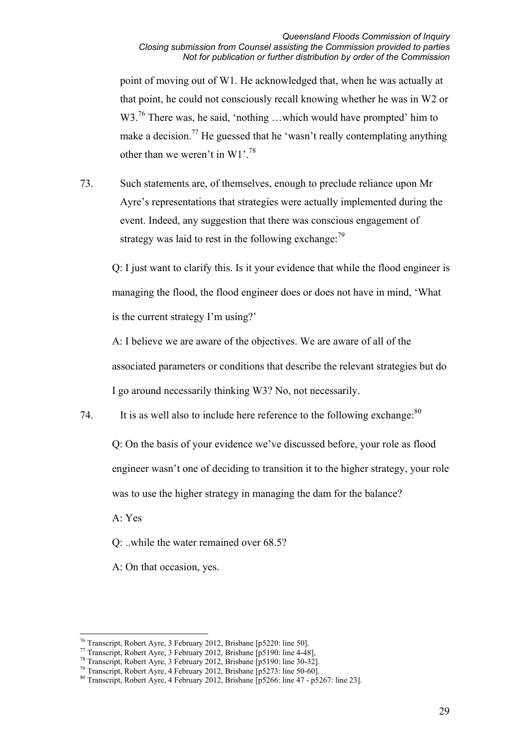#### *Queensland Floods Commission of Inquiry Closing submission from Counsel assisting the Commission provided to parties Not for publication or further distribution by order of the Commission*

point of moving out of W1. He acknowledged that, when he was actually at that point, he could not consciously recall knowing whether he was in W2 or W3.<sup>76</sup> There was, he said, 'nothing ...which would have prompted' him to make a decision.<sup>77</sup> He guessed that he 'wasn't really contemplating anything other than we weren't in W1'.<sup>78</sup>

73. Such statements are, of themselves, enough to preclude reliance upon Mr Ayre's representations that strategies were actually implemented during the event. Indeed, any suggestion that there was conscious engagement of strategy was laid to rest in the following exchange:  $^{79}$ 

Q: I just want to clarify this. Is it your evidence that while the flood engineer is managing the flood, the flood engineer does or does not have in mind, 'What is the current strategy I'm using?'

A: I believe we are aware of the objectives. We are aware of all of the associated parameters or conditions that describe the relevant strategies but do I go around necessarily thinking W3? No, not necessarily.

74. It is as well also to include here reference to the following exchange:<sup>80</sup>

Q: On the basis of your evidence we've discussed before, your role as flood engineer wasn't one of deciding to transition it to the higher strategy, your role was to use the higher strategy in managing the dam for the balance?

A: Yes

Q: ..while the water remained over 68.5?

A: On that occasion, yes.

<sup>&</sup>lt;sup>76</sup> Transcript, Robert Ayre, 3 February 2012, Brisbane [p5220: line 50].

<sup>&</sup>lt;sup>77</sup> Transcript, Robert Ayre, 3 February 2012, Brisbane [p5190: line 4-48],<br><sup>78</sup> Transcript, Robert Ayre, 3 February 2012, Brisbane [p5190: line 30-32].<br><sup>79</sup> Transcript, Robert Ayre, 4 February 2012, Brisbane [p5273: line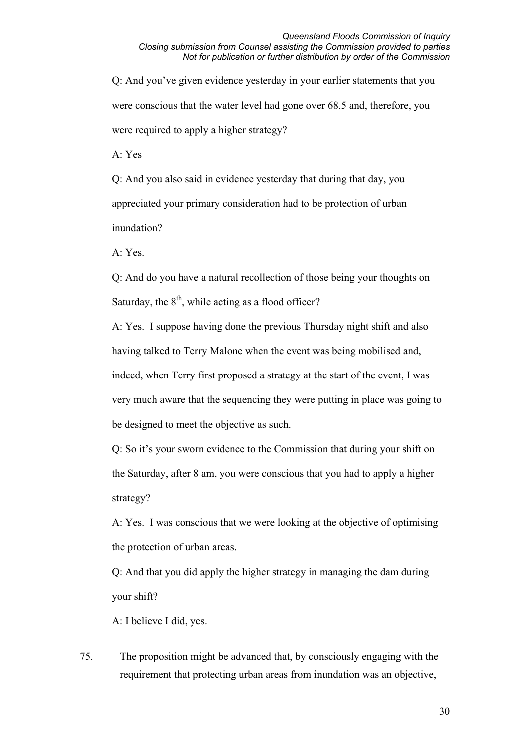Q: And you've given evidence yesterday in your earlier statements that you were conscious that the water level had gone over 68.5 and, therefore, you were required to apply a higher strategy?

A: Yes

Q: And you also said in evidence yesterday that during that day, you appreciated your primary consideration had to be protection of urban inundation?

A: Yes.

Q: And do you have a natural recollection of those being your thoughts on Saturday, the  $8<sup>th</sup>$ , while acting as a flood officer?

A: Yes. I suppose having done the previous Thursday night shift and also having talked to Terry Malone when the event was being mobilised and, indeed, when Terry first proposed a strategy at the start of the event, I was very much aware that the sequencing they were putting in place was going to be designed to meet the objective as such.

Q: So it's your sworn evidence to the Commission that during your shift on the Saturday, after 8 am, you were conscious that you had to apply a higher strategy?

A: Yes. I was conscious that we were looking at the objective of optimising the protection of urban areas.

Q: And that you did apply the higher strategy in managing the dam during your shift?

A: I believe I did, yes.

75. The proposition might be advanced that, by consciously engaging with the requirement that protecting urban areas from inundation was an objective,

30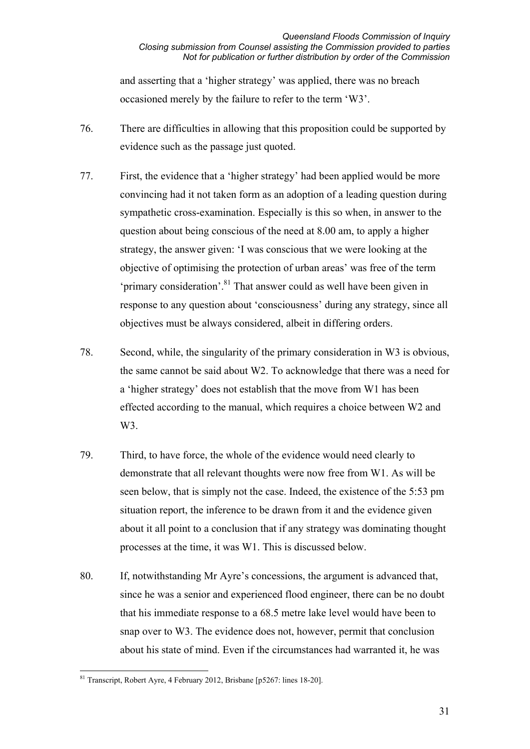and asserting that a 'higher strategy' was applied, there was no breach occasioned merely by the failure to refer to the term 'W3'.

- 76. There are difficulties in allowing that this proposition could be supported by evidence such as the passage just quoted.
- 77. First, the evidence that a 'higher strategy' had been applied would be more convincing had it not taken form as an adoption of a leading question during sympathetic cross-examination. Especially is this so when, in answer to the question about being conscious of the need at 8.00 am, to apply a higher strategy, the answer given: 'I was conscious that we were looking at the objective of optimising the protection of urban areas' was free of the term 'primary consideration'.81 That answer could as well have been given in response to any question about 'consciousness' during any strategy, since all objectives must be always considered, albeit in differing orders.
- 78. Second, while, the singularity of the primary consideration in W3 is obvious, the same cannot be said about W2. To acknowledge that there was a need for a 'higher strategy' does not establish that the move from W1 has been effected according to the manual, which requires a choice between W2 and W3.
- 79. Third, to have force, the whole of the evidence would need clearly to demonstrate that all relevant thoughts were now free from W1. As will be seen below, that is simply not the case. Indeed, the existence of the 5:53 pm situation report, the inference to be drawn from it and the evidence given about it all point to a conclusion that if any strategy was dominating thought processes at the time, it was W1. This is discussed below.
- 80. If, notwithstanding Mr Ayre's concessions, the argument is advanced that, since he was a senior and experienced flood engineer, there can be no doubt that his immediate response to a 68.5 metre lake level would have been to snap over to W3. The evidence does not, however, permit that conclusion about his state of mind. Even if the circumstances had warranted it, he was

 $\overline{a}$  $81$  Transcript, Robert Ayre, 4 February 2012, Brisbane [p5267: lines 18-20].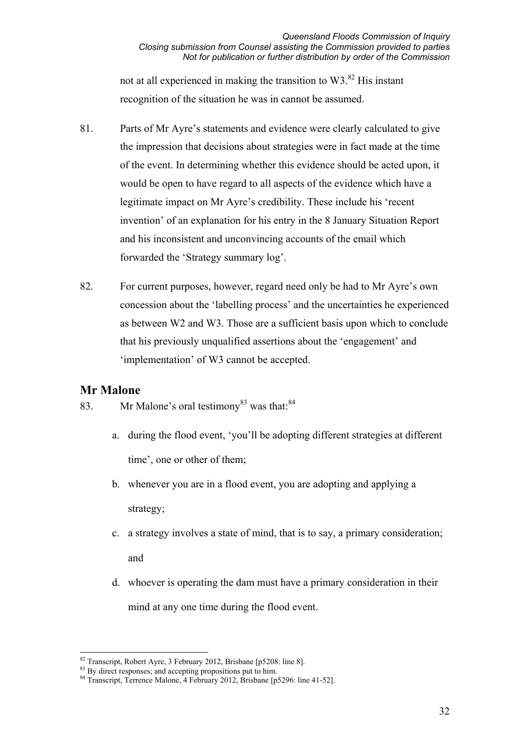not at all experienced in making the transition to  $W3$ <sup>82</sup> His instant recognition of the situation he was in cannot be assumed.

- 81. Parts of Mr Ayre's statements and evidence were clearly calculated to give the impression that decisions about strategies were in fact made at the time of the event. In determining whether this evidence should be acted upon, it would be open to have regard to all aspects of the evidence which have a legitimate impact on Mr Ayre's credibility. These include his 'recent invention' of an explanation for his entry in the 8 January Situation Report and his inconsistent and unconvincing accounts of the email which forwarded the 'Strategy summary log'.
- 82. For current purposes, however, regard need only be had to Mr Ayre's own concession about the 'labelling process' and the uncertainties he experienced as between W2 and W3. Those are a sufficient basis upon which to conclude that his previously unqualified assertions about the 'engagement' and 'implementation' of W3 cannot be accepted.

### **Mr Malone**

- 83. Mr Malone's oral testimony<sup>83</sup> was that:  $84$ 
	- a. during the flood event, 'you'll be adopting different strategies at different time', one or other of them;
	- b. whenever you are in a flood event, you are adopting and applying a strategy;
	- c. a strategy involves a state of mind, that is to say, a primary consideration; and
	- d. whoever is operating the dam must have a primary consideration in their mind at any one time during the flood event.

<sup>&</sup>lt;sup>82</sup> Transcript, Robert Ayre, 3 February 2012, Brisbane [p5208: line 8].

<sup>&</sup>lt;sup>83</sup> By direct responses; and accepting propositions put to him.

 $84$  Transcript, Terrence Malone, 4 February 2012, Brisbane [p5296: line 41-52].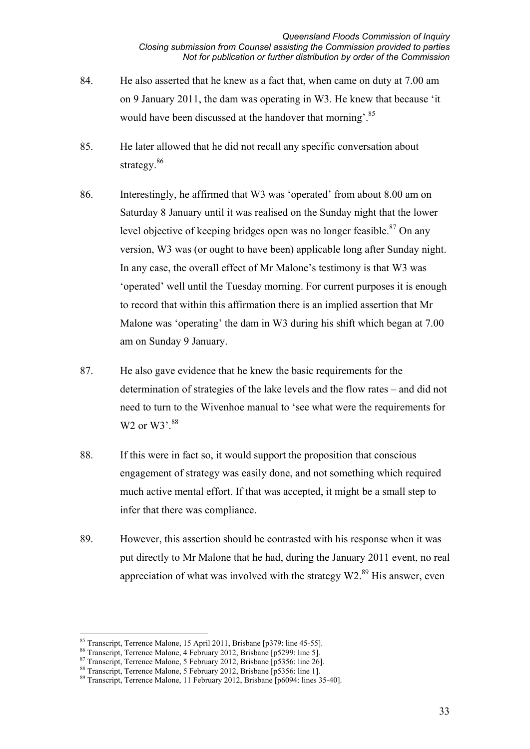- 84. He also asserted that he knew as a fact that, when came on duty at 7.00 am on 9 January 2011, the dam was operating in W3. He knew that because 'it would have been discussed at the handover that morning'.<sup>85</sup>
- 85. He later allowed that he did not recall any specific conversation about strategy.<sup>86</sup>
- 86. Interestingly, he affirmed that W3 was 'operated' from about 8.00 am on Saturday 8 January until it was realised on the Sunday night that the lower level objective of keeping bridges open was no longer feasible. $87$  On any version, W3 was (or ought to have been) applicable long after Sunday night. In any case, the overall effect of Mr Malone's testimony is that W3 was 'operated' well until the Tuesday morning. For current purposes it is enough to record that within this affirmation there is an implied assertion that Mr Malone was 'operating' the dam in W3 during his shift which began at 7.00 am on Sunday 9 January.
- 87. He also gave evidence that he knew the basic requirements for the determination of strategies of the lake levels and the flow rates – and did not need to turn to the Wivenhoe manual to 'see what were the requirements for W<sub>2</sub> or W<sub>3</sub>'.<sup>88</sup>
- 88. If this were in fact so, it would support the proposition that conscious engagement of strategy was easily done, and not something which required much active mental effort. If that was accepted, it might be a small step to infer that there was compliance.
- 89. However, this assertion should be contrasted with his response when it was put directly to Mr Malone that he had, during the January 2011 event, no real appreciation of what was involved with the strategy  $W2$ <sup>89</sup> His answer, even

 $\overline{a}$ 

<sup>&</sup>lt;sup>85</sup> Transcript, Terrence Malone, 15 April 2011, Brisbane [p379: line 45-55].

<sup>86</sup> Transcript, Terrence Malone, 4 February 2012, Brisbane [p5299: line 5].

<sup>&</sup>lt;sup>87</sup> Transcript, Terrence Malone, 5 February 2012, Brisbane [p5356: line 26].

<sup>88</sup> Transcript, Terrence Malone, 5 February 2012, Brisbane [p5356: line 1].

<sup>89</sup> Transcript, Terrence Malone, 11 February 2012, Brisbane [p6094: lines 35-40].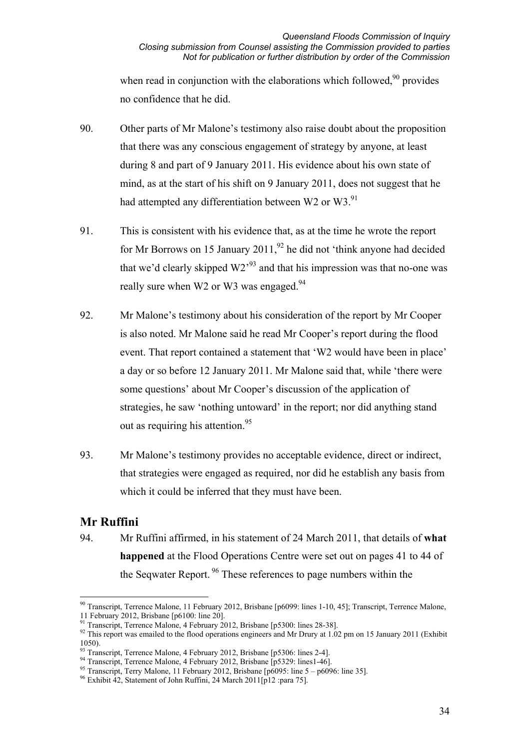when read in conjunction with the elaborations which followed.<sup>90</sup> provides no confidence that he did.

- 90. Other parts of Mr Malone's testimony also raise doubt about the proposition that there was any conscious engagement of strategy by anyone, at least during 8 and part of 9 January 2011. His evidence about his own state of mind, as at the start of his shift on 9 January 2011, does not suggest that he had attempted any differentiation between W2 or W3. $91$
- 91. This is consistent with his evidence that, as at the time he wrote the report for Mr Borrows on 15 January 2011.<sup>92</sup> he did not 'think anyone had decided that we'd clearly skipped  $W2^{93}$  and that his impression was that no-one was really sure when W2 or W3 was engaged.<sup>94</sup>
- 92. Mr Malone's testimony about his consideration of the report by Mr Cooper is also noted. Mr Malone said he read Mr Cooper's report during the flood event. That report contained a statement that 'W2 would have been in place' a day or so before 12 January 2011. Mr Malone said that, while 'there were some questions' about Mr Cooper's discussion of the application of strategies, he saw 'nothing untoward' in the report; nor did anything stand out as requiring his attention.<sup>95</sup>
- 93. Mr Malone's testimony provides no acceptable evidence, direct or indirect, that strategies were engaged as required, nor did he establish any basis from which it could be inferred that they must have been.

# **Mr Ruffini**

94. Mr Ruffini affirmed, in his statement of 24 March 2011, that details of **what happened** at the Flood Operations Centre were set out on pages 41 to 44 of the Seqwater Report.<sup>96</sup> These references to page numbers within the

 $\overline{a}$ <sup>90</sup> Transcript, Terrence Malone, 11 February 2012, Brisbane [p6099: lines 1-10, 45]; Transcript, Terrence Malone, 11 February 2012, Brisbane [p6100: line 20].<br><sup>91</sup> Transcript, Terrence Malone, 4 February 2012, Brisbane [p5300: lines 28-38].

<sup>&</sup>lt;sup>92</sup> This report was emailed to the flood operations engineers and Mr Drury at 1.02 pm on 15 January 2011 (Exhibit 1050).<br><sup>93</sup> Transcript, Terrence Malone, 4 February 2012, Brisbane [p5306: lines 2-4].

<sup>&</sup>lt;sup>94</sup> Transcript, Terrence Malone, 4 February 2012, Brisbane [p5329: lines1-46].<br><sup>95</sup> Transcript, Terry Malone, 11 February 2012, Brisbane [p6095: line 5 – p6096: line 35].<br><sup>96</sup> Exhibit 42, Statement of John Ruffini, 24 Mar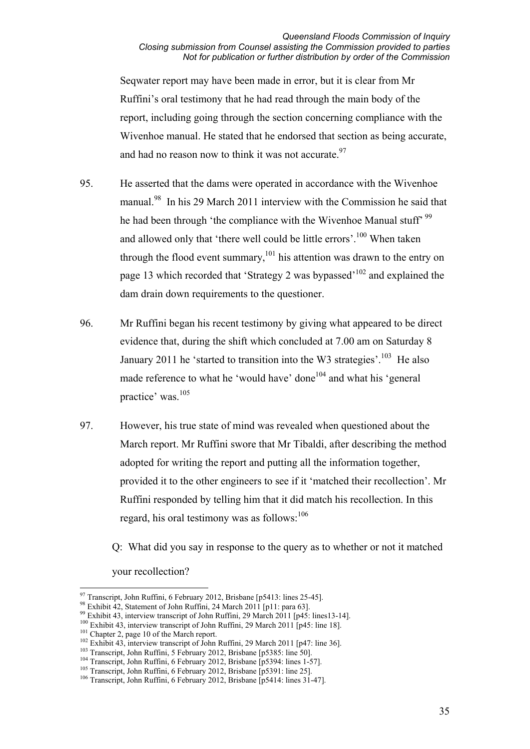Seqwater report may have been made in error, but it is clear from Mr Ruffini's oral testimony that he had read through the main body of the report, including going through the section concerning compliance with the Wivenhoe manual. He stated that he endorsed that section as being accurate, and had no reason now to think it was not accurate.  $97$ 

- 95. He asserted that the dams were operated in accordance with the Wivenhoe manual.<sup>98</sup> In his 29 March 2011 interview with the Commission he said that he had been through 'the compliance with the Wivenhoe Manual stuff' <sup>99</sup> and allowed only that 'there well could be little errors'.<sup>100</sup> When taken through the flood event summary, $101$  his attention was drawn to the entry on page 13 which recorded that 'Strategy 2 was bypassed'102 and explained the dam drain down requirements to the questioner.
- 96. Mr Ruffini began his recent testimony by giving what appeared to be direct evidence that, during the shift which concluded at 7.00 am on Saturday 8 January 2011 he 'started to transition into the W3 strategies'.<sup>103</sup> He also made reference to what he 'would have' done<sup>104</sup> and what his 'general practice' was.105
- 97. However, his true state of mind was revealed when questioned about the March report. Mr Ruffini swore that Mr Tibaldi, after describing the method adopted for writing the report and putting all the information together, provided it to the other engineers to see if it 'matched their recollection'. Mr Ruffini responded by telling him that it did match his recollection. In this regard, his oral testimony was as follows: $106$

Q: What did you say in response to the query as to whether or not it matched

your recollection?

<sup>97</sup> Transcript, John Ruffini, 6 February 2012, Brisbane [p5413: lines 25-45].

<sup>&</sup>lt;sup>98</sup> Exhibit 42, Statement of John Ruffini, 24 March 2011 [p11: para 63].<br><sup>99</sup> Exhibit 43, interview transcript of John Ruffini, 29 March 2011 [p45: lines13-14].<br><sup>100</sup> Exhibit 43, interview transcript of John Ruffini, 29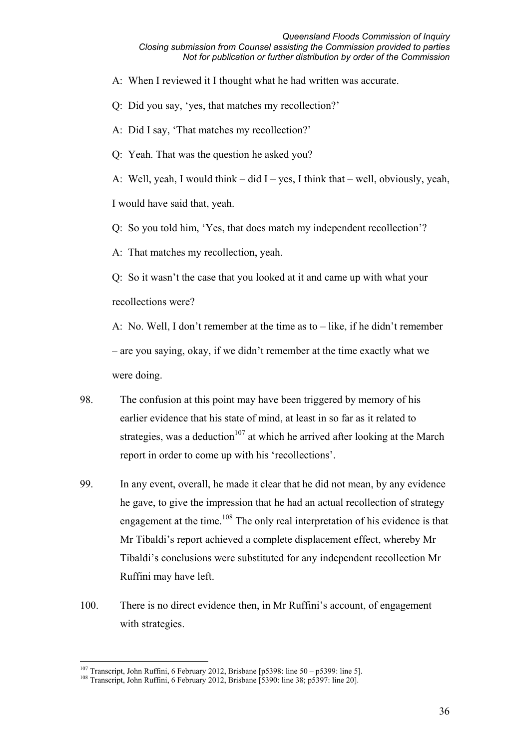A: When I reviewed it I thought what he had written was accurate.

Q: Did you say, 'yes, that matches my recollection?'

A: Did I say, 'That matches my recollection?'

Q: Yeah. That was the question he asked you?

A: Well, yeah, I would think – did I – yes, I think that – well, obviously, yeah, I would have said that, yeah.

Q: So you told him, 'Yes, that does match my independent recollection'?

A: That matches my recollection, yeah.

Q: So it wasn't the case that you looked at it and came up with what your recollections were?

A: No. Well, I don't remember at the time as to – like, if he didn't remember – are you saying, okay, if we didn't remember at the time exactly what we were doing.

- 98. The confusion at this point may have been triggered by memory of his earlier evidence that his state of mind, at least in so far as it related to strategies, was a deduction<sup>107</sup> at which he arrived after looking at the March report in order to come up with his 'recollections'.
- 99. In any event, overall, he made it clear that he did not mean, by any evidence he gave, to give the impression that he had an actual recollection of strategy engagement at the time.<sup>108</sup> The only real interpretation of his evidence is that Mr Tibaldi's report achieved a complete displacement effect, whereby Mr Tibaldi's conclusions were substituted for any independent recollection Mr Ruffini may have left.
- 100. There is no direct evidence then, in Mr Ruffini's account, of engagement with strategies.

<sup>&</sup>lt;sup>107</sup> Transcript, John Ruffini, 6 February 2012, Brisbane [p5398: line 50 – p5399: line 5].

<sup>&</sup>lt;sup>108</sup> Transcript, John Ruffini, 6 February 2012, Brisbane [5390: line 38; p5397: line 20].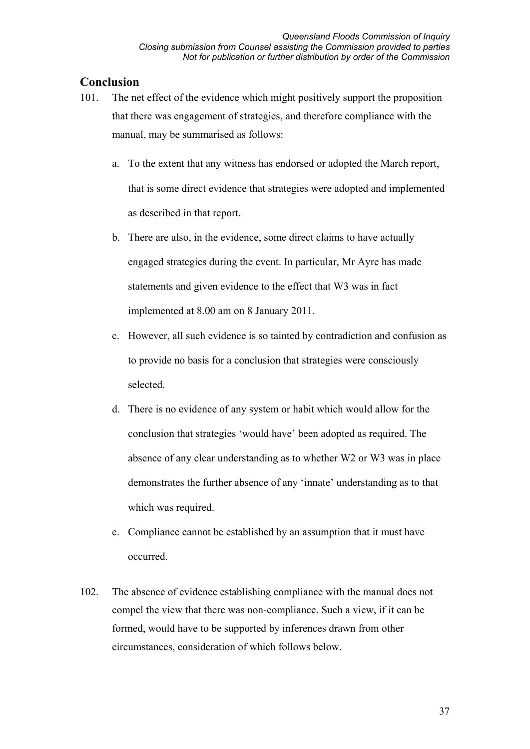### **Conclusion**

- 101. The net effect of the evidence which might positively support the proposition that there was engagement of strategies, and therefore compliance with the manual, may be summarised as follows:
	- a. To the extent that any witness has endorsed or adopted the March report, that is some direct evidence that strategies were adopted and implemented as described in that report.
	- b. There are also, in the evidence, some direct claims to have actually engaged strategies during the event. In particular, Mr Ayre has made statements and given evidence to the effect that W3 was in fact implemented at 8.00 am on 8 January 2011.
	- c. However, all such evidence is so tainted by contradiction and confusion as to provide no basis for a conclusion that strategies were consciously selected.
	- d. There is no evidence of any system or habit which would allow for the conclusion that strategies 'would have' been adopted as required. The absence of any clear understanding as to whether W2 or W3 was in place demonstrates the further absence of any 'innate' understanding as to that which was required.
	- e. Compliance cannot be established by an assumption that it must have occurred.
- 102. The absence of evidence establishing compliance with the manual does not compel the view that there was non-compliance. Such a view, if it can be formed, would have to be supported by inferences drawn from other circumstances, consideration of which follows below.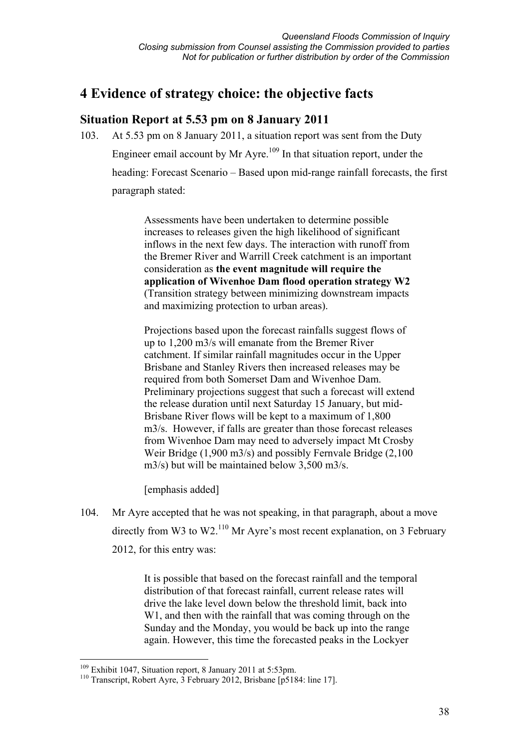# **4 Evidence of strategy choice: the objective facts**

# **Situation Report at 5.53 pm on 8 January 2011**

103. At 5.53 pm on 8 January 2011, a situation report was sent from the Duty Engineer email account by Mr Ayre.<sup>109</sup> In that situation report, under the heading: Forecast Scenario – Based upon mid-range rainfall forecasts, the first paragraph stated:

> Assessments have been undertaken to determine possible increases to releases given the high likelihood of significant inflows in the next few days. The interaction with runoff from the Bremer River and Warrill Creek catchment is an important consideration as **the event magnitude will require the application of Wivenhoe Dam flood operation strategy W2** (Transition strategy between minimizing downstream impacts and maximizing protection to urban areas).

Projections based upon the forecast rainfalls suggest flows of up to 1,200 m3/s will emanate from the Bremer River catchment. If similar rainfall magnitudes occur in the Upper Brisbane and Stanley Rivers then increased releases may be required from both Somerset Dam and Wivenhoe Dam. Preliminary projections suggest that such a forecast will extend the release duration until next Saturday 15 January, but mid-Brisbane River flows will be kept to a maximum of 1,800 m3/s. However, if falls are greater than those forecast releases from Wivenhoe Dam may need to adversely impact Mt Crosby Weir Bridge (1,900 m3/s) and possibly Fernvale Bridge (2,100 m3/s) but will be maintained below 3,500 m3/s.

[emphasis added]

104. Mr Ayre accepted that he was not speaking, in that paragraph, about a move directly from W3 to W2.<sup>110</sup> Mr Ayre's most recent explanation, on 3 February 2012, for this entry was:

> It is possible that based on the forecast rainfall and the temporal distribution of that forecast rainfall, current release rates will drive the lake level down below the threshold limit, back into W1, and then with the rainfall that was coming through on the Sunday and the Monday, you would be back up into the range again. However, this time the forecasted peaks in the Lockyer

<u>.</u>

 $109$  Exhibit 1047, Situation report, 8 January 2011 at 5:53pm.

<sup>110</sup> Transcript, Robert Ayre, 3 February 2012, Brisbane [p5184: line 17].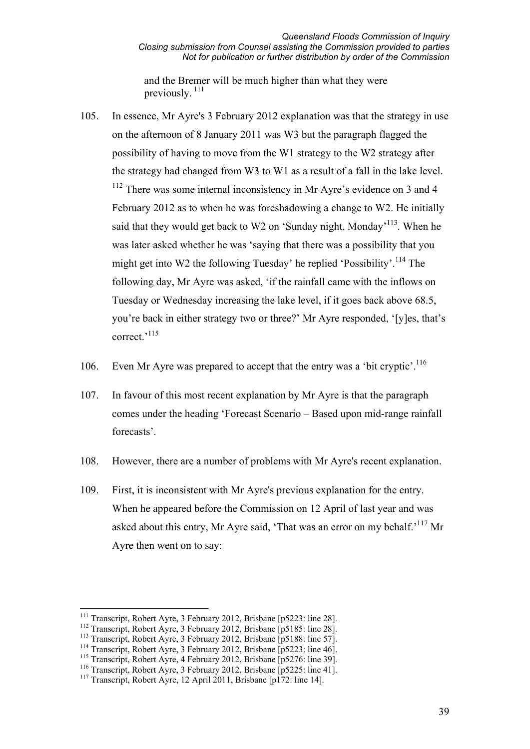and the Bremer will be much higher than what they were previously. 111

- 105. In essence, Mr Ayre's 3 February 2012 explanation was that the strategy in use on the afternoon of 8 January 2011 was W3 but the paragraph flagged the possibility of having to move from the W1 strategy to the W2 strategy after the strategy had changed from W3 to W1 as a result of a fall in the lake level.  $112$  There was some internal inconsistency in Mr Ayre's evidence on 3 and 4 February 2012 as to when he was foreshadowing a change to W2. He initially said that they would get back to W2 on 'Sunday night, Monday'<sup>113</sup>. When he was later asked whether he was 'saying that there was a possibility that you might get into W2 the following Tuesday' he replied 'Possibility'.<sup>114</sup> The following day, Mr Ayre was asked, 'if the rainfall came with the inflows on Tuesday or Wednesday increasing the lake level, if it goes back above 68.5, you're back in either strategy two or three?' Mr Ayre responded, '[y]es, that's correct.<sup>,115</sup>
- 106. Even Mr Ayre was prepared to accept that the entry was a 'bit cryptic'.<sup>116</sup>
- 107. In favour of this most recent explanation by Mr Ayre is that the paragraph comes under the heading 'Forecast Scenario – Based upon mid-range rainfall forecasts'.
- 108. However, there are a number of problems with Mr Ayre's recent explanation.
- 109. First, it is inconsistent with Mr Ayre's previous explanation for the entry. When he appeared before the Commission on 12 April of last year and was asked about this entry. Mr Ayre said, 'That was an error on my behalf.'<sup>117</sup> Mr Ayre then went on to say:

<sup>&</sup>lt;sup>111</sup> Transcript, Robert Ayre, 3 February 2012, Brisbane [p5223: line 28].

<sup>&</sup>lt;sup>112</sup> Transcript, Robert Ayre, 3 February 2012, Brisbane [p5185: line 28].<br><sup>113</sup> Transcript, Robert Ayre, 3 February 2012, Brisbane [p5188: line 57].

<sup>&</sup>lt;sup>114</sup> Transcript, Robert Ayre, 3 February 2012, Brisbane [p5223: line 46].

<sup>115</sup> Transcript, Robert Ayre, 4 February 2012, Brisbane [p5276: line 39].

<sup>116</sup> Transcript, Robert Ayre, 3 February 2012, Brisbane [p5225: line 41].

<sup>117</sup> Transcript, Robert Ayre, 12 April 2011, Brisbane [p172: line 14].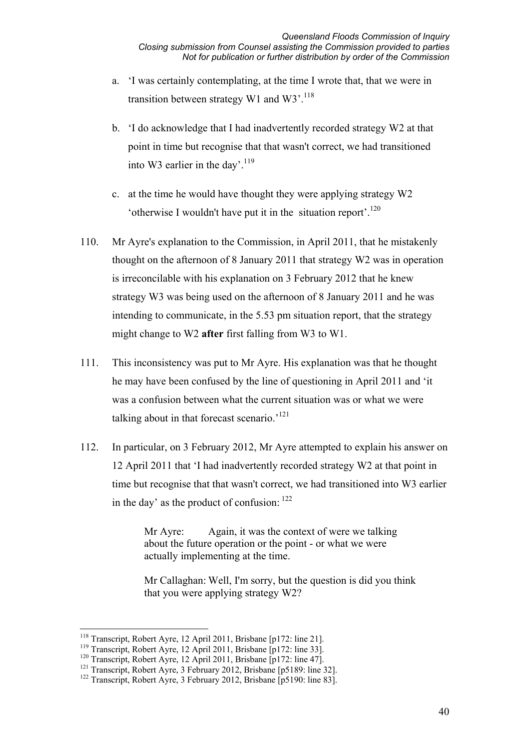- a. 'I was certainly contemplating, at the time I wrote that, that we were in transition between strategy W1 and W3'.<sup>118</sup>
- b. 'I do acknowledge that I had inadvertently recorded strategy W2 at that point in time but recognise that that wasn't correct, we had transitioned into W3 earlier in the day'.<sup>119</sup>
- c. at the time he would have thought they were applying strategy W2 'otherwise I wouldn't have put it in the situation report'.<sup>120</sup>
- 110. Mr Ayre's explanation to the Commission, in April 2011, that he mistakenly thought on the afternoon of 8 January 2011 that strategy W2 was in operation is irreconcilable with his explanation on 3 February 2012 that he knew strategy W3 was being used on the afternoon of 8 January 2011 and he was intending to communicate, in the 5.53 pm situation report, that the strategy might change to W2 **after** first falling from W3 to W1.
- 111. This inconsistency was put to Mr Ayre. His explanation was that he thought he may have been confused by the line of questioning in April 2011 and 'it was a confusion between what the current situation was or what we were talking about in that forecast scenario.<sup>121</sup>
- 112. In particular, on 3 February 2012, Mr Ayre attempted to explain his answer on 12 April 2011 that 'I had inadvertently recorded strategy W2 at that point in time but recognise that that wasn't correct, we had transitioned into W3 earlier in the day' as the product of confusion: 122

Mr Ayre: Again, it was the context of were we talking about the future operation or the point - or what we were actually implementing at the time.

Mr Callaghan: Well, I'm sorry, but the question is did you think that you were applying strategy W2?

<sup>&</sup>lt;u>.</u> <sup>118</sup> Transcript, Robert Ayre, 12 April 2011, Brisbane [p172: line 21].

<sup>&</sup>lt;sup>119</sup> Transcript, Robert Ayre, 12 April 2011, Brisbane [p172: line 33].<br><sup>120</sup> Transcript, Robert Ayre, 12 April 2011, Brisbane [p172: line 47].

<sup>&</sup>lt;sup>121</sup> Transcript, Robert Ayre, 3 February 2012, Brisbane [p5189: line 32].<br><sup>122</sup> Transcript, Robert Ayre, 3 February 2012, Brisbane [p5190: line 83].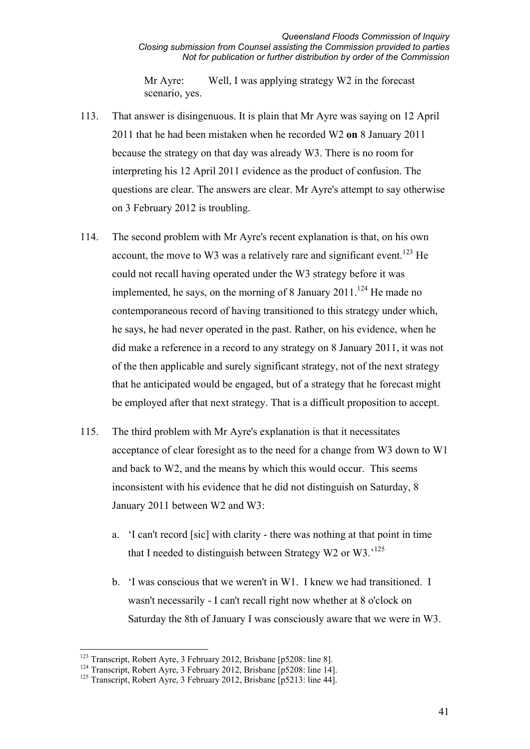Mr Ayre: Well, I was applying strategy W2 in the forecast scenario, yes.

- 113. That answer is disingenuous. It is plain that Mr Ayre was saying on 12 April 2011 that he had been mistaken when he recorded W2 **on** 8 January 2011 because the strategy on that day was already W3. There is no room for interpreting his 12 April 2011 evidence as the product of confusion. The questions are clear. The answers are clear. Mr Ayre's attempt to say otherwise on 3 February 2012 is troubling.
- 114. The second problem with Mr Ayre's recent explanation is that, on his own account, the move to W3 was a relatively rare and significant event.<sup>123</sup> He could not recall having operated under the W3 strategy before it was implemented, he says, on the morning of 8 January  $2011$ .<sup>124</sup> He made no contemporaneous record of having transitioned to this strategy under which, he says, he had never operated in the past. Rather, on his evidence, when he did make a reference in a record to any strategy on 8 January 2011, it was not of the then applicable and surely significant strategy, not of the next strategy that he anticipated would be engaged, but of a strategy that he forecast might be employed after that next strategy. That is a difficult proposition to accept.
- 115. The third problem with Mr Ayre's explanation is that it necessitates acceptance of clear foresight as to the need for a change from W3 down to W1 and back to W2, and the means by which this would occur. This seems inconsistent with his evidence that he did not distinguish on Saturday, 8 January 2011 between W2 and W3:
	- a. 'I can't record [sic] with clarity there was nothing at that point in time that I needed to distinguish between Strategy W2 or W3.'<sup>125</sup>
	- b. 'I was conscious that we weren't in W1. I knew we had transitioned. I wasn't necessarily - I can't recall right now whether at 8 o'clock on Saturday the 8th of January I was consciously aware that we were in W3.

<sup>&</sup>lt;sup>123</sup> Transcript, Robert Ayre, 3 February 2012, Brisbane [p5208: line 8].

 $124$  Transcript, Robert Ayre, 3 February 2012, Brisbane [p5208: line 14].

<sup>&</sup>lt;sup>125</sup> Transcript, Robert Ayre, 3 February 2012, Brisbane [p5213: line 44].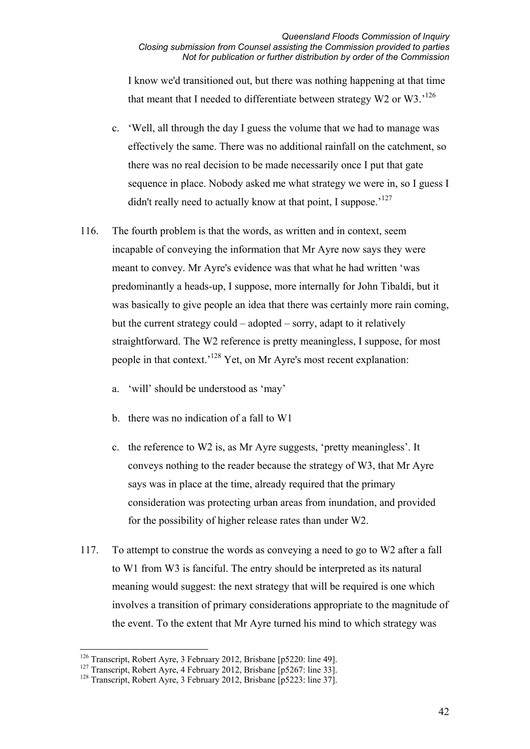I know we'd transitioned out, but there was nothing happening at that time that meant that I needed to differentiate between strategy W2 or W3.<sup>126</sup>

- c. 'Well, all through the day I guess the volume that we had to manage was effectively the same. There was no additional rainfall on the catchment, so there was no real decision to be made necessarily once I put that gate sequence in place. Nobody asked me what strategy we were in, so I guess I didn't really need to actually know at that point, I suppose.<sup>127</sup>
- 116. The fourth problem is that the words, as written and in context, seem incapable of conveying the information that Mr Ayre now says they were meant to convey. Mr Ayre's evidence was that what he had written 'was predominantly a heads-up, I suppose, more internally for John Tibaldi, but it was basically to give people an idea that there was certainly more rain coming, but the current strategy could – adopted – sorry, adapt to it relatively straightforward. The W2 reference is pretty meaningless, I suppose, for most people in that context.<sup>'128</sup> Yet, on Mr Ayre's most recent explanation:
	- a. 'will' should be understood as 'may'
	- b. there was no indication of a fall to W1
	- c. the reference to W2 is, as Mr Ayre suggests, 'pretty meaningless'. It conveys nothing to the reader because the strategy of W3, that Mr Ayre says was in place at the time, already required that the primary consideration was protecting urban areas from inundation, and provided for the possibility of higher release rates than under W2.
- 117. To attempt to construe the words as conveying a need to go to W2 after a fall to W1 from W3 is fanciful. The entry should be interpreted as its natural meaning would suggest: the next strategy that will be required is one which involves a transition of primary considerations appropriate to the magnitude of the event. To the extent that Mr Ayre turned his mind to which strategy was

<sup>&</sup>lt;u>.</u> <sup>126</sup> Transcript, Robert Ayre, 3 February 2012, Brisbane [p5220: line 49].

<sup>&</sup>lt;sup>127</sup> Transcript, Robert Ayre, 4 February 2012, Brisbane [p5267: line 33].

<sup>&</sup>lt;sup>128</sup> Transcript, Robert Ayre, 3 February 2012, Brisbane [p5223: line 37].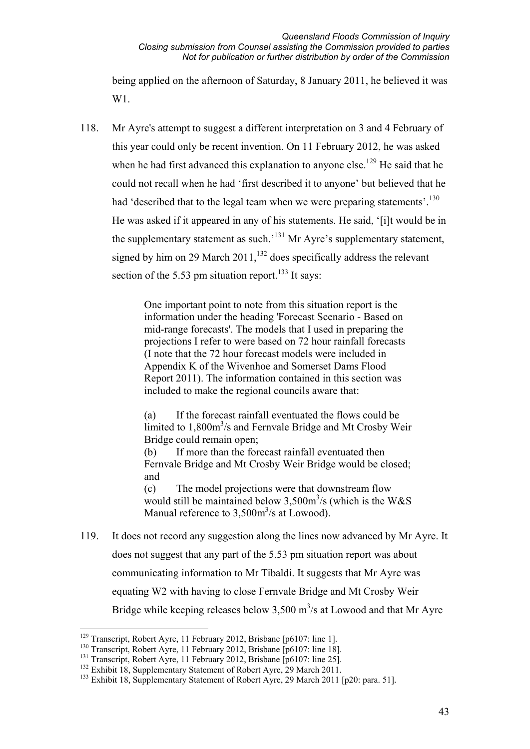being applied on the afternoon of Saturday, 8 January 2011, he believed it was W<sub>1</sub>.

118. Mr Ayre's attempt to suggest a different interpretation on 3 and 4 February of this year could only be recent invention. On 11 February 2012, he was asked when he had first advanced this explanation to anyone else.<sup>129</sup> He said that he could not recall when he had 'first described it to anyone' but believed that he had 'described that to the legal team when we were preparing statements'.<sup>130</sup> He was asked if it appeared in any of his statements. He said, '[i]t would be in the supplementary statement as such.<sup>'131</sup> Mr Ayre's supplementary statement, signed by him on 29 March  $2011$ ,<sup>132</sup> does specifically address the relevant section of the 5.53 pm situation report.<sup>133</sup> It says:

> One important point to note from this situation report is the information under the heading 'Forecast Scenario - Based on mid-range forecasts'. The models that I used in preparing the projections I refer to were based on 72 hour rainfall forecasts (I note that the 72 hour forecast models were included in Appendix K of the Wivenhoe and Somerset Dams Flood Report 2011). The information contained in this section was included to make the regional councils aware that:

(a) If the forecast rainfall eventuated the flows could be limited to  $1,800 \text{m}^3/\text{s}$  and Fernvale Bridge and Mt Crosby Weir Bridge could remain open;

(b) If more than the forecast rainfall eventuated then Fernvale Bridge and Mt Crosby Weir Bridge would be closed; and

(c) The model projections were that downstream flow would still be maintained below  $3,500\,\text{m}^3/\text{s}$  (which is the W&S Manual reference to  $3,500m^3/s$  at Lowood).

119. It does not record any suggestion along the lines now advanced by Mr Ayre. It does not suggest that any part of the 5.53 pm situation report was about communicating information to Mr Tibaldi. It suggests that Mr Ayre was equating W2 with having to close Fernvale Bridge and Mt Crosby Weir Bridge while keeping releases below  $3,500 \text{ m}^3/\text{s}$  at Lowood and that Mr Ayre

<u>.</u>

<sup>&</sup>lt;sup>129</sup> Transcript, Robert Ayre, 11 February 2012, Brisbane [p6107: line 1].

<sup>&</sup>lt;sup>130</sup> Transcript, Robert Ayre, 11 February 2012, Brisbane [p6107: line 18].

<sup>&</sup>lt;sup>131</sup> Transcript, Robert Ayre, 11 February 2012, Brisbane [p6107: line 25].

<sup>&</sup>lt;sup>132</sup> Exhibit 18, Supplementary Statement of Robert Ayre, 29 March 2011.

<sup>&</sup>lt;sup>133</sup> Exhibit 18, Supplementary Statement of Robert Ayre, 29 March 2011 [p20: para. 51].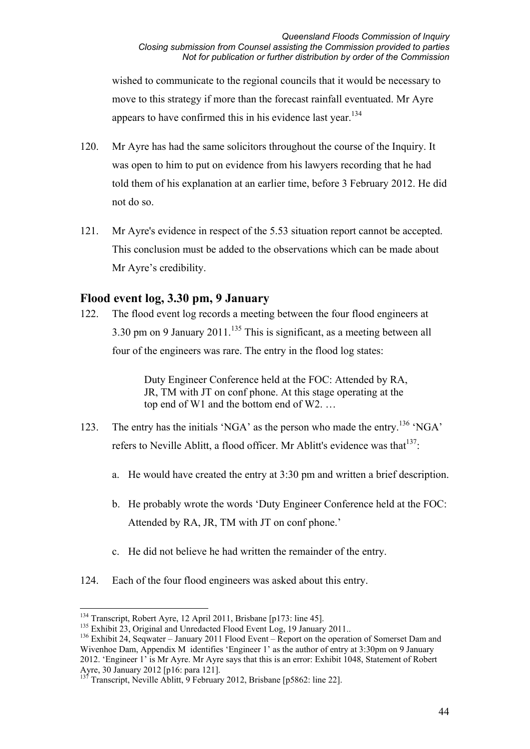wished to communicate to the regional councils that it would be necessary to move to this strategy if more than the forecast rainfall eventuated. Mr Ayre appears to have confirmed this in his evidence last year.<sup>134</sup>

- 120. Mr Ayre has had the same solicitors throughout the course of the Inquiry. It was open to him to put on evidence from his lawyers recording that he had told them of his explanation at an earlier time, before 3 February 2012. He did not do so.
- 121. Mr Ayre's evidence in respect of the 5.53 situation report cannot be accepted. This conclusion must be added to the observations which can be made about Mr Ayre's credibility.

### **Flood event log, 3.30 pm, 9 January**

122. The flood event log records a meeting between the four flood engineers at 3.30 pm on 9 January 2011.<sup>135</sup> This is significant, as a meeting between all four of the engineers was rare. The entry in the flood log states:

> Duty Engineer Conference held at the FOC: Attended by RA, JR, TM with JT on conf phone. At this stage operating at the top end of W1 and the bottom end of W2. …

- 123. The entry has the initials 'NGA' as the person who made the entry.<sup>136</sup> 'NGA' refers to Neville Ablitt, a flood officer. Mr Ablitt's evidence was that  $137$ .
	- a. He would have created the entry at 3:30 pm and written a brief description.
	- b. He probably wrote the words 'Duty Engineer Conference held at the FOC: Attended by RA, JR, TM with JT on conf phone.'
	- c. He did not believe he had written the remainder of the entry.
- 124. Each of the four flood engineers was asked about this entry.

<sup>-</sup><sup>134</sup> Transcript, Robert Ayre, 12 April 2011, Brisbane [p173: line 45].

<sup>&</sup>lt;sup>135</sup> Exhibit 23, Original and Unredacted Flood Event Log, 19 January 2011..

<sup>&</sup>lt;sup>136</sup> Exhibit 24, Seqwater – January 2011 Flood Event – Report on the operation of Somerset Dam and Wivenhoe Dam, Appendix M identifies 'Engineer 1' as the author of entry at 3:30pm on 9 January 2012. 'Engineer 1' is Mr Ayre. Mr Ayre says that this is an error: Exhibit 1048, Statement of Robert Ayre, 30 January 2012 [p16: para 121].

<sup>&</sup>lt;sup>137</sup> Transcript, Neville Ablitt, 9 February 2012, Brisbane [p5862: line 22].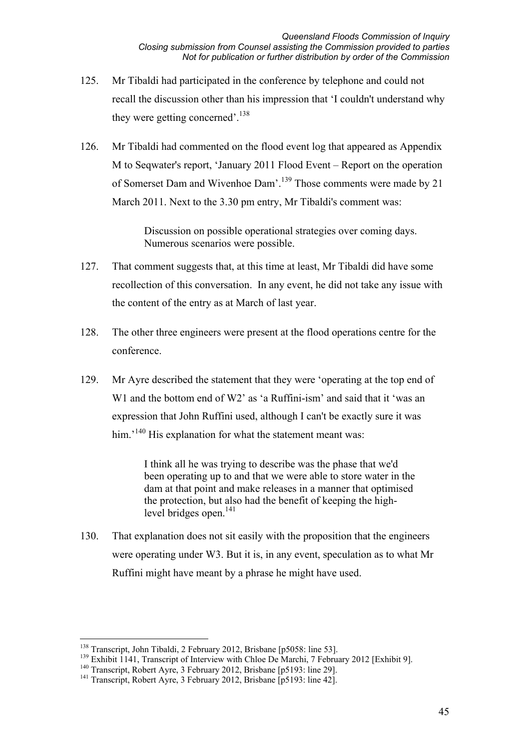- 125. Mr Tibaldi had participated in the conference by telephone and could not recall the discussion other than his impression that 'I couldn't understand why they were getting concerned'.<sup>138</sup>
- 126. Mr Tibaldi had commented on the flood event log that appeared as Appendix M to Seqwater's report, 'January 2011 Flood Event – Report on the operation of Somerset Dam and Wivenhoe Dam'.139 Those comments were made by 21 March 2011. Next to the 3.30 pm entry, Mr Tibaldi's comment was:

Discussion on possible operational strategies over coming days. Numerous scenarios were possible.

- 127. That comment suggests that, at this time at least, Mr Tibaldi did have some recollection of this conversation. In any event, he did not take any issue with the content of the entry as at March of last year.
- 128. The other three engineers were present at the flood operations centre for the conference.
- 129. Mr Ayre described the statement that they were 'operating at the top end of W<sub>1</sub> and the bottom end of W<sub>2</sub>' as 'a Ruffini-ism' and said that it 'was an expression that John Ruffini used, although I can't be exactly sure it was him.<sup>'140</sup> His explanation for what the statement meant was:

I think all he was trying to describe was the phase that we'd been operating up to and that we were able to store water in the dam at that point and make releases in a manner that optimised the protection, but also had the benefit of keeping the highlevel bridges open.<sup>141</sup>

130. That explanation does not sit easily with the proposition that the engineers were operating under W3. But it is, in any event, speculation as to what Mr Ruffini might have meant by a phrase he might have used.

<sup>&</sup>lt;sup>138</sup> Transcript, John Tibaldi, 2 February 2012, Brisbane [p5058: line 53].

<sup>&</sup>lt;sup>139</sup> Exhibit 1141, Transcript of Interview with Chloe De Marchi, 7 February 2012 [Exhibit 9].<br><sup>140</sup> Transcript, Robert Ayre, 3 February 2012, Brisbane [p5193: line 29].

<sup>&</sup>lt;sup>141</sup> Transcript, Robert Ayre, 3 February 2012, Brisbane [p5193: line 42].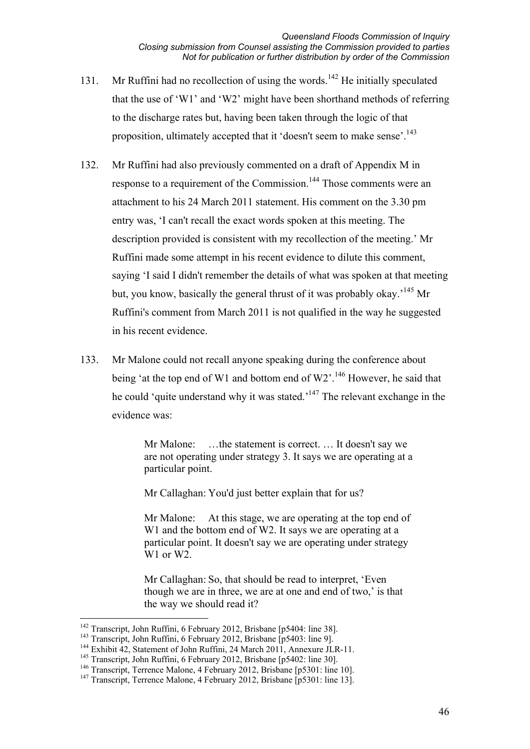- 131. Mr Ruffini had no recollection of using the words.<sup>142</sup> He initially speculated that the use of 'W1' and 'W2' might have been shorthand methods of referring to the discharge rates but, having been taken through the logic of that proposition, ultimately accepted that it 'doesn't seem to make sense'.<sup>143</sup>
- 132. Mr Ruffini had also previously commented on a draft of Appendix M in response to a requirement of the Commission.<sup>144</sup> Those comments were an attachment to his 24 March 2011 statement. His comment on the 3.30 pm entry was, 'I can't recall the exact words spoken at this meeting. The description provided is consistent with my recollection of the meeting.' Mr Ruffini made some attempt in his recent evidence to dilute this comment, saying 'I said I didn't remember the details of what was spoken at that meeting but, you know, basically the general thrust of it was probably okay.<sup>145</sup> Mr Ruffini's comment from March 2011 is not qualified in the way he suggested in his recent evidence.
- 133. Mr Malone could not recall anyone speaking during the conference about being 'at the top end of W1 and bottom end of  $W2$ <sup>', 146</sup> However, he said that he could 'quite understand why it was stated.<sup>147</sup> The relevant exchange in the evidence was:

Mr Malone: ...the statement is correct. ... It doesn't say we are not operating under strategy 3. It says we are operating at a particular point.

Mr Callaghan: You'd just better explain that for us?

Mr Malone: At this stage, we are operating at the top end of W<sub>1</sub> and the bottom end of W<sub>2</sub>. It says we are operating at a particular point. It doesn't say we are operating under strategy W<sub>1</sub> or W<sub>2</sub>.

Mr Callaghan: So, that should be read to interpret, 'Even though we are in three, we are at one and end of two,' is that the way we should read it?

<sup>&</sup>lt;u>.</u> <sup>142</sup> Transcript, John Ruffini, 6 February 2012, Brisbane [p5404: line 38].

<sup>&</sup>lt;sup>143</sup> Transcript, John Ruffini, 6 February 2012, Brisbane [p5403: line 9].<br><sup>144</sup> Exhibit 42, Statement of John Ruffini, 24 March 2011, Annexure JLR-11.

<sup>&</sup>lt;sup>145</sup> Transcript, John Ruffini, 6 February 2012, Brisbane [p5402: line 30].

<sup>&</sup>lt;sup>146</sup> Transcript, Terrence Malone, 4 February 2012, Brisbane [p5301: line 10].

<sup>&</sup>lt;sup>147</sup> Transcript, Terrence Malone, 4 February 2012, Brisbane [p5301: line 13].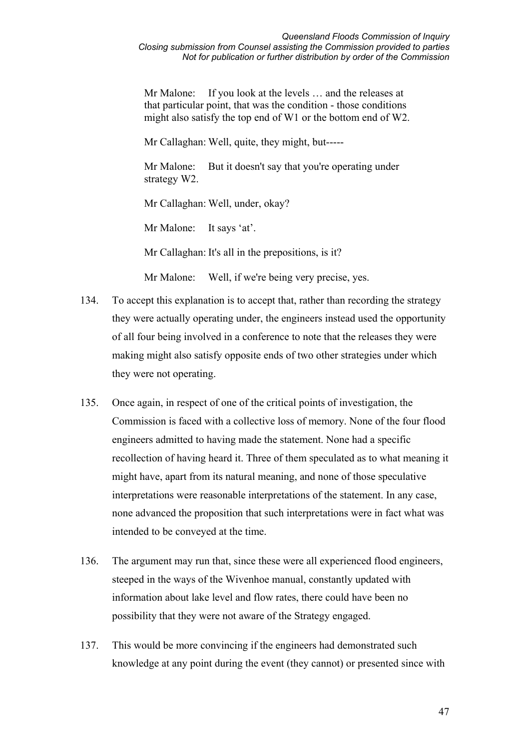Mr Malone: If you look at the levels ... and the releases at that particular point, that was the condition - those conditions might also satisfy the top end of W1 or the bottom end of W2.

Mr Callaghan: Well, quite, they might, but-----

Mr Malone: But it doesn't say that you're operating under strategy W2.

Mr Callaghan: Well, under, okay?

Mr Malone: It says 'at'.

Mr Callaghan: It's all in the prepositions, is it?

Mr Malone: Well, if we're being very precise, yes.

- 134. To accept this explanation is to accept that, rather than recording the strategy they were actually operating under, the engineers instead used the opportunity of all four being involved in a conference to note that the releases they were making might also satisfy opposite ends of two other strategies under which they were not operating.
- 135. Once again, in respect of one of the critical points of investigation, the Commission is faced with a collective loss of memory. None of the four flood engineers admitted to having made the statement. None had a specific recollection of having heard it. Three of them speculated as to what meaning it might have, apart from its natural meaning, and none of those speculative interpretations were reasonable interpretations of the statement. In any case, none advanced the proposition that such interpretations were in fact what was intended to be conveyed at the time.
- 136. The argument may run that, since these were all experienced flood engineers, steeped in the ways of the Wivenhoe manual, constantly updated with information about lake level and flow rates, there could have been no possibility that they were not aware of the Strategy engaged.
- 137. This would be more convincing if the engineers had demonstrated such knowledge at any point during the event (they cannot) or presented since with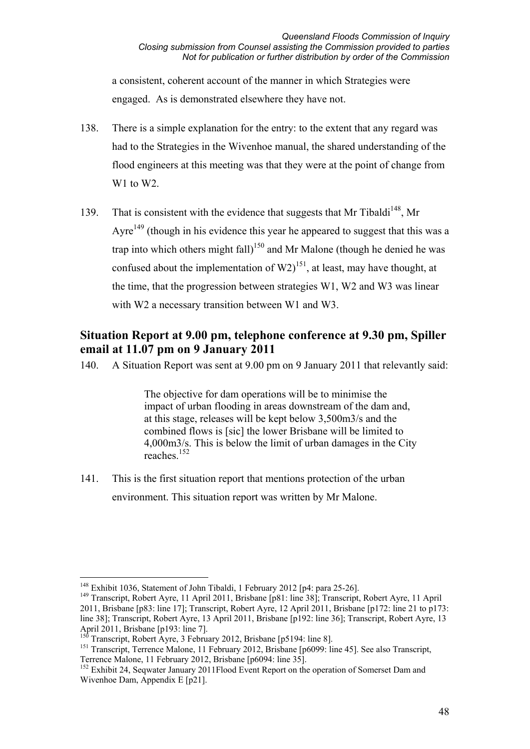a consistent, coherent account of the manner in which Strategies were engaged. As is demonstrated elsewhere they have not.

- 138. There is a simple explanation for the entry: to the extent that any regard was had to the Strategies in the Wivenhoe manual, the shared understanding of the flood engineers at this meeting was that they were at the point of change from W<sub>1</sub> to W<sub>2</sub>.
- 139. That is consistent with the evidence that suggests that Mr Tibaldi<sup>148</sup>, Mr Ayre<sup>149</sup> (though in his evidence this year he appeared to suggest that this was a trap into which others might fall)<sup>150</sup> and Mr Malone (though he denied he was confused about the implementation of  $W2$ <sup>151</sup>, at least, may have thought, at the time, that the progression between strategies W1, W2 and W3 was linear with W2 a necessary transition between W1 and W3.

# **Situation Report at 9.00 pm, telephone conference at 9.30 pm, Spiller email at 11.07 pm on 9 January 2011**

140. A Situation Report was sent at 9.00 pm on 9 January 2011 that relevantly said:

The objective for dam operations will be to minimise the impact of urban flooding in areas downstream of the dam and, at this stage, releases will be kept below 3,500m3/s and the combined flows is [sic] the lower Brisbane will be limited to 4,000m3/s. This is below the limit of urban damages in the City  $r$ eaches.<sup>152</sup>

141. This is the first situation report that mentions protection of the urban environment. This situation report was written by Mr Malone.

<sup>-</sup><sup>148</sup> Exhibit 1036, Statement of John Tibaldi, 1 February 2012 [p4: para 25-26].

<sup>149</sup> Transcript, Robert Ayre, 11 April 2011, Brisbane [p81: line 38]; Transcript, Robert Ayre, 11 April 2011, Brisbane [p83: line 17]; Transcript, Robert Ayre, 12 April 2011, Brisbane [p172: line 21 to p173: line 38]; Transcript, Robert Ayre, 13 April 2011, Brisbane [p192: line 36]; Transcript, Robert Ayre, 13 April 2011, Brisbane [p193: line 7].

 $150$  Transcript, Robert Ayre, 3 February 2012, Brisbane [p5194: line 8].

<sup>&</sup>lt;sup>151</sup> Transcript, Terrence Malone, 11 February 2012, Brisbane [p6099: line 45]. See also Transcript, Terrence Malone, 11 February 2012, Brisbane [p6094: line 35].

<sup>&</sup>lt;sup>152</sup> Exhibit 24, Seqwater January 2011Flood Event Report on the operation of Somerset Dam and Wivenhoe Dam, Appendix E [p21].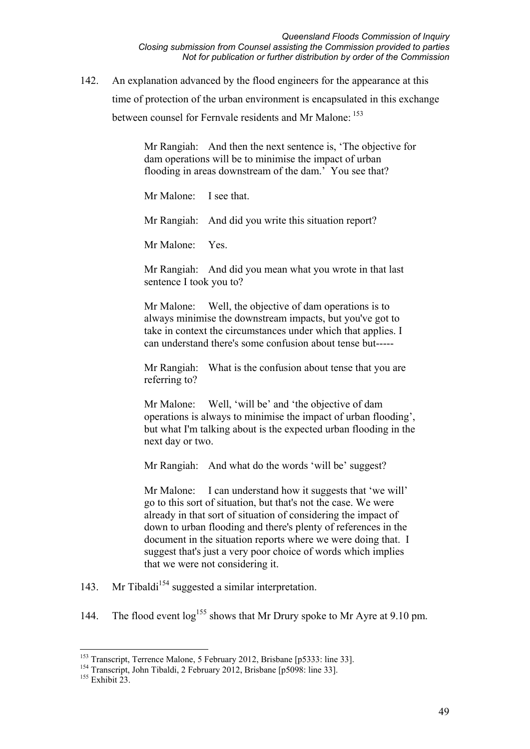142. An explanation advanced by the flood engineers for the appearance at this time of protection of the urban environment is encapsulated in this exchange between counsel for Fernvale residents and Mr Malone: <sup>153</sup>

> Mr Rangiah: And then the next sentence is, 'The objective for dam operations will be to minimise the impact of urban flooding in areas downstream of the dam.' You see that?

Mr Malone: I see that.

Mr Rangiah: And did you write this situation report?

Mr Malone: Yes.

Mr Rangiah: And did you mean what you wrote in that last sentence I took you to?

Mr Malone: Well, the objective of dam operations is to always minimise the downstream impacts, but you've got to take in context the circumstances under which that applies. I can understand there's some confusion about tense but-----

Mr Rangiah: What is the confusion about tense that you are referring to?

Mr Malone: Well, 'will be' and 'the objective of dam operations is always to minimise the impact of urban flooding', but what I'm talking about is the expected urban flooding in the next day or two.

Mr Rangiah: And what do the words 'will be' suggest?

Mr Malone: I can understand how it suggests that 'we will' go to this sort of situation, but that's not the case. We were already in that sort of situation of considering the impact of down to urban flooding and there's plenty of references in the document in the situation reports where we were doing that. I suggest that's just a very poor choice of words which implies that we were not considering it.

- 143. Mr Tibaldi<sup>154</sup> suggested a similar interpretation.
- 144. The flood event  $log^{155}$  shows that Mr Drury spoke to Mr Ayre at 9.10 pm.

<u>.</u>

<sup>&</sup>lt;sup>153</sup> Transcript, Terrence Malone, 5 February 2012, Brisbane [p5333: line 33].

<sup>&</sup>lt;sup>154</sup> Transcript, John Tibaldi, 2 February 2012, Brisbane [p5098: line 33].

<sup>&</sup>lt;sup>155</sup> Exhibit 23.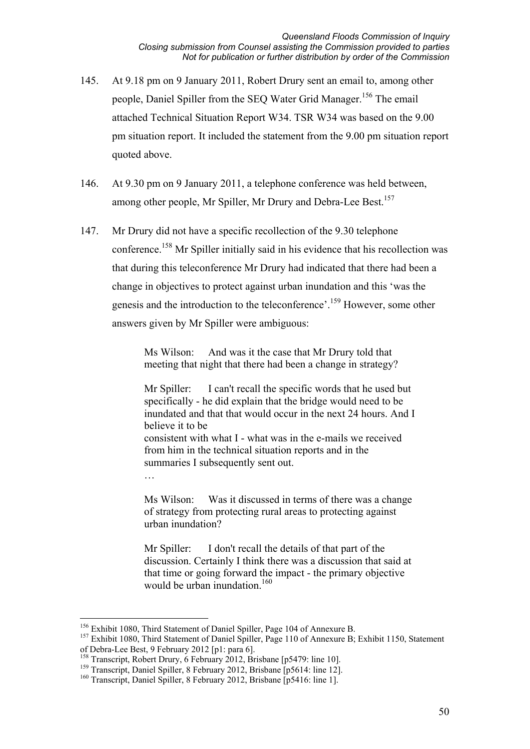- 145. At 9.18 pm on 9 January 2011, Robert Drury sent an email to, among other people, Daniel Spiller from the SEQ Water Grid Manager.<sup>156</sup> The email attached Technical Situation Report W34. TSR W34 was based on the 9.00 pm situation report. It included the statement from the 9.00 pm situation report quoted above.
- 146. At 9.30 pm on 9 January 2011, a telephone conference was held between, among other people, Mr Spiller, Mr Drury and Debra-Lee Best.<sup>157</sup>
- 147. Mr Drury did not have a specific recollection of the 9.30 telephone conference.158 Mr Spiller initially said in his evidence that his recollection was that during this teleconference Mr Drury had indicated that there had been a change in objectives to protect against urban inundation and this 'was the genesis and the introduction to the teleconference'.159 However, some other answers given by Mr Spiller were ambiguous:

Ms Wilson: And was it the case that Mr Drury told that meeting that night that there had been a change in strategy?

Mr Spiller: I can't recall the specific words that he used but specifically - he did explain that the bridge would need to be inundated and that that would occur in the next 24 hours. And I believe it to be consistent with what I - what was in the e-mails we received from him in the technical situation reports and in the summaries I subsequently sent out.

Ms Wilson: Was it discussed in terms of there was a change of strategy from protecting rural areas to protecting against urban inundation?

Mr Spiller: I don't recall the details of that part of the discussion. Certainly I think there was a discussion that said at that time or going forward the impact - the primary objective would be urban inundation. $160$ 

…

<sup>&</sup>lt;u>.</u> <sup>156</sup> Exhibit 1080, Third Statement of Daniel Spiller, Page 104 of Annexure B.

<sup>&</sup>lt;sup>157</sup> Exhibit 1080, Third Statement of Daniel Spiller, Page 110 of Annexure B; Exhibit 1150, Statement of Debra-Lee Best, 9 February 2012 [p1: para 6].

<sup>&</sup>lt;sup>158</sup> Transcript, Robert Drury, 6 February 2012, Brisbane [p5479: line 10].

<sup>&</sup>lt;sup>159</sup> Transcript, Daniel Spiller, 8 February 2012, Brisbane [p5614: line 12].

<sup>&</sup>lt;sup>160</sup> Transcript, Daniel Spiller, 8 February 2012, Brisbane [p5416: line 1].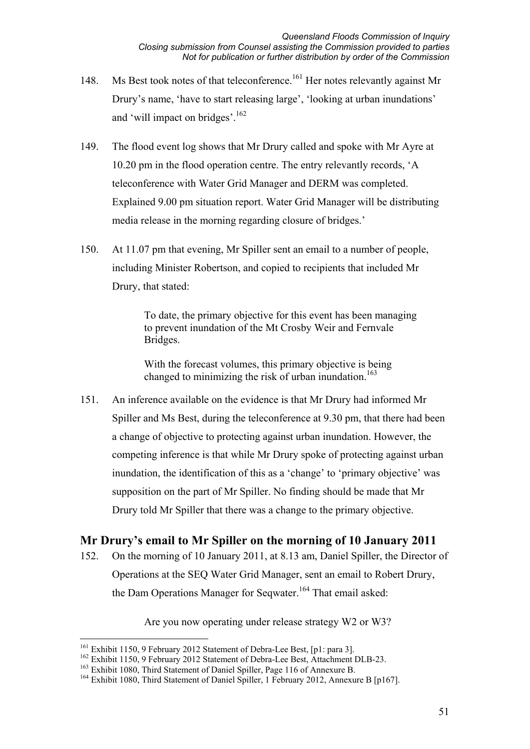- 148. Ms Best took notes of that teleconference.<sup>161</sup> Her notes relevantly against Mr Drury's name, 'have to start releasing large', 'looking at urban inundations' and 'will impact on bridges'.<sup>162</sup>
- 149. The flood event log shows that Mr Drury called and spoke with Mr Ayre at 10.20 pm in the flood operation centre. The entry relevantly records, 'A teleconference with Water Grid Manager and DERM was completed. Explained 9.00 pm situation report. Water Grid Manager will be distributing media release in the morning regarding closure of bridges.'
- 150. At 11.07 pm that evening, Mr Spiller sent an email to a number of people, including Minister Robertson, and copied to recipients that included Mr Drury, that stated:

To date, the primary objective for this event has been managing to prevent inundation of the Mt Crosby Weir and Fernvale Bridges.

With the forecast volumes, this primary objective is being changed to minimizing the risk of urban inundation.<sup>163</sup>

151. An inference available on the evidence is that Mr Drury had informed Mr Spiller and Ms Best, during the teleconference at 9.30 pm, that there had been a change of objective to protecting against urban inundation. However, the competing inference is that while Mr Drury spoke of protecting against urban inundation, the identification of this as a 'change' to 'primary objective' was supposition on the part of Mr Spiller. No finding should be made that Mr Drury told Mr Spiller that there was a change to the primary objective.

# **Mr Drury's email to Mr Spiller on the morning of 10 January 2011**

152. On the morning of 10 January 2011, at 8.13 am, Daniel Spiller, the Director of Operations at the SEQ Water Grid Manager, sent an email to Robert Drury, the Dam Operations Manager for Seqwater.<sup>164</sup> That email asked:

Are you now operating under release strategy W2 or W3?

<sup>&</sup>lt;sup>161</sup> Exhibit 1150, 9 February 2012 Statement of Debra-Lee Best, [p1: para 3].

<sup>&</sup>lt;sup>162</sup> Exhibit 1150, 9 February 2012 Statement of Debra-Lee Best, Attachment DLB-23.

<sup>&</sup>lt;sup>163</sup> Exhibit 1080, Third Statement of Daniel Spiller, Page 116 of Annexure B.

<sup>&</sup>lt;sup>164</sup> Exhibit 1080, Third Statement of Daniel Spiller, 1 February 2012, Annexure B [p167].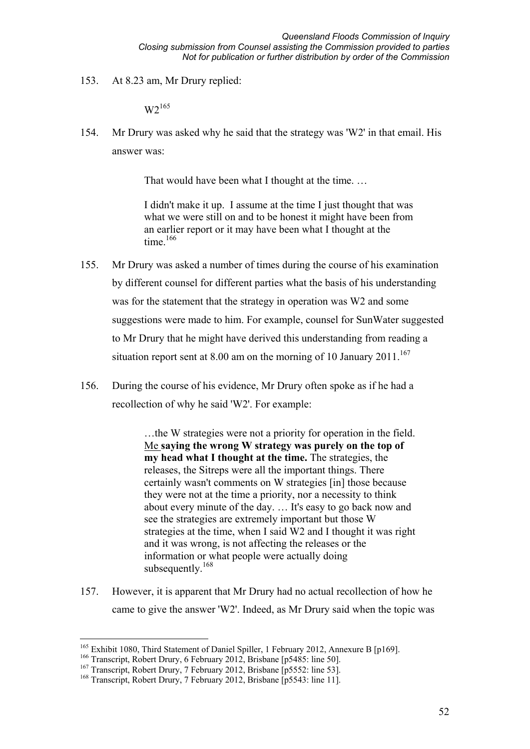153. At 8.23 am, Mr Drury replied:

 $W2^{165}$ 

154. Mr Drury was asked why he said that the strategy was 'W2' in that email. His answer was:

That would have been what I thought at the time. …

I didn't make it up. I assume at the time I just thought that was what we were still on and to be honest it might have been from an earlier report or it may have been what I thought at the time.<sup>166</sup>

- 155. Mr Drury was asked a number of times during the course of his examination by different counsel for different parties what the basis of his understanding was for the statement that the strategy in operation was W2 and some suggestions were made to him. For example, counsel for SunWater suggested to Mr Drury that he might have derived this understanding from reading a situation report sent at 8.00 am on the morning of 10 January  $2011$ .<sup>167</sup>
- 156. During the course of his evidence, Mr Drury often spoke as if he had a recollection of why he said 'W2'. For example:

…the W strategies were not a priority for operation in the field. Me **saying the wrong W strategy was purely on the top of my head what I thought at the time.** The strategies, the releases, the Sitreps were all the important things. There certainly wasn't comments on W strategies [in] those because they were not at the time a priority, nor a necessity to think about every minute of the day. … It's easy to go back now and see the strategies are extremely important but those W strategies at the time, when I said W2 and I thought it was right and it was wrong, is not affecting the releases or the information or what people were actually doing subsequently. $168$ 

157. However, it is apparent that Mr Drury had no actual recollection of how he came to give the answer 'W2'. Indeed, as Mr Drury said when the topic was

<sup>&</sup>lt;sup>165</sup> Exhibit 1080, Third Statement of Daniel Spiller, 1 February 2012, Annexure B [p169].

<sup>&</sup>lt;sup>166</sup> Transcript, Robert Drury, 6 February 2012, Brisbane [p5485: line 50].

<sup>&</sup>lt;sup>167</sup> Transcript, Robert Drury, 7 February 2012, Brisbane [p5552: line 53].

<sup>&</sup>lt;sup>168</sup> Transcript, Robert Drury, 7 February 2012, Brisbane [p5543: line 11].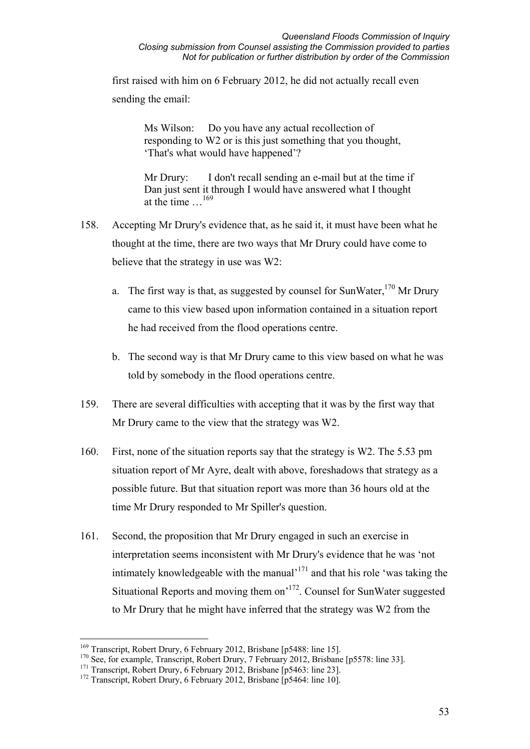first raised with him on 6 February 2012, he did not actually recall even sending the email:

> Ms Wilson: Do you have any actual recollection of responding to W2 or is this just something that you thought, 'That's what would have happened'?

Mr Drury: I don't recall sending an e-mail but at the time if Dan just sent it through I would have answered what I thought at the time …169

- 158. Accepting Mr Drury's evidence that, as he said it, it must have been what he thought at the time, there are two ways that Mr Drury could have come to believe that the strategy in use was W2:
	- a. The first way is that, as suggested by counsel for SunWater,  $170$  Mr Drury came to this view based upon information contained in a situation report he had received from the flood operations centre.
	- b. The second way is that Mr Drury came to this view based on what he was told by somebody in the flood operations centre.
- 159. There are several difficulties with accepting that it was by the first way that Mr Drury came to the view that the strategy was W2.
- 160. First, none of the situation reports say that the strategy is W2. The 5.53 pm situation report of Mr Ayre, dealt with above, foreshadows that strategy as a possible future. But that situation report was more than 36 hours old at the time Mr Drury responded to Mr Spiller's question.
- 161. Second, the proposition that Mr Drury engaged in such an exercise in interpretation seems inconsistent with Mr Drury's evidence that he was 'not intimately knowledgeable with the manual $1^{171}$  and that his role 'was taking the Situational Reports and moving them on'172. Counsel for SunWater suggested to Mr Drury that he might have inferred that the strategy was W2 from the

<sup>&</sup>lt;sup>169</sup> Transcript, Robert Drury, 6 February 2012, Brisbane [p5488: line 15].

<sup>&</sup>lt;sup>170</sup> See, for example, Transcript, Robert Drury, 7 February 2012, Brisbane [p5578: line 33].

<sup>&</sup>lt;sup>171</sup> Transcript, Robert Drury, 6 February 2012, Brisbane [p5463: line 23].

<sup>&</sup>lt;sup>172</sup> Transcript, Robert Drury, 6 February 2012, Brisbane [p5464: line 10].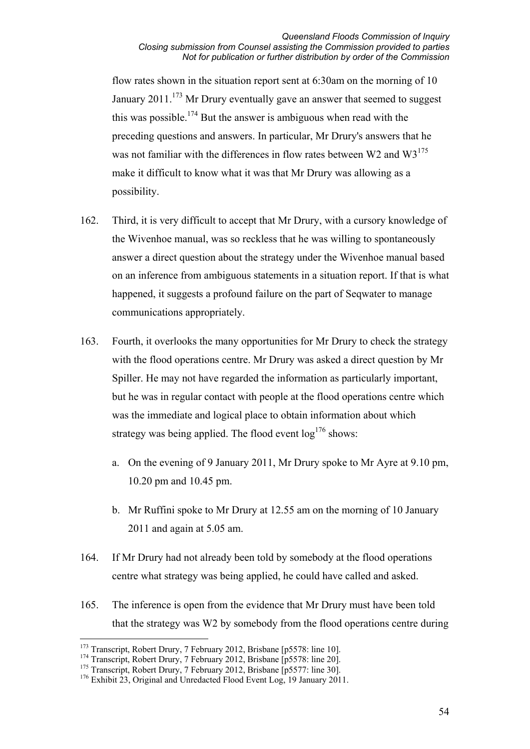flow rates shown in the situation report sent at 6:30am on the morning of 10 January  $2011$ <sup> $173$ </sup> Mr Drury eventually gave an answer that seemed to suggest this was possible.<sup>174</sup> But the answer is ambiguous when read with the preceding questions and answers. In particular, Mr Drury's answers that he was not familiar with the differences in flow rates between W2 and  $W3^{175}$ make it difficult to know what it was that Mr Drury was allowing as a possibility.

- 162. Third, it is very difficult to accept that Mr Drury, with a cursory knowledge of the Wivenhoe manual, was so reckless that he was willing to spontaneously answer a direct question about the strategy under the Wivenhoe manual based on an inference from ambiguous statements in a situation report. If that is what happened, it suggests a profound failure on the part of Seqwater to manage communications appropriately.
- 163. Fourth, it overlooks the many opportunities for Mr Drury to check the strategy with the flood operations centre. Mr Drury was asked a direct question by Mr Spiller. He may not have regarded the information as particularly important, but he was in regular contact with people at the flood operations centre which was the immediate and logical place to obtain information about which strategy was being applied. The flood event  $\log^{176}$  shows:
	- a. On the evening of 9 January 2011, Mr Drury spoke to Mr Ayre at 9.10 pm, 10.20 pm and 10.45 pm.
	- b. Mr Ruffini spoke to Mr Drury at 12.55 am on the morning of 10 January 2011 and again at 5.05 am.
- 164. If Mr Drury had not already been told by somebody at the flood operations centre what strategy was being applied, he could have called and asked.
- 165. The inference is open from the evidence that Mr Drury must have been told that the strategy was W2 by somebody from the flood operations centre during

<sup>-</sup><sup>173</sup> Transcript, Robert Drury, 7 February 2012, Brisbane [p5578: line 10].

<sup>&</sup>lt;sup>174</sup> Transcript, Robert Drury, 7 February 2012, Brisbane [p5578: line 20].

<sup>&</sup>lt;sup>175</sup> Transcript, Robert Drury, 7 February 2012, Brisbane [p5577: line 30].

<sup>&</sup>lt;sup>176</sup> Exhibit 23, Original and Unredacted Flood Event Log, 19 January 2011.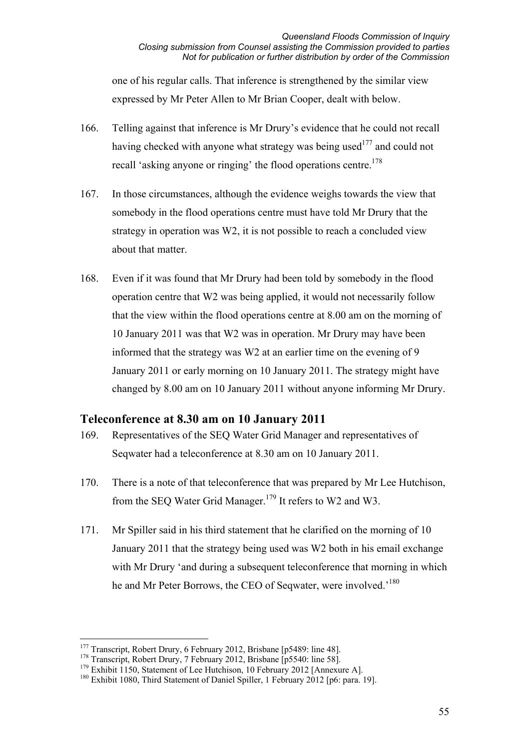one of his regular calls. That inference is strengthened by the similar view expressed by Mr Peter Allen to Mr Brian Cooper, dealt with below.

- 166. Telling against that inference is Mr Drury's evidence that he could not recall having checked with anyone what strategy was being used<sup>177</sup> and could not recall 'asking anyone or ringing' the flood operations centre.<sup>178</sup>
- 167. In those circumstances, although the evidence weighs towards the view that somebody in the flood operations centre must have told Mr Drury that the strategy in operation was W2, it is not possible to reach a concluded view about that matter.
- 168. Even if it was found that Mr Drury had been told by somebody in the flood operation centre that W2 was being applied, it would not necessarily follow that the view within the flood operations centre at 8.00 am on the morning of 10 January 2011 was that W2 was in operation. Mr Drury may have been informed that the strategy was W2 at an earlier time on the evening of 9 January 2011 or early morning on 10 January 2011. The strategy might have changed by 8.00 am on 10 January 2011 without anyone informing Mr Drury.

### **Teleconference at 8.30 am on 10 January 2011**

- 169. Representatives of the SEQ Water Grid Manager and representatives of Seqwater had a teleconference at 8.30 am on 10 January 2011.
- 170. There is a note of that teleconference that was prepared by Mr Lee Hutchison, from the SEQ Water Grid Manager.<sup>179</sup> It refers to W2 and W3.
- 171. Mr Spiller said in his third statement that he clarified on the morning of 10 January 2011 that the strategy being used was W2 both in his email exchange with Mr Drury 'and during a subsequent teleconference that morning in which he and Mr Peter Borrows, the CEO of Seqwater, were involved.<sup>180</sup>

<sup>-</sup><sup>177</sup> Transcript, Robert Drury, 6 February 2012, Brisbane [p5489: line 48].

<sup>&</sup>lt;sup>178</sup> Transcript, Robert Drury, 7 February 2012, Brisbane [p5540: line 58].

<sup>&</sup>lt;sup>179</sup> Exhibit 1150, Statement of Lee Hutchison, 10 February 2012 [Annexure A].

<sup>&</sup>lt;sup>180</sup> Exhibit 1080, Third Statement of Daniel Spiller, 1 February 2012 [p6: para. 19].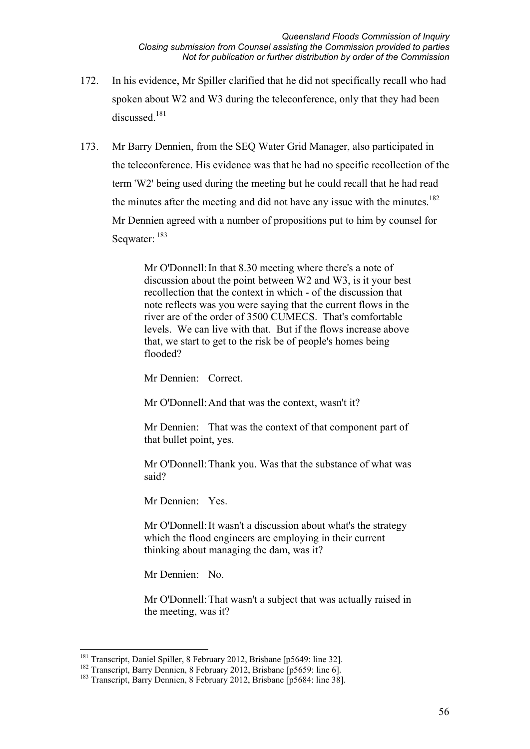- 172. In his evidence, Mr Spiller clarified that he did not specifically recall who had spoken about W2 and W3 during the teleconference, only that they had been discussed.<sup>181</sup>
- 173. Mr Barry Dennien, from the SEQ Water Grid Manager, also participated in the teleconference. His evidence was that he had no specific recollection of the term 'W2' being used during the meeting but he could recall that he had read the minutes after the meeting and did not have any issue with the minutes.<sup>182</sup> Mr Dennien agreed with a number of propositions put to him by counsel for Seqwater: 183

Mr O'Donnell: In that 8.30 meeting where there's a note of discussion about the point between W2 and W3, is it your best recollection that the context in which - of the discussion that note reflects was you were saying that the current flows in the river are of the order of 3500 CUMECS. That's comfortable levels. We can live with that. But if the flows increase above that, we start to get to the risk be of people's homes being flooded?

Mr Dennien: Correct

Mr O'Donnell: And that was the context, wasn't it?

Mr Dennien: That was the context of that component part of that bullet point, yes.

Mr O'Donnell: Thank you. Was that the substance of what was said?

Mr Dennien: Yes.

Mr O'Donnell: It wasn't a discussion about what's the strategy which the flood engineers are employing in their current thinking about managing the dam, was it?

Mr Dennien: No.

Mr O'Donnell: That wasn't a subject that was actually raised in the meeting, was it?

<sup>&</sup>lt;u>.</u> <sup>181</sup> Transcript, Daniel Spiller, 8 February 2012, Brisbane [p5649: line 32].

<sup>&</sup>lt;sup>182</sup> Transcript, Barry Dennien, 8 February 2012, Brisbane [p5659: line 6].

<sup>&</sup>lt;sup>183</sup> Transcript, Barry Dennien, 8 February 2012, Brisbane [p5684: line 38].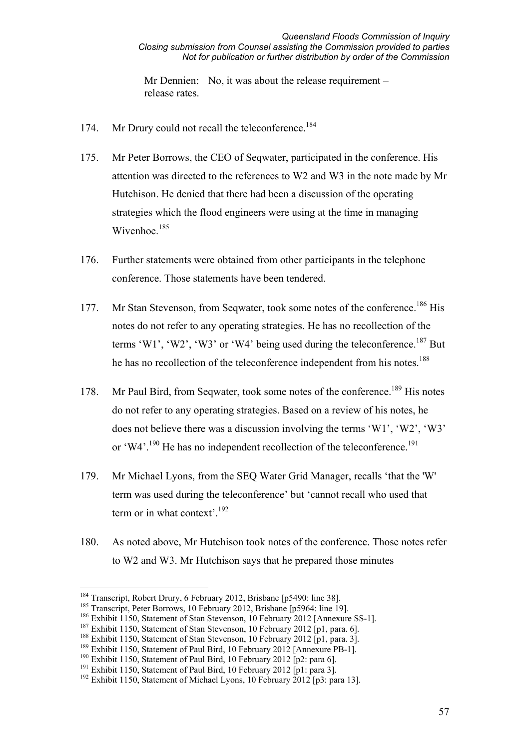Mr Dennien: No, it was about the release requirement – release rates.

- 174. Mr Drury could not recall the teleconference.<sup>184</sup>
- 175. Mr Peter Borrows, the CEO of Seqwater, participated in the conference. His attention was directed to the references to W2 and W3 in the note made by Mr Hutchison. He denied that there had been a discussion of the operating strategies which the flood engineers were using at the time in managing Wivenhoe.<sup>185</sup>
- 176. Further statements were obtained from other participants in the telephone conference. Those statements have been tendered.
- 177. Mr Stan Stevenson, from Seqwater, took some notes of the conference.<sup>186</sup> His notes do not refer to any operating strategies. He has no recollection of the terms 'W1', 'W2', 'W3' or 'W4' being used during the teleconference.<sup>187</sup> But he has no recollection of the teleconference independent from his notes.<sup>188</sup>
- 178. Mr Paul Bird, from Seqwater, took some notes of the conference.<sup>189</sup> His notes do not refer to any operating strategies. Based on a review of his notes, he does not believe there was a discussion involving the terms 'W1', 'W2', 'W3' or 'W4'.<sup>190</sup> He has no independent recollection of the teleconference.<sup>191</sup>
- 179. Mr Michael Lyons, from the SEQ Water Grid Manager, recalls 'that the 'W' term was used during the teleconference' but 'cannot recall who used that term or in what context'.<sup>192</sup>
- 180. As noted above, Mr Hutchison took notes of the conference. Those notes refer to W2 and W3. Mr Hutchison says that he prepared those minutes

<u>.</u>

<sup>&</sup>lt;sup>184</sup> Transcript, Robert Drury, 6 February 2012, Brisbane [p5490: line 38].

<sup>&</sup>lt;sup>185</sup> Transcript, Peter Borrows, 10 February 2012, Brisbane [p5964: line 19].

<sup>&</sup>lt;sup>186</sup> Exhibit 1150, Statement of Stan Stevenson, 10 February 2012 [Annexure SS-1].

<sup>&</sup>lt;sup>187</sup> Exhibit 1150, Statement of Stan Stevenson, 10 February 2012 [p1, para. 6].

<sup>&</sup>lt;sup>188</sup> Exhibit 1150, Statement of Stan Stevenson, 10 February 2012 [p1, para. 3].

<sup>&</sup>lt;sup>189</sup> Exhibit 1150, Statement of Paul Bird, 10 February 2012 [Annexure PB-1].

<sup>&</sup>lt;sup>190</sup> Exhibit 1150, Statement of Paul Bird, 10 February 2012 [p2: para 6].

<sup>&</sup>lt;sup>191</sup> Exhibit 1150, Statement of Paul Bird, 10 February 2012 [p1: para 3].

<sup>&</sup>lt;sup>192</sup> Exhibit 1150, Statement of Michael Lyons, 10 February 2012 [p3: para 13].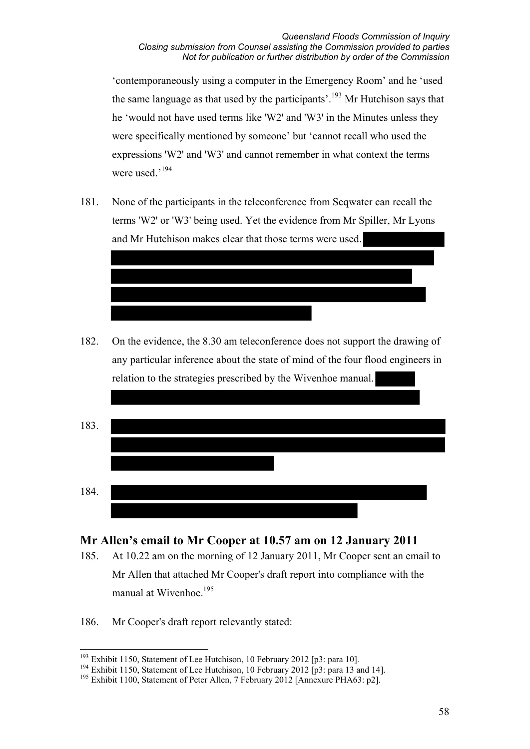'contemporaneously using a computer in the Emergency Room' and he 'used the same language as that used by the participants'.<sup>193</sup> Mr Hutchison says that he 'would not have used terms like 'W2' and 'W3' in the Minutes unless they were specifically mentioned by someone' but 'cannot recall who used the expressions 'W2' and 'W3' and cannot remember in what context the terms were used.'194

181. None of the participants in the teleconference from Seqwater can recall the terms 'W2' or 'W3' being used. Yet the evidence from Mr Spiller, Mr Lyons and Mr Hutchison makes clear that those terms were used.

182. On the evidence, the 8.30 am teleconference does not support the drawing of any particular inference about the state of mind of the four flood engineers in relation to the strategies prescribed by the Wivenhoe manual.

| 183. |  |  |
|------|--|--|
|      |  |  |
|      |  |  |
| 184. |  |  |
|      |  |  |

# **Mr Allen's email to Mr Cooper at 10.57 am on 12 January 2011**

- 185. At 10.22 am on the morning of 12 January 2011, Mr Cooper sent an email to Mr Allen that attached Mr Cooper's draft report into compliance with the manual at Wivenhoe.<sup>195</sup>
- 186. Mr Cooper's draft report relevantly stated:

<sup>&</sup>lt;u>.</u> <sup>193</sup> Exhibit 1150, Statement of Lee Hutchison, 10 February 2012 [p3: para 10].

<sup>&</sup>lt;sup>194</sup> Exhibit 1150, Statement of Lee Hutchison, 10 February 2012  $\overrightarrow{p}$ 3: para 13 and 14].

<sup>&</sup>lt;sup>195</sup> Exhibit 1100, Statement of Peter Allen, 7 February 2012 [Annexure PHA63: p2].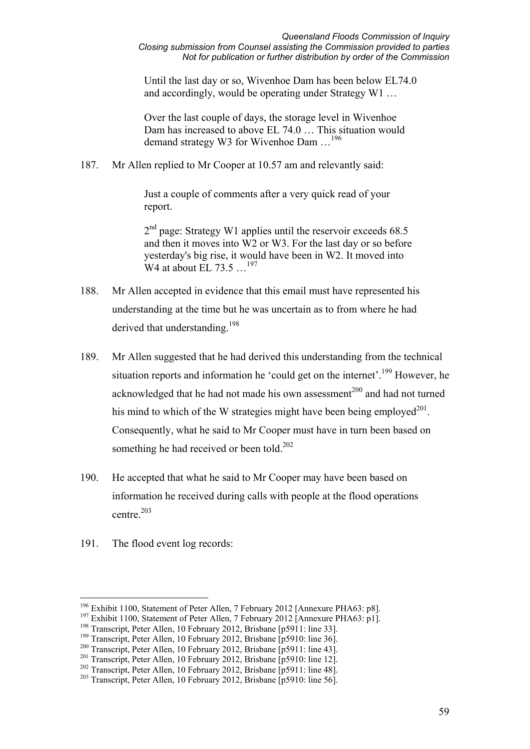Until the last day or so, Wivenhoe Dam has been below EL74.0 and accordingly, would be operating under Strategy W1 …

Over the last couple of days, the storage level in Wivenhoe Dam has increased to above EL 74.0 … This situation would demand strategy W3 for Wivenhoe Dam …<sup>196</sup>

187. Mr Allen replied to Mr Cooper at 10.57 am and relevantly said:

Just a couple of comments after a very quick read of your report.

 $2<sup>nd</sup>$  page: Strategy W1 applies until the reservoir exceeds 68.5 and then it moves into W2 or W3. For the last day or so before yesterday's big rise, it would have been in W2. It moved into W<sub>4</sub> at about EL 73.5 ...<sup>197</sup>

- 188. Mr Allen accepted in evidence that this email must have represented his understanding at the time but he was uncertain as to from where he had derived that understanding <sup>198</sup>
- 189. Mr Allen suggested that he had derived this understanding from the technical situation reports and information he 'could get on the internet'.<sup>199</sup> However, he acknowledged that he had not made his own assessment<sup>200</sup> and had not turned his mind to which of the W strategies might have been being employed $^{201}$ . Consequently, what he said to Mr Cooper must have in turn been based on something he had received or been told.<sup>202</sup>
- 190. He accepted that what he said to Mr Cooper may have been based on information he received during calls with people at the flood operations centre.<sup>203</sup>
- 191. The flood event log records:

<u>.</u>

<sup>196</sup> Exhibit 1100, Statement of Peter Allen, 7 February 2012 [Annexure PHA63: p8].

<sup>&</sup>lt;sup>197</sup> Exhibit 1100, Statement of Peter Allen, 7 February 2012 [Annexure PHA63: p1].

<sup>198</sup> Transcript, Peter Allen, 10 February 2012, Brisbane [p5911: line 33].

 $199$  Transcript, Peter Allen, 10 February 2012, Brisbane  $\overline{1}$ p5910: line 361.

<sup>200</sup> Transcript, Peter Allen, 10 February 2012, Brisbane [p5911: line 43].

<sup>&</sup>lt;sup>201</sup> Transcript, Peter Allen, 10 February 2012, Brisbane [p5910: line 12].

<sup>&</sup>lt;sup>202</sup> Transcript, Peter Allen, 10 February 2012, Brisbane [p5911: line 48].

<sup>&</sup>lt;sup>203</sup> Transcript, Peter Allen, 10 February 2012, Brisbane [p5910: line 56].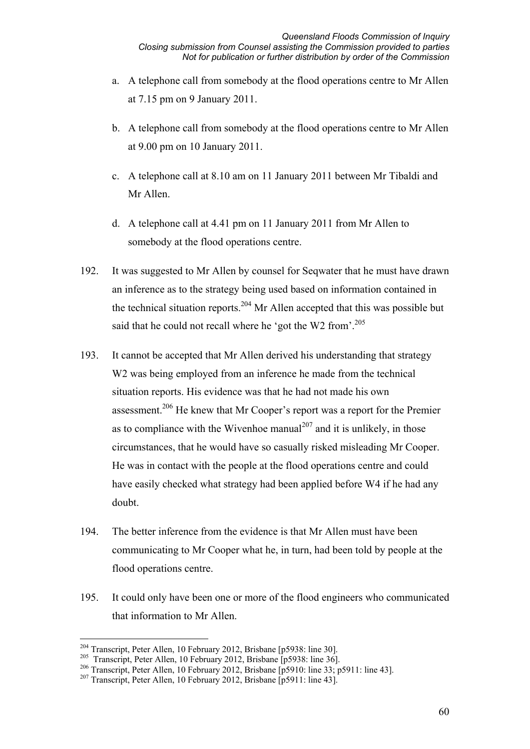- a. A telephone call from somebody at the flood operations centre to Mr Allen at 7.15 pm on 9 January 2011.
- b. A telephone call from somebody at the flood operations centre to Mr Allen at 9.00 pm on 10 January 2011.
- c. A telephone call at 8.10 am on 11 January 2011 between Mr Tibaldi and Mr Allen.
- d. A telephone call at 4.41 pm on 11 January 2011 from Mr Allen to somebody at the flood operations centre.
- 192. It was suggested to Mr Allen by counsel for Seqwater that he must have drawn an inference as to the strategy being used based on information contained in the technical situation reports.<sup>204</sup> Mr Allen accepted that this was possible but said that he could not recall where he 'got the W2 from'.<sup>205</sup>
- 193. It cannot be accepted that Mr Allen derived his understanding that strategy W<sub>2</sub> was being employed from an inference he made from the technical situation reports. His evidence was that he had not made his own assessment.206 He knew that Mr Cooper's report was a report for the Premier as to compliance with the Wivenhoe manual<sup>207</sup> and it is unlikely, in those circumstances, that he would have so casually risked misleading Mr Cooper. He was in contact with the people at the flood operations centre and could have easily checked what strategy had been applied before W4 if he had any doubt.
- 194. The better inference from the evidence is that Mr Allen must have been communicating to Mr Cooper what he, in turn, had been told by people at the flood operations centre.
- 195. It could only have been one or more of the flood engineers who communicated that information to Mr Allen.

<sup>-</sup><sup>204</sup> Transcript, Peter Allen, 10 February 2012, Brisbane [p5938: line 30].

<sup>&</sup>lt;sup>205</sup> Transcript, Peter Allen, 10 February 2012, Brisbane [p5938: line 36].

<sup>206</sup> Transcript, Peter Allen, 10 February 2012, Brisbane [p5910: line 33; p5911: line 43].

<sup>&</sup>lt;sup>207</sup> Transcript, Peter Allen, 10 February 2012, Brisbane [p5911: line 43].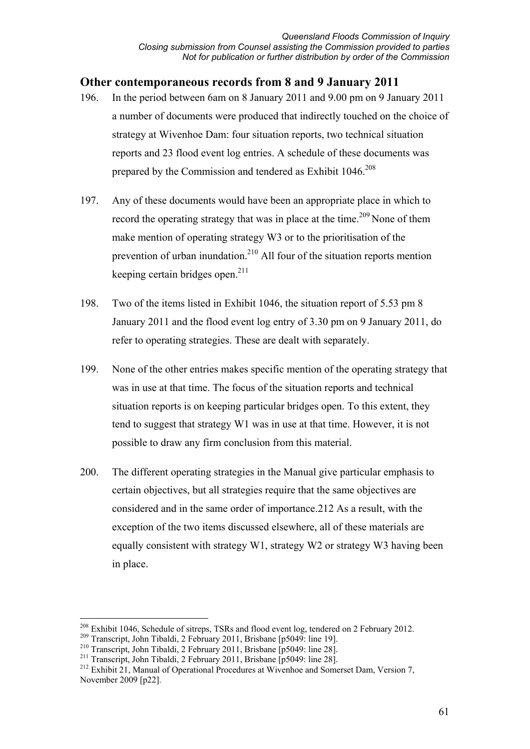### **Other contemporaneous records from 8 and 9 January 2011**

- 196. In the period between 6am on 8 January 2011 and 9.00 pm on 9 January 2011 a number of documents were produced that indirectly touched on the choice of strategy at Wivenhoe Dam: four situation reports, two technical situation reports and 23 flood event log entries. A schedule of these documents was prepared by the Commission and tendered as Exhibit 1046.<sup>208</sup>
- 197. Any of these documents would have been an appropriate place in which to record the operating strategy that was in place at the time.<sup>209</sup> None of them make mention of operating strategy W3 or to the prioritisation of the prevention of urban inundation.210 All four of the situation reports mention keeping certain bridges open. $211$
- 198. Two of the items listed in Exhibit 1046, the situation report of 5.53 pm 8 January 2011 and the flood event log entry of 3.30 pm on 9 January 2011, do refer to operating strategies. These are dealt with separately.
- 199. None of the other entries makes specific mention of the operating strategy that was in use at that time. The focus of the situation reports and technical situation reports is on keeping particular bridges open. To this extent, they tend to suggest that strategy W1 was in use at that time. However, it is not possible to draw any firm conclusion from this material.
- 200. The different operating strategies in the Manual give particular emphasis to certain objectives, but all strategies require that the same objectives are considered and in the same order of importance.212 As a result, with the exception of the two items discussed elsewhere, all of these materials are equally consistent with strategy W1, strategy W2 or strategy W3 having been in place.

<sup>&</sup>lt;u>.</u> <sup>208</sup> Exhibit 1046, Schedule of sitreps, TSRs and flood event log, tendered on 2 February 2012.

<sup>&</sup>lt;sup>209</sup> Transcript, John Tibaldi, 2 February 2011, Brisbane [p5049: line 19].<br><sup>210</sup> Transcript, John Tibaldi, 2 February 2011, Brisbane [p5049: line 28].

<sup>&</sup>lt;sup>211</sup> Transcript, John Tibaldi, 2 February 2011, Brisbane  $[p5049:$  line 28].<br><sup>212</sup> Exhibit 21, Manual of Operational Procedures at Wivenhoe and Somerset Dam, Version 7, November 2009 [p22].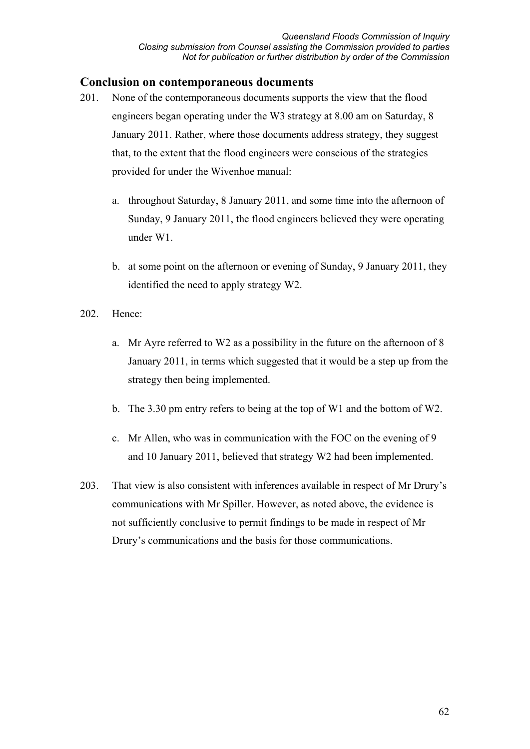#### **Conclusion on contemporaneous documents**

- 201. None of the contemporaneous documents supports the view that the flood engineers began operating under the W3 strategy at 8.00 am on Saturday, 8 January 2011. Rather, where those documents address strategy, they suggest that, to the extent that the flood engineers were conscious of the strategies provided for under the Wivenhoe manual:
	- a. throughout Saturday, 8 January 2011, and some time into the afternoon of Sunday, 9 January 2011, the flood engineers believed they were operating under W1.
	- b. at some point on the afternoon or evening of Sunday, 9 January 2011, they identified the need to apply strategy W2.
- 202. Hence:
	- a. Mr Ayre referred to W2 as a possibility in the future on the afternoon of 8 January 2011, in terms which suggested that it would be a step up from the strategy then being implemented.
	- b. The 3.30 pm entry refers to being at the top of W1 and the bottom of W2.
	- c. Mr Allen, who was in communication with the FOC on the evening of 9 and 10 January 2011, believed that strategy W2 had been implemented.
- 203. That view is also consistent with inferences available in respect of Mr Drury's communications with Mr Spiller. However, as noted above, the evidence is not sufficiently conclusive to permit findings to be made in respect of Mr Drury's communications and the basis for those communications.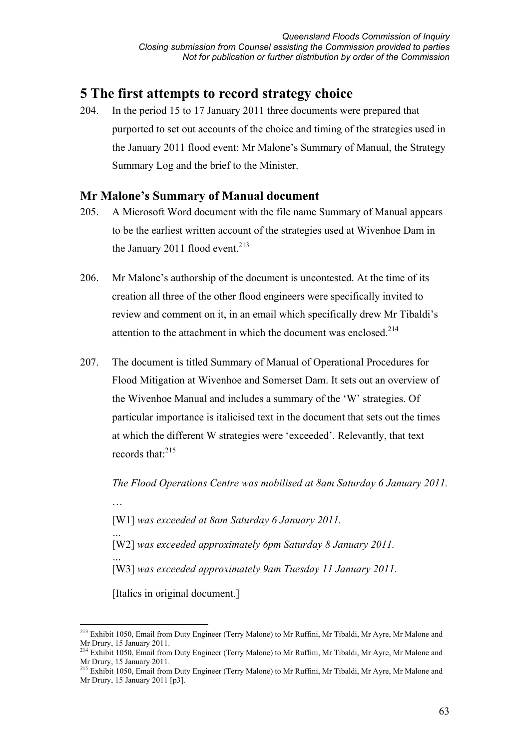# **5 The first attempts to record strategy choice**

204. In the period 15 to 17 January 2011 three documents were prepared that purported to set out accounts of the choice and timing of the strategies used in the January 2011 flood event: Mr Malone's Summary of Manual, the Strategy Summary Log and the brief to the Minister.

# **Mr Malone's Summary of Manual document**

- 205. A Microsoft Word document with the file name Summary of Manual appears to be the earliest written account of the strategies used at Wivenhoe Dam in the January 2011 flood event.<sup>213</sup>
- 206. Mr Malone's authorship of the document is uncontested. At the time of its creation all three of the other flood engineers were specifically invited to review and comment on it, in an email which specifically drew Mr Tibaldi's attention to the attachment in which the document was enclosed.<sup>214</sup>
- 207. The document is titled Summary of Manual of Operational Procedures for Flood Mitigation at Wivenhoe and Somerset Dam. It sets out an overview of the Wivenhoe Manual and includes a summary of the 'W' strategies. Of particular importance is italicised text in the document that sets out the times at which the different W strategies were 'exceeded'. Relevantly, that text records that:215

*The Flood Operations Centre was mobilised at 8am Saturday 6 January 2011.* … [W1] *was exceeded at 8am Saturday 6 January 2011. …*  [W2] *was exceeded approximately 6pm Saturday 8 January 2011. …*  [W3] *was exceeded approximately 9am Tuesday 11 January 2011.*  [Italics in original document.]

<sup>-</sup><sup>213</sup> Exhibit 1050, Email from Duty Engineer (Terry Malone) to Mr Ruffini, Mr Tibaldi, Mr Ayre, Mr Malone and Mr Drury, 15 January 2011.

<sup>&</sup>lt;sup>214</sup> Exhibit 1050, Email from Duty Engineer (Terry Malone) to Mr Ruffini, Mr Tibaldi, Mr Ayre, Mr Malone and Mr Drury, 15 January 2011.

<sup>215</sup> Exhibit 1050, Email from Duty Engineer (Terry Malone) to Mr Ruffini, Mr Tibaldi, Mr Ayre, Mr Malone and Mr Drury, 15 January 2011 [p3].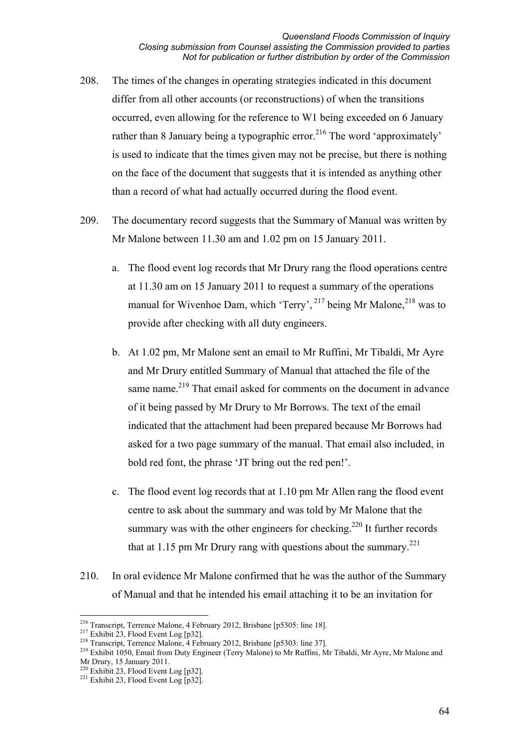- 208. The times of the changes in operating strategies indicated in this document differ from all other accounts (or reconstructions) of when the transitions occurred, even allowing for the reference to W1 being exceeded on 6 January rather than 8 January being a typographic error.<sup>216</sup> The word 'approximately' is used to indicate that the times given may not be precise, but there is nothing on the face of the document that suggests that it is intended as anything other than a record of what had actually occurred during the flood event.
- 209. The documentary record suggests that the Summary of Manual was written by Mr Malone between 11.30 am and 1.02 pm on 15 January 2011.
	- a. The flood event log records that Mr Drury rang the flood operations centre at 11.30 am on 15 January 2011 to request a summary of the operations manual for Wivenhoe Dam, which 'Terry',  $^{217}$  being Mr Malone,  $^{218}$  was to provide after checking with all duty engineers.
	- b. At 1.02 pm, Mr Malone sent an email to Mr Ruffini, Mr Tibaldi, Mr Ayre and Mr Drury entitled Summary of Manual that attached the file of the same name.<sup>219</sup> That email asked for comments on the document in advance of it being passed by Mr Drury to Mr Borrows. The text of the email indicated that the attachment had been prepared because Mr Borrows had asked for a two page summary of the manual. That email also included, in bold red font, the phrase 'JT bring out the red pen!'.
	- c. The flood event log records that at 1.10 pm Mr Allen rang the flood event centre to ask about the summary and was told by Mr Malone that the summary was with the other engineers for checking.<sup>220</sup> It further records that at 1.15 pm Mr Drury rang with questions about the summary.<sup>221</sup>
- 210. In oral evidence Mr Malone confirmed that he was the author of the Summary of Manual and that he intended his email attaching it to be an invitation for

<sup>&</sup>lt;sup>216</sup> Transcript. Terrence Malone, 4 February 2012, Brisbane [p5305: line 18].

<sup>&</sup>lt;sup>217</sup> Exhibit 23, Flood Event Log [p32].<br><sup>218</sup> Transcript, Terrence Malone, 4 February 2012, Brisbane [p5303: line 37].<br><sup>219</sup> Exhibit 1050, Email from Duty Engineer (Terry Malone) to Mr Ruffini, Mr Tibaldi, Mr Ayre, Mr Mal Mr Drury, 15 January 2011.

<sup>&</sup>lt;sup>220</sup> Exhibit 23, Flood Event Log [p32].<br><sup>221</sup> Exhibit 23, Flood Event Log [p32].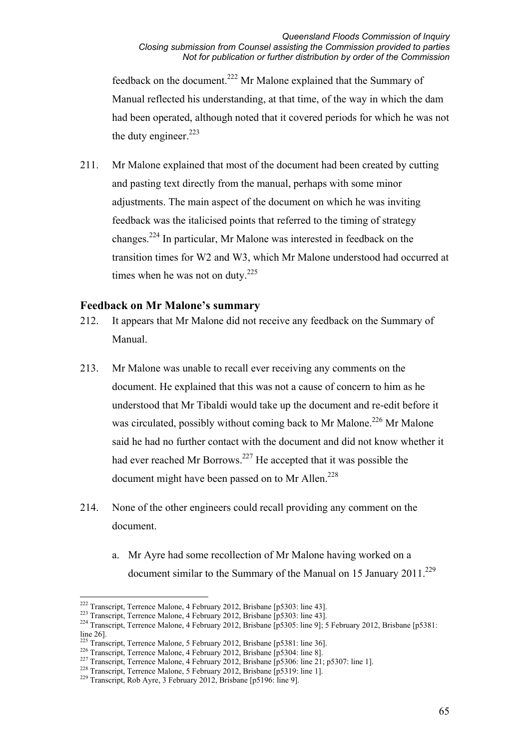feedback on the document.222 Mr Malone explained that the Summary of Manual reflected his understanding, at that time, of the way in which the dam had been operated, although noted that it covered periods for which he was not the duty engineer. $223$ 

211. Mr Malone explained that most of the document had been created by cutting and pasting text directly from the manual, perhaps with some minor adjustments. The main aspect of the document on which he was inviting feedback was the italicised points that referred to the timing of strategy changes.224 In particular, Mr Malone was interested in feedback on the transition times for W2 and W3, which Mr Malone understood had occurred at times when he was not on duty.<sup>225</sup>

#### **Feedback on Mr Malone's summary**

- 212. It appears that Mr Malone did not receive any feedback on the Summary of Manual.
- 213. Mr Malone was unable to recall ever receiving any comments on the document. He explained that this was not a cause of concern to him as he understood that Mr Tibaldi would take up the document and re-edit before it was circulated, possibly without coming back to Mr Malone.<sup>226</sup> Mr Malone said he had no further contact with the document and did not know whether it had ever reached Mr Borrows.<sup>227</sup> He accepted that it was possible the document might have been passed on to Mr Allen.<sup>228</sup>
- 214. None of the other engineers could recall providing any comment on the document.
	- a. Mr Ayre had some recollection of Mr Malone having worked on a document similar to the Summary of the Manual on 15 January 2011.<sup>229</sup>

<sup>&</sup>lt;sup>222</sup> Transcript, Terrence Malone, 4 February 2012, Brisbane [p5303: line 43].

<sup>&</sup>lt;sup>223</sup> Transcript, Terrence Malone, 4 February 2012, Brisbane [p5303: line 43].<br><sup>224</sup> Transcript, Terrence Malone, 4 February 2012, Brisbane [p5305: line 9]; 5 February 2012, Brisbane [p5381: line 26].

<sup>&</sup>lt;sup>225</sup> Transcript, Terrence Malone, 5 February 2012, Brisbane [p5381: line 36].<br><sup>226</sup> Transcript, Terrence Malone, 4 February 2012, Brisbane [p5304: line 8].<br><sup>227</sup> Transcript, Terrence Malone, 4 February 2012, Brisbane [p5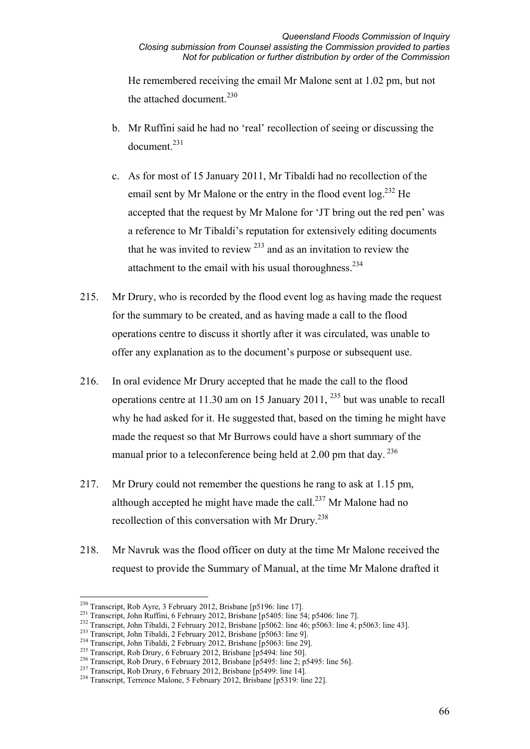He remembered receiving the email Mr Malone sent at 1.02 pm, but not the attached document.<sup>230</sup>

- b. Mr Ruffini said he had no 'real' recollection of seeing or discussing the document.<sup>231</sup>
- c. As for most of 15 January 2011, Mr Tibaldi had no recollection of the email sent by Mr Malone or the entry in the flood event  $\log^{232}$  He accepted that the request by Mr Malone for 'JT bring out the red pen' was a reference to Mr Tibaldi's reputation for extensively editing documents that he was invited to review  $^{233}$  and as an invitation to review the attachment to the email with his usual thoroughness.  $234$
- 215. Mr Drury, who is recorded by the flood event log as having made the request for the summary to be created, and as having made a call to the flood operations centre to discuss it shortly after it was circulated, was unable to offer any explanation as to the document's purpose or subsequent use.
- 216. In oral evidence Mr Drury accepted that he made the call to the flood operations centre at 11.30 am on 15 January 2011, 235 but was unable to recall why he had asked for it. He suggested that, based on the timing he might have made the request so that Mr Burrows could have a short summary of the manual prior to a teleconference being held at  $2.00$  pm that day.  $236$
- 217. Mr Drury could not remember the questions he rang to ask at 1.15 pm, although accepted he might have made the call. $^{237}$  Mr Malone had no recollection of this conversation with Mr Drury.238
- 218. Mr Navruk was the flood officer on duty at the time Mr Malone received the request to provide the Summary of Manual, at the time Mr Malone drafted it

<sup>&</sup>lt;sup>230</sup> Transcript, Rob Ayre, 3 February 2012, Brisbane [p5196: line 17].

<sup>&</sup>lt;sup>231</sup> Transcript, John Ruffini, 6 February 2012, Brisbane [p5405: line 54; p5406: line 7].<br><sup>232</sup> Transcript, John Tibaldi, 2 February 2012, Brisbane [p5062: line 46; p5063: line 4; p5063: line 43].<br><sup>233</sup> Transcript, John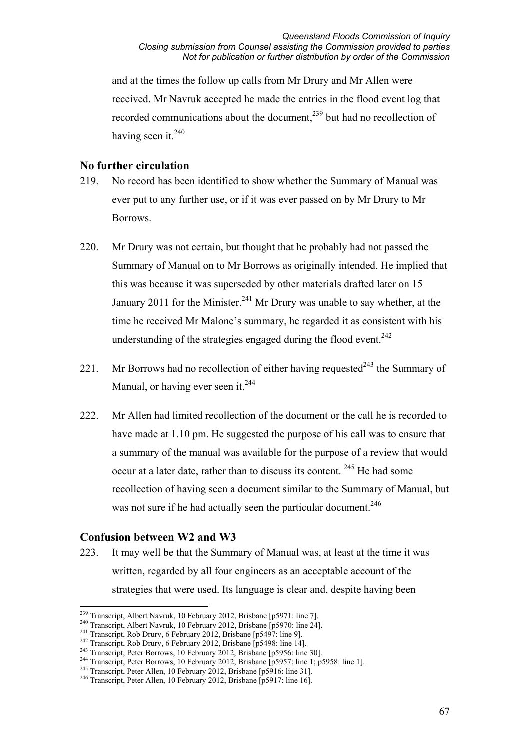and at the times the follow up calls from Mr Drury and Mr Allen were received. Mr Navruk accepted he made the entries in the flood event log that recorded communications about the document,<sup>239</sup> but had no recollection of having seen it. $240$ 

#### **No further circulation**

- 219. No record has been identified to show whether the Summary of Manual was ever put to any further use, or if it was ever passed on by Mr Drury to Mr Borrows.
- 220. Mr Drury was not certain, but thought that he probably had not passed the Summary of Manual on to Mr Borrows as originally intended. He implied that this was because it was superseded by other materials drafted later on 15 January 2011 for the Minister.<sup>241</sup> Mr Drury was unable to say whether, at the time he received Mr Malone's summary, he regarded it as consistent with his understanding of the strategies engaged during the flood event. $242$
- 221. Mr Borrows had no recollection of either having requested<sup> $243$ </sup> the Summary of Manual, or having ever seen it.<sup>244</sup>
- 222. Mr Allen had limited recollection of the document or the call he is recorded to have made at 1.10 pm. He suggested the purpose of his call was to ensure that a summary of the manual was available for the purpose of a review that would occur at a later date, rather than to discuss its content. <sup>245</sup> He had some recollection of having seen a document similar to the Summary of Manual, but was not sure if he had actually seen the particular document.<sup>246</sup>

### **Confusion between W2 and W3**

223. It may well be that the Summary of Manual was, at least at the time it was written, regarded by all four engineers as an acceptable account of the strategies that were used. Its language is clear and, despite having been

<sup>&</sup>lt;sup>239</sup> Transcript, Albert Navruk, 10 February 2012, Brisbane [p5971: line 7].

<sup>&</sup>lt;sup>240</sup> Transcript, Albert Navruk, 10 February 2012, Brisbane [p5970: line 24].<br>
<sup>241</sup> Transcript, Rob Drury, 6 February 2012, Brisbane [p5497: line 9].<br>
<sup>242</sup> Transcript, Rob Drury, 6 February 2012, Brisbane [p5498: line 1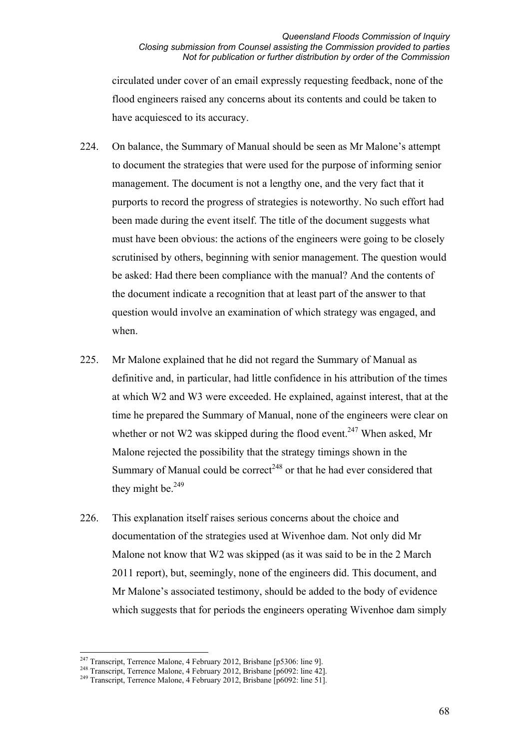circulated under cover of an email expressly requesting feedback, none of the flood engineers raised any concerns about its contents and could be taken to have acquiesced to its accuracy.

- 224. On balance, the Summary of Manual should be seen as Mr Malone's attempt to document the strategies that were used for the purpose of informing senior management. The document is not a lengthy one, and the very fact that it purports to record the progress of strategies is noteworthy. No such effort had been made during the event itself. The title of the document suggests what must have been obvious: the actions of the engineers were going to be closely scrutinised by others, beginning with senior management. The question would be asked: Had there been compliance with the manual? And the contents of the document indicate a recognition that at least part of the answer to that question would involve an examination of which strategy was engaged, and when.
- 225. Mr Malone explained that he did not regard the Summary of Manual as definitive and, in particular, had little confidence in his attribution of the times at which W2 and W3 were exceeded. He explained, against interest, that at the time he prepared the Summary of Manual, none of the engineers were clear on whether or not W2 was skipped during the flood event.<sup>247</sup> When asked, Mr Malone rejected the possibility that the strategy timings shown in the Summary of Manual could be correct<sup> $248$ </sup> or that he had ever considered that they might be. $^{249}$
- 226. This explanation itself raises serious concerns about the choice and documentation of the strategies used at Wivenhoe dam. Not only did Mr Malone not know that W2 was skipped (as it was said to be in the 2 March 2011 report), but, seemingly, none of the engineers did. This document, and Mr Malone's associated testimony, should be added to the body of evidence which suggests that for periods the engineers operating Wivenhoe dam simply

<sup>&</sup>lt;sup>247</sup> Transcript, Terrence Malone, 4 February 2012, Brisbane [p5306: line 9].

<sup>&</sup>lt;sup>248</sup> Transcript, Terrence Malone, 4 February 2012, Brisbane [p6092: line 42].<br><sup>249</sup> Transcript, Terrence Malone, 4 February 2012, Brisbane [p6092: line 51].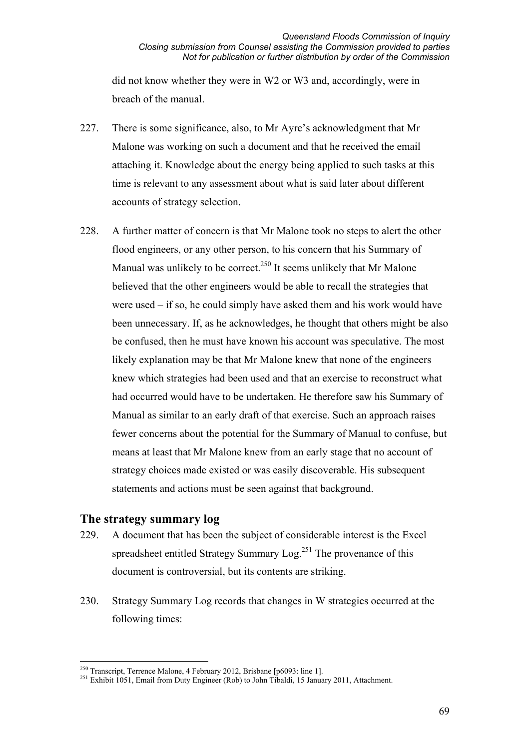did not know whether they were in W2 or W3 and, accordingly, were in breach of the manual.

- 227. There is some significance, also, to Mr Ayre's acknowledgment that Mr Malone was working on such a document and that he received the email attaching it. Knowledge about the energy being applied to such tasks at this time is relevant to any assessment about what is said later about different accounts of strategy selection.
- 228. A further matter of concern is that Mr Malone took no steps to alert the other flood engineers, or any other person, to his concern that his Summary of Manual was unlikely to be correct.<sup>250</sup> It seems unlikely that Mr Malone believed that the other engineers would be able to recall the strategies that were used – if so, he could simply have asked them and his work would have been unnecessary. If, as he acknowledges, he thought that others might be also be confused, then he must have known his account was speculative. The most likely explanation may be that Mr Malone knew that none of the engineers knew which strategies had been used and that an exercise to reconstruct what had occurred would have to be undertaken. He therefore saw his Summary of Manual as similar to an early draft of that exercise. Such an approach raises fewer concerns about the potential for the Summary of Manual to confuse, but means at least that Mr Malone knew from an early stage that no account of strategy choices made existed or was easily discoverable. His subsequent statements and actions must be seen against that background.

### **The strategy summary log**

- 229. A document that has been the subject of considerable interest is the Excel spreadsheet entitled Strategy Summary  $\text{Log}^{251}$  The provenance of this document is controversial, but its contents are striking.
- 230. Strategy Summary Log records that changes in W strategies occurred at the following times:

<sup>&</sup>lt;sup>250</sup> Transcript, Terrence Malone, 4 February 2012, Brisbane [p6093: line 1].

<sup>&</sup>lt;sup>251</sup> Exhibit 1051, Email from Duty Engineer (Rob) to John Tibaldi, 15 January 2011, Attachment.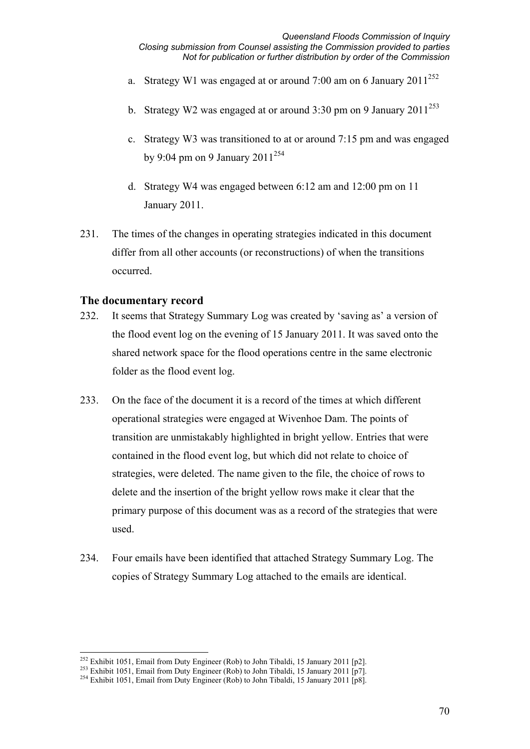- a. Strategy W1 was engaged at or around 7:00 am on 6 January  $2011^{252}$
- b. Strategy W2 was engaged at or around  $3:30$  pm on 9 January  $2011^{253}$
- c. Strategy W3 was transitioned to at or around 7:15 pm and was engaged by 9:04 pm on 9 January 2011<sup>254</sup>
- d. Strategy W4 was engaged between 6:12 am and 12:00 pm on 11 January 2011.
- 231. The times of the changes in operating strategies indicated in this document differ from all other accounts (or reconstructions) of when the transitions occurred.

#### **The documentary record**

- 232. It seems that Strategy Summary Log was created by 'saving as' a version of the flood event log on the evening of 15 January 2011. It was saved onto the shared network space for the flood operations centre in the same electronic folder as the flood event log.
- 233. On the face of the document it is a record of the times at which different operational strategies were engaged at Wivenhoe Dam. The points of transition are unmistakably highlighted in bright yellow. Entries that were contained in the flood event log, but which did not relate to choice of strategies, were deleted. The name given to the file, the choice of rows to delete and the insertion of the bright yellow rows make it clear that the primary purpose of this document was as a record of the strategies that were used.
- 234. Four emails have been identified that attached Strategy Summary Log. The copies of Strategy Summary Log attached to the emails are identical.

 $^{252}$  Exhibit 1051, Email from Duty Engineer (Rob) to John Tibaldi, 15 January 2011 [p2].

<sup>&</sup>lt;sup>253</sup> Exhibit 1051, Email from Duty Engineer (Rob) to John Tibaldi, 15 January 2011 [p7].<br><sup>254</sup> Exhibit 1051, Email from Duty Engineer (Rob) to John Tibaldi, 15 January 2011 [p8].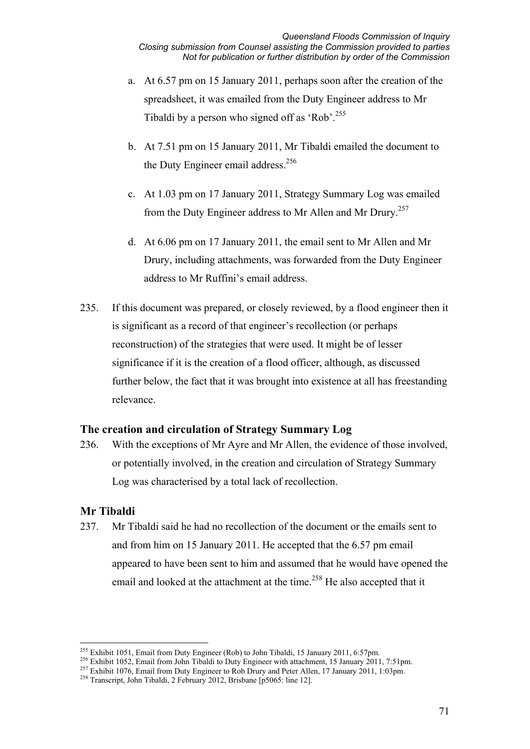- a. At 6.57 pm on 15 January 2011, perhaps soon after the creation of the spreadsheet, it was emailed from the Duty Engineer address to Mr Tibaldi by a person who signed off as 'Rob'.<sup>255</sup>
- b. At 7.51 pm on 15 January 2011, Mr Tibaldi emailed the document to the Duty Engineer email address.<sup>256</sup>
- c. At 1.03 pm on 17 January 2011, Strategy Summary Log was emailed from the Duty Engineer address to Mr Allen and Mr Drury.<sup>257</sup>
- d. At 6.06 pm on 17 January 2011, the email sent to Mr Allen and Mr Drury, including attachments, was forwarded from the Duty Engineer address to Mr Ruffini's email address.
- 235. If this document was prepared, or closely reviewed, by a flood engineer then it is significant as a record of that engineer's recollection (or perhaps reconstruction) of the strategies that were used. It might be of lesser significance if it is the creation of a flood officer, although, as discussed further below, the fact that it was brought into existence at all has freestanding relevance.

### **The creation and circulation of Strategy Summary Log**

236. With the exceptions of Mr Ayre and Mr Allen, the evidence of those involved, or potentially involved, in the creation and circulation of Strategy Summary Log was characterised by a total lack of recollection.

# **Mr Tibaldi**

237. Mr Tibaldi said he had no recollection of the document or the emails sent to and from him on 15 January 2011. He accepted that the 6.57 pm email appeared to have been sent to him and assumed that he would have opened the email and looked at the attachment at the time.<sup>258</sup> He also accepted that it

<sup>&</sup>lt;sup>255</sup> Exhibit 1051, Email from Duty Engineer (Rob) to John Tibaldi, 15 January 2011, 6:57pm.

<sup>&</sup>lt;sup>256</sup> Exhibit 1052, Email from John Tibaldi to Duty Engineer with attachment, 15 January 2011, 7:51pm.<br><sup>257</sup> Exhibit 1076, Email from Duty Engineer to Rob Drury and Peter Allen, 17 January 2011, 1:03pm.<br><sup>258</sup> Transcript, J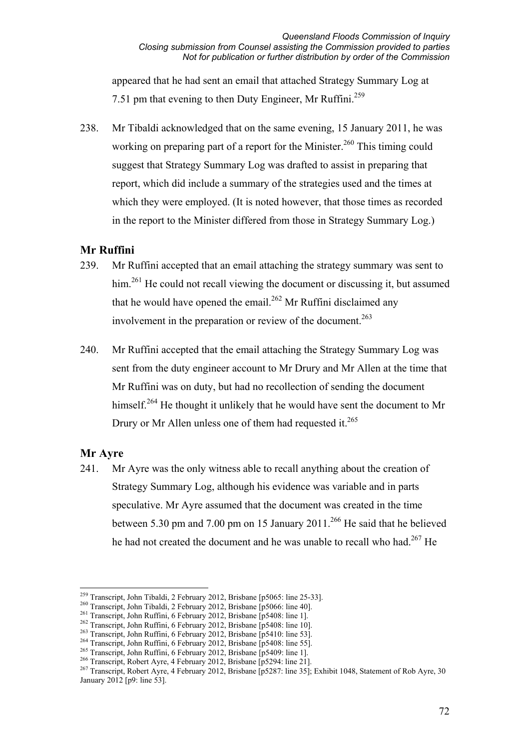appeared that he had sent an email that attached Strategy Summary Log at 7.51 pm that evening to then Duty Engineer, Mr Ruffini.<sup>259</sup>

238. Mr Tibaldi acknowledged that on the same evening, 15 January 2011, he was working on preparing part of a report for the Minister.<sup>260</sup> This timing could suggest that Strategy Summary Log was drafted to assist in preparing that report, which did include a summary of the strategies used and the times at which they were employed. (It is noted however, that those times as recorded in the report to the Minister differed from those in Strategy Summary Log.)

#### **Mr Ruffini**

- 239. Mr Ruffini accepted that an email attaching the strategy summary was sent to him.<sup>261</sup> He could not recall viewing the document or discussing it, but assumed that he would have opened the email.<sup>262</sup> Mr Ruffini disclaimed any involvement in the preparation or review of the document.<sup>263</sup>
- 240. Mr Ruffini accepted that the email attaching the Strategy Summary Log was sent from the duty engineer account to Mr Drury and Mr Allen at the time that Mr Ruffini was on duty, but had no recollection of sending the document himself.<sup>264</sup> He thought it unlikely that he would have sent the document to Mr Drury or Mr Allen unless one of them had requested it.<sup>265</sup>

#### **Mr Ayre**

241. Mr Ayre was the only witness able to recall anything about the creation of Strategy Summary Log, although his evidence was variable and in parts speculative. Mr Ayre assumed that the document was created in the time between 5.30 pm and 7.00 pm on 15 January 2011.<sup>266</sup> He said that he believed he had not created the document and he was unable to recall who had.<sup>267</sup> He

<sup>&</sup>lt;sup>259</sup> Transcript, John Tibaldi, 2 February 2012, Brisbane [p5065: line 25-33].

<sup>&</sup>lt;sup>260</sup> Transcript, John Tibaldi, 2 February 2012, Brisbane [p5066: line 40].<br>
<sup>261</sup> Transcript, John Ruffini, 6 February 2012, Brisbane [p5408: line 1].<br>
<sup>262</sup> Transcript, John Ruffini, 6 February 2012, Brisbane [p5408: li January 2012 [p9: line 53].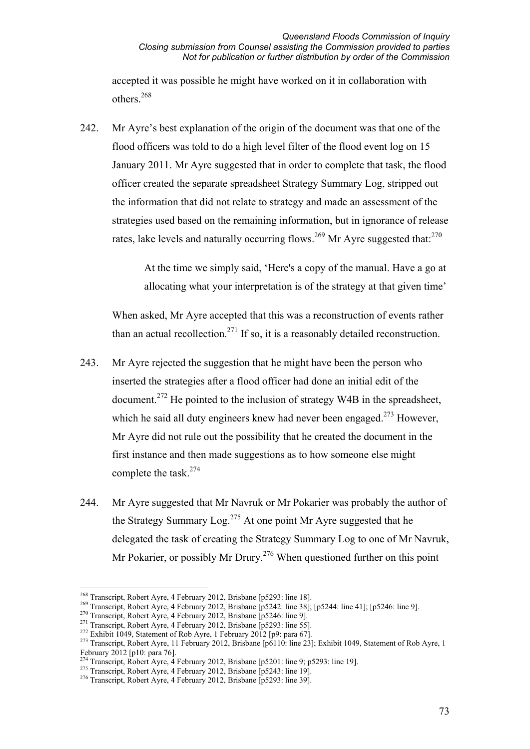accepted it was possible he might have worked on it in collaboration with others.268

242. Mr Ayre's best explanation of the origin of the document was that one of the flood officers was told to do a high level filter of the flood event log on 15 January 2011. Mr Ayre suggested that in order to complete that task, the flood officer created the separate spreadsheet Strategy Summary Log, stripped out the information that did not relate to strategy and made an assessment of the strategies used based on the remaining information, but in ignorance of release rates, lake levels and naturally occurring flows.<sup>269</sup> Mr Ayre suggested that:<sup>270</sup>

> At the time we simply said, 'Here's a copy of the manual. Have a go at allocating what your interpretation is of the strategy at that given time'

When asked, Mr Ayre accepted that this was a reconstruction of events rather than an actual recollection.<sup>271</sup> If so, it is a reasonably detailed reconstruction.

- 243. Mr Ayre rejected the suggestion that he might have been the person who inserted the strategies after a flood officer had done an initial edit of the document.<sup>272</sup> He pointed to the inclusion of strategy W4B in the spreadsheet, which he said all duty engineers knew had never been engaged.<sup>273</sup> However, Mr Ayre did not rule out the possibility that he created the document in the first instance and then made suggestions as to how someone else might complete the task.274
- 244. Mr Ayre suggested that Mr Navruk or Mr Pokarier was probably the author of the Strategy Summary  $\text{Log}^{275}$  At one point Mr Ayre suggested that he delegated the task of creating the Strategy Summary Log to one of Mr Navruk, Mr Pokarier, or possibly Mr Drury.<sup>276</sup> When questioned further on this point

<sup>&</sup>lt;sup>268</sup> Transcript, Robert Ayre, 4 February 2012, Brisbane [p5293: line 18].

<sup>&</sup>lt;sup>269</sup> Transcript, Robert Ayre, 4 February 2012, Brisbane [p5242: line 38]; [p5244: line 41]; [p5246: line 9].<br><sup>270</sup> Transcript, Robert Ayre, 4 February 2012, Brisbane [p5246: line 9].<br><sup>271</sup> Transcript, Robert Ayre, 4 Febr

February 2012 [p10: para 76].<br>
<sup>274</sup> Transcript, Robert Avre, 4 February 2012, Brisbane [p5201: line 9: p5293: line 19].

<sup>&</sup>lt;sup>275</sup> Transcript, Robert Ayre, 4 February 2012, Brisbane [p5243: line 19].<br><sup>276</sup> Transcript, Robert Ayre, 4 February 2012, Brisbane [p5293: line 39].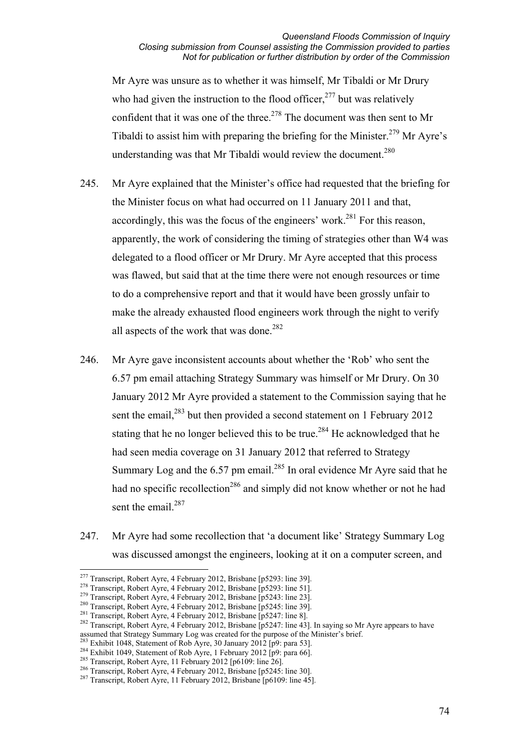Mr Ayre was unsure as to whether it was himself, Mr Tibaldi or Mr Drury who had given the instruction to the flood officer,  $277$  but was relatively confident that it was one of the three.<sup>278</sup> The document was then sent to Mr Tibaldi to assist him with preparing the briefing for the Minister.<sup>279</sup> Mr Ayre's understanding was that Mr Tibaldi would review the document.<sup>280</sup>

- 245. Mr Ayre explained that the Minister's office had requested that the briefing for the Minister focus on what had occurred on 11 January 2011 and that, accordingly, this was the focus of the engineers' work.<sup>281</sup> For this reason, apparently, the work of considering the timing of strategies other than W4 was delegated to a flood officer or Mr Drury. Mr Ayre accepted that this process was flawed, but said that at the time there were not enough resources or time to do a comprehensive report and that it would have been grossly unfair to make the already exhausted flood engineers work through the night to verify all aspects of the work that was done.<sup>282</sup>
- 246. Mr Ayre gave inconsistent accounts about whether the 'Rob' who sent the 6.57 pm email attaching Strategy Summary was himself or Mr Drury. On 30 January 2012 Mr Ayre provided a statement to the Commission saying that he sent the email,<sup>283</sup> but then provided a second statement on 1 February 2012 stating that he no longer believed this to be true.<sup>284</sup> He acknowledged that he had seen media coverage on 31 January 2012 that referred to Strategy Summary Log and the  $6.57$  pm email.<sup>285</sup> In oral evidence Mr Ayre said that he had no specific recollection<sup>286</sup> and simply did not know whether or not he had sent the email.<sup>287</sup>
- 247. Mr Ayre had some recollection that 'a document like' Strategy Summary Log was discussed amongst the engineers, looking at it on a computer screen, and

<sup>&</sup>lt;sup>277</sup> Transcript, Robert Ayre, 4 February 2012, Brisbane [p5293: line 39].

<sup>&</sup>lt;sup>278</sup> Transcript, Robert Ayre, 4 February 2012, Brisbane [p5293: line 51].<br><sup>279</sup> Transcript, Robert Ayre, 4 February 2012, Brisbane [p5243: line 23].<br><sup>280</sup> Transcript, Robert Ayre, 4 February 2012, Brisbane [p5245: line 3 assumed that Strategy Summary Log was created for the purpose of the Minister's brief.<br>  $^{283}$  Exhibit 1048, Statement of Rob Ayre, 30 January 2012 [p9: para 53].<br>  $^{284}$  Exhibit 1049, Statement of Rob Ayre, 1 February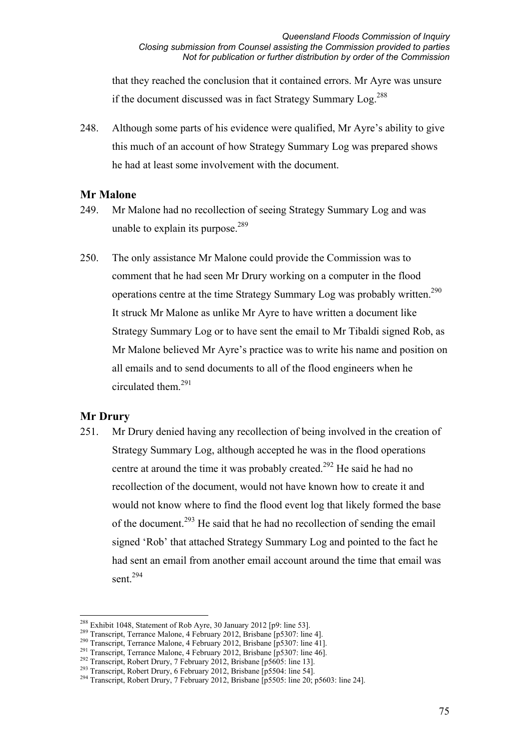that they reached the conclusion that it contained errors. Mr Ayre was unsure if the document discussed was in fact Strategy Summary Log.<sup>288</sup>

248. Although some parts of his evidence were qualified, Mr Ayre's ability to give this much of an account of how Strategy Summary Log was prepared shows he had at least some involvement with the document.

# **Mr Malone**

- 249. Mr Malone had no recollection of seeing Strategy Summary Log and was unable to explain its purpose. $^{289}$
- 250. The only assistance Mr Malone could provide the Commission was to comment that he had seen Mr Drury working on a computer in the flood operations centre at the time Strategy Summary Log was probably written.<sup>290</sup> It struck Mr Malone as unlike Mr Ayre to have written a document like Strategy Summary Log or to have sent the email to Mr Tibaldi signed Rob, as Mr Malone believed Mr Ayre's practice was to write his name and position on all emails and to send documents to all of the flood engineers when he circulated them.<sup>291</sup>

# **Mr Drury**

251. Mr Drury denied having any recollection of being involved in the creation of Strategy Summary Log, although accepted he was in the flood operations centre at around the time it was probably created.<sup>292</sup> He said he had no recollection of the document, would not have known how to create it and would not know where to find the flood event log that likely formed the base of the document.<sup>293</sup> He said that he had no recollection of sending the email signed 'Rob' that attached Strategy Summary Log and pointed to the fact he had sent an email from another email account around the time that email was sent.<sup>294</sup>

<sup>&</sup>lt;sup>288</sup> Exhibit 1048. Statement of Rob Ayre, 30 January 2012 [p9: line 53].

<sup>&</sup>lt;sup>289</sup> Transcript, Terrance Malone, 4 February 2012, Brisbane [p5307: line 4].<br><sup>290</sup> Transcript, Terrance Malone, 4 February 2012, Brisbane [p5307: line 4].<br><sup>291</sup> Transcript, Terrance Malone, 4 February 2012, Brisbane [p53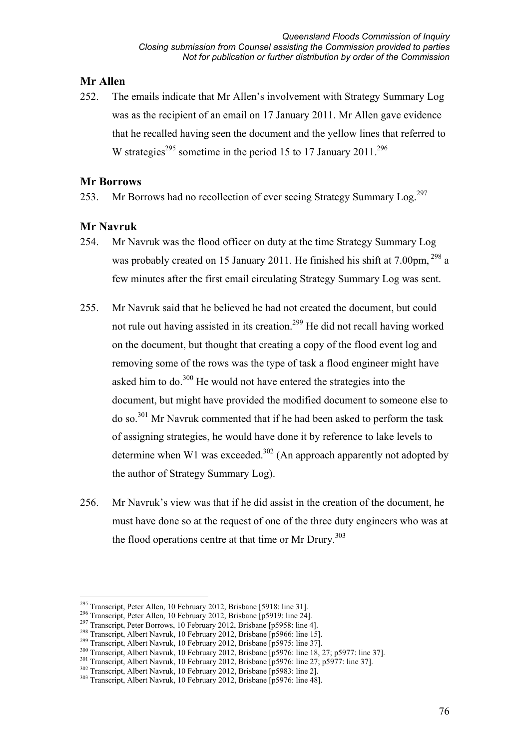# **Mr Allen**

252. The emails indicate that Mr Allen's involvement with Strategy Summary Log was as the recipient of an email on 17 January 2011. Mr Allen gave evidence that he recalled having seen the document and the yellow lines that referred to W strategies<sup>295</sup> sometime in the period 15 to 17 January 2011<sup>296</sup>

### **Mr Borrows**

253. Mr Borrows had no recollection of ever seeing Strategy Summary Log.<sup>297</sup>

# **Mr Navruk**

- 254. Mr Navruk was the flood officer on duty at the time Strategy Summary Log was probably created on 15 January 2011. He finished his shift at 7.00pm, <sup>298</sup> a few minutes after the first email circulating Strategy Summary Log was sent.
- 255. Mr Navruk said that he believed he had not created the document, but could not rule out having assisted in its creation.299 He did not recall having worked on the document, but thought that creating a copy of the flood event log and removing some of the rows was the type of task a flood engineer might have asked him to do.<sup>300</sup> He would not have entered the strategies into the document, but might have provided the modified document to someone else to do so.301 Mr Navruk commented that if he had been asked to perform the task of assigning strategies, he would have done it by reference to lake levels to determine when W1 was exceeded.<sup>302</sup> (An approach apparently not adopted by the author of Strategy Summary Log).
- 256. Mr Navruk's view was that if he did assist in the creation of the document, he must have done so at the request of one of the three duty engineers who was at the flood operations centre at that time or Mr Drury.<sup>303</sup>

<sup>&</sup>lt;sup>295</sup> Transcript, Peter Allen, 10 February 2012, Brisbane [5918: line 31].

<sup>&</sup>lt;sup>296</sup> Transcript, Peter Allen, 10 February 2012, Brisbane [p5919: line 24].<br><sup>297</sup> Transcript, Peter Borrows, 10 February 2012, Brisbane [p5958: line 4].<br><sup>298</sup> Transcript, Albert Navruk, 10 February 2012, Brisbane [p5966: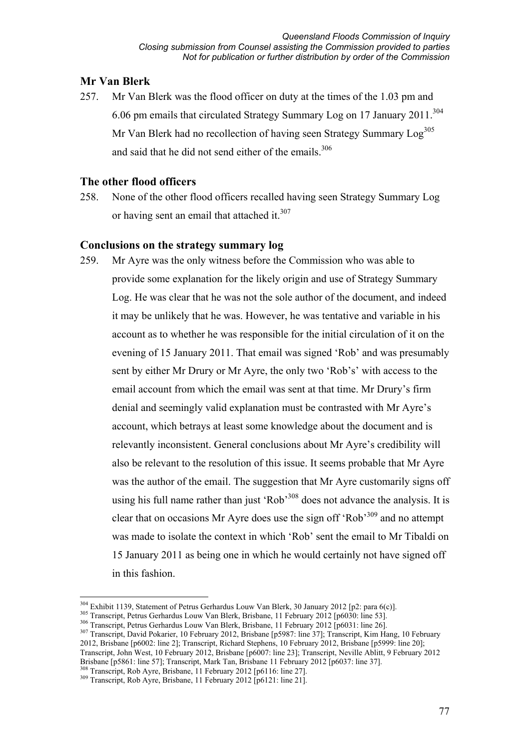# **Mr Van Blerk**

257. Mr Van Blerk was the flood officer on duty at the times of the 1.03 pm and 6.06 pm emails that circulated Strategy Summary Log on 17 January 2011.<sup>304</sup> Mr Van Blerk had no recollection of having seen Strategy Summary  $Log<sup>305</sup>$ and said that he did not send either of the emails.<sup>306</sup>

# **The other flood officers**

258. None of the other flood officers recalled having seen Strategy Summary Log or having sent an email that attached it.<sup>307</sup>

# **Conclusions on the strategy summary log**

259. Mr Ayre was the only witness before the Commission who was able to provide some explanation for the likely origin and use of Strategy Summary Log. He was clear that he was not the sole author of the document, and indeed it may be unlikely that he was. However, he was tentative and variable in his account as to whether he was responsible for the initial circulation of it on the evening of 15 January 2011. That email was signed 'Rob' and was presumably sent by either Mr Drury or Mr Ayre, the only two 'Rob's' with access to the email account from which the email was sent at that time. Mr Drury's firm denial and seemingly valid explanation must be contrasted with Mr Ayre's account, which betrays at least some knowledge about the document and is relevantly inconsistent. General conclusions about Mr Ayre's credibility will also be relevant to the resolution of this issue. It seems probable that Mr Ayre was the author of the email. The suggestion that Mr Ayre customarily signs off using his full name rather than just 'Rob'<sup>308</sup> does not advance the analysis. It is clear that on occasions Mr Ayre does use the sign off 'Rob' $309$  and no attempt was made to isolate the context in which 'Rob' sent the email to Mr Tibaldi on 15 January 2011 as being one in which he would certainly not have signed off in this fashion.

<sup>&</sup>lt;sup>304</sup> Exhibit 1139, Statement of Petrus Gerhardus Louw Van Blerk, 30 January 2012 [p2: para 6(c)].

<sup>&</sup>lt;sup>305</sup> Transcript, Petrus Gerhardus Louw Van Blerk, Brisbane, 11 February 2012 [p6030: line 53].<br><sup>306</sup> Transcript, Petrus Gerhardus Louw Van Blerk, Brisbane, 11 February 2012 [p6031: line 26].<br><sup>307</sup> Transcript, David Pokari 2012, Brisbane [p6002: line 2]; Transcript, Richard Stephens, 10 February 2012, Brisbane [p5999: line 20]; Transcript, John West, 10 February 2012, Brisbane [p6007: line 23]; Transcript, Neville Ablitt, 9 February 2012

<sup>&</sup>lt;sup>308</sup> Transcript, Rob Ayre, Brisbane, 11 February 2012 [p6116: line 27].<br><sup>309</sup> Transcript, Rob Ayre, Brisbane, 11 February 2012 [p6121: line 21].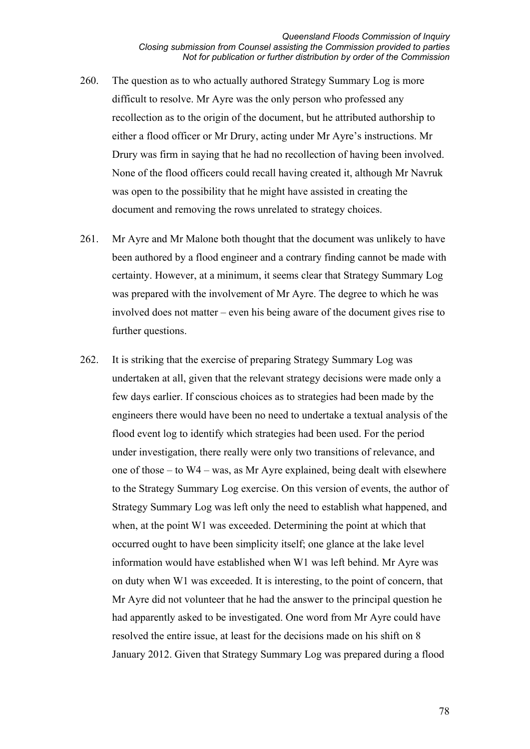- 260. The question as to who actually authored Strategy Summary Log is more difficult to resolve. Mr Ayre was the only person who professed any recollection as to the origin of the document, but he attributed authorship to either a flood officer or Mr Drury, acting under Mr Ayre's instructions. Mr Drury was firm in saying that he had no recollection of having been involved. None of the flood officers could recall having created it, although Mr Navruk was open to the possibility that he might have assisted in creating the document and removing the rows unrelated to strategy choices.
- 261. Mr Ayre and Mr Malone both thought that the document was unlikely to have been authored by a flood engineer and a contrary finding cannot be made with certainty. However, at a minimum, it seems clear that Strategy Summary Log was prepared with the involvement of Mr Ayre. The degree to which he was involved does not matter – even his being aware of the document gives rise to further questions.
- 262. It is striking that the exercise of preparing Strategy Summary Log was undertaken at all, given that the relevant strategy decisions were made only a few days earlier. If conscious choices as to strategies had been made by the engineers there would have been no need to undertake a textual analysis of the flood event log to identify which strategies had been used. For the period under investigation, there really were only two transitions of relevance, and one of those – to W4 – was, as Mr Ayre explained, being dealt with elsewhere to the Strategy Summary Log exercise. On this version of events, the author of Strategy Summary Log was left only the need to establish what happened, and when, at the point W1 was exceeded. Determining the point at which that occurred ought to have been simplicity itself; one glance at the lake level information would have established when W1 was left behind. Mr Ayre was on duty when W1 was exceeded. It is interesting, to the point of concern, that Mr Ayre did not volunteer that he had the answer to the principal question he had apparently asked to be investigated. One word from Mr Ayre could have resolved the entire issue, at least for the decisions made on his shift on 8 January 2012. Given that Strategy Summary Log was prepared during a flood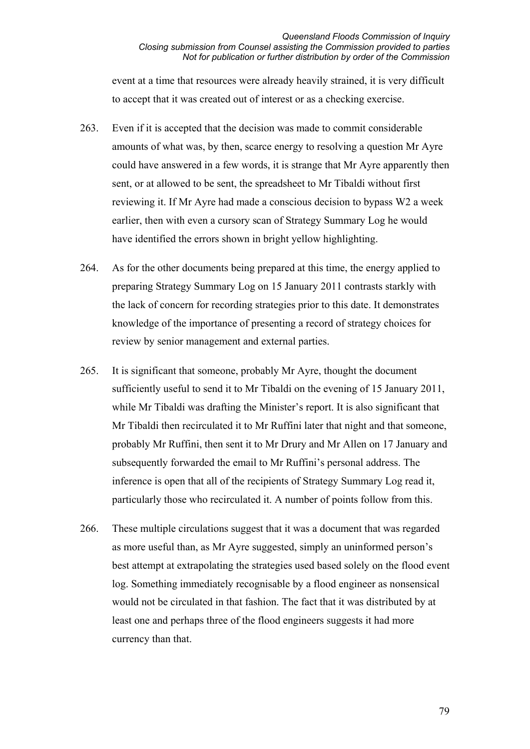event at a time that resources were already heavily strained, it is very difficult to accept that it was created out of interest or as a checking exercise.

- 263. Even if it is accepted that the decision was made to commit considerable amounts of what was, by then, scarce energy to resolving a question Mr Ayre could have answered in a few words, it is strange that Mr Ayre apparently then sent, or at allowed to be sent, the spreadsheet to Mr Tibaldi without first reviewing it. If Mr Ayre had made a conscious decision to bypass W2 a week earlier, then with even a cursory scan of Strategy Summary Log he would have identified the errors shown in bright yellow highlighting.
- 264. As for the other documents being prepared at this time, the energy applied to preparing Strategy Summary Log on 15 January 2011 contrasts starkly with the lack of concern for recording strategies prior to this date. It demonstrates knowledge of the importance of presenting a record of strategy choices for review by senior management and external parties.
- 265. It is significant that someone, probably Mr Ayre, thought the document sufficiently useful to send it to Mr Tibaldi on the evening of 15 January 2011, while Mr Tibaldi was drafting the Minister's report. It is also significant that Mr Tibaldi then recirculated it to Mr Ruffini later that night and that someone, probably Mr Ruffini, then sent it to Mr Drury and Mr Allen on 17 January and subsequently forwarded the email to Mr Ruffini's personal address. The inference is open that all of the recipients of Strategy Summary Log read it, particularly those who recirculated it. A number of points follow from this.
- 266. These multiple circulations suggest that it was a document that was regarded as more useful than, as Mr Ayre suggested, simply an uninformed person's best attempt at extrapolating the strategies used based solely on the flood event log. Something immediately recognisable by a flood engineer as nonsensical would not be circulated in that fashion. The fact that it was distributed by at least one and perhaps three of the flood engineers suggests it had more currency than that.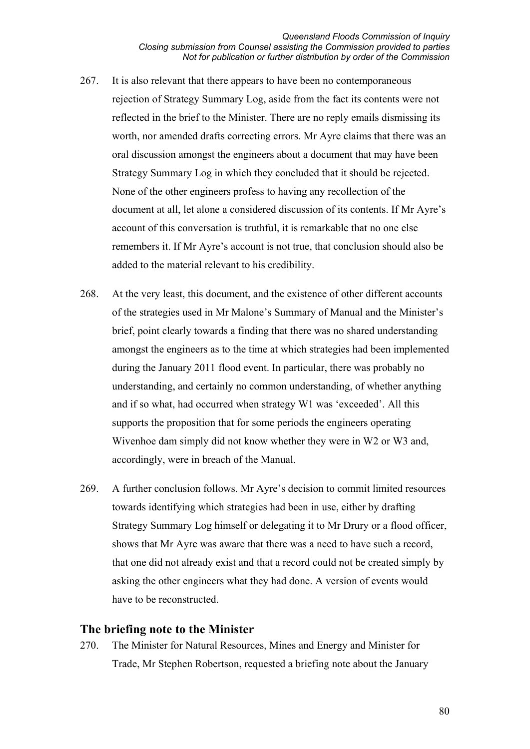- 267. It is also relevant that there appears to have been no contemporaneous rejection of Strategy Summary Log, aside from the fact its contents were not reflected in the brief to the Minister. There are no reply emails dismissing its worth, nor amended drafts correcting errors. Mr Ayre claims that there was an oral discussion amongst the engineers about a document that may have been Strategy Summary Log in which they concluded that it should be rejected. None of the other engineers profess to having any recollection of the document at all, let alone a considered discussion of its contents. If Mr Ayre's account of this conversation is truthful, it is remarkable that no one else remembers it. If Mr Ayre's account is not true, that conclusion should also be added to the material relevant to his credibility.
- 268. At the very least, this document, and the existence of other different accounts of the strategies used in Mr Malone's Summary of Manual and the Minister's brief, point clearly towards a finding that there was no shared understanding amongst the engineers as to the time at which strategies had been implemented during the January 2011 flood event. In particular, there was probably no understanding, and certainly no common understanding, of whether anything and if so what, had occurred when strategy W1 was 'exceeded'. All this supports the proposition that for some periods the engineers operating Wivenhoe dam simply did not know whether they were in W2 or W3 and, accordingly, were in breach of the Manual.
- 269. A further conclusion follows. Mr Ayre's decision to commit limited resources towards identifying which strategies had been in use, either by drafting Strategy Summary Log himself or delegating it to Mr Drury or a flood officer, shows that Mr Ayre was aware that there was a need to have such a record, that one did not already exist and that a record could not be created simply by asking the other engineers what they had done. A version of events would have to be reconstructed.

# **The briefing note to the Minister**

270. The Minister for Natural Resources, Mines and Energy and Minister for Trade, Mr Stephen Robertson, requested a briefing note about the January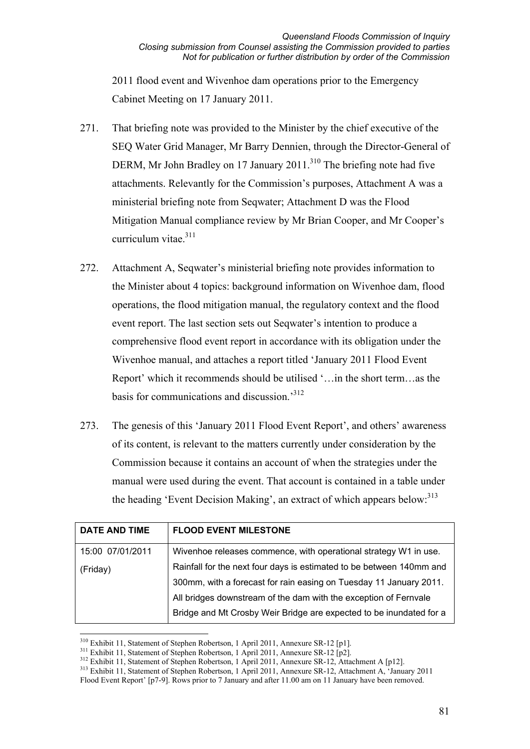2011 flood event and Wivenhoe dam operations prior to the Emergency Cabinet Meeting on 17 January 2011.

- 271. That briefing note was provided to the Minister by the chief executive of the SEQ Water Grid Manager, Mr Barry Dennien, through the Director-General of DERM, Mr John Bradley on 17 January  $2011$ .<sup>310</sup> The briefing note had five attachments. Relevantly for the Commission's purposes, Attachment A was a ministerial briefing note from Seqwater; Attachment D was the Flood Mitigation Manual compliance review by Mr Brian Cooper, and Mr Cooper's curriculum vitae.<sup>311</sup>
- 272. Attachment A, Seqwater's ministerial briefing note provides information to the Minister about 4 topics: background information on Wivenhoe dam, flood operations, the flood mitigation manual, the regulatory context and the flood event report. The last section sets out Seqwater's intention to produce a comprehensive flood event report in accordance with its obligation under the Wivenhoe manual, and attaches a report titled 'January 2011 Flood Event Report' which it recommends should be utilised '…in the short term…as the basis for communications and discussion.'312
- 273. The genesis of this 'January 2011 Flood Event Report', and others' awareness of its content, is relevant to the matters currently under consideration by the Commission because it contains an account of when the strategies under the manual were used during the event. That account is contained in a table under the heading 'Event Decision Making', an extract of which appears below: <sup>313</sup>

| <b>DATE AND TIME</b> | <b>FLOOD EVENT MILESTONE</b>                                         |
|----------------------|----------------------------------------------------------------------|
| 15:00 07/01/2011     | Wivenhoe releases commence, with operational strategy W1 in use.     |
| (Friday)             | Rainfall for the next four days is estimated to be between 140mm and |
|                      | 300mm, with a forecast for rain easing on Tuesday 11 January 2011.   |
|                      | All bridges downstream of the dam with the exception of Fernvale     |
|                      | Bridge and Mt Crosby Weir Bridge are expected to be inundated for a  |

<sup>&</sup>lt;u>.</u>

<sup>&</sup>lt;sup>310</sup> Exhibit 11, Statement of Stephen Robertson, 1 April 2011, Annexure SR-12 [p1].<br><sup>311</sup> Exhibit 11, Statement of Stephen Robertson, 1 April 2011, Annexure SR-12 [p2].<br><sup>312</sup> Exhibit 11, Statement of Stephen Robertson, 1 Flood Event Report' [p7-9]. Rows prior to 7 January and after 11.00 am on 11 January have been removed.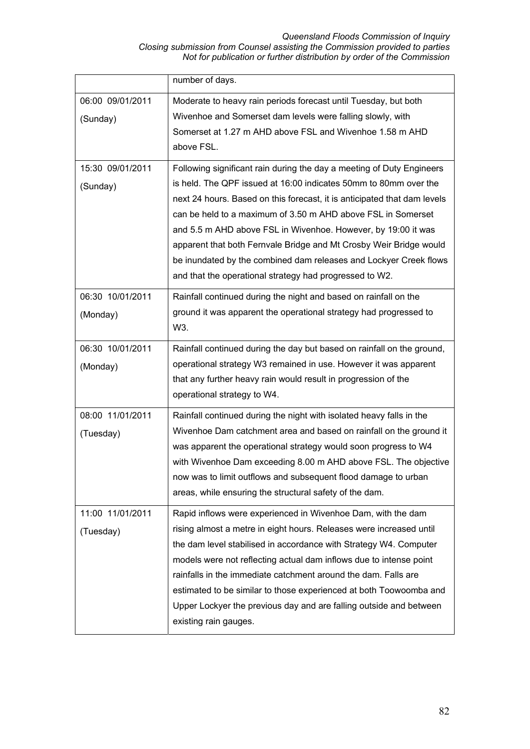#### *Queensland Floods Commission of Inquiry Closing submission from Counsel assisting the Commission provided to parties Not for publication or further distribution by order of the Commission*

|                               | number of days.                                                                                                                                                                                                                                                                                                                                                                                                                                                                                                                                              |
|-------------------------------|--------------------------------------------------------------------------------------------------------------------------------------------------------------------------------------------------------------------------------------------------------------------------------------------------------------------------------------------------------------------------------------------------------------------------------------------------------------------------------------------------------------------------------------------------------------|
| 06:00 09/01/2011<br>(Sunday)  | Moderate to heavy rain periods forecast until Tuesday, but both<br>Wivenhoe and Somerset dam levels were falling slowly, with<br>Somerset at 1.27 m AHD above FSL and Wivenhoe 1.58 m AHD<br>above FSL.                                                                                                                                                                                                                                                                                                                                                      |
| 15:30 09/01/2011<br>(Sunday)  | Following significant rain during the day a meeting of Duty Engineers<br>is held. The QPF issued at 16:00 indicates 50mm to 80mm over the<br>next 24 hours. Based on this forecast, it is anticipated that dam levels<br>can be held to a maximum of 3.50 m AHD above FSL in Somerset<br>and 5.5 m AHD above FSL in Wivenhoe. However, by 19:00 it was<br>apparent that both Fernvale Bridge and Mt Crosby Weir Bridge would<br>be inundated by the combined dam releases and Lockyer Creek flows<br>and that the operational strategy had progressed to W2. |
| 06:30 10/01/2011<br>(Monday)  | Rainfall continued during the night and based on rainfall on the<br>ground it was apparent the operational strategy had progressed to<br>W3.                                                                                                                                                                                                                                                                                                                                                                                                                 |
| 06:30 10/01/2011<br>(Monday)  | Rainfall continued during the day but based on rainfall on the ground,<br>operational strategy W3 remained in use. However it was apparent<br>that any further heavy rain would result in progression of the<br>operational strategy to W4.                                                                                                                                                                                                                                                                                                                  |
| 08:00 11/01/2011<br>(Tuesday) | Rainfall continued during the night with isolated heavy falls in the<br>Wivenhoe Dam catchment area and based on rainfall on the ground it<br>was apparent the operational strategy would soon progress to W4<br>with Wivenhoe Dam exceeding 8.00 m AHD above FSL. The objective<br>now was to limit outflows and subsequent flood damage to urban<br>areas, while ensuring the structural safety of the dam.                                                                                                                                                |
| 11:00 11/01/2011<br>(Tuesday) | Rapid inflows were experienced in Wivenhoe Dam, with the dam<br>rising almost a metre in eight hours. Releases were increased until<br>the dam level stabilised in accordance with Strategy W4. Computer<br>models were not reflecting actual dam inflows due to intense point<br>rainfalls in the immediate catchment around the dam. Falls are<br>estimated to be similar to those experienced at both Toowoomba and<br>Upper Lockyer the previous day and are falling outside and between<br>existing rain gauges.                                        |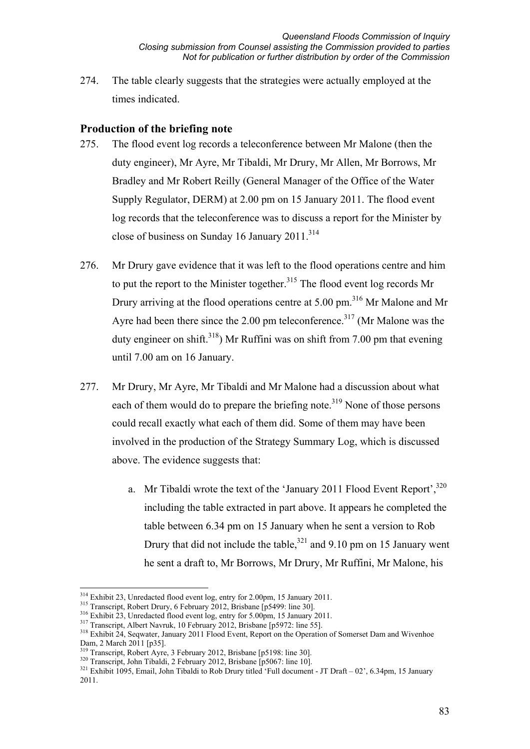274. The table clearly suggests that the strategies were actually employed at the times indicated.

# **Production of the briefing note**

- 275. The flood event log records a teleconference between Mr Malone (then the duty engineer), Mr Ayre, Mr Tibaldi, Mr Drury, Mr Allen, Mr Borrows, Mr Bradley and Mr Robert Reilly (General Manager of the Office of the Water Supply Regulator, DERM) at 2.00 pm on 15 January 2011. The flood event log records that the teleconference was to discuss a report for the Minister by close of business on Sunday 16 January 2011.<sup>314</sup>
- 276. Mr Drury gave evidence that it was left to the flood operations centre and him to put the report to the Minister together.<sup>315</sup> The flood event log records Mr Drury arriving at the flood operations centre at 5.00 pm.<sup>316</sup> Mr Malone and Mr Ayre had been there since the 2.00 pm teleconference.<sup>317</sup> (Mr Malone was the duty engineer on shift.<sup>318</sup>) Mr Ruffini was on shift from 7.00 pm that evening until 7.00 am on 16 January.
- 277. Mr Drury, Mr Ayre, Mr Tibaldi and Mr Malone had a discussion about what each of them would do to prepare the briefing note.<sup>319</sup> None of those persons could recall exactly what each of them did. Some of them may have been involved in the production of the Strategy Summary Log, which is discussed above. The evidence suggests that:
	- a. Mr Tibaldi wrote the text of the 'January 2011 Flood Event Report',  $320$ including the table extracted in part above. It appears he completed the table between 6.34 pm on 15 January when he sent a version to Rob Drury that did not include the table, $321$  and 9.10 pm on 15 January went he sent a draft to, Mr Borrows, Mr Drury, Mr Ruffini, Mr Malone, his

<sup>&</sup>lt;sup>314</sup> Exhibit 23, Unredacted flood event log, entry for 2.00pm, 15 January 2011.

<sup>&</sup>lt;sup>315</sup> Transcript, Robert Drury, 6 February 2012, Brisbane [p5499: line 30].<br><sup>316</sup> Exhibit 23, Unredacted flood event log, entry for 5.00pm, 15 January 2011.<br><sup>317</sup> Transcript, Albert Navruk, 10 February 2012, Brisbane [p59 Dam, 2 March 2011 [p35].<br><sup>319</sup> Transcript, Robert Ayre, 3 February 2012, Brisbane [p5198: line 30].

<sup>320</sup> Transcript, John Tibaldi, 2 February 2012, Brisbane [p5067: line 10].<br>321 Exhibit 1095, Email, John Tibaldi to Rob Drury titled 'Full document - JT Draft – 02', 6.34pm, 15 January 2011.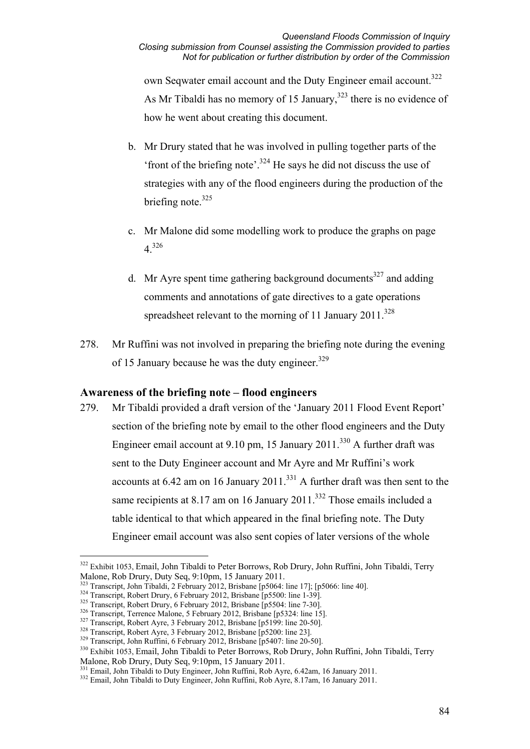own Seqwater email account and the Duty Engineer email account.<sup>322</sup> As Mr Tibaldi has no memory of 15 January,  $323$  there is no evidence of how he went about creating this document.

- b. Mr Drury stated that he was involved in pulling together parts of the 'front of the briefing note'.<sup>324</sup> He says he did not discuss the use of strategies with any of the flood engineers during the production of the briefing note. $325$
- c. Mr Malone did some modelling work to produce the graphs on page 4.<sup>326</sup>
- d. Mr Ayre spent time gathering background documents<sup>327</sup> and adding comments and annotations of gate directives to a gate operations spreadsheet relevant to the morning of 11 January  $2011$ <sup>328</sup>
- 278. Mr Ruffini was not involved in preparing the briefing note during the evening of 15 January because he was the duty engineer.<sup>329</sup>

# **Awareness of the briefing note – flood engineers**

279. Mr Tibaldi provided a draft version of the 'January 2011 Flood Event Report' section of the briefing note by email to the other flood engineers and the Duty Engineer email account at 9.10 pm, 15 January 2011.<sup>330</sup> A further draft was sent to the Duty Engineer account and Mr Ayre and Mr Ruffini's work accounts at  $6.42$  am on 16 January  $2011$ .<sup>331</sup> A further draft was then sent to the same recipients at 8.17 am on 16 January 2011.<sup>332</sup> Those emails included a table identical to that which appeared in the final briefing note. The Duty Engineer email account was also sent copies of later versions of the whole

<u>.</u>

<sup>&</sup>lt;sup>322</sup> Exhibit 1053, Email, John Tibaldi to Peter Borrows, Rob Drury, John Ruffini, John Tibaldi, Terry Malone, Rob Drury, Duty Seq, 9:10pm, 15 January 2011.<br>
<sup>323</sup> Transcript, John Tibaldi, 2 February 2012, Brisbane [p5064: line 17]; [p5066: line 40].

<sup>&</sup>lt;sup>324</sup> Transcript, Robert Drury, 6 February 2012, Brisbane [p5500: line 1-39].<br><sup>325</sup> Transcript, Robert Drury, 6 February 2012, Brisbane [p5500: line 1-39].<br><sup>326</sup> Transcript, Robert Drury, 6 February 2012, Brisbane [p5504: Malone, Rob Drury, Duty Seq, 9:10pm, 15 January 2011.<br><sup>331</sup> Email, John Tibaldi to Duty Engineer, John Ruffini, Rob Ayre, 6.42am, 16 January 2011.

<sup>&</sup>lt;sup>332</sup> Email, John Tibaldi to Duty Engineer, John Ruffini, Rob Ayre, 8.17am, 16 January 2011.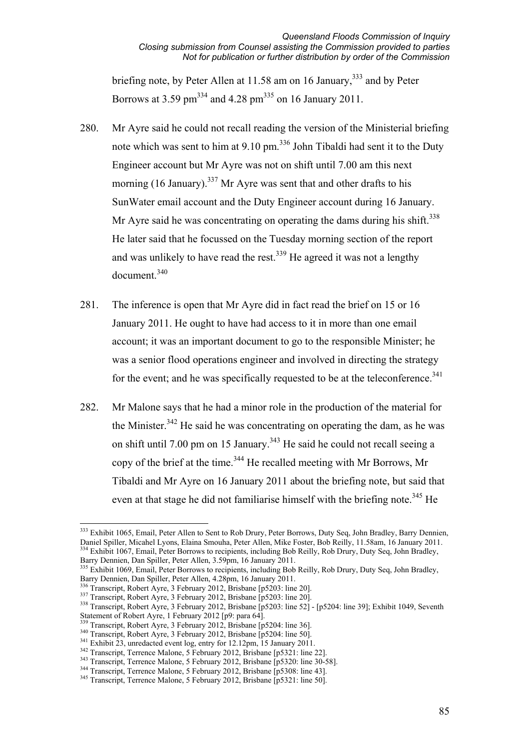briefing note, by Peter Allen at 11.58 am on 16 January,<sup>333</sup> and by Peter Borrows at 3.59 pm<sup>334</sup> and 4.28 pm<sup>335</sup> on 16 January 2011.

- 280. Mr Ayre said he could not recall reading the version of the Ministerial briefing note which was sent to him at  $9.10 \text{ pm}$ .<sup>336</sup> John Tibaldi had sent it to the Duty Engineer account but Mr Ayre was not on shift until 7.00 am this next morning (16 January).<sup>337</sup> Mr Ayre was sent that and other drafts to his SunWater email account and the Duty Engineer account during 16 January. Mr Ayre said he was concentrating on operating the dams during his shift. $338$ He later said that he focussed on the Tuesday morning section of the report and was unlikely to have read the rest.<sup>339</sup> He agreed it was not a lengthy document.<sup>340</sup>
- 281. The inference is open that Mr Ayre did in fact read the brief on 15 or 16 January 2011. He ought to have had access to it in more than one email account; it was an important document to go to the responsible Minister; he was a senior flood operations engineer and involved in directing the strategy for the event; and he was specifically requested to be at the teleconference. $341$
- 282. Mr Malone says that he had a minor role in the production of the material for the Minister.<sup>342</sup> He said he was concentrating on operating the dam, as he was on shift until 7.00 pm on 15 January.<sup>343</sup> He said he could not recall seeing a copy of the brief at the time.<sup>344</sup> He recalled meeting with Mr Borrows, Mr Tibaldi and Mr Ayre on 16 January 2011 about the briefing note, but said that even at that stage he did not familiarise himself with the briefing note.<sup>345</sup> He

<sup>&</sup>lt;sup>333</sup> Exhibit 1065, Email, Peter Allen to Sent to Rob Drury, Peter Borrows, Duty Seq, John Bradley, Barry Dennien, Daniel Spiller, Micahel Lyons, Elaina Smouha, Peter Allen, Mike Foster, Bob Reilly, 11.58am, 16 January 2011.<br><sup>334</sup> Exhibit 1067, Email, Peter Borrows to recipients, including Bob Reilly, Rob Drury, Duty Seq, John Bradley,

<sup>&</sup>lt;sup>335</sup> Exhibit 1069, Email, Peter Borrows to recipients, including Bob Reilly, Rob Drury, Duty Seq, John Bradley, Barry Dennien, Dan Spiller, Peter Allen, 4.28pm, 16 January 2011.

<sup>&</sup>lt;sup>336</sup> Transcript, Robert Ayre, 3 February 2012, Brisbane [p5203: line 20].<br><sup>337</sup> Transcript, Robert Ayre, 3 February 2012, Brisbane [p5203: line 20].<br><sup>338</sup> Transcript, Robert Ayre, 3 February 2012, Brisbane [p5203: line 5 Statement of Robert Ayre, 1 February 2012 [p9: para 64].

<sup>&</sup>lt;sup>339</sup> Transcript, Robert Ayre, 3 February 2012, Brisbane [p5204: line 36].<br><sup>340</sup> Transcript, Robert Ayre, 3 February 2012, Brisbane [p5204: line 50].<br><sup>341</sup> Exhibit 23, unredacted event log, entry for 12.12pm, 15 January 20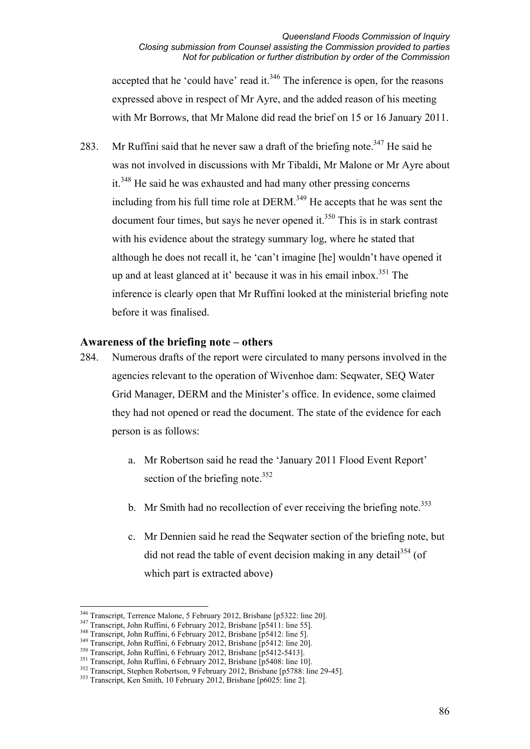accepted that he 'could have' read it. $346$  The inference is open, for the reasons expressed above in respect of Mr Ayre, and the added reason of his meeting with Mr Borrows, that Mr Malone did read the brief on 15 or 16 January 2011.

283. Mr Ruffini said that he never saw a draft of the briefing note.<sup>347</sup> He said he was not involved in discussions with Mr Tibaldi, Mr Malone or Mr Ayre about it.<sup>348</sup> He said he was exhausted and had many other pressing concerns including from his full time role at DERM. $349$  He accepts that he was sent the document four times, but says he never opened it. $350$  This is in stark contrast with his evidence about the strategy summary log, where he stated that although he does not recall it, he 'can't imagine [he] wouldn't have opened it up and at least glanced at it' because it was in his email inbox.<sup>351</sup> The inference is clearly open that Mr Ruffini looked at the ministerial briefing note before it was finalised.

### **Awareness of the briefing note – others**

- 284. Numerous drafts of the report were circulated to many persons involved in the agencies relevant to the operation of Wivenhoe dam: Seqwater, SEQ Water Grid Manager, DERM and the Minister's office. In evidence, some claimed they had not opened or read the document. The state of the evidence for each person is as follows:
	- a. Mr Robertson said he read the 'January 2011 Flood Event Report' section of the briefing note. $352$
	- b. Mr Smith had no recollection of ever receiving the briefing note.<sup>353</sup>
	- c. Mr Dennien said he read the Seqwater section of the briefing note, but did not read the table of event decision making in any detail  $354$  (of which part is extracted above)

<sup>&</sup>lt;sup>346</sup> Transcript, Terrence Malone, 5 February 2012, Brisbane [p5322: line 20].

<sup>347</sup> Transcript, John Ruffini, 6 February 2012, Brisbane [p5411: line 55].<br>
348 Transcript, John Ruffini, 6 February 2012, Brisbane [p5412: line 51].<br>
349 Transcript, John Ruffini, 6 February 2012, Brisbane [p5412: line 20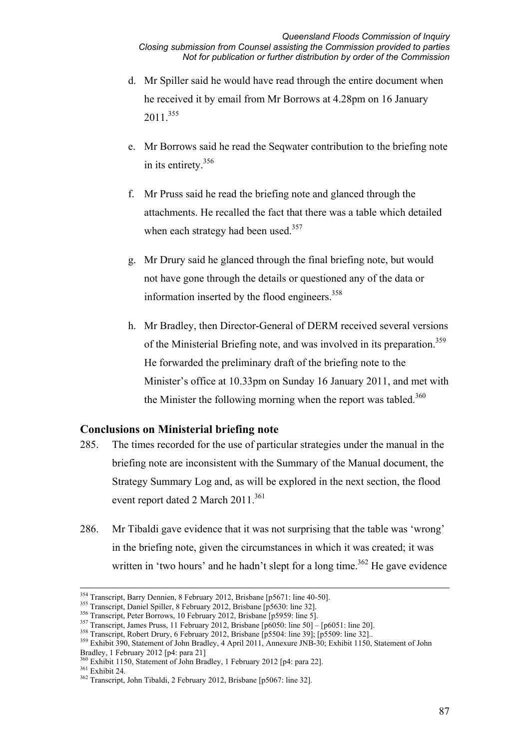- d. Mr Spiller said he would have read through the entire document when he received it by email from Mr Borrows at 4.28pm on 16 January 2011 355
- e. Mr Borrows said he read the Seqwater contribution to the briefing note in its entirety.356
- f. Mr Pruss said he read the briefing note and glanced through the attachments. He recalled the fact that there was a table which detailed when each strategy had been used.<sup>357</sup>
- g. Mr Drury said he glanced through the final briefing note, but would not have gone through the details or questioned any of the data or information inserted by the flood engineers. $358$
- h. Mr Bradley, then Director-General of DERM received several versions of the Ministerial Briefing note, and was involved in its preparation.<sup>359</sup> He forwarded the preliminary draft of the briefing note to the Minister's office at 10.33pm on Sunday 16 January 2011, and met with the Minister the following morning when the report was tabled.<sup>360</sup>

# **Conclusions on Ministerial briefing note**

- 285. The times recorded for the use of particular strategies under the manual in the briefing note are inconsistent with the Summary of the Manual document, the Strategy Summary Log and, as will be explored in the next section, the flood event report dated 2 March  $2011$ .<sup>361</sup>
- 286. Mr Tibaldi gave evidence that it was not surprising that the table was 'wrong' in the briefing note, given the circumstances in which it was created; it was written in 'two hours' and he hadn't slept for a long time.<sup>362</sup> He gave evidence

<sup>&</sup>lt;sup>354</sup> Transcript, Barry Dennien, 8 February 2012, Brisbane [p5671: line 40-50].<br><sup>355</sup> Transcript, Daniel Spiller, 8 February 2012, Brisbane [p5630: line 32].<br><sup>356</sup> Transcript, Peter Borrows, 10 February 2012, Brisbane [p5 Bradley, 1 February 2012 [p4: para 21]<br><sup>360</sup> Exhibit 1150, Statement of John Bradley, 1 February 2012 [p4: para 22].

 $\frac{361 \text{ Exhibit } 124.}{362 \text{ Transcript } 24.}$ <br> $\frac{361 \text{ Exhibit } 24.}{362 \text{ Transcript } 1}$ , John Tibaldi, 2 February 2012, Brisbane [p5067: line 32].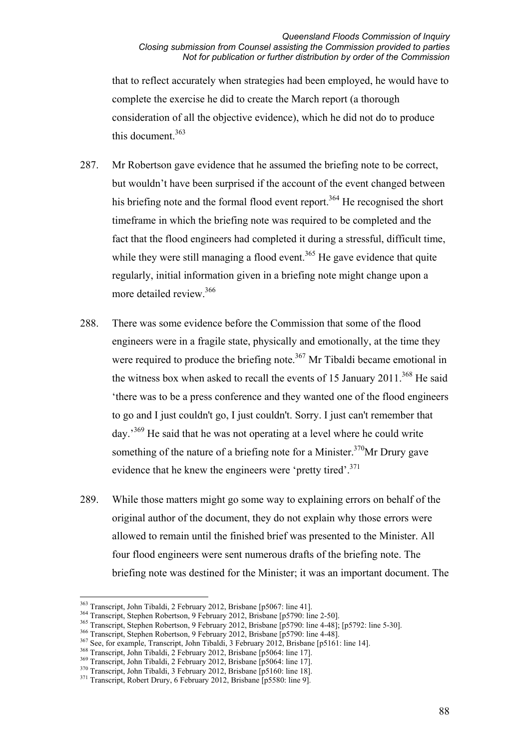#### *Queensland Floods Commission of Inquiry Closing submission from Counsel assisting the Commission provided to parties Not for publication or further distribution by order of the Commission*

that to reflect accurately when strategies had been employed, he would have to complete the exercise he did to create the March report (a thorough consideration of all the objective evidence), which he did not do to produce this document.<sup>363</sup>

- 287. Mr Robertson gave evidence that he assumed the briefing note to be correct, but wouldn't have been surprised if the account of the event changed between his briefing note and the formal flood event report.<sup>364</sup> He recognised the short timeframe in which the briefing note was required to be completed and the fact that the flood engineers had completed it during a stressful, difficult time, while they were still managing a flood event.<sup>365</sup> He gave evidence that quite regularly, initial information given in a briefing note might change upon a more detailed review.<sup>366</sup>
- 288. There was some evidence before the Commission that some of the flood engineers were in a fragile state, physically and emotionally, at the time they were required to produce the briefing note.<sup>367</sup> Mr Tibaldi became emotional in the witness box when asked to recall the events of 15 January  $2011^{368}$  He said 'there was to be a press conference and they wanted one of the flood engineers to go and I just couldn't go, I just couldn't. Sorry. I just can't remember that day.<sup>369</sup> He said that he was not operating at a level where he could write something of the nature of a briefing note for a Minister.<sup>370</sup>Mr Drury gave evidence that he knew the engineers were 'pretty tired'.<sup>371</sup>
- 289. While those matters might go some way to explaining errors on behalf of the original author of the document, they do not explain why those errors were allowed to remain until the finished brief was presented to the Minister. All four flood engineers were sent numerous drafts of the briefing note. The briefing note was destined for the Minister; it was an important document. The

<sup>363</sup> Transcript, John Tibaldi, 2 February 2012, Brisbane [p5067: line 41].

<sup>&</sup>lt;sup>364</sup> Transcript, Stephen Robertson, 9 February 2012, Brisbane [p5790: line 2-50].<br><sup>365</sup> Transcript, Stephen Robertson, 9 February 2012, Brisbane [p5790: line 4-48]; [p5792: line 5-30].<br><sup>366</sup> Transcript, Stephen Robertson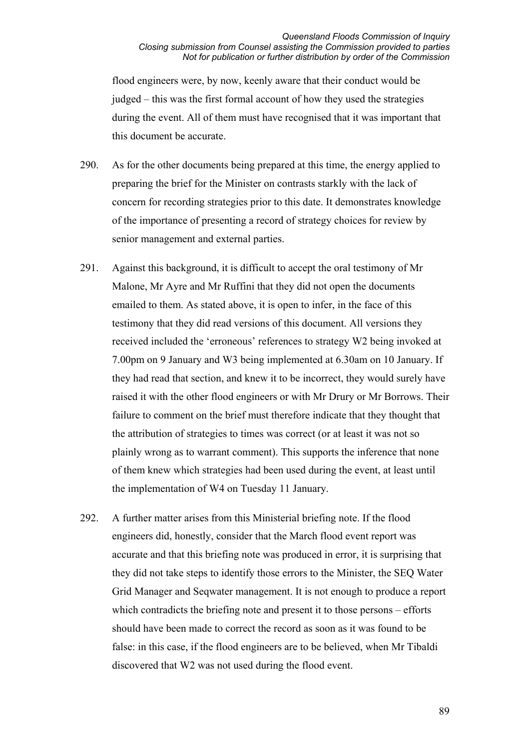flood engineers were, by now, keenly aware that their conduct would be judged – this was the first formal account of how they used the strategies during the event. All of them must have recognised that it was important that this document be accurate.

- 290. As for the other documents being prepared at this time, the energy applied to preparing the brief for the Minister on contrasts starkly with the lack of concern for recording strategies prior to this date. It demonstrates knowledge of the importance of presenting a record of strategy choices for review by senior management and external parties.
- 291. Against this background, it is difficult to accept the oral testimony of Mr Malone, Mr Ayre and Mr Ruffini that they did not open the documents emailed to them. As stated above, it is open to infer, in the face of this testimony that they did read versions of this document. All versions they received included the 'erroneous' references to strategy W2 being invoked at 7.00pm on 9 January and W3 being implemented at 6.30am on 10 January. If they had read that section, and knew it to be incorrect, they would surely have raised it with the other flood engineers or with Mr Drury or Mr Borrows. Their failure to comment on the brief must therefore indicate that they thought that the attribution of strategies to times was correct (or at least it was not so plainly wrong as to warrant comment). This supports the inference that none of them knew which strategies had been used during the event, at least until the implementation of W4 on Tuesday 11 January.
- 292. A further matter arises from this Ministerial briefing note. If the flood engineers did, honestly, consider that the March flood event report was accurate and that this briefing note was produced in error, it is surprising that they did not take steps to identify those errors to the Minister, the SEQ Water Grid Manager and Seqwater management. It is not enough to produce a report which contradicts the briefing note and present it to those persons – efforts should have been made to correct the record as soon as it was found to be false: in this case, if the flood engineers are to be believed, when Mr Tibaldi discovered that W2 was not used during the flood event.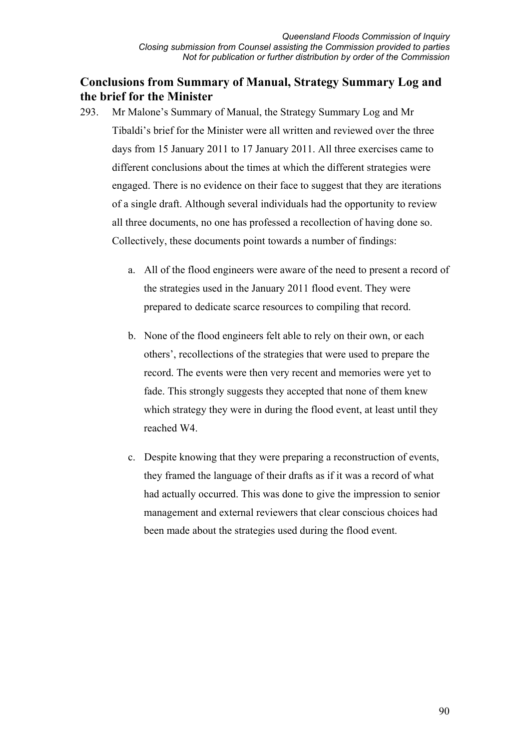# **Conclusions from Summary of Manual, Strategy Summary Log and the brief for the Minister**

- 293. Mr Malone's Summary of Manual, the Strategy Summary Log and Mr Tibaldi's brief for the Minister were all written and reviewed over the three days from 15 January 2011 to 17 January 2011. All three exercises came to different conclusions about the times at which the different strategies were engaged. There is no evidence on their face to suggest that they are iterations of a single draft. Although several individuals had the opportunity to review all three documents, no one has professed a recollection of having done so. Collectively, these documents point towards a number of findings:
	- a. All of the flood engineers were aware of the need to present a record of the strategies used in the January 2011 flood event. They were prepared to dedicate scarce resources to compiling that record.
	- b. None of the flood engineers felt able to rely on their own, or each others', recollections of the strategies that were used to prepare the record. The events were then very recent and memories were yet to fade. This strongly suggests they accepted that none of them knew which strategy they were in during the flood event, at least until they reached W4.
	- c. Despite knowing that they were preparing a reconstruction of events, they framed the language of their drafts as if it was a record of what had actually occurred. This was done to give the impression to senior management and external reviewers that clear conscious choices had been made about the strategies used during the flood event.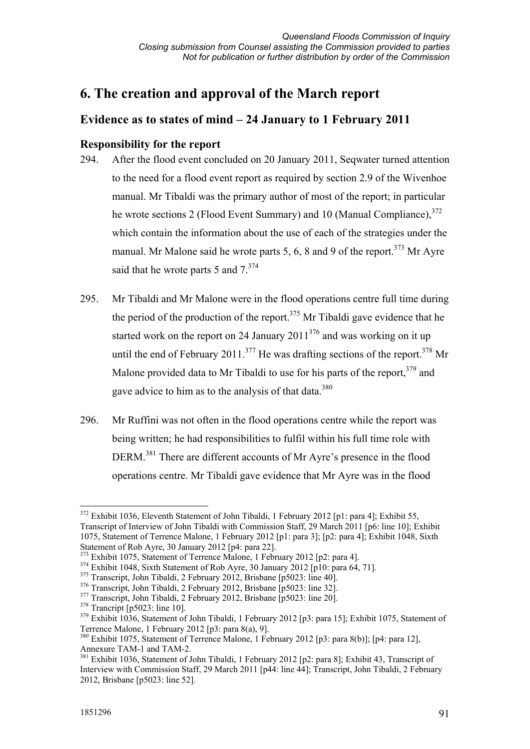# **6. The creation and approval of the March report**

# **Evidence as to states of mind – 24 January to 1 February 2011**

# **Responsibility for the report**

- 294. After the flood event concluded on 20 January 2011, Seqwater turned attention to the need for a flood event report as required by section 2.9 of the Wivenhoe manual. Mr Tibaldi was the primary author of most of the report; in particular he wrote sections 2 (Flood Event Summary) and 10 (Manual Compliance).<sup>372</sup> which contain the information about the use of each of the strategies under the manual. Mr Malone said he wrote parts 5, 6, 8 and 9 of the report.<sup>373</sup> Mr Avre said that he wrote parts 5 and  $7^{374}$
- 295. Mr Tibaldi and Mr Malone were in the flood operations centre full time during the period of the production of the report.<sup>375</sup> Mr Tibaldi gave evidence that he started work on the report on 24 January  $2011^{376}$  and was working on it up until the end of February 2011.<sup>377</sup> He was drafting sections of the report.<sup>378</sup> Mr Malone provided data to Mr Tibaldi to use for his parts of the report,  $379$  and gave advice to him as to the analysis of that data.<sup>380</sup>
- 296. Mr Ruffini was not often in the flood operations centre while the report was being written; he had responsibilities to fulfil within his full time role with DERM.381 There are different accounts of Mr Ayre's presence in the flood operations centre. Mr Tibaldi gave evidence that Mr Ayre was in the flood

<sup>-</sup><sup>372</sup> Exhibit 1036, Eleventh Statement of John Tibaldi, 1 February 2012 [p1: para 4]; Exhibit 55, Transcript of Interview of John Tibaldi with Commission Staff, 29 March 2011 [p6: line 10]; Exhibit 1075, Statement of Terrence Malone, 1 February 2012 [p1: para 3]; [p2: para 4]; Exhibit 1048, Sixth Statement of Rob Ayre, 30 January 2012 [p4: para 22].

<sup>&</sup>lt;sup>373</sup> Exhibit 1075, Statement of Terrence Malone, 1 February 2012 [p2: para 4].

<sup>&</sup>lt;sup>374</sup> Exhibit 1048, Sixth Statement of Rob Ayre, 30 January 2012 [p10: para 64, 71].

<sup>&</sup>lt;sup>375</sup> Transcript, John Tibaldi, 2 February 2012, Brisbane [p5023: line 40].

<sup>376</sup> Transcript, John Tibaldi, 2 February 2012, Brisbane [p5023: line 32].

<sup>&</sup>lt;sup>377</sup> Transcript, John Tibaldi, 2 February 2012, Brisbane [p5023: line 20].

 $378$  Trancript [p5023: line 10].

<sup>&</sup>lt;sup>379</sup> Exhibit 1036, Statement of John Tibaldi, 1 February 2012 [p3: para 15]; Exhibit 1075, Statement of Terrence Malone, 1 February 2012 [p3: para 8(a), 9].

<sup>&</sup>lt;sup>380</sup> Exhibit 1075, Statement of Terrence Malone, 1 February 2012 [p3: para 8(b)]; [p4: para 12], Annexure TAM-1 and TAM-2.

<sup>&</sup>lt;sup>381</sup> Exhibit 1036, Statement of John Tibaldi, 1 February 2012 [p2: para 8]; Exhibit 43, Transcript of Interview with Commission Staff, 29 March 2011 [p44: line 44]; Transcript, John Tibaldi, 2 February 2012, Brisbane [p5023: line 52].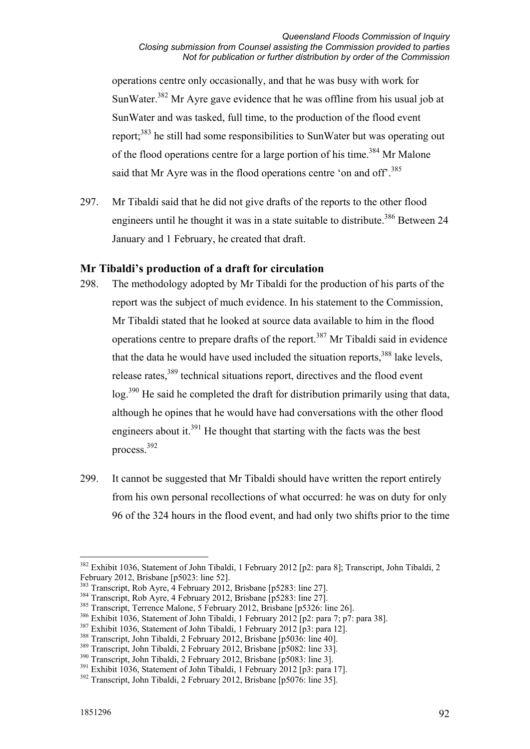operations centre only occasionally, and that he was busy with work for SunWater.<sup>382</sup> Mr Ayre gave evidence that he was offline from his usual job at SunWater and was tasked, full time, to the production of the flood event report;383 he still had some responsibilities to SunWater but was operating out of the flood operations centre for a large portion of his time.<sup>384</sup> Mr Malone said that Mr Ayre was in the flood operations centre 'on and off'.<sup>385</sup>

297. Mr Tibaldi said that he did not give drafts of the reports to the other flood engineers until he thought it was in a state suitable to distribute.<sup>386</sup> Between 24 January and 1 February, he created that draft.

# **Mr Tibaldi's production of a draft for circulation**

- 298. The methodology adopted by Mr Tibaldi for the production of his parts of the report was the subject of much evidence. In his statement to the Commission, Mr Tibaldi stated that he looked at source data available to him in the flood operations centre to prepare drafts of the report.<sup>387</sup> Mr Tibaldi said in evidence that the data he would have used included the situation reports.<sup>388</sup> lake levels. release rates,<sup>389</sup> technical situations report, directives and the flood event log.390 He said he completed the draft for distribution primarily using that data, although he opines that he would have had conversations with the other flood engineers about it.<sup>391</sup> He thought that starting with the facts was the best process.392
- 299. It cannot be suggested that Mr Tibaldi should have written the report entirely from his own personal recollections of what occurred: he was on duty for only 96 of the 324 hours in the flood event, and had only two shifts prior to the time

<sup>&</sup>lt;u>.</u> <sup>382</sup> Exhibit 1036, Statement of John Tibaldi, 1 February 2012 [p2: para 8]; Transcript, John Tibaldi, 2 February 2012, Brisbane [p5023: line 52].

<sup>&</sup>lt;sup>383</sup> Transcript, Rob Ayre, 4 February 2012, Brisbane [p5283: line 27].

<sup>384</sup> Transcript, Rob Ayre, 4 February 2012, Brisbane [p5283: line 27].

<sup>385</sup> Transcript, Terrence Malone, 5 February 2012, Brisbane [p5326: line 26].

<sup>&</sup>lt;sup>386</sup> Exhibit 1036, Statement of John Tibaldi, 1 February 2012 [p2: para 7; p7: para 38].

<sup>&</sup>lt;sup>387</sup> Exhibit 1036, Statement of John Tibaldi, 1 February 2012 [p3: para 12].

<sup>388</sup> Transcript, John Tibaldi, 2 February 2012, Brisbane [p5036: line 40].

<sup>&</sup>lt;sup>389</sup> Transcript, John Tibaldi, 2 February 2012, Brisbane [p5082: line 33].

<sup>390</sup> Transcript, John Tibaldi, 2 February 2012, Brisbane [p5083: line 3].

<sup>&</sup>lt;sup>391</sup> Exhibit 1036, Statement of John Tibaldi, 1 February 2012 [p3: para 17].

<sup>392</sup> Transcript, John Tibaldi, 2 February 2012, Brisbane [p5076: line 35].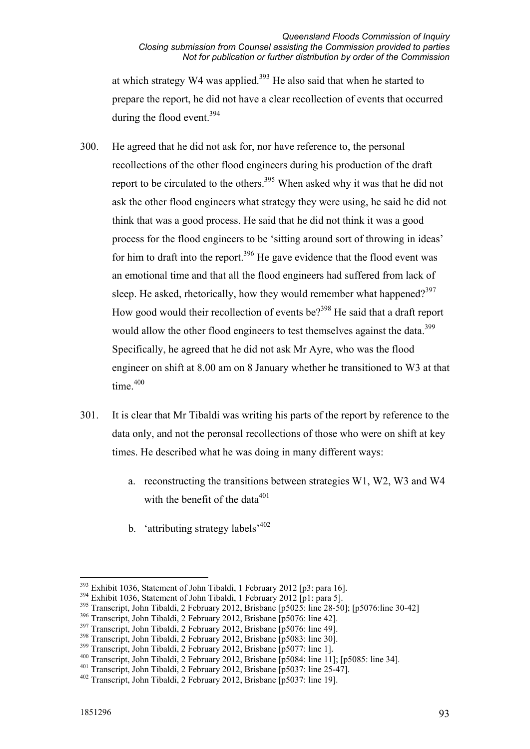at which strategy W4 was applied.<sup>393</sup> He also said that when he started to prepare the report, he did not have a clear recollection of events that occurred during the flood event.<sup>394</sup>

- 300. He agreed that he did not ask for, nor have reference to, the personal recollections of the other flood engineers during his production of the draft report to be circulated to the others.<sup>395</sup> When asked why it was that he did not ask the other flood engineers what strategy they were using, he said he did not think that was a good process. He said that he did not think it was a good process for the flood engineers to be 'sitting around sort of throwing in ideas' for him to draft into the report.<sup>396</sup> He gave evidence that the flood event was an emotional time and that all the flood engineers had suffered from lack of sleep. He asked, rhetorically, how they would remember what happened?<sup>397</sup> How good would their recollection of events be?<sup>398</sup> He said that a draft report would allow the other flood engineers to test themselves against the data.<sup>399</sup> Specifically, he agreed that he did not ask Mr Ayre, who was the flood engineer on shift at 8.00 am on 8 January whether he transitioned to W3 at that time $400$
- 301. It is clear that Mr Tibaldi was writing his parts of the report by reference to the data only, and not the peronsal recollections of those who were on shift at key times. He described what he was doing in many different ways:
	- a. reconstructing the transitions between strategies W1, W2, W3 and W4 with the benefit of the data $401$
	- b. 'attributing strategy labels'<sup>402</sup>

<sup>-</sup><sup>393</sup> Exhibit 1036, Statement of John Tibaldi, 1 February 2012 [p3: para 16].

<sup>&</sup>lt;sup>394</sup> Exhibit 1036, Statement of John Tibaldi, 1 February 2012 [p1: para 5].

<sup>395</sup> Transcript, John Tibaldi, 2 February 2012, Brisbane [p5025: line 28-50]; [p5076:line 30-42]

<sup>396</sup> Transcript, John Tibaldi, 2 February 2012, Brisbane [p5076: line 42].

<sup>&</sup>lt;sup>397</sup> Transcript, John Tibaldi, 2 February 2012, Brisbane [p5076: line 49].

<sup>&</sup>lt;sup>398</sup> Transcript, John Tibaldi, 2 February 2012, Brisbane [p5083: line 30].

<sup>399</sup> Transcript, John Tibaldi, 2 February 2012, Brisbane [p5077: line 1].

<sup>400</sup> Transcript, John Tibaldi, 2 February 2012, Brisbane [p5084: line 11]; [p5085: line 34].

<sup>401</sup> Transcript, John Tibaldi, 2 February 2012, Brisbane [p5037: line 25-47].

<sup>402</sup> Transcript, John Tibaldi, 2 February 2012, Brisbane [p5037: line 19].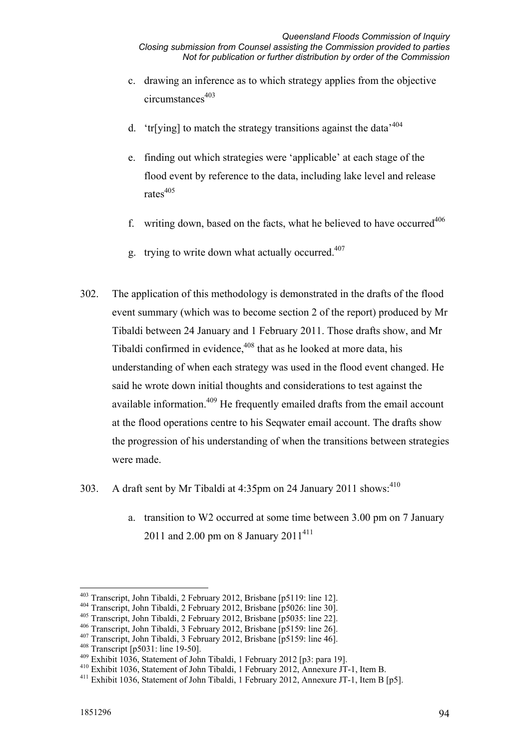- c. drawing an inference as to which strategy applies from the objective circumstances<sup>403</sup>
- d. 'tr[ying] to match the strategy transitions against the data<sup> $404$ </sup>
- e. finding out which strategies were 'applicable' at each stage of the flood event by reference to the data, including lake level and release rates<sup>405</sup>
- f. writing down, based on the facts, what he believed to have occurred<sup>406</sup>
- g. trying to write down what actually occurred. $407$
- 302. The application of this methodology is demonstrated in the drafts of the flood event summary (which was to become section 2 of the report) produced by Mr Tibaldi between 24 January and 1 February 2011. Those drafts show, and Mr Tibaldi confirmed in evidence.<sup>408</sup> that as he looked at more data, his understanding of when each strategy was used in the flood event changed. He said he wrote down initial thoughts and considerations to test against the available information.<sup>409</sup> He frequently emailed drafts from the email account at the flood operations centre to his Seqwater email account. The drafts show the progression of his understanding of when the transitions between strategies were made.
- 303. A draft sent by Mr Tibaldi at  $4:35$ pm on 24 January 2011 shows:<sup>410</sup>
	- a. transition to W2 occurred at some time between 3.00 pm on 7 January 2011 and 2.00 pm on 8 January  $2011^{411}$

<sup>&</sup>lt;u>.</u> 403 Transcript, John Tibaldi, 2 February 2012, Brisbane [p5119: line 12].

<sup>404</sup> Transcript, John Tibaldi, 2 February 2012, Brisbane [p5026: line 30].

<sup>405</sup> Transcript, John Tibaldi, 2 February 2012, Brisbane [p5035: line 22].

<sup>406</sup> Transcript, John Tibaldi, 3 February 2012, Brisbane [p5159: line 26].

<sup>407</sup> Transcript, John Tibaldi, 3 February 2012, Brisbane [p5159: line 46].

<sup>408</sup> Transcript [p5031: line 19-50].

 $^{409}$  Exhibit 1036, Statement of John Tibaldi, 1 February 2012 [p3: para 19].<br> $^{410}$  Exhibit 1036, Statement of John Tibaldi, 1 February 2012, Annexure JT-1, Item B.

<sup>&</sup>lt;sup>411</sup> Exhibit 1036, Statement of John Tibaldi, 1 February 2012, Annexure JT-1, Item B [p5].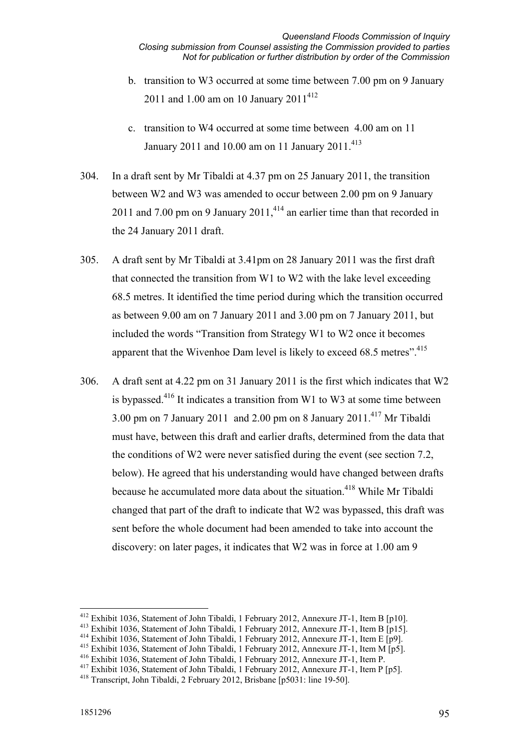- b. transition to W3 occurred at some time between 7.00 pm on 9 January 2011 and 1.00 am on 10 January  $2011^{412}$
- c. transition to W4 occurred at some time between 4.00 am on 11 January 2011 and 10.00 am on 11 January 2011.<sup>413</sup>
- 304. In a draft sent by Mr Tibaldi at 4.37 pm on 25 January 2011, the transition between W2 and W3 was amended to occur between 2.00 pm on 9 January 2011 and 7.00 pm on 9 January  $2011<sup>414</sup>$  an earlier time than that recorded in the 24 January 2011 draft.
- 305. A draft sent by Mr Tibaldi at 3.41pm on 28 January 2011 was the first draft that connected the transition from W1 to W2 with the lake level exceeding 68.5 metres. It identified the time period during which the transition occurred as between 9.00 am on 7 January 2011 and 3.00 pm on 7 January 2011, but included the words "Transition from Strategy W1 to W2 once it becomes apparent that the Wivenhoe Dam level is likely to exceed 68.5 metres".<sup>415</sup>
- 306. A draft sent at 4.22 pm on 31 January 2011 is the first which indicates that W2 is bypassed.416 It indicates a transition from W1 to W3 at some time between 3.00 pm on 7 January 2011 and 2.00 pm on 8 January 2011.<sup>417</sup> Mr Tibaldi must have, between this draft and earlier drafts, determined from the data that the conditions of W2 were never satisfied during the event (see section 7.2, below). He agreed that his understanding would have changed between drafts because he accumulated more data about the situation.<sup>418</sup> While Mr Tibaldi changed that part of the draft to indicate that W2 was bypassed, this draft was sent before the whole document had been amended to take into account the discovery: on later pages, it indicates that W2 was in force at 1.00 am 9

<sup>&</sup>lt;sup>412</sup> Exhibit 1036, Statement of John Tibaldi, 1 February 2012, Annexure JT-1, Item B [p10].

<sup>&</sup>lt;sup>413</sup> Exhibit 1036, Statement of John Tibaldi, 1 February 2012, Annexure JT-1, Item B [p15].<br><sup>414</sup> Exhibit 1036, Statement of John Tibaldi, 1 February 2012, Annexure JT-1, Item E [p9].

<sup>415</sup> Exhibit 1036, Statement of John Tibaldi, 1 February 2012, Annexure JT-1, Item M [p5].

<sup>416</sup> Exhibit 1036, Statement of John Tibaldi, 1 February 2012, Annexure JT-1, Item P.

<sup>417</sup> Exhibit 1036, Statement of John Tibaldi, 1 February 2012, Annexure JT-1, Item P [p5].

<sup>418</sup> Transcript, John Tibaldi, 2 February 2012, Brisbane [p5031: line 19-50].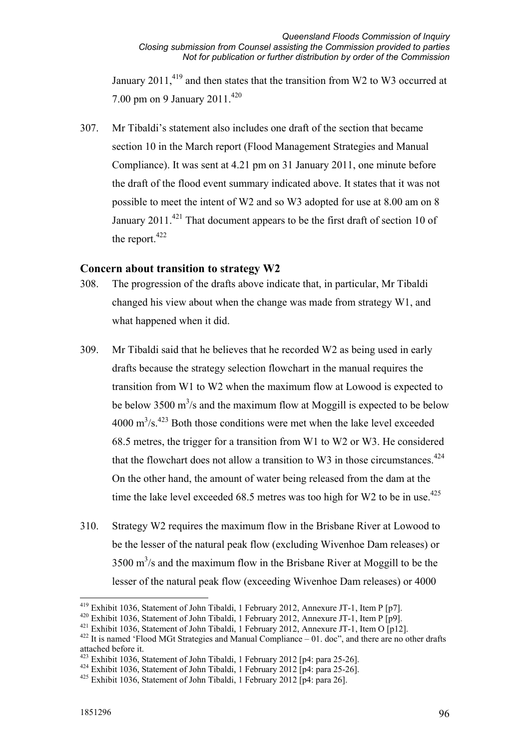January 2011, $419$  and then states that the transition from W2 to W3 occurred at 7.00 pm on 9 January 2011.<sup>420</sup>

307. Mr Tibaldi's statement also includes one draft of the section that became section 10 in the March report (Flood Management Strategies and Manual Compliance). It was sent at 4.21 pm on 31 January 2011, one minute before the draft of the flood event summary indicated above. It states that it was not possible to meet the intent of W2 and so W3 adopted for use at 8.00 am on 8 January 2011.<sup>421</sup> That document appears to be the first draft of section 10 of the report.<sup>422</sup>

### **Concern about transition to strategy W2**

- 308. The progression of the drafts above indicate that, in particular, Mr Tibaldi changed his view about when the change was made from strategy W1, and what happened when it did.
- 309. Mr Tibaldi said that he believes that he recorded W2 as being used in early drafts because the strategy selection flowchart in the manual requires the transition from W1 to W2 when the maximum flow at Lowood is expected to be below 3500  $\text{m}^3$ /s and the maximum flow at Moggill is expected to be below  $4000 \text{ m}^3/\text{s}$ .  $423 \text{ Both those conditions were met when the lake level exceeded}$ 68.5 metres, the trigger for a transition from W1 to W2 or W3. He considered that the flowchart does not allow a transition to W3 in those circumstances. $424$ On the other hand, the amount of water being released from the dam at the time the lake level exceeded 68.5 metres was too high for W2 to be in use.<sup>425</sup>
- 310. Strategy W2 requires the maximum flow in the Brisbane River at Lowood to be the lesser of the natural peak flow (excluding Wivenhoe Dam releases) or  $3500 \text{ m}^3$ /s and the maximum flow in the Brisbane River at Moggill to be the lesser of the natural peak flow (exceeding Wivenhoe Dam releases) or 4000

<sup>&</sup>lt;sup>419</sup> Exhibit 1036, Statement of John Tibaldi, 1 February 2012, Annexure JT-1, Item P [p7].<br><sup>420</sup> Exhibit 1036, Statement of John Tibaldi, 1 February 2012, Annexure JT-1, Item P [p9].

<sup>&</sup>lt;sup>421</sup> Exhibit 1036, Statement of John Tibaldi, 1 February 2012, Annexure JT-1, Item O [p12].<br><sup>422</sup> It is named 'Flood MGt Strategies and Manual Compliance – 01. doc", and there are no other drafts

attached before it.<br><sup>423</sup> Exhibit 1036. Statement of John Tibaldi, 1 February 2012 [p4: para 25-26].

 $424$  Exhibit 1036, Statement of John Tibaldi, 1 February 2012 [p4: para 25-26].

 $425$  Exhibit 1036, Statement of John Tibaldi, 1 February 2012 [p4: para 26].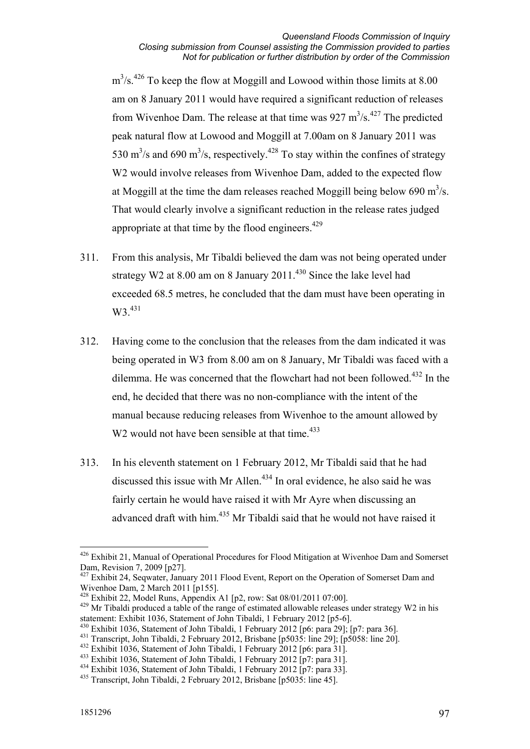$m<sup>3</sup>/s<sup>426</sup>$  To keep the flow at Moggill and Lowood within those limits at 8.00 am on 8 January 2011 would have required a significant reduction of releases from Wivenhoe Dam. The release at that time was  $927 \text{ m}^3/\text{s}$ .<sup>427</sup> The predicted peak natural flow at Lowood and Moggill at 7.00am on 8 January 2011 was 530 m<sup>3</sup>/s and 690 m<sup>3</sup>/s, respectively.<sup>428</sup> To stay within the confines of strategy W<sub>2</sub> would involve releases from Wivenhoe Dam, added to the expected flow at Moggill at the time the dam releases reached Moggill being below 690 m<sup>3</sup>/s. That would clearly involve a significant reduction in the release rates judged appropriate at that time by the flood engineers. $429$ 

- 311. From this analysis, Mr Tibaldi believed the dam was not being operated under strategy W2 at  $8.00$  am on  $8$  January  $2011$ .<sup>430</sup> Since the lake level had exceeded 68.5 metres, he concluded that the dam must have been operating in W3.<sup>431</sup>
- 312. Having come to the conclusion that the releases from the dam indicated it was being operated in W3 from 8.00 am on 8 January, Mr Tibaldi was faced with a dilemma. He was concerned that the flowchart had not been followed.<sup>432</sup> In the end, he decided that there was no non-compliance with the intent of the manual because reducing releases from Wivenhoe to the amount allowed by W<sub>2</sub> would not have been sensible at that time.<sup> $433$ </sup>
- 313. In his eleventh statement on 1 February 2012, Mr Tibaldi said that he had discussed this issue with Mr Allen.<sup>434</sup> In oral evidence, he also said he was fairly certain he would have raised it with Mr Ayre when discussing an advanced draft with him.<sup>435</sup> Mr Tibaldi said that he would not have raised it

<sup>1</sup> <sup>426</sup> Exhibit 21, Manual of Operational Procedures for Flood Mitigation at Wivenhoe Dam and Somerset Dam, Revision 7, 2009 [p27].

<sup>&</sup>lt;sup>427</sup> Exhibit 24, Seqwater, January 2011 Flood Event, Report on the Operation of Somerset Dam and Wivenhoe Dam, 2 March 2011 [p155].

 $428$  Exhibit 22, Model Runs, Appendix A1 [p2, row: Sat 08/01/2011 07:00].

<sup>&</sup>lt;sup>429</sup> Mr Tibaldi produced a table of the range of estimated allowable releases under strategy W2 in his statement: Exhibit 1036, Statement of John Tibaldi, 1 February 2012 [p5-6].

 $430$  Exhibit 1036, Statement of John Tibaldi, 1 February 2012 [p6: para 29]; [p7: para 36].

<sup>431</sup> Transcript, John Tibaldi, 2 February 2012, Brisbane [p5035: line 29]; [p5058: line 20].

<sup>432</sup> Exhibit 1036, Statement of John Tibaldi, 1 February 2012 [p6: para 31].

<sup>433</sup> Exhibit 1036, Statement of John Tibaldi, 1 February 2012 [p7: para 31].

<sup>434</sup> Exhibit 1036, Statement of John Tibaldi, 1 February 2012 [p7: para 33].

<sup>435</sup> Transcript, John Tibaldi, 2 February 2012, Brisbane [p5035: line 45].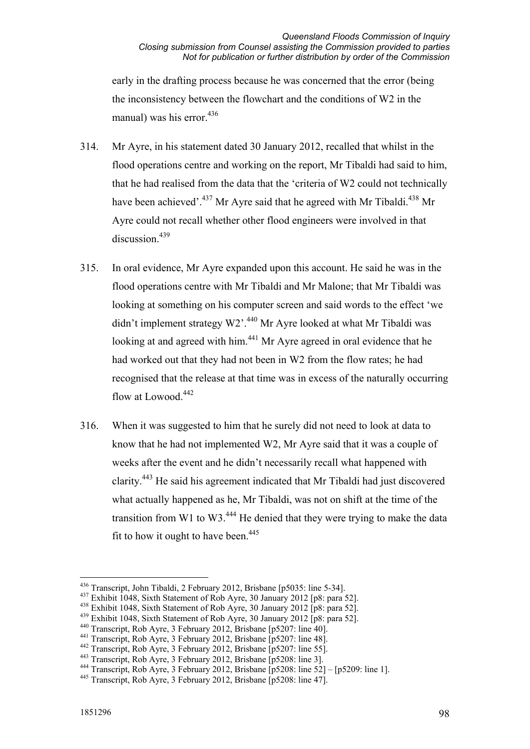early in the drafting process because he was concerned that the error (being the inconsistency between the flowchart and the conditions of W2 in the manual) was his error. $436$ 

- 314. Mr Ayre, in his statement dated 30 January 2012, recalled that whilst in the flood operations centre and working on the report, Mr Tibaldi had said to him, that he had realised from the data that the 'criteria of W2 could not technically have been achieved'.<sup>437</sup> Mr Ayre said that he agreed with Mr Tibaldi.<sup>438</sup> Mr Ayre could not recall whether other flood engineers were involved in that discussion.<sup>439</sup>
- 315. In oral evidence, Mr Ayre expanded upon this account. He said he was in the flood operations centre with Mr Tibaldi and Mr Malone; that Mr Tibaldi was looking at something on his computer screen and said words to the effect 'we didn't implement strategy W2'.<sup>440</sup> Mr Ayre looked at what Mr Tibaldi was looking at and agreed with him.<sup>441</sup> Mr Ayre agreed in oral evidence that he had worked out that they had not been in W2 from the flow rates; he had recognised that the release at that time was in excess of the naturally occurring flow at Lowood.<sup>442</sup>
- 316. When it was suggested to him that he surely did not need to look at data to know that he had not implemented W2, Mr Ayre said that it was a couple of weeks after the event and he didn't necessarily recall what happened with clarity.443 He said his agreement indicated that Mr Tibaldi had just discovered what actually happened as he, Mr Tibaldi, was not on shift at the time of the transition from W1 to W3. $444$  He denied that they were trying to make the data fit to how it ought to have been.  $445$

<sup>436</sup> Transcript, John Tibaldi, 2 February 2012, Brisbane [p5035: line 5-34].

<sup>437</sup> Exhibit 1048, Sixth Statement of Rob Ayre, 30 January 2012 [p8: para 52].

<sup>438</sup> Exhibit 1048, Sixth Statement of Rob Ayre, 30 January 2012 [p8: para 52].

<sup>&</sup>lt;sup>439</sup> Exhibit 1048, Sixth Statement of Rob Ayre, 30 January 2012  $\overline{[p8]}$ : para 52].<br><sup>440</sup> Transcript, Rob Ayre, 3 February 2012, Brisbane  $\overline{[p5207]}$ : line 40].

<sup>441</sup> Transcript, Rob Ayre, 3 February 2012, Brisbane [p5207: line 48].<br><sup>442</sup> Transcript, Rob Ayre, 3 February 2012, Brisbane [p5207: line 55].<br><sup>443</sup> Transcript, Rob Ayre, 3 February 2012, Brisbane [p5208: line 3].

<sup>&</sup>lt;sup>444</sup> Transcript, Rob Ayre, 3 February 2012, Brisbane  $\overline{p}$  5208: line 52] –  $\overline{p}$  5209: line 1].

<sup>445</sup> Transcript, Rob Ayre, 3 February 2012, Brisbane [p5208: line 47].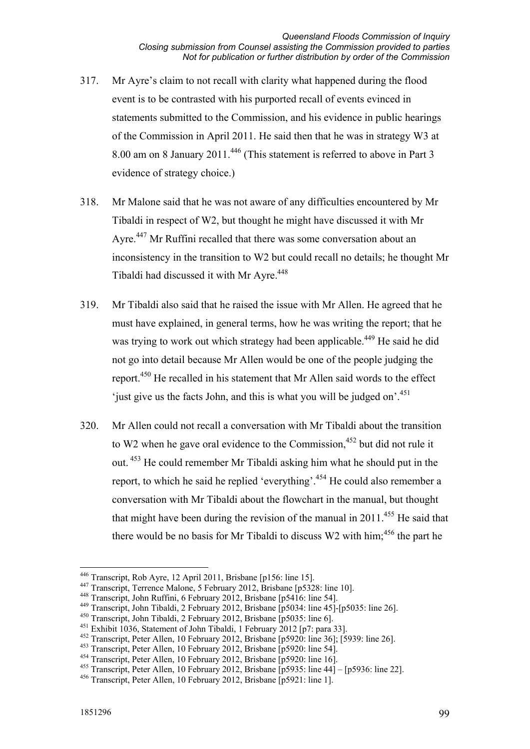- 317. Mr Ayre's claim to not recall with clarity what happened during the flood event is to be contrasted with his purported recall of events evinced in statements submitted to the Commission, and his evidence in public hearings of the Commission in April 2011. He said then that he was in strategy W3 at 8.00 am on 8 January 2011.446 (This statement is referred to above in Part 3 evidence of strategy choice.)
- 318. Mr Malone said that he was not aware of any difficulties encountered by Mr Tibaldi in respect of W2, but thought he might have discussed it with Mr Ayre.<sup>447</sup> Mr Ruffini recalled that there was some conversation about an inconsistency in the transition to W2 but could recall no details; he thought Mr Tibaldi had discussed it with Mr Ayre.<sup>448</sup>
- 319. Mr Tibaldi also said that he raised the issue with Mr Allen. He agreed that he must have explained, in general terms, how he was writing the report; that he was trying to work out which strategy had been applicable.<sup>449</sup> He said he did not go into detail because Mr Allen would be one of the people judging the report.450 He recalled in his statement that Mr Allen said words to the effect 'just give us the facts John, and this is what you will be judged on'.<sup>451</sup>
- 320. Mr Allen could not recall a conversation with Mr Tibaldi about the transition to W2 when he gave oral evidence to the Commission, $452$  but did not rule it out. 453 He could remember Mr Tibaldi asking him what he should put in the report, to which he said he replied 'everything'.454 He could also remember a conversation with Mr Tibaldi about the flowchart in the manual, but thought that might have been during the revision of the manual in  $2011^{455}$  He said that there would be no basis for Mr Tibaldi to discuss  $W2$  with him;<sup>456</sup> the part he

<sup>446</sup> Transcript, Rob Ayre, 12 April 2011, Brisbane [p156: line 15].

<sup>447</sup> Transcript, Terrence Malone, 5 February 2012, Brisbane [p5328: line 10].

<sup>448</sup> Transcript, John Ruffini, 6 February 2012, Brisbane [p5416: line 54].

<sup>449</sup> Transcript, John Tibaldi, 2 February 2012, Brisbane [p5034: line 45]-[p5035: line 26].

<sup>450</sup> Transcript, John Tibaldi, 2 February 2012, Brisbane [p5035: line 6].

<sup>451</sup> Exhibit 1036, Statement of John Tibaldi, 1 February 2012 [p7: para 33].

<sup>452</sup> Transcript, Peter Allen, 10 February 2012, Brisbane [p5920: line 36]; [5939: line 26].

<sup>453</sup> Transcript, Peter Allen, 10 February 2012, Brisbane [p5920: line 54].

<sup>454</sup> Transcript, Peter Allen, 10 February 2012, Brisbane [p5920: line 16].

<sup>&</sup>lt;sup>455</sup> Transcript, Peter Allen, 10 February 2012, Brisbane  $\overline{p}$ 5935: line 44 $\overline{p}$  –  $\overline{p}$ 5936: line 22].

<sup>456</sup> Transcript, Peter Allen, 10 February 2012, Brisbane [p5921: line 1].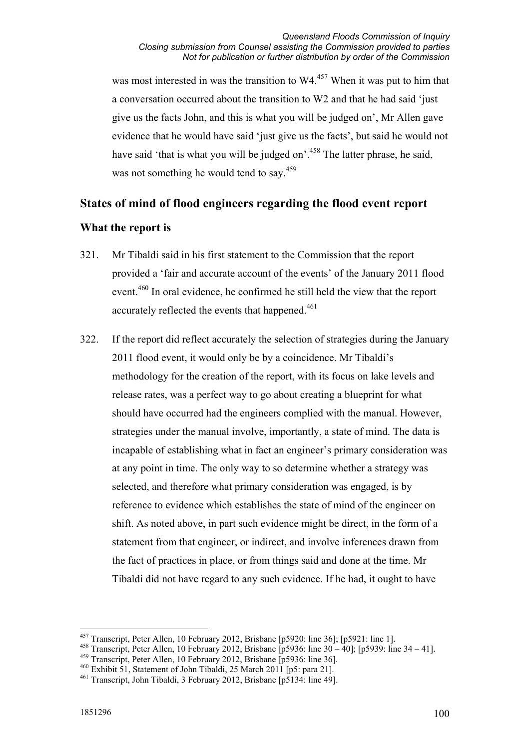was most interested in was the transition to  $W4$ <sup>457</sup> When it was put to him that a conversation occurred about the transition to W2 and that he had said 'just give us the facts John, and this is what you will be judged on', Mr Allen gave evidence that he would have said 'just give us the facts', but said he would not have said 'that is what you will be judged on'.<sup>458</sup> The latter phrase, he said, was not something he would tend to say.<sup>459</sup>

# **States of mind of flood engineers regarding the flood event report**

# **What the report is**

- 321. Mr Tibaldi said in his first statement to the Commission that the report provided a 'fair and accurate account of the events' of the January 2011 flood event.<sup>460</sup> In oral evidence, he confirmed he still held the view that the report accurately reflected the events that happened.<sup>461</sup>
- 322. If the report did reflect accurately the selection of strategies during the January 2011 flood event, it would only be by a coincidence. Mr Tibaldi's methodology for the creation of the report, with its focus on lake levels and release rates, was a perfect way to go about creating a blueprint for what should have occurred had the engineers complied with the manual. However, strategies under the manual involve, importantly, a state of mind. The data is incapable of establishing what in fact an engineer's primary consideration was at any point in time. The only way to so determine whether a strategy was selected, and therefore what primary consideration was engaged, is by reference to evidence which establishes the state of mind of the engineer on shift. As noted above, in part such evidence might be direct, in the form of a statement from that engineer, or indirect, and involve inferences drawn from the fact of practices in place, or from things said and done at the time. Mr Tibaldi did not have regard to any such evidence. If he had, it ought to have

<sup>-</sup> $457$  Transcript, Peter Allen, 10 February 2012, Brisbane [p5920: line 36]; [p5921: line 1].

<sup>458</sup> Transcript, Peter Allen, 10 February 2012, Brisbane [p5936: line 30 – 40]; [p5939: line 34 – 41].

<sup>459</sup> Transcript, Peter Allen, 10 February 2012, Brisbane [p5936: line 36].

<sup>460</sup> Exhibit 51, Statement of John Tibaldi, 25 March 2011 [p5: para 21].

<sup>461</sup> Transcript, John Tibaldi, 3 February 2012, Brisbane [p5134: line 49].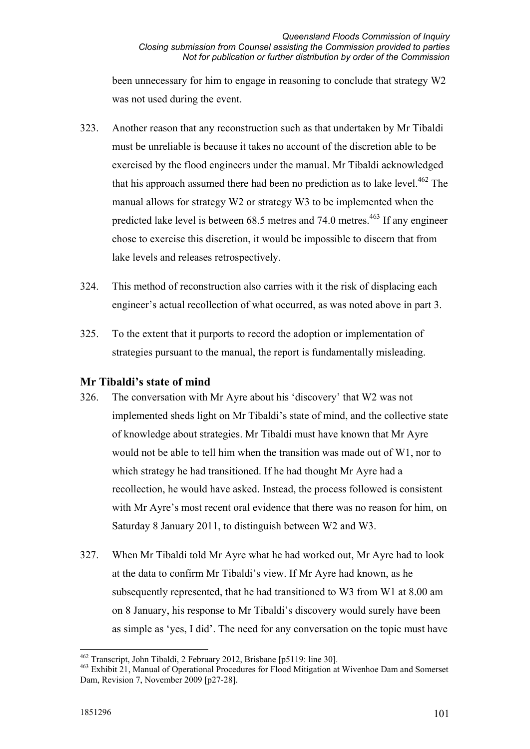been unnecessary for him to engage in reasoning to conclude that strategy W2 was not used during the event.

- 323. Another reason that any reconstruction such as that undertaken by Mr Tibaldi must be unreliable is because it takes no account of the discretion able to be exercised by the flood engineers under the manual. Mr Tibaldi acknowledged that his approach assumed there had been no prediction as to lake level.<sup>462</sup> The manual allows for strategy W2 or strategy W3 to be implemented when the predicted lake level is between  $68.5$  metres and  $74.0$  metres.<sup>463</sup> If any engineer chose to exercise this discretion, it would be impossible to discern that from lake levels and releases retrospectively.
- 324. This method of reconstruction also carries with it the risk of displacing each engineer's actual recollection of what occurred, as was noted above in part 3.
- 325. To the extent that it purports to record the adoption or implementation of strategies pursuant to the manual, the report is fundamentally misleading.

# **Mr Tibaldi's state of mind**

- 326. The conversation with Mr Ayre about his 'discovery' that W2 was not implemented sheds light on Mr Tibaldi's state of mind, and the collective state of knowledge about strategies. Mr Tibaldi must have known that Mr Ayre would not be able to tell him when the transition was made out of W1, nor to which strategy he had transitioned. If he had thought Mr Ayre had a recollection, he would have asked. Instead, the process followed is consistent with Mr Ayre's most recent oral evidence that there was no reason for him, on Saturday 8 January 2011, to distinguish between W2 and W3.
- 327. When Mr Tibaldi told Mr Ayre what he had worked out, Mr Ayre had to look at the data to confirm Mr Tibaldi's view. If Mr Ayre had known, as he subsequently represented, that he had transitioned to W3 from W1 at 8.00 am on 8 January, his response to Mr Tibaldi's discovery would surely have been as simple as 'yes, I did'. The need for any conversation on the topic must have

<sup>&</sup>lt;u>.</u> <sup>462</sup> Transcript, John Tibaldi, 2 February 2012, Brisbane [p5119: line 30].

<sup>463</sup> Exhibit 21, Manual of Operational Procedures for Flood Mitigation at Wivenhoe Dam and Somerset Dam, Revision 7, November 2009 [p27-28].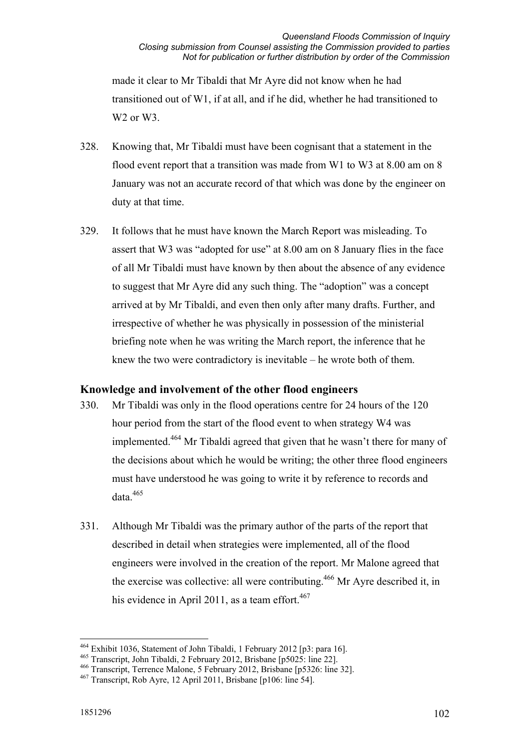made it clear to Mr Tibaldi that Mr Ayre did not know when he had transitioned out of W1, if at all, and if he did, whether he had transitioned to W<sub>2</sub> or W<sub>3</sub>.

- 328. Knowing that, Mr Tibaldi must have been cognisant that a statement in the flood event report that a transition was made from W1 to W3 at 8.00 am on 8 January was not an accurate record of that which was done by the engineer on duty at that time.
- 329. It follows that he must have known the March Report was misleading. To assert that W3 was "adopted for use" at 8.00 am on 8 January flies in the face of all Mr Tibaldi must have known by then about the absence of any evidence to suggest that Mr Ayre did any such thing. The "adoption" was a concept arrived at by Mr Tibaldi, and even then only after many drafts. Further, and irrespective of whether he was physically in possession of the ministerial briefing note when he was writing the March report, the inference that he knew the two were contradictory is inevitable – he wrote both of them.

# **Knowledge and involvement of the other flood engineers**

- 330. Mr Tibaldi was only in the flood operations centre for 24 hours of the 120 hour period from the start of the flood event to when strategy W4 was implemented.464 Mr Tibaldi agreed that given that he wasn't there for many of the decisions about which he would be writing; the other three flood engineers must have understood he was going to write it by reference to records and  $data<sup>465</sup>$
- 331. Although Mr Tibaldi was the primary author of the parts of the report that described in detail when strategies were implemented, all of the flood engineers were involved in the creation of the report. Mr Malone agreed that the exercise was collective: all were contributing.<sup>466</sup> Mr Ayre described it, in his evidence in April 2011, as a team effort.<sup>467</sup>

<sup>464</sup> Exhibit 1036, Statement of John Tibaldi, 1 February 2012 [p3: para 16].

<sup>465</sup> Transcript, John Tibaldi, 2 February 2012, Brisbane [p5025: line 22].

<sup>466</sup> Transcript, Terrence Malone, 5 February 2012, Brisbane [p5326: line 32].

<sup>467</sup> Transcript, Rob Ayre, 12 April 2011, Brisbane [p106: line 54].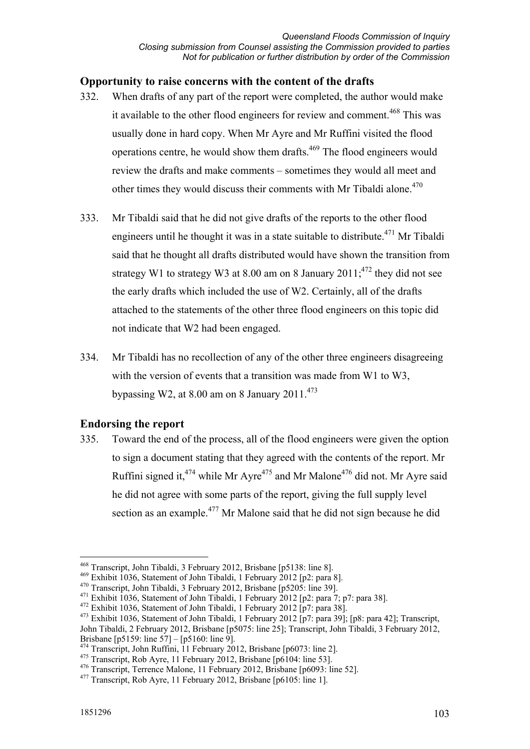# **Opportunity to raise concerns with the content of the drafts**

- 332. When drafts of any part of the report were completed, the author would make it available to the other flood engineers for review and comment.<sup>468</sup> This was usually done in hard copy. When Mr Ayre and Mr Ruffini visited the flood operations centre, he would show them drafts.469 The flood engineers would review the drafts and make comments – sometimes they would all meet and other times they would discuss their comments with Mr Tibaldi alone. $470$
- 333. Mr Tibaldi said that he did not give drafts of the reports to the other flood engineers until he thought it was in a state suitable to distribute.<sup>471</sup> Mr Tibaldi said that he thought all drafts distributed would have shown the transition from strategy W1 to strategy W3 at 8.00 am on 8 January  $2011$ ;<sup>472</sup> they did not see the early drafts which included the use of W2. Certainly, all of the drafts attached to the statements of the other three flood engineers on this topic did not indicate that W2 had been engaged.
- 334. Mr Tibaldi has no recollection of any of the other three engineers disagreeing with the version of events that a transition was made from W1 to W3, bypassing W2, at 8.00 am on 8 January 2011. $^{473}$

#### **Endorsing the report**

335. Toward the end of the process, all of the flood engineers were given the option to sign a document stating that they agreed with the contents of the report. Mr Ruffini signed it,  $474$  while Mr Ayre  $475$  and Mr Malone  $476$  did not. Mr Ayre said he did not agree with some parts of the report, giving the full supply level section as an example.<sup>477</sup> Mr Malone said that he did not sign because he did

<sup>&</sup>lt;u>.</u> 468 Transcript, John Tibaldi, 3 February 2012, Brisbane [p5138: line 8].

<sup>469</sup> Exhibit 1036, Statement of John Tibaldi, 1 February 2012 [p2: para 8].

<sup>470</sup> Transcript, John Tibaldi, 3 February 2012, Brisbane [p5205: line 39].

<sup>&</sup>lt;sup>471</sup> Exhibit 1036, Statement of John Tibaldi, 1 February 2012 [p2: para 7; p7: para 38].

 $472$  Exhibit 1036, Statement of John Tibaldi, 1 February 2012 [p7: para 38].

<sup>473</sup> Exhibit 1036, Statement of John Tibaldi, 1 February 2012 [p7: para 39]; [p8: para 42]; Transcript,

John Tibaldi, 2 February 2012, Brisbane [p5075: line 25]; Transcript, John Tibaldi, 3 February 2012, Brisbane [p5159: line 57] – [p5160: line 9].

<sup>&</sup>lt;sup>474</sup> Transcript, John Ruffini, 11 February 2012, Brisbane [p6073: line 2].

<sup>&</sup>lt;sup>475</sup> Transcript, Rob Ayre, 11 February 2012, Brisbane [p6104: line 53].

<sup>476</sup> Transcript, Terrence Malone, 11 February 2012, Brisbane [p6093: line 52].

<sup>&</sup>lt;sup>477</sup> Transcript, Rob Ayre, 11 February 2012, Brisbane [p6105: line 1].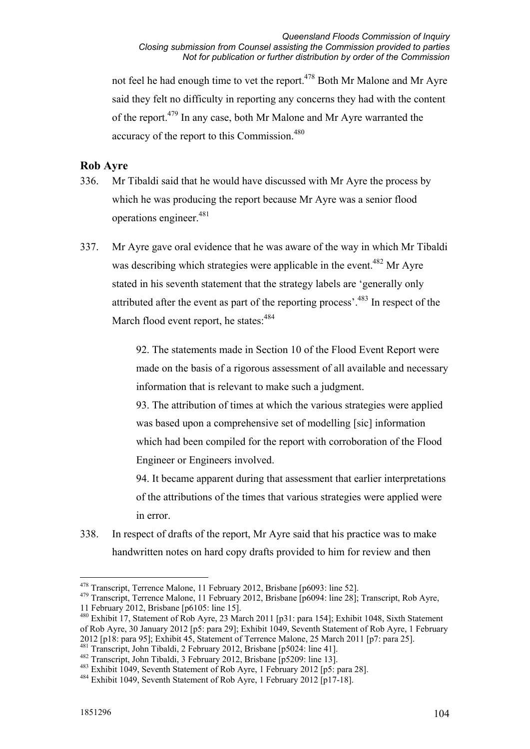not feel he had enough time to vet the report.<sup>478</sup> Both Mr Malone and Mr Ayre said they felt no difficulty in reporting any concerns they had with the content of the report.479 In any case, both Mr Malone and Mr Ayre warranted the accuracy of the report to this Commission.<sup>480</sup>

### **Rob Ayre**

- 336. Mr Tibaldi said that he would have discussed with Mr Ayre the process by which he was producing the report because Mr Ayre was a senior flood operations engineer.<sup>481</sup>
- 337. Mr Ayre gave oral evidence that he was aware of the way in which Mr Tibaldi was describing which strategies were applicable in the event.<sup>482</sup> Mr Ayre stated in his seventh statement that the strategy labels are 'generally only attributed after the event as part of the reporting process'.483 In respect of the March flood event report, he states:  $484$

92. The statements made in Section 10 of the Flood Event Report were made on the basis of a rigorous assessment of all available and necessary information that is relevant to make such a judgment.

93. The attribution of times at which the various strategies were applied was based upon a comprehensive set of modelling [sic] information which had been compiled for the report with corroboration of the Flood Engineer or Engineers involved.

94. It became apparent during that assessment that earlier interpretations of the attributions of the times that various strategies were applied were in error.

338. In respect of drafts of the report, Mr Ayre said that his practice was to make handwritten notes on hard copy drafts provided to him for review and then

<sup>481</sup> Transcript, John Tibaldi, 2 February 2012, Brisbane [p5024: line 41].

<sup>478</sup> Transcript, Terrence Malone, 11 February 2012, Brisbane [p6093: line 52].

<sup>&</sup>lt;sup>479</sup> Transcript, Terrence Malone, 11 February 2012, Brisbane [p6094: line 28]; Transcript, Rob Ayre, 11 February 2012, Brisbane [p6105: line 15].

<sup>480</sup> Exhibit 17, Statement of Rob Ayre, 23 March 2011 [p31: para 154]; Exhibit 1048, Sixth Statement of Rob Ayre, 30 January 2012 [p5: para 29]; Exhibit 1049, Seventh Statement of Rob Ayre, 1 February 2012 [p18: para 95]; Exhibit 45, Statement of Terrence Malone, 25 March 2011 [p7: para 25].

<sup>482</sup> Transcript, John Tibaldi, 3 February 2012, Brisbane [p5209: line 13].

<sup>483</sup> Exhibit 1049, Seventh Statement of Rob Ayre, 1 February 2012 [p5: para 28].

<sup>484</sup> Exhibit 1049, Seventh Statement of Rob Ayre, 1 February 2012 [p17-18].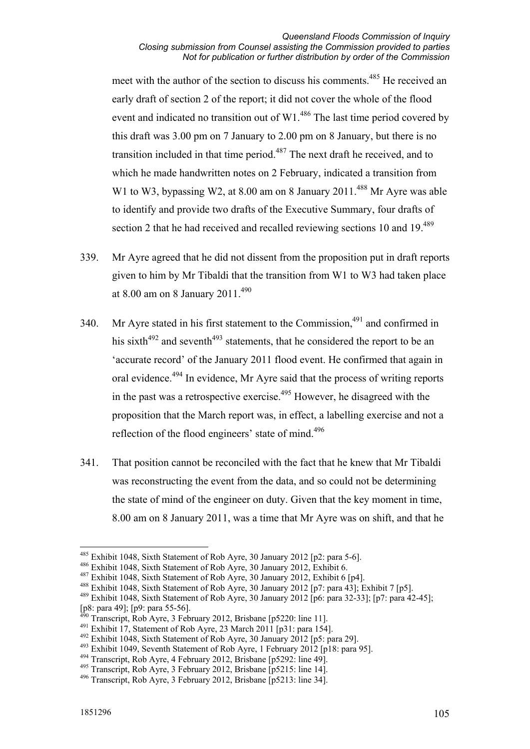meet with the author of the section to discuss his comments.<sup>485</sup> He received an early draft of section 2 of the report; it did not cover the whole of the flood event and indicated no transition out of W1.486 The last time period covered by this draft was 3.00 pm on 7 January to 2.00 pm on 8 January, but there is no transition included in that time period.<sup> $487$ </sup> The next draft he received, and to which he made handwritten notes on 2 February, indicated a transition from W1 to W3, bypassing W2, at  $8.00$  am on  $8$  January  $2011^{488}$  Mr Ayre was able to identify and provide two drafts of the Executive Summary, four drafts of section 2 that he had received and recalled reviewing sections 10 and 19.<sup>489</sup>

- 339. Mr Ayre agreed that he did not dissent from the proposition put in draft reports given to him by Mr Tibaldi that the transition from W1 to W3 had taken place at 8.00 am on 8 January 2011.<sup>490</sup>
- 340. Mr Ayre stated in his first statement to the Commission, $491$  and confirmed in his sixth<sup>492</sup> and seventh<sup>493</sup> statements, that he considered the report to be an 'accurate record' of the January 2011 flood event. He confirmed that again in oral evidence.<sup>494</sup> In evidence, Mr Ayre said that the process of writing reports in the past was a retrospective exercise.495 However, he disagreed with the proposition that the March report was, in effect, a labelling exercise and not a reflection of the flood engineers' state of mind.<sup>496</sup>
- 341. That position cannot be reconciled with the fact that he knew that Mr Tibaldi was reconstructing the event from the data, and so could not be determining the state of mind of the engineer on duty. Given that the key moment in time, 8.00 am on 8 January 2011, was a time that Mr Ayre was on shift, and that he

1

<sup>485</sup> Exhibit 1048, Sixth Statement of Rob Ayre, 30 January 2012 [p2: para 5-6].

<sup>486</sup> Exhibit 1048, Sixth Statement of Rob Ayre, 30 January 2012, Exhibit 6.

<sup>487</sup> Exhibit 1048, Sixth Statement of Rob Ayre, 30 January 2012, Exhibit 6 [p4].

<sup>488</sup> Exhibit 1048, Sixth Statement of Rob Ayre, 30 January 2012 [p7: para 43]; Exhibit 7 [p5].

<sup>489</sup> Exhibit 1048, Sixth Statement of Rob Ayre, 30 January 2012 [p6: para 32-33]; [p7: para 42-45]; [p8: para 49]; [p9: para 55-56].

 $^{9}$  Transcript, Rob Ayre, 3 February 2012, Brisbane [p5220: line 11].

 $491$  Exhibit 17, Statement of Rob Ayre, 23 March 2011 [p31: para 154].

<sup>492</sup> Exhibit 1048, Sixth Statement of Rob Ayre, 30 January 2012 [p5: para 29].

<sup>493</sup> Exhibit 1049, Seventh Statement of Rob Ayre, 1 February 2012 [p18: para 95].

<sup>494</sup> Transcript, Rob Ayre, 4 February 2012, Brisbane [p5292: line 49].

<sup>495</sup> Transcript, Rob Ayre, 3 February 2012, Brisbane [p5215: line 14].

<sup>496</sup> Transcript, Rob Ayre, 3 February 2012, Brisbane [p5213: line 34].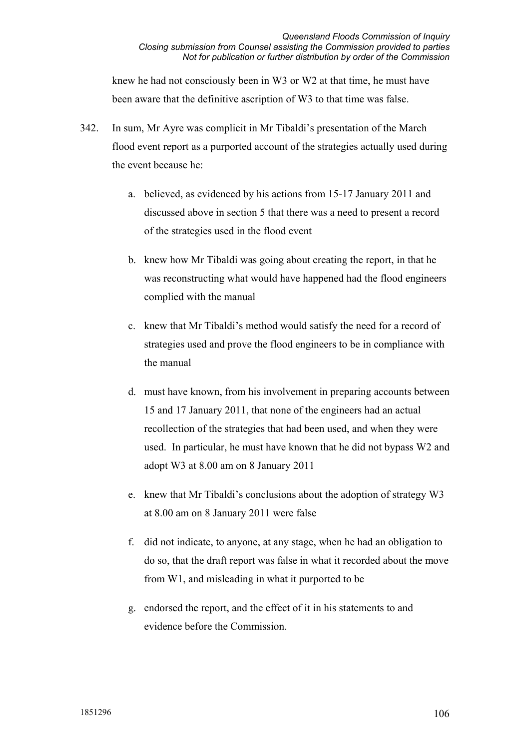knew he had not consciously been in W3 or W2 at that time, he must have been aware that the definitive ascription of W3 to that time was false.

- 342. In sum, Mr Ayre was complicit in Mr Tibaldi's presentation of the March flood event report as a purported account of the strategies actually used during the event because he:
	- a. believed, as evidenced by his actions from 15-17 January 2011 and discussed above in section 5 that there was a need to present a record of the strategies used in the flood event
	- b. knew how Mr Tibaldi was going about creating the report, in that he was reconstructing what would have happened had the flood engineers complied with the manual
	- c. knew that Mr Tibaldi's method would satisfy the need for a record of strategies used and prove the flood engineers to be in compliance with the manual
	- d. must have known, from his involvement in preparing accounts between 15 and 17 January 2011, that none of the engineers had an actual recollection of the strategies that had been used, and when they were used. In particular, he must have known that he did not bypass W2 and adopt W3 at 8.00 am on 8 January 2011
	- e. knew that Mr Tibaldi's conclusions about the adoption of strategy W3 at 8.00 am on 8 January 2011 were false
	- f. did not indicate, to anyone, at any stage, when he had an obligation to do so, that the draft report was false in what it recorded about the move from W1, and misleading in what it purported to be
	- g. endorsed the report, and the effect of it in his statements to and evidence before the Commission.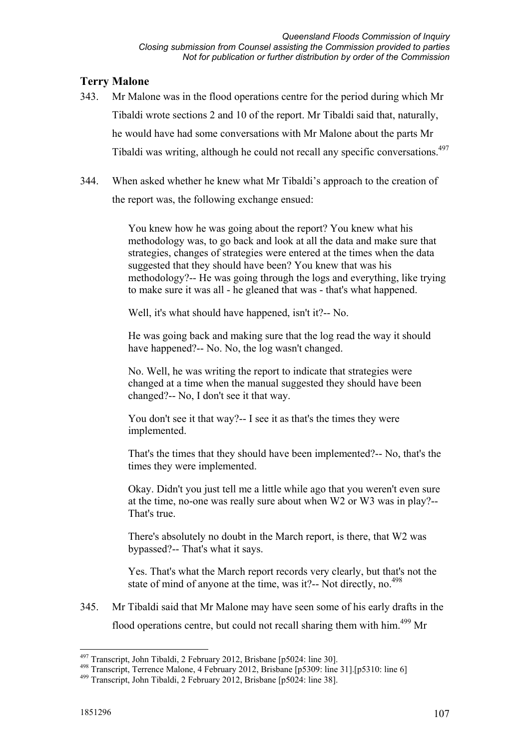# **Terry Malone**

- 343. Mr Malone was in the flood operations centre for the period during which Mr Tibaldi wrote sections 2 and 10 of the report. Mr Tibaldi said that, naturally, he would have had some conversations with Mr Malone about the parts Mr Tibaldi was writing, although he could not recall any specific conversations.<sup>497</sup>
- 344. When asked whether he knew what Mr Tibaldi's approach to the creation of the report was, the following exchange ensued:

You knew how he was going about the report? You knew what his methodology was, to go back and look at all the data and make sure that strategies, changes of strategies were entered at the times when the data suggested that they should have been? You knew that was his methodology?-- He was going through the logs and everything, like trying to make sure it was all - he gleaned that was - that's what happened.

Well, it's what should have happened, isn't it?-- No.

He was going back and making sure that the log read the way it should have happened?-- No. No, the log wasn't changed.

No. Well, he was writing the report to indicate that strategies were changed at a time when the manual suggested they should have been changed?-- No, I don't see it that way.

You don't see it that way?-- I see it as that's the times they were implemented.

That's the times that they should have been implemented?-- No, that's the times they were implemented.

Okay. Didn't you just tell me a little while ago that you weren't even sure at the time, no-one was really sure about when W2 or W3 was in play?-- That's true.

There's absolutely no doubt in the March report, is there, that W2 was bypassed?-- That's what it says.

Yes. That's what the March report records very clearly, but that's not the state of mind of anyone at the time, was it?-- Not directly, no.<sup>498</sup>

345. Mr Tibaldi said that Mr Malone may have seen some of his early drafts in the flood operations centre, but could not recall sharing them with him.<sup>499</sup> Mr

<sup>&</sup>lt;u>.</u> <sup>497</sup> Transcript, John Tibaldi, 2 February 2012, Brisbane [p5024: line 30].

<sup>498</sup> Transcript, Terrence Malone, 4 February 2012, Brisbane [p5309: line 31].[p5310: line 6]

<sup>499</sup> Transcript, John Tibaldi, 2 February 2012, Brisbane [p5024: line 38].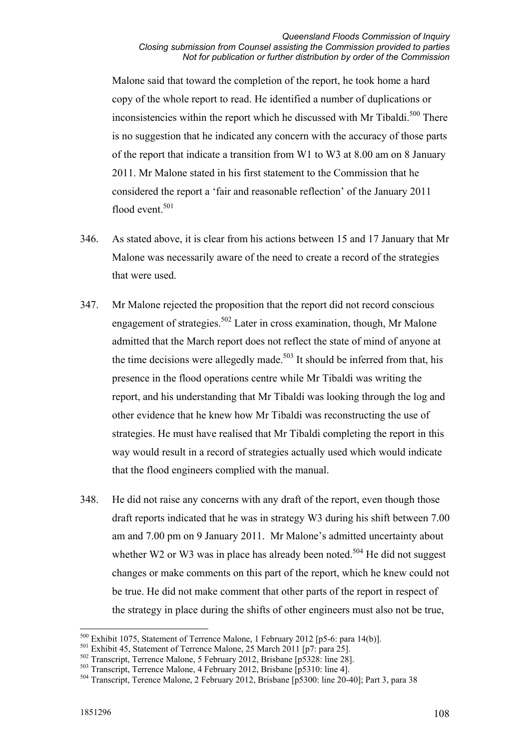Malone said that toward the completion of the report, he took home a hard copy of the whole report to read. He identified a number of duplications or inconsistencies within the report which he discussed with Mr Tibaldi.<sup>500</sup> There is no suggestion that he indicated any concern with the accuracy of those parts of the report that indicate a transition from W1 to W3 at 8.00 am on 8 January 2011. Mr Malone stated in his first statement to the Commission that he considered the report a 'fair and reasonable reflection' of the January 2011 flood event.<sup>501</sup>

- 346. As stated above, it is clear from his actions between 15 and 17 January that Mr Malone was necessarily aware of the need to create a record of the strategies that were used.
- 347. Mr Malone rejected the proposition that the report did not record conscious engagement of strategies.<sup>502</sup> Later in cross examination, though, Mr Malone admitted that the March report does not reflect the state of mind of anyone at the time decisions were allegedly made.<sup>503</sup> It should be inferred from that, his presence in the flood operations centre while Mr Tibaldi was writing the report, and his understanding that Mr Tibaldi was looking through the log and other evidence that he knew how Mr Tibaldi was reconstructing the use of strategies. He must have realised that Mr Tibaldi completing the report in this way would result in a record of strategies actually used which would indicate that the flood engineers complied with the manual.
- 348. He did not raise any concerns with any draft of the report, even though those draft reports indicated that he was in strategy W3 during his shift between 7.00 am and 7.00 pm on 9 January 2011. Mr Malone's admitted uncertainty about whether W2 or W3 was in place has already been noted.<sup>504</sup> He did not suggest changes or make comments on this part of the report, which he knew could not be true. He did not make comment that other parts of the report in respect of the strategy in place during the shifts of other engineers must also not be true,

<sup>-</sup>500 Exhibit 1075, Statement of Terrence Malone, 1 February 2012 [p5-6: para 14(b)].

<sup>501</sup> Exhibit 45, Statement of Terrence Malone, 25 March 2011 [p7: para 25].

<sup>502</sup> Transcript, Terrence Malone, 5 February 2012, Brisbane [p5328: line 28].

<sup>503</sup> Transcript, Terrence Malone, 4 February 2012, Brisbane [p5310: line 4].

<sup>504</sup> Transcript, Terence Malone, 2 February 2012, Brisbane [p5300: line 20-40]; Part 3, para 38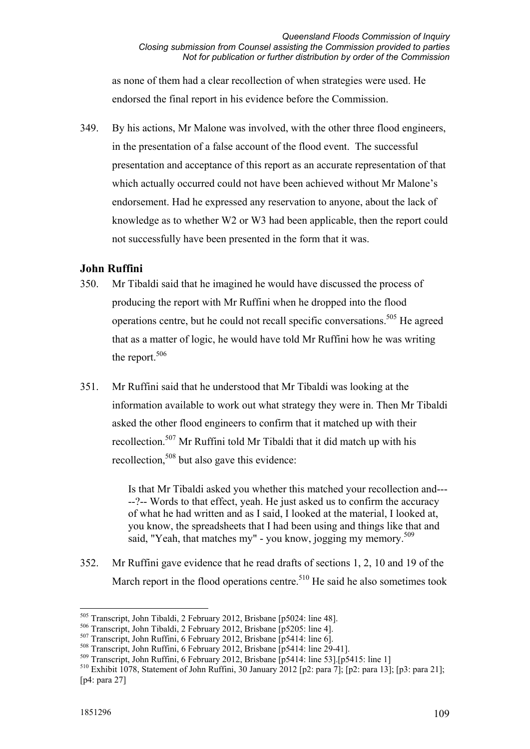as none of them had a clear recollection of when strategies were used. He endorsed the final report in his evidence before the Commission.

349. By his actions, Mr Malone was involved, with the other three flood engineers, in the presentation of a false account of the flood event. The successful presentation and acceptance of this report as an accurate representation of that which actually occurred could not have been achieved without Mr Malone's endorsement. Had he expressed any reservation to anyone, about the lack of knowledge as to whether W2 or W3 had been applicable, then the report could not successfully have been presented in the form that it was.

## **John Ruffini**

- 350. Mr Tibaldi said that he imagined he would have discussed the process of producing the report with Mr Ruffini when he dropped into the flood operations centre, but he could not recall specific conversations.<sup>505</sup> He agreed that as a matter of logic, he would have told Mr Ruffini how he was writing the report.<sup>506</sup>
- 351. Mr Ruffini said that he understood that Mr Tibaldi was looking at the information available to work out what strategy they were in. Then Mr Tibaldi asked the other flood engineers to confirm that it matched up with their recollection.507 Mr Ruffini told Mr Tibaldi that it did match up with his recollection,<sup>508</sup> but also gave this evidence:

Is that Mr Tibaldi asked you whether this matched your recollection and--- --?-- Words to that effect, yeah. He just asked us to confirm the accuracy of what he had written and as I said, I looked at the material, I looked at, you know, the spreadsheets that I had been using and things like that and said, "Yeah, that matches my" - you know, jogging my memory.<sup>509</sup>

352. Mr Ruffini gave evidence that he read drafts of sections 1, 2, 10 and 19 of the March report in the flood operations centre. $510$  He said he also sometimes took

<sup>-</sup>505 Transcript, John Tibaldi, 2 February 2012, Brisbane [p5024: line 48].

<sup>506</sup> Transcript, John Tibaldi, 2 February 2012, Brisbane [p5205: line 4].

<sup>507</sup> Transcript, John Ruffini, 6 February 2012, Brisbane [p5414: line 6].

<sup>508</sup> Transcript, John Ruffini, 6 February 2012, Brisbane [p5414: line 29-41].

<sup>509</sup> Transcript, John Ruffini, 6 February 2012, Brisbane [p5414: line 53].[p5415: line 1]

<sup>510</sup> Exhibit 1078, Statement of John Ruffini, 30 January 2012 [p2: para 7]; [p2: para 13]; [p3: para 21]; [p4: para 27]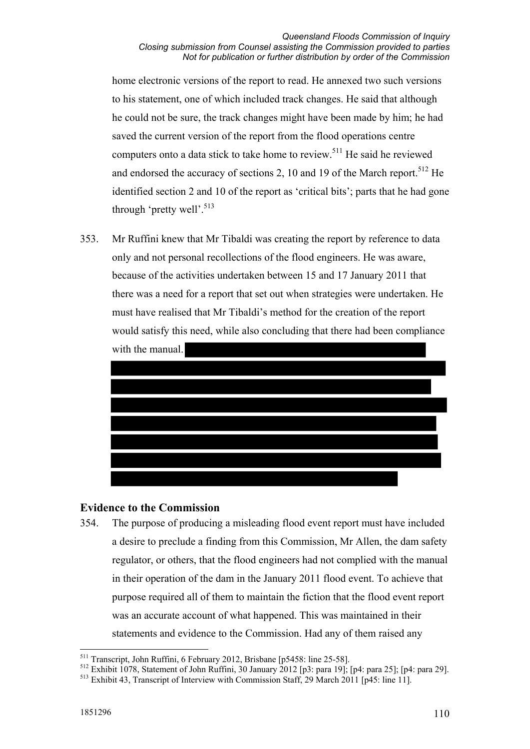home electronic versions of the report to read. He annexed two such versions to his statement, one of which included track changes. He said that although he could not be sure, the track changes might have been made by him; he had saved the current version of the report from the flood operations centre computers onto a data stick to take home to review.511 He said he reviewed and endorsed the accuracy of sections 2, 10 and 19 of the March report.<sup>512</sup> He identified section 2 and 10 of the report as 'critical bits'; parts that he had gone through 'pretty well'.<sup>513</sup>

353. Mr Ruffini knew that Mr Tibaldi was creating the report by reference to data only and not personal recollections of the flood engineers. He was aware, because of the activities undertaken between 15 and 17 January 2011 that there was a need for a report that set out when strategies were undertaken. He must have realised that Mr Tibaldi's method for the creation of the report would satisfy this need, while also concluding that there had been compliance with the manual.



## **Evidence to the Commission**

354. The purpose of producing a misleading flood event report must have included a desire to preclude a finding from this Commission, Mr Allen, the dam safety regulator, or others, that the flood engineers had not complied with the manual in their operation of the dam in the January 2011 flood event. To achieve that purpose required all of them to maintain the fiction that the flood event report was an accurate account of what happened. This was maintained in their statements and evidence to the Commission. Had any of them raised any

<u>.</u>

<sup>511</sup> Transcript, John Ruffini, 6 February 2012, Brisbane [p5458: line 25-58].

<sup>512</sup> Exhibit 1078, Statement of John Ruffini, 30 January 2012 [p3: para 19]; [p4: para 25]; [p4: para 29].

<sup>513</sup> Exhibit 43, Transcript of Interview with Commission Staff, 29 March 2011 [p45: line 11].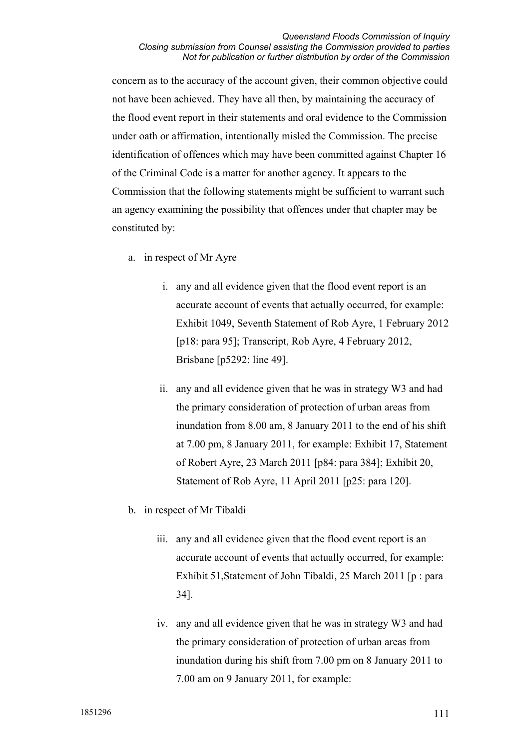#### *Queensland Floods Commission of Inquiry Closing submission from Counsel assisting the Commission provided to parties Not for publication or further distribution by order of the Commission*

concern as to the accuracy of the account given, their common objective could not have been achieved. They have all then, by maintaining the accuracy of the flood event report in their statements and oral evidence to the Commission under oath or affirmation, intentionally misled the Commission. The precise identification of offences which may have been committed against Chapter 16 of the Criminal Code is a matter for another agency. It appears to the Commission that the following statements might be sufficient to warrant such an agency examining the possibility that offences under that chapter may be constituted by:

- a. in respect of Mr Ayre
	- i. any and all evidence given that the flood event report is an accurate account of events that actually occurred, for example: Exhibit 1049, Seventh Statement of Rob Ayre, 1 February 2012 [p18: para 95]; Transcript, Rob Ayre, 4 February 2012, Brisbane [p5292: line 49].
	- ii. any and all evidence given that he was in strategy W3 and had the primary consideration of protection of urban areas from inundation from 8.00 am, 8 January 2011 to the end of his shift at 7.00 pm, 8 January 2011, for example: Exhibit 17, Statement of Robert Ayre, 23 March 2011 [p84: para 384]; Exhibit 20, Statement of Rob Ayre, 11 April 2011 [p25: para 120].
- b. in respect of Mr Tibaldi
	- iii. any and all evidence given that the flood event report is an accurate account of events that actually occurred, for example: Exhibit 51,Statement of John Tibaldi, 25 March 2011 [p : para 34].
	- iv. any and all evidence given that he was in strategy W3 and had the primary consideration of protection of urban areas from inundation during his shift from 7.00 pm on 8 January 2011 to 7.00 am on 9 January 2011, for example: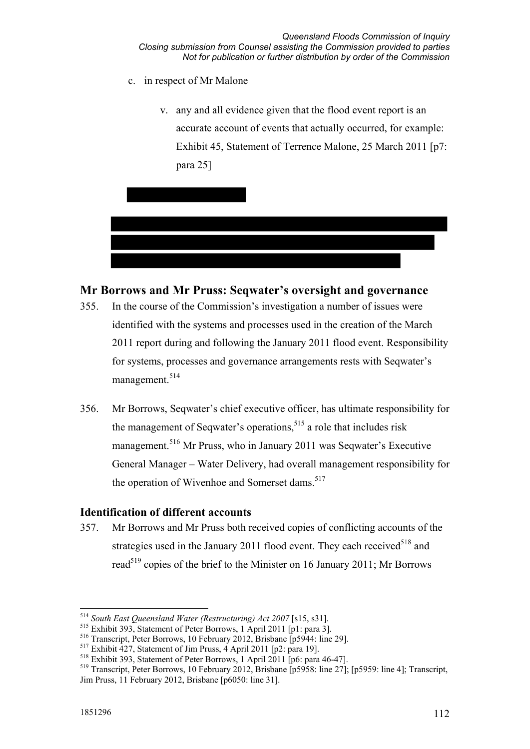- c. in respect of Mr Malone
	- v. any and all evidence given that the flood event report is an accurate account of events that actually occurred, for example: Exhibit 45, Statement of Terrence Malone, 25 March 2011 [p7: para 25]



# **Mr Borrows and Mr Pruss: Seqwater's oversight and governance**

- 355. In the course of the Commission's investigation a number of issues were identified with the systems and processes used in the creation of the March 2011 report during and following the January 2011 flood event. Responsibility for systems, processes and governance arrangements rests with Seqwater's management.<sup>514</sup>
- 356. Mr Borrows, Seqwater's chief executive officer, has ultimate responsibility for the management of Sequater's operations.<sup>515</sup> a role that includes risk management.516 Mr Pruss, who in January 2011 was Seqwater's Executive General Manager – Water Delivery, had overall management responsibility for the operation of Wivenhoe and Somerset dams.  $517$

## **Identification of different accounts**

357. Mr Borrows and Mr Pruss both received copies of conflicting accounts of the strategies used in the January 2011 flood event. They each received  $518$  and read<sup>519</sup> copies of the brief to the Minister on 16 January 2011; Mr Borrows

-

<sup>514</sup> *South East Queensland Water (Restructuring) Act 2007* [s15, s31].

<sup>515</sup> Exhibit 393, Statement of Peter Borrows, 1 April 2011 [p1: para 3].

<sup>516</sup> Transcript, Peter Borrows, 10 February 2012, Brisbane [p5944: line 29].

<sup>517</sup> Exhibit 427, Statement of Jim Pruss, 4 April 2011 [p2: para 19].

<sup>518</sup> Exhibit 393, Statement of Peter Borrows, 1 April 2011 [p6: para 46-47].

<sup>519</sup> Transcript, Peter Borrows, 10 February 2012, Brisbane [p5958: line 27]; [p5959: line 4]; Transcript, Jim Pruss, 11 February 2012, Brisbane [p6050: line 31].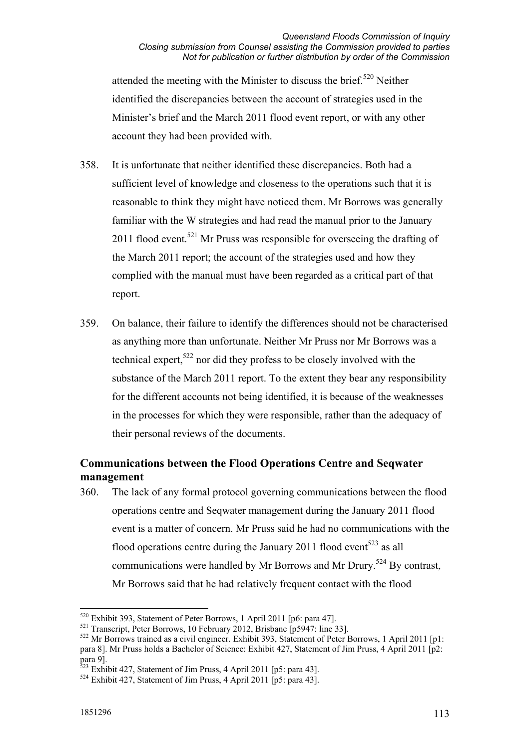attended the meeting with the Minister to discuss the brief.<sup>520</sup> Neither identified the discrepancies between the account of strategies used in the Minister's brief and the March 2011 flood event report, or with any other account they had been provided with.

- 358. It is unfortunate that neither identified these discrepancies. Both had a sufficient level of knowledge and closeness to the operations such that it is reasonable to think they might have noticed them. Mr Borrows was generally familiar with the W strategies and had read the manual prior to the January 2011 flood event.<sup>521</sup> Mr Pruss was responsible for overseeing the drafting of the March 2011 report; the account of the strategies used and how they complied with the manual must have been regarded as a critical part of that report.
- 359. On balance, their failure to identify the differences should not be characterised as anything more than unfortunate. Neither Mr Pruss nor Mr Borrows was a technical expert,  $522$  nor did they profess to be closely involved with the substance of the March 2011 report. To the extent they bear any responsibility for the different accounts not being identified, it is because of the weaknesses in the processes for which they were responsible, rather than the adequacy of their personal reviews of the documents.

# **Communications between the Flood Operations Centre and Seqwater management**

360. The lack of any formal protocol governing communications between the flood operations centre and Seqwater management during the January 2011 flood event is a matter of concern. Mr Pruss said he had no communications with the flood operations centre during the January 2011 flood event<sup>523</sup> as all communications were handled by Mr Borrows and Mr Drury.<sup>524</sup> By contrast, Mr Borrows said that he had relatively frequent contact with the flood

-

<sup>&</sup>lt;sup>520</sup> Exhibit 393, Statement of Peter Borrows, 1 April 2011 [p6: para 47].

<sup>521</sup> Transcript, Peter Borrows, 10 February 2012, Brisbane [p5947: line 33].

 $522$  Mr Borrows trained as a civil engineer. Exhibit 393, Statement of Peter Borrows, 1 April 2011 [p1: para 8]. Mr Pruss holds a Bachelor of Science: Exhibit 427, Statement of Jim Pruss, 4 April 2011 [p2: para 9].

 $523$  Exhibit 427, Statement of Jim Pruss, 4 April 2011 [p5: para 43].

 $524$  Exhibit 427, Statement of Jim Pruss, 4 April 2011 [p5: para 43].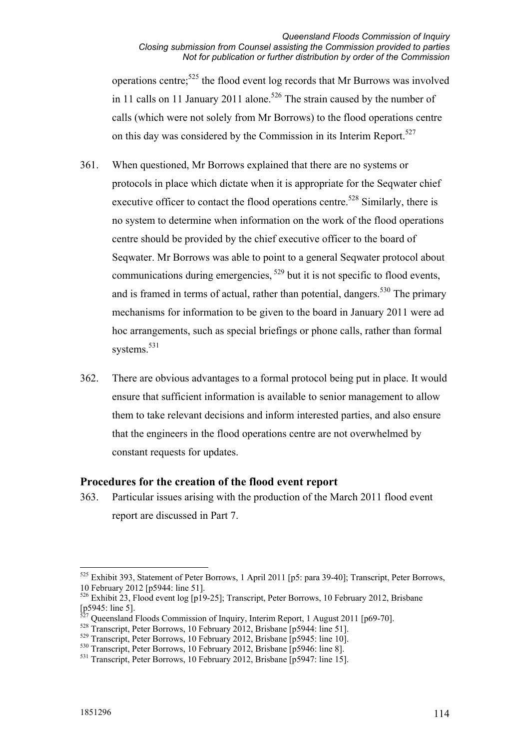operations centre;525 the flood event log records that Mr Burrows was involved in 11 calls on 11 January 2011 alone.<sup>526</sup> The strain caused by the number of calls (which were not solely from Mr Borrows) to the flood operations centre on this day was considered by the Commission in its Interim Report.<sup>527</sup>

- 361. When questioned, Mr Borrows explained that there are no systems or protocols in place which dictate when it is appropriate for the Seqwater chief executive officer to contact the flood operations centre.<sup>528</sup> Similarly, there is no system to determine when information on the work of the flood operations centre should be provided by the chief executive officer to the board of Seqwater. Mr Borrows was able to point to a general Seqwater protocol about communications during emergencies, 529 but it is not specific to flood events, and is framed in terms of actual, rather than potential, dangers.<sup>530</sup> The primary mechanisms for information to be given to the board in January 2011 were ad hoc arrangements, such as special briefings or phone calls, rather than formal systems.<sup>531</sup>
- 362. There are obvious advantages to a formal protocol being put in place. It would ensure that sufficient information is available to senior management to allow them to take relevant decisions and inform interested parties, and also ensure that the engineers in the flood operations centre are not overwhelmed by constant requests for updates.

## **Procedures for the creation of the flood event report**

363. Particular issues arising with the production of the March 2011 flood event report are discussed in Part 7.

<sup>-</sup><sup>525</sup> Exhibit 393, Statement of Peter Borrows, 1 April 2011 [p5: para 39-40]; Transcript, Peter Borrows, 10 February 2012 [p5944: line 51].

<sup>526</sup> Exhibit 23, Flood event log [p19-25]; Transcript, Peter Borrows, 10 February 2012, Brisbane [p5945: line 5].

<sup>527</sup> Queensland Floods Commission of Inquiry, Interim Report, 1 August 2011 [p69-70].

<sup>&</sup>lt;sup>528</sup> Transcript, Peter Borrows, 10 February 2012, Brisbane [p5944: line 51].

<sup>529</sup> Transcript, Peter Borrows, 10 February 2012, Brisbane [p5945: line 10].

<sup>530</sup> Transcript, Peter Borrows, 10 February 2012, Brisbane [p5946: line 8].

<sup>531</sup> Transcript, Peter Borrows, 10 February 2012, Brisbane [p5947: line 15].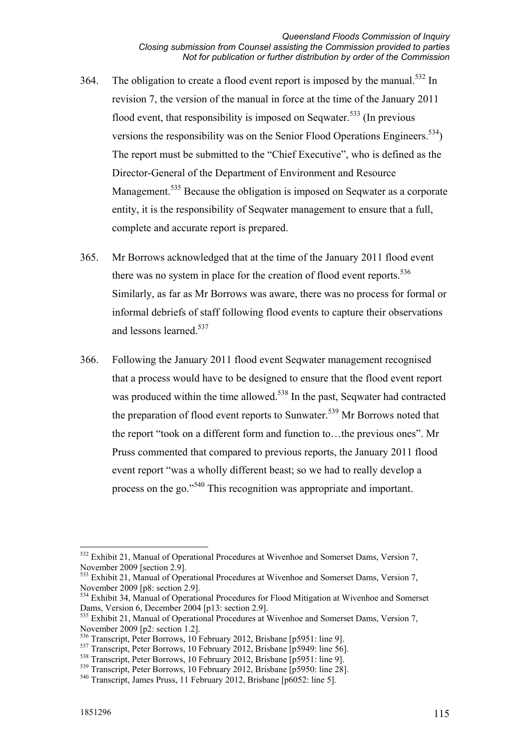- 364. The obligation to create a flood event report is imposed by the manual.<sup>532</sup> In revision 7, the version of the manual in force at the time of the January 2011 flood event, that responsibility is imposed on Sequater.<sup>533</sup> (In previous versions the responsibility was on the Senior Flood Operations Engineers.<sup>534</sup>) The report must be submitted to the "Chief Executive", who is defined as the Director-General of the Department of Environment and Resource Management.<sup>535</sup> Because the obligation is imposed on Seqwater as a corporate entity, it is the responsibility of Seqwater management to ensure that a full, complete and accurate report is prepared.
- 365. Mr Borrows acknowledged that at the time of the January 2011 flood event there was no system in place for the creation of flood event reports.<sup>536</sup> Similarly, as far as Mr Borrows was aware, there was no process for formal or informal debriefs of staff following flood events to capture their observations and lessons learned<sup>537</sup>
- 366. Following the January 2011 flood event Seqwater management recognised that a process would have to be designed to ensure that the flood event report was produced within the time allowed.<sup>538</sup> In the past, Seqwater had contracted the preparation of flood event reports to Sunwater.<sup>539</sup> Mr Borrows noted that the report "took on a different form and function to…the previous ones". Mr Pruss commented that compared to previous reports, the January 2011 flood event report "was a wholly different beast; so we had to really develop a process on the go."540 This recognition was appropriate and important.

<sup>1</sup> <sup>532</sup> Exhibit 21, Manual of Operational Procedures at Wivenhoe and Somerset Dams, Version 7, November 2009 [section 2.9].

<sup>533</sup> Exhibit 21, Manual of Operational Procedures at Wivenhoe and Somerset Dams, Version 7, November 2009 [p8: section 2.9].

<sup>534</sup> Exhibit 34, Manual of Operational Procedures for Flood Mitigation at Wivenhoe and Somerset Dams, Version 6, December 2004 [p13: section 2.9].

<sup>&</sup>lt;sup>535</sup> Exhibit 21, Manual of Operational Procedures at Wivenhoe and Somerset Dams, Version 7, November 2009 [p2: section 1.2].

<sup>536</sup> Transcript, Peter Borrows, 10 February 2012, Brisbane [p5951: line 9].

<sup>&</sup>lt;sup>537</sup> Transcript, Peter Borrows, 10 February 2012, Brisbane [p5949: line 56].

<sup>&</sup>lt;sup>538</sup> Transcript, Peter Borrows, 10 February 2012, Brisbane [p5951: line 9].

<sup>&</sup>lt;sup>539</sup> Transcript, Peter Borrows, 10 February 2012, Brisbane [p5950: line 28].

<sup>540</sup> Transcript, James Pruss, 11 February 2012, Brisbane [p6052: line 5].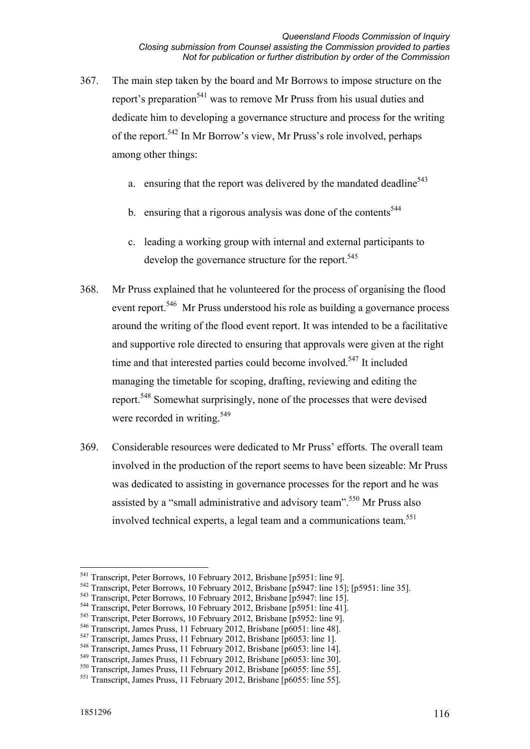- 367. The main step taken by the board and Mr Borrows to impose structure on the report's preparation<sup>541</sup> was to remove Mr Pruss from his usual duties and dedicate him to developing a governance structure and process for the writing of the report.542 In Mr Borrow's view, Mr Pruss's role involved, perhaps among other things:
	- a. ensuring that the report was delivered by the mandated deadline $543$
	- b. ensuring that a rigorous analysis was done of the contents<sup>544</sup>
	- c. leading a working group with internal and external participants to develop the governance structure for the report.<sup>545</sup>
- 368. Mr Pruss explained that he volunteered for the process of organising the flood event report<sup>546</sup> Mr Pruss understood his role as building a governance process around the writing of the flood event report. It was intended to be a facilitative and supportive role directed to ensuring that approvals were given at the right time and that interested parties could become involved.<sup>547</sup> It included managing the timetable for scoping, drafting, reviewing and editing the report.548 Somewhat surprisingly, none of the processes that were devised were recorded in writing.<sup>549</sup>
- 369. Considerable resources were dedicated to Mr Pruss' efforts. The overall team involved in the production of the report seems to have been sizeable: Mr Pruss was dedicated to assisting in governance processes for the report and he was assisted by a "small administrative and advisory team".<sup>550</sup> Mr Pruss also involved technical experts, a legal team and a communications team.<sup>551</sup>

<sup>-</sup><sup>541</sup> Transcript, Peter Borrows, 10 February 2012, Brisbane [p5951: line 9].

<sup>542</sup> Transcript, Peter Borrows, 10 February 2012, Brisbane [p5947: line 15]; [p5951: line 35].

<sup>543</sup> Transcript, Peter Borrows, 10 February 2012, Brisbane [p5947: line 15].

<sup>544</sup> Transcript, Peter Borrows, 10 February 2012, Brisbane [p5951: line 41].

<sup>&</sup>lt;sup>545</sup> Transcript, Peter Borrows, 10 February 2012, Brisbane [p5952: line 9].

<sup>&</sup>lt;sup>546</sup> Transcript, James Pruss, 11 February 2012, Brisbane [p6051: line 48].

<sup>547</sup> Transcript, James Pruss, 11 February 2012, Brisbane [p6053: line 1].

<sup>&</sup>lt;sup>548</sup> Transcript, James Pruss, 11 February 2012, Brisbane [p6053: line 14].

<sup>549</sup> Transcript, James Pruss, 11 February 2012, Brisbane [p6053: line 30].

<sup>550</sup> Transcript, James Pruss, 11 February 2012, Brisbane [p6055: line 55].

<sup>551</sup> Transcript, James Pruss, 11 February 2012, Brisbane [p6055: line 55].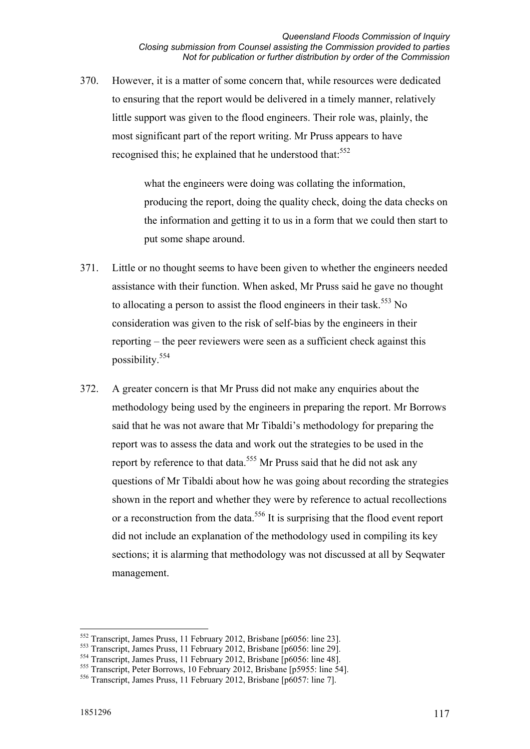370. However, it is a matter of some concern that, while resources were dedicated to ensuring that the report would be delivered in a timely manner, relatively little support was given to the flood engineers. Their role was, plainly, the most significant part of the report writing. Mr Pruss appears to have recognised this; he explained that he understood that:<sup>552</sup>

> what the engineers were doing was collating the information. producing the report, doing the quality check, doing the data checks on the information and getting it to us in a form that we could then start to put some shape around.

- 371. Little or no thought seems to have been given to whether the engineers needed assistance with their function. When asked, Mr Pruss said he gave no thought to allocating a person to assist the flood engineers in their task.<sup>553</sup> No consideration was given to the risk of self-bias by the engineers in their reporting – the peer reviewers were seen as a sufficient check against this possibility.554
- 372. A greater concern is that Mr Pruss did not make any enquiries about the methodology being used by the engineers in preparing the report. Mr Borrows said that he was not aware that Mr Tibaldi's methodology for preparing the report was to assess the data and work out the strategies to be used in the report by reference to that data.<sup>555</sup> Mr Pruss said that he did not ask any questions of Mr Tibaldi about how he was going about recording the strategies shown in the report and whether they were by reference to actual recollections or a reconstruction from the data.<sup>556</sup> It is surprising that the flood event report did not include an explanation of the methodology used in compiling its key sections; it is alarming that methodology was not discussed at all by Seqwater management.

<sup>-</sup>552 Transcript, James Pruss, 11 February 2012, Brisbane [p6056: line 23].

<sup>&</sup>lt;sup>553</sup> Transcript, James Pruss, 11 February 2012, Brisbane [p6056: line 29].<br><sup>554</sup> Transcript, James Pruss, 11 February 2012, Brisbane [p6056: line 48].

<sup>&</sup>lt;sup>555</sup> Transcript, Peter Borrows, 10 February 2012, Brisbane [p5955: line 54].

<sup>556</sup> Transcript, James Pruss, 11 February 2012, Brisbane [p6057: line 7].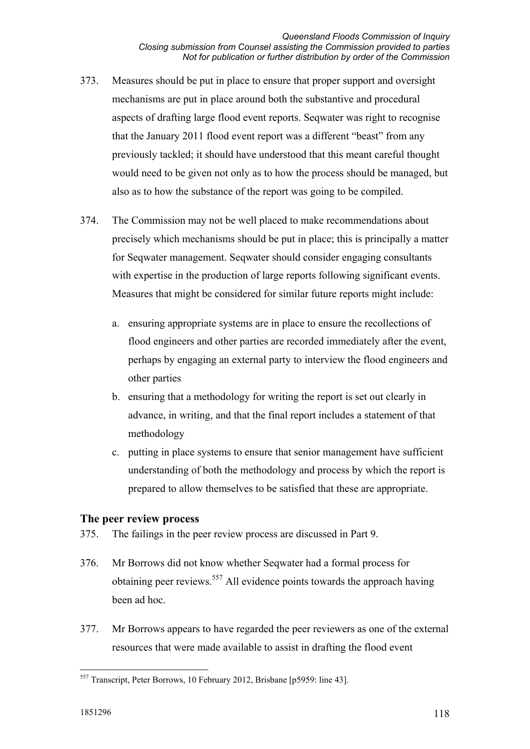- 373. Measures should be put in place to ensure that proper support and oversight mechanisms are put in place around both the substantive and procedural aspects of drafting large flood event reports. Seqwater was right to recognise that the January 2011 flood event report was a different "beast" from any previously tackled; it should have understood that this meant careful thought would need to be given not only as to how the process should be managed, but also as to how the substance of the report was going to be compiled.
- 374. The Commission may not be well placed to make recommendations about precisely which mechanisms should be put in place; this is principally a matter for Seqwater management. Seqwater should consider engaging consultants with expertise in the production of large reports following significant events. Measures that might be considered for similar future reports might include:
	- a. ensuring appropriate systems are in place to ensure the recollections of flood engineers and other parties are recorded immediately after the event, perhaps by engaging an external party to interview the flood engineers and other parties
	- b. ensuring that a methodology for writing the report is set out clearly in advance, in writing, and that the final report includes a statement of that methodology
	- c. putting in place systems to ensure that senior management have sufficient understanding of both the methodology and process by which the report is prepared to allow themselves to be satisfied that these are appropriate.

## **The peer review process**

- 375. The failings in the peer review process are discussed in Part 9.
- 376. Mr Borrows did not know whether Seqwater had a formal process for obtaining peer reviews.<sup>557</sup> All evidence points towards the approach having been ad hoc.
- 377. Mr Borrows appears to have regarded the peer reviewers as one of the external resources that were made available to assist in drafting the flood event

<sup>-</sup><sup>557</sup> Transcript, Peter Borrows, 10 February 2012, Brisbane [p5959: line 43].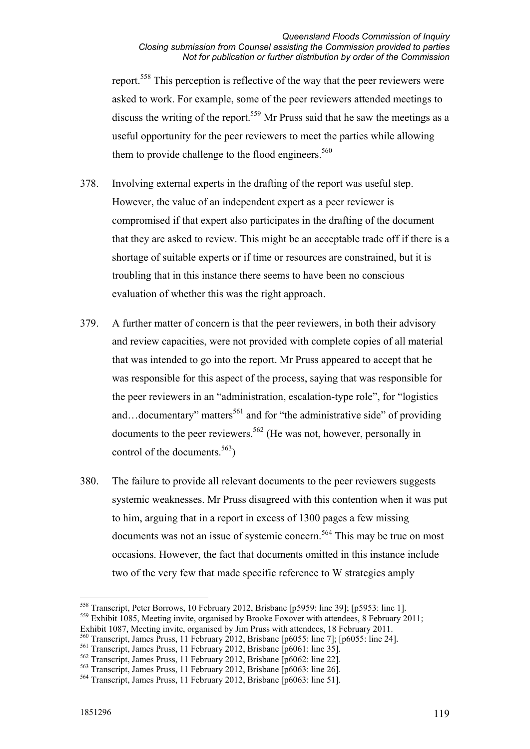report.<sup>558</sup> This perception is reflective of the way that the peer reviewers were asked to work. For example, some of the peer reviewers attended meetings to discuss the writing of the report.<sup>559</sup> Mr Pruss said that he saw the meetings as a useful opportunity for the peer reviewers to meet the parties while allowing them to provide challenge to the flood engineers.<sup>560</sup>

- 378. Involving external experts in the drafting of the report was useful step. However, the value of an independent expert as a peer reviewer is compromised if that expert also participates in the drafting of the document that they are asked to review. This might be an acceptable trade off if there is a shortage of suitable experts or if time or resources are constrained, but it is troubling that in this instance there seems to have been no conscious evaluation of whether this was the right approach.
- 379. A further matter of concern is that the peer reviewers, in both their advisory and review capacities, were not provided with complete copies of all material that was intended to go into the report. Mr Pruss appeared to accept that he was responsible for this aspect of the process, saying that was responsible for the peer reviewers in an "administration, escalation-type role", for "logistics and…documentary" matters<sup>561</sup> and for "the administrative side" of providing documents to the peer reviewers.562 (He was not, however, personally in control of the documents.<sup>563</sup>)
- 380. The failure to provide all relevant documents to the peer reviewers suggests systemic weaknesses. Mr Pruss disagreed with this contention when it was put to him, arguing that in a report in excess of 1300 pages a few missing documents was not an issue of systemic concern.<sup>564</sup> This may be true on most occasions. However, the fact that documents omitted in this instance include two of the very few that made specific reference to W strategies amply

<sup>-</sup>558 Transcript, Peter Borrows, 10 February 2012, Brisbane [p5959: line 39]; [p5953: line 1].  $559$  Exhibit 1085, Meeting invite, organised by Brooke Foxover with attendees, 8 February 2011;

Exhibit 1087, Meeting invite, organised by Jim Pruss with attendees, 18 February 2011.

<sup>560</sup> Transcript, James Pruss, 11 February 2012, Brisbane [p6055: line 7]; [p6055: line 24].

<sup>561</sup> Transcript, James Pruss, 11 February 2012, Brisbane [p6061: line 35].

<sup>562</sup> Transcript, James Pruss, 11 February 2012, Brisbane [p6062: line 22].

<sup>563</sup> Transcript, James Pruss, 11 February 2012, Brisbane [p6063: line 26].

<sup>564</sup> Transcript, James Pruss, 11 February 2012, Brisbane [p6063: line 51].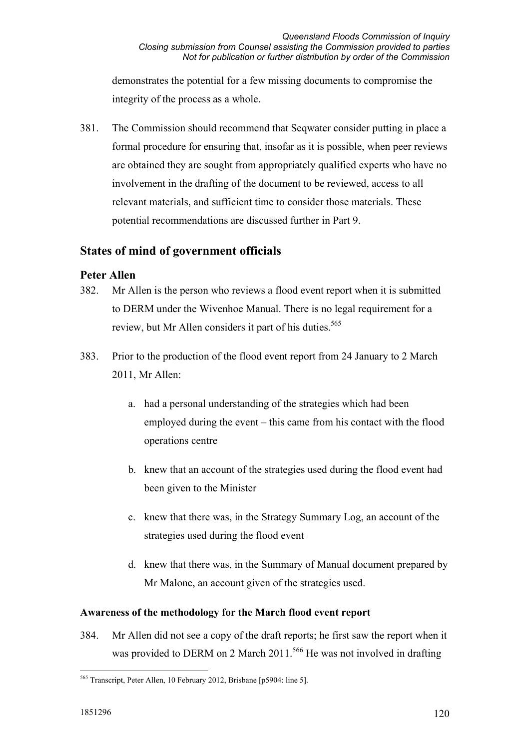demonstrates the potential for a few missing documents to compromise the integrity of the process as a whole.

381. The Commission should recommend that Seqwater consider putting in place a formal procedure for ensuring that, insofar as it is possible, when peer reviews are obtained they are sought from appropriately qualified experts who have no involvement in the drafting of the document to be reviewed, access to all relevant materials, and sufficient time to consider those materials. These potential recommendations are discussed further in Part 9.

## **States of mind of government officials**

## **Peter Allen**

- 382. Mr Allen is the person who reviews a flood event report when it is submitted to DERM under the Wivenhoe Manual. There is no legal requirement for a review, but Mr Allen considers it part of his duties.<sup>565</sup>
- 383. Prior to the production of the flood event report from 24 January to 2 March 2011, Mr Allen:
	- a. had a personal understanding of the strategies which had been employed during the event – this came from his contact with the flood operations centre
	- b. knew that an account of the strategies used during the flood event had been given to the Minister
	- c. knew that there was, in the Strategy Summary Log, an account of the strategies used during the flood event
	- d. knew that there was, in the Summary of Manual document prepared by Mr Malone, an account given of the strategies used.

## **Awareness of the methodology for the March flood event report**

384. Mr Allen did not see a copy of the draft reports; he first saw the report when it was provided to DERM on 2 March 2011.<sup>566</sup> He was not involved in drafting

<sup>-</sup>565 Transcript, Peter Allen, 10 February 2012, Brisbane [p5904: line 5].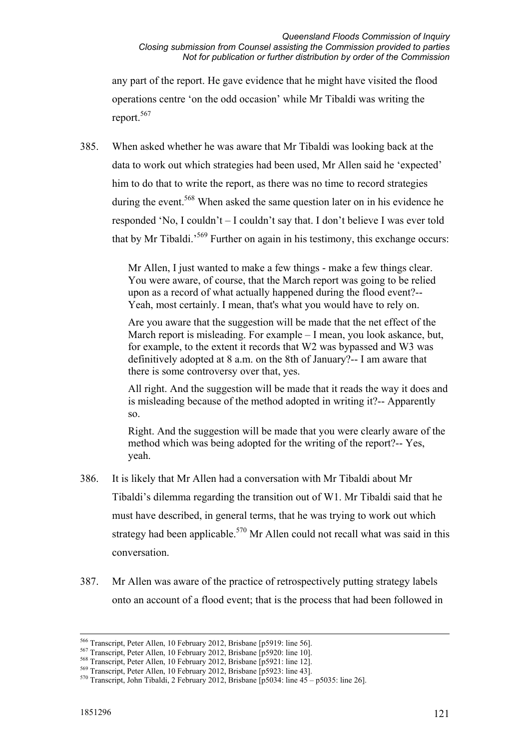any part of the report. He gave evidence that he might have visited the flood operations centre 'on the odd occasion' while Mr Tibaldi was writing the report.<sup>567</sup>

385. When asked whether he was aware that Mr Tibaldi was looking back at the data to work out which strategies had been used, Mr Allen said he 'expected' him to do that to write the report, as there was no time to record strategies during the event.<sup>568</sup> When asked the same question later on in his evidence he responded 'No, I couldn't – I couldn't say that. I don't believe I was ever told that by Mr Tibaldi.<sup>569</sup> Further on again in his testimony, this exchange occurs:

> Mr Allen, I just wanted to make a few things - make a few things clear. You were aware, of course, that the March report was going to be relied upon as a record of what actually happened during the flood event?-- Yeah, most certainly. I mean, that's what you would have to rely on.

Are you aware that the suggestion will be made that the net effect of the March report is misleading. For example – I mean, you look askance, but, for example, to the extent it records that W2 was bypassed and W3 was definitively adopted at 8 a.m. on the 8th of January?-- I am aware that there is some controversy over that, yes.

All right. And the suggestion will be made that it reads the way it does and is misleading because of the method adopted in writing it?-- Apparently so.

Right. And the suggestion will be made that you were clearly aware of the method which was being adopted for the writing of the report?-- Yes, yeah.

- 386. It is likely that Mr Allen had a conversation with Mr Tibaldi about Mr Tibaldi's dilemma regarding the transition out of W1. Mr Tibaldi said that he must have described, in general terms, that he was trying to work out which strategy had been applicable.<sup>570</sup> Mr Allen could not recall what was said in this conversation.
- 387. Mr Allen was aware of the practice of retrospectively putting strategy labels onto an account of a flood event; that is the process that had been followed in

<sup>&</sup>lt;sup>566</sup> Transcript, Peter Allen, 10 February 2012, Brisbane [p5919: line 56].<br><sup>567</sup> Transcript, Peter Allen, 10 February 2012, Brisbane [p5920: line 10].<br><sup>568</sup> Transcript, Peter Allen, 10 February 2012, Brisbane [p5921: lin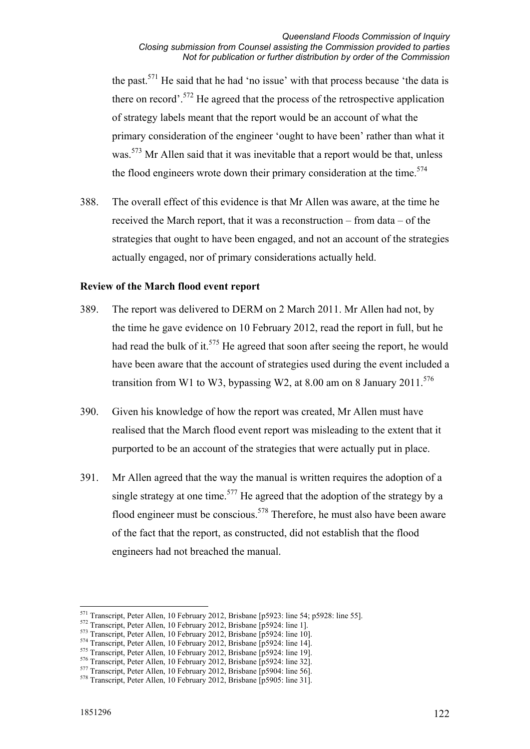the past.<sup>571</sup> He said that he had 'no issue' with that process because 'the data is there on record'.<sup>572</sup> He agreed that the process of the retrospective application of strategy labels meant that the report would be an account of what the primary consideration of the engineer 'ought to have been' rather than what it was.<sup>573</sup> Mr Allen said that it was inevitable that a report would be that, unless the flood engineers wrote down their primary consideration at the time.<sup>574</sup>

388. The overall effect of this evidence is that Mr Allen was aware, at the time he received the March report, that it was a reconstruction – from data – of the strategies that ought to have been engaged, and not an account of the strategies actually engaged, nor of primary considerations actually held.

### **Review of the March flood event report**

- 389. The report was delivered to DERM on 2 March 2011. Mr Allen had not, by the time he gave evidence on 10 February 2012, read the report in full, but he had read the bulk of it.<sup>575</sup> He agreed that soon after seeing the report, he would have been aware that the account of strategies used during the event included a transition from W1 to W3, bypassing W2, at 8.00 am on 8 January 2011.<sup>576</sup>
- 390. Given his knowledge of how the report was created, Mr Allen must have realised that the March flood event report was misleading to the extent that it purported to be an account of the strategies that were actually put in place.
- 391. Mr Allen agreed that the way the manual is written requires the adoption of a single strategy at one time.<sup>577</sup> He agreed that the adoption of the strategy by a flood engineer must be conscious.<sup>578</sup> Therefore, he must also have been aware of the fact that the report, as constructed, did not establish that the flood engineers had not breached the manual.

<sup>&</sup>lt;sup>571</sup> Transcript, Peter Allen, 10 February 2012, Brisbane [p5923: line 54; p5928: line 55].

<sup>&</sup>lt;sup>572</sup> Transcript, Peter Allen, 10 February 2012, Brisbane [p5924: line 1].<br><sup>573</sup> Transcript, Peter Allen, 10 February 2012, Brisbane [p5924: line 10].<br><sup>574</sup> Transcript, Peter Allen, 10 February 2012, Brisbane [p5924: line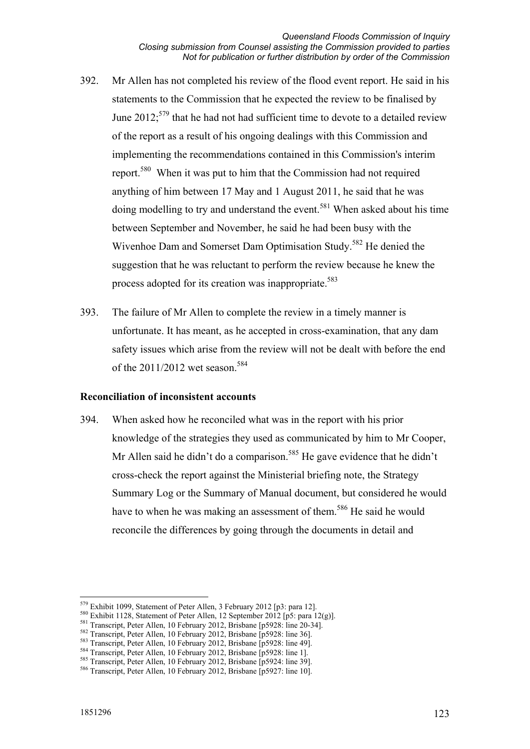- 392. Mr Allen has not completed his review of the flood event report. He said in his statements to the Commission that he expected the review to be finalised by June 2012;<sup>579</sup> that he had not had sufficient time to devote to a detailed review of the report as a result of his ongoing dealings with this Commission and implementing the recommendations contained in this Commission's interim report.580 When it was put to him that the Commission had not required anything of him between 17 May and 1 August 2011, he said that he was doing modelling to try and understand the event.<sup>581</sup> When asked about his time between September and November, he said he had been busy with the Wivenhoe Dam and Somerset Dam Optimisation Study.<sup>582</sup> He denied the suggestion that he was reluctant to perform the review because he knew the process adopted for its creation was inappropriate.<sup>583</sup>
- 393. The failure of Mr Allen to complete the review in a timely manner is unfortunate. It has meant, as he accepted in cross-examination, that any dam safety issues which arise from the review will not be dealt with before the end of the  $2011/2012$  wet season  $584$

#### **Reconciliation of inconsistent accounts**

394. When asked how he reconciled what was in the report with his prior knowledge of the strategies they used as communicated by him to Mr Cooper, Mr Allen said he didn't do a comparison.<sup>585</sup> He gave evidence that he didn't cross-check the report against the Ministerial briefing note, the Strategy Summary Log or the Summary of Manual document, but considered he would have to when he was making an assessment of them.<sup>586</sup> He said he would reconcile the differences by going through the documents in detail and

<sup>&</sup>lt;sup>579</sup> Exhibit 1099, Statement of Peter Allen, 3 February 2012 [p3: para 12].

<sup>&</sup>lt;sup>580</sup> Exhibit 1128, Statement of Peter Allen, 12 September 2012 [p5: para 12(g)].<br><sup>581</sup> Transcript, Peter Allen, 10 February 2012, Brisbane [p5928: line 20-34].<br><sup>582</sup> Transcript, Peter Allen, 10 February 2012, Brisbane [p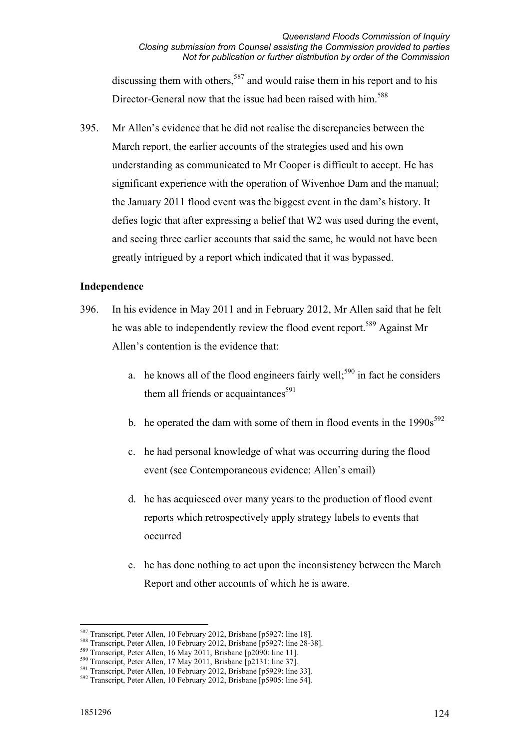discussing them with others,  $587$  and would raise them in his report and to his Director-General now that the issue had been raised with him.<sup>588</sup>

395. Mr Allen's evidence that he did not realise the discrepancies between the March report, the earlier accounts of the strategies used and his own understanding as communicated to Mr Cooper is difficult to accept. He has significant experience with the operation of Wivenhoe Dam and the manual; the January 2011 flood event was the biggest event in the dam's history. It defies logic that after expressing a belief that W2 was used during the event, and seeing three earlier accounts that said the same, he would not have been greatly intrigued by a report which indicated that it was bypassed.

#### **Independence**

- 396. In his evidence in May 2011 and in February 2012, Mr Allen said that he felt he was able to independently review the flood event report.<sup>589</sup> Against Mr Allen's contention is the evidence that:
	- a. he knows all of the flood engineers fairly well;<sup>590</sup> in fact he considers them all friends or acquaintances<sup>591</sup>
	- b. he operated the dam with some of them in flood events in the  $1990s^{592}$
	- c. he had personal knowledge of what was occurring during the flood event (see Contemporaneous evidence: Allen's email)
	- d. he has acquiesced over many years to the production of flood event reports which retrospectively apply strategy labels to events that occurred
	- e. he has done nothing to act upon the inconsistency between the March Report and other accounts of which he is aware.

<sup>&</sup>lt;sup>587</sup> Transcript, Peter Allen, 10 February 2012, Brisbane [p5927: line 18].

<sup>&</sup>lt;sup>588</sup> Transcript, Peter Allen, 10 February 2012, Brisbane [p5927: line 28-38].<br><sup>589</sup> Transcript, Peter Allen, 16 May 2011, Brisbane [p2090: line 11].<br><sup>590</sup> Transcript, Peter Allen, 17 May 2011, Brisbane [p2131: line 37].<br>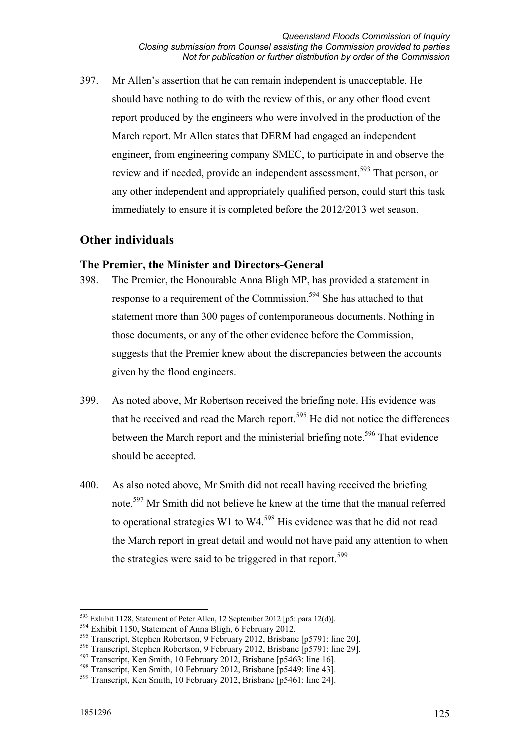397. Mr Allen's assertion that he can remain independent is unacceptable. He should have nothing to do with the review of this, or any other flood event report produced by the engineers who were involved in the production of the March report. Mr Allen states that DERM had engaged an independent engineer, from engineering company SMEC, to participate in and observe the review and if needed, provide an independent assessment.<sup>593</sup> That person, or any other independent and appropriately qualified person, could start this task immediately to ensure it is completed before the 2012/2013 wet season.

## **Other individuals**

## **The Premier, the Minister and Directors-General**

- 398. The Premier, the Honourable Anna Bligh MP, has provided a statement in response to a requirement of the Commission.<sup>594</sup> She has attached to that statement more than 300 pages of contemporaneous documents. Nothing in those documents, or any of the other evidence before the Commission, suggests that the Premier knew about the discrepancies between the accounts given by the flood engineers.
- 399. As noted above, Mr Robertson received the briefing note. His evidence was that he received and read the March report.<sup>595</sup> He did not notice the differences between the March report and the ministerial briefing note.<sup>596</sup> That evidence should be accepted.
- 400. As also noted above, Mr Smith did not recall having received the briefing note.597 Mr Smith did not believe he knew at the time that the manual referred to operational strategies W1 to W4.<sup>598</sup> His evidence was that he did not read the March report in great detail and would not have paid any attention to when the strategies were said to be triggered in that report.<sup>599</sup>

-

 $^{593}$  Exhibit 1128, Statement of Peter Allen, 12 September 2012 [p5: para 12(d)].

<sup>594</sup> Exhibit 1150, Statement of Anna Bligh, 6 February 2012.

<sup>595</sup> Transcript, Stephen Robertson, 9 February 2012, Brisbane [p5791: line 20].

<sup>596</sup> Transcript, Stephen Robertson, 9 February 2012, Brisbane [p5791: line 29].

<sup>597</sup> Transcript, Ken Smith, 10 February 2012, Brisbane [p5463: line 16].

<sup>598</sup> Transcript, Ken Smith, 10 February 2012, Brisbane [p5449: line 43].

<sup>599</sup> Transcript, Ken Smith, 10 February 2012, Brisbane [p5461: line 24].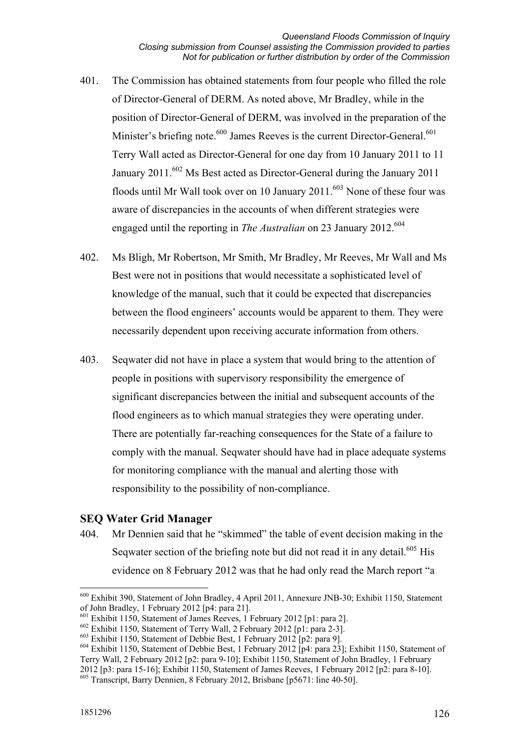- 401. The Commission has obtained statements from four people who filled the role of Director-General of DERM. As noted above, Mr Bradley, while in the position of Director-General of DERM, was involved in the preparation of the Minister's briefing note.<sup>600</sup> James Reeves is the current Director-General.<sup>601</sup> Terry Wall acted as Director-General for one day from 10 January 2011 to 11 January  $2011^{602}$  Ms Best acted as Director-General during the January 2011 floods until Mr Wall took over on 10 January  $2011$ .<sup>603</sup> None of these four was aware of discrepancies in the accounts of when different strategies were engaged until the reporting in *The Australian* on 23 January 2012.<sup>604</sup>
- 402. Ms Bligh, Mr Robertson, Mr Smith, Mr Bradley, Mr Reeves, Mr Wall and Ms Best were not in positions that would necessitate a sophisticated level of knowledge of the manual, such that it could be expected that discrepancies between the flood engineers' accounts would be apparent to them. They were necessarily dependent upon receiving accurate information from others.
- 403. Seqwater did not have in place a system that would bring to the attention of people in positions with supervisory responsibility the emergence of significant discrepancies between the initial and subsequent accounts of the flood engineers as to which manual strategies they were operating under. There are potentially far-reaching consequences for the State of a failure to comply with the manual. Seqwater should have had in place adequate systems for monitoring compliance with the manual and alerting those with responsibility to the possibility of non-compliance.

## **SEQ Water Grid Manager**

404. Mr Dennien said that he "skimmed" the table of event decision making in the Seqwater section of the briefing note but did not read it in any detail.<sup>605</sup> His evidence on 8 February 2012 was that he had only read the March report "a

<sup>&</sup>lt;u>.</u> 600 Exhibit 390, Statement of John Bradley, 4 April 2011, Annexure JNB-30; Exhibit 1150, Statement of John Bradley, 1 February 2012 [p4: para 21].

 $^{601}$  Exhibit 1150, Statement of James Reeves, 1 February 2012 [p1: para 2].

<sup>602</sup> Exhibit 1150, Statement of Terry Wall, 2 February 2012 [p1: para 2-3].

 $603$  Exhibit 1150, Statement of Debbie Best, 1 February 2012 [p2: para 9].

 $^{604}$  Exhibit 1150, Statement of Debbie Best, 1 February 2012 [p4: para 23]; Exhibit 1150, Statement of Terry Wall, 2 February 2012 [p2: para 9-10]; Exhibit 1150, Statement of John Bradley, 1 February 2012 [p3: para 15-16]; Exhibit 1150, Statement of James Reeves, 1 February 2012 [p2: para 8-10]. <sup>605</sup> Transcript, Barry Dennien, 8 February 2012, Brisbane [p5671: line 40-50].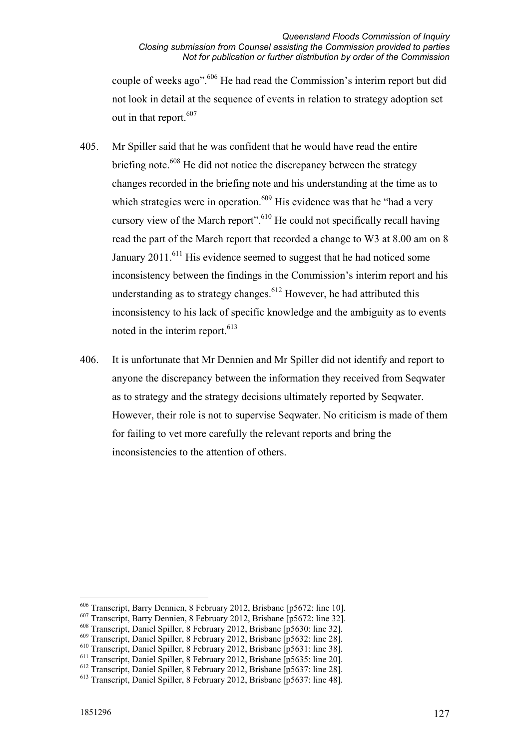couple of weeks ago".606 He had read the Commission's interim report but did not look in detail at the sequence of events in relation to strategy adoption set out in that report.<sup>607</sup>

- 405. Mr Spiller said that he was confident that he would have read the entire briefing note.<sup>608</sup> He did not notice the discrepancy between the strategy changes recorded in the briefing note and his understanding at the time as to which strategies were in operation.<sup>609</sup> His evidence was that he "had a very" cursory view of the March report".610 He could not specifically recall having read the part of the March report that recorded a change to W3 at 8.00 am on 8 January  $2011$ .<sup>611</sup> His evidence seemed to suggest that he had noticed some inconsistency between the findings in the Commission's interim report and his understanding as to strategy changes.<sup> $612$ </sup> However, he had attributed this inconsistency to his lack of specific knowledge and the ambiguity as to events noted in the interim report.<sup>613</sup>
- 406. It is unfortunate that Mr Dennien and Mr Spiller did not identify and report to anyone the discrepancy between the information they received from Seqwater as to strategy and the strategy decisions ultimately reported by Seqwater. However, their role is not to supervise Seqwater. No criticism is made of them for failing to vet more carefully the relevant reports and bring the inconsistencies to the attention of others.

-

<sup>606</sup> Transcript, Barry Dennien, 8 February 2012, Brisbane [p5672: line 10].

<sup>607</sup> Transcript, Barry Dennien, 8 February 2012, Brisbane [p5672: line 32].

<sup>608</sup> Transcript, Daniel Spiller, 8 February 2012, Brisbane [p5630: line 32].

<sup>609</sup> Transcript, Daniel Spiller, 8 February 2012, Brisbane [p5632: line 28].

<sup>610</sup> Transcript, Daniel Spiller, 8 February 2012, Brisbane [p5631: line 38].

<sup>611</sup> Transcript, Daniel Spiller, 8 February 2012, Brisbane [p5635: line 20].

<sup>612</sup> Transcript, Daniel Spiller, 8 February 2012, Brisbane [p5637: line 28].

<sup>613</sup> Transcript, Daniel Spiller, 8 February 2012, Brisbane [p5637: line 48].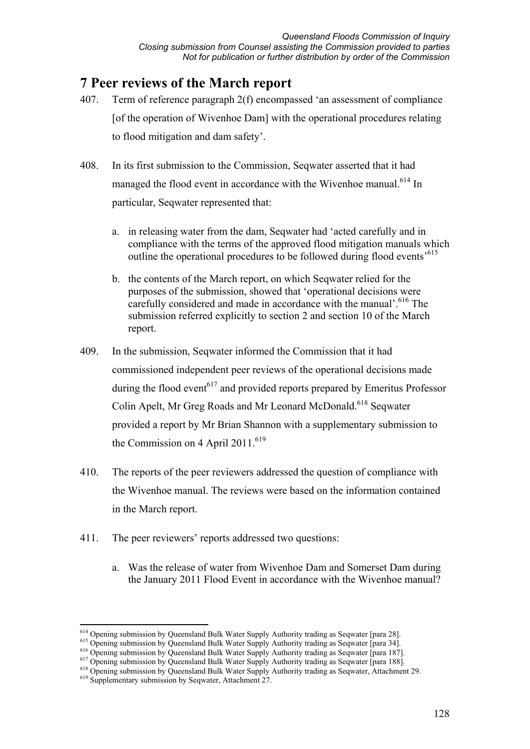# **7 Peer reviews of the March report**

- 407. Term of reference paragraph 2(f) encompassed 'an assessment of compliance [of the operation of Wivenhoe Dam] with the operational procedures relating to flood mitigation and dam safety'.
- 408. In its first submission to the Commission, Seqwater asserted that it had managed the flood event in accordance with the Wivenhoe manual.<sup>614</sup> In particular, Seqwater represented that:
	- a. in releasing water from the dam, Seqwater had 'acted carefully and in compliance with the terms of the approved flood mitigation manuals which outline the operational procedures to be followed during flood events<sup>5615</sup>
	- b. the contents of the March report, on which Seqwater relied for the purposes of the submission, showed that 'operational decisions were carefully considered and made in accordance with the manual'.<sup>616</sup> The submission referred explicitly to section 2 and section 10 of the March report.
- 409. In the submission, Seqwater informed the Commission that it had commissioned independent peer reviews of the operational decisions made during the flood event<sup> $617$ </sup> and provided reports prepared by Emeritus Professor Colin Apelt, Mr Greg Roads and Mr Leonard McDonald.<sup>618</sup> Seqwater provided a report by Mr Brian Shannon with a supplementary submission to the Commission on 4 April 2011.<sup>619</sup>
- 410. The reports of the peer reviewers addressed the question of compliance with the Wivenhoe manual. The reviews were based on the information contained in the March report.
- 411. The peer reviewers' reports addressed two questions:
	- a. Was the release of water from Wivenhoe Dam and Somerset Dam during the January 2011 Flood Event in accordance with the Wivenhoe manual?

<sup>&</sup>lt;sup>614</sup> Opening submission by Queensland Bulk Water Supply Authority trading as Seqwater [para 28].

<sup>&</sup>lt;sup>615</sup> Opening submission by Queensland Bulk Water Supply Authority trading as Seqwater [para 34].<br><sup>616</sup> Opening submission by Queensland Bulk Water Supply Authority trading as Seqwater [para 187].<br><sup>616</sup> Opening submission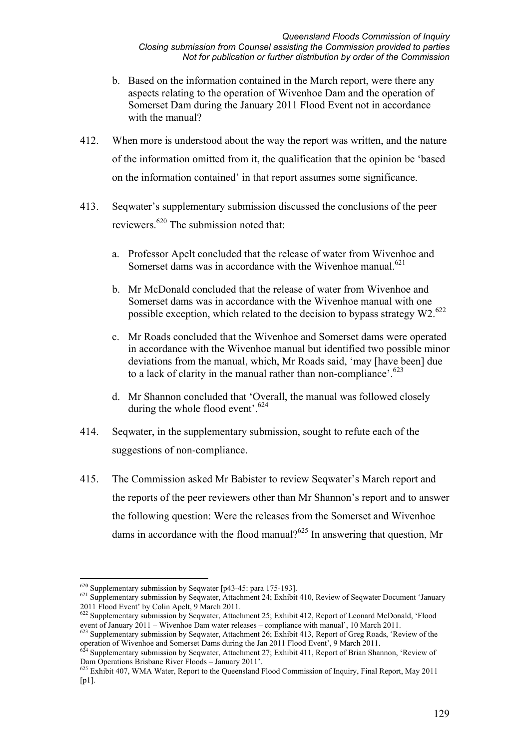- b. Based on the information contained in the March report, were there any aspects relating to the operation of Wivenhoe Dam and the operation of Somerset Dam during the January 2011 Flood Event not in accordance with the manual?
- 412. When more is understood about the way the report was written, and the nature of the information omitted from it, the qualification that the opinion be 'based on the information contained' in that report assumes some significance.
- 413. Seqwater's supplementary submission discussed the conclusions of the peer reviewers.620 The submission noted that:
	- a. Professor Apelt concluded that the release of water from Wivenhoe and Somerset dams was in accordance with the Wivenhoe manual.<sup>621</sup>
	- b. Mr McDonald concluded that the release of water from Wivenhoe and Somerset dams was in accordance with the Wivenhoe manual with one possible exception, which related to the decision to bypass strategy  $W2.622$
	- c. Mr Roads concluded that the Wivenhoe and Somerset dams were operated in accordance with the Wivenhoe manual but identified two possible minor deviations from the manual, which, Mr Roads said, 'may [have been] due to a lack of clarity in the manual rather than non-compliance'.<sup>623</sup>
	- d. Mr Shannon concluded that 'Overall, the manual was followed closely during the whole flood event'. $624$
- 414. Seqwater, in the supplementary submission, sought to refute each of the suggestions of non-compliance.
- 415. The Commission asked Mr Babister to review Seqwater's March report and the reports of the peer reviewers other than Mr Shannon's report and to answer the following question: Were the releases from the Somerset and Wivenhoe dams in accordance with the flood manual?<sup>625</sup> In answering that question, Mr

 $620$  Supplementary submission by Seqwater [p43-45: para 175-193].

<sup>621</sup> Supplementary submission by Seqwater, Attachment 24; Exhibit 410, Review of Seqwater Document 'January 2011 Flood Event' by Colin Apelt, 9 March 2011.

<sup>&</sup>lt;sup>622</sup> Supplementary submission by Seqwater, Attachment 25; Exhibit 412, Report of Leonard McDonald, 'Flood event of January 2011 – Wivenhoe Dam water releases – compliance with manual', 10 March 2011.<br><sup>623</sup> Supplementary submission by Seqwater, Attachment 26; Exhibit 413, Report of Greg Roads, 'Review of the

operation of Wivenhoe and Somerset Dams during the Jan 2011 Flood Event', 9 March 2011.<br><sup>624</sup> Supplementary submission by Seqwater, Attachment 27; Exhibit 411, Report of Brian Shannon, 'Review of

Dam Operations Brisbane River Floods – January 2011'.

<sup>&</sup>lt;sup>625</sup> Exhibit 407, WMA Water, Report to the Queensland Flood Commission of Inquiry, Final Report, May 2011  $[p1]$ .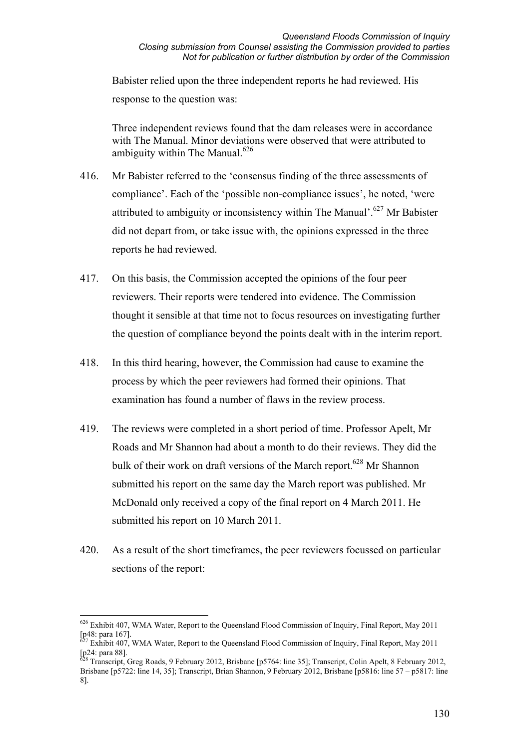Babister relied upon the three independent reports he had reviewed. His response to the question was:

Three independent reviews found that the dam releases were in accordance with The Manual. Minor deviations were observed that were attributed to ambiguity within The Manual.<sup>626</sup>

- 416. Mr Babister referred to the 'consensus finding of the three assessments of compliance'. Each of the 'possible non-compliance issues', he noted, 'were attributed to ambiguity or inconsistency within The Manual'.<sup>627</sup> Mr Babister did not depart from, or take issue with, the opinions expressed in the three reports he had reviewed.
- 417. On this basis, the Commission accepted the opinions of the four peer reviewers. Their reports were tendered into evidence. The Commission thought it sensible at that time not to focus resources on investigating further the question of compliance beyond the points dealt with in the interim report.
- 418. In this third hearing, however, the Commission had cause to examine the process by which the peer reviewers had formed their opinions. That examination has found a number of flaws in the review process.
- 419. The reviews were completed in a short period of time. Professor Apelt, Mr Roads and Mr Shannon had about a month to do their reviews. They did the bulk of their work on draft versions of the March report.<sup>628</sup> Mr Shannon submitted his report on the same day the March report was published. Mr McDonald only received a copy of the final report on 4 March 2011. He submitted his report on 10 March 2011.
- 420. As a result of the short timeframes, the peer reviewers focussed on particular sections of the report:

<sup>&</sup>lt;u>.</u>  $626$  Exhibit 407, WMA Water, Report to the Queensland Flood Commission of Inquiry, Final Report, May 2011  $\frac{1}{27}$ [p48: para 167].

<sup>627</sup> Exhibit 407, WMA Water, Report to the Queensland Flood Commission of Inquiry, Final Report, May 2011 [p24: para 88].

<sup>&</sup>lt;sup>628</sup> Transcript, Greg Roads, 9 February 2012, Brisbane [p5764: line 35]; Transcript, Colin Apelt, 8 February 2012, Brisbane [p5722: line 14, 35]; Transcript, Brian Shannon, 9 February 2012, Brisbane [p5816: line 57 – p5817: line 8].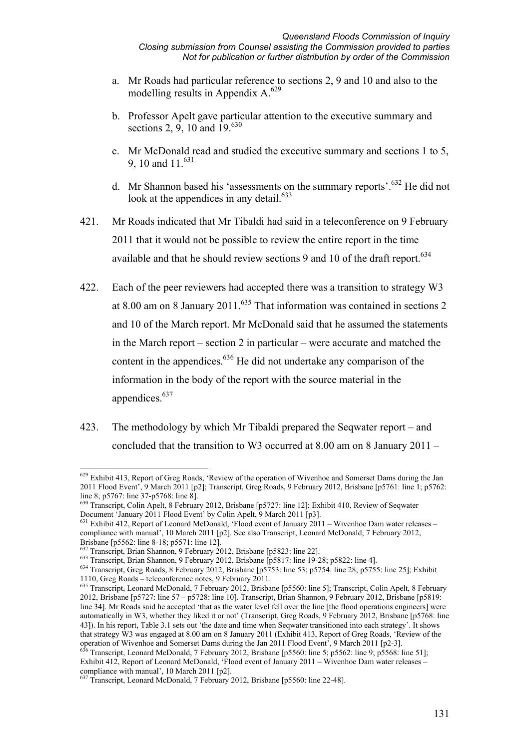- a. Mr Roads had particular reference to sections 2, 9 and 10 and also to the modelling results in Appendix  $A^{629}$
- b. Professor Apelt gave particular attention to the executive summary and sections 2, 9, 10 and  $19^{630}$
- c. Mr McDonald read and studied the executive summary and sections 1 to 5, 9, 10 and 11.<sup>631</sup>
- d. Mr Shannon based his 'assessments on the summary reports'.632 He did not look at the appendices in any detail.<sup>633</sup>
- 421. Mr Roads indicated that Mr Tibaldi had said in a teleconference on 9 February 2011 that it would not be possible to review the entire report in the time available and that he should review sections 9 and 10 of the draft report.<sup>634</sup>
- 422. Each of the peer reviewers had accepted there was a transition to strategy W3 at 8.00 am on 8 January 2011.<sup>635</sup> That information was contained in sections 2 and 10 of the March report. Mr McDonald said that he assumed the statements in the March report – section 2 in particular – were accurate and matched the content in the appendices.<sup>636</sup> He did not undertake any comparison of the information in the body of the report with the source material in the appendices.<sup>637</sup>
- 423. The methodology by which Mr Tibaldi prepared the Seqwater report and concluded that the transition to W3 occurred at 8.00 am on 8 January 2011 –

<sup>&</sup>lt;u>.</u>  $629$  Exhibit 413, Report of Greg Roads, 'Review of the operation of Wivenhoe and Somerset Dams during the Jan 2011 Flood Event', 9 March 2011 [p2]; Transcript, Greg Roads, 9 February 2012, Brisbane [p5761: line 1; p5762: line 8; p5767: line 37-p5768: line 8].

<sup>630</sup> Transcript, Colin Apelt, 8 February 2012, Brisbane [p5727: line 12]; Exhibit 410, Review of Seqwater Document 'January 2011 Flood Event' by Colin Apelt, 9 March 2011 [p3].

<sup>&</sup>lt;sup>631</sup> Exhibit 412, Report of Leonard McDonald, 'Flood event of January 2011 – Wivenhoe Dam water releases – compliance with manual', 10 March 2011 [p2]. See also Transcript, Leonard McDonald, 7 February 2012,

Brisbane [p5562: line 8-18; p5571: line 12].<br><sup>632</sup> Transcript, Brian Shannon, 9 February 2012, Brisbane [p5823: line 22].

<sup>633</sup> Transcript, Brian Shannon, 9 February 2012, Brisbane [p5817: line 19-28; p5822: line 4].<br><sup>634</sup> Transcript. Greg Roads. 8 February 2012. Brisbane [p5753: line 53; p5754: line 28; p5755: line 25]; Exhibit 1110, Greg Roads – teleconference notes, 9 February 2011.

<sup>635</sup> Transcript, Leonard McDonald, 7 February 2012, Brisbane [p5560: line 5]; Transcript, Colin Apelt, 8 February 2012, Brisbane [p5727: line 57 – p5728: line 10]. Transcript, Brian Shannon, 9 February 2012, Brisbane [p5819: line 34]. Mr Roads said he accepted 'that as the water level fell over the line [the flood operations engineers] were automatically in W3, whether they liked it or not' (Transcript, Greg Roads, 9 February 2012, Brisbane [p5768: line 43]). In his report, Table 3.1 sets out 'the date and time when Seqwater transitioned into each strategy'. It shows that strategy W3 was engaged at 8.00 am on 8 January 2011 (Exhibit 413, Report of Greg Roads, 'Review of the operation of Wivenhoe and Somerset Dams during the Jan 2011 Flood Event<sup>3</sup>, 9 March 2011 [p2-3].<br><sup>636</sup> Transcript, Leonard McDonald, 7 February 2012, Brisbane [p5560: line 5; p5562: line 9; p5568: line 51];

Exhibit 412, Report of Leonard McDonald, 'Flood event of January 2011 – Wivenhoe Dam water releases – compliance with manual', 10 March 2011 [p2].

<sup>&</sup>lt;sup>637</sup> Transcript, Leonard McDonald, 7 February 2012, Brisbane [p5560: line 22-48].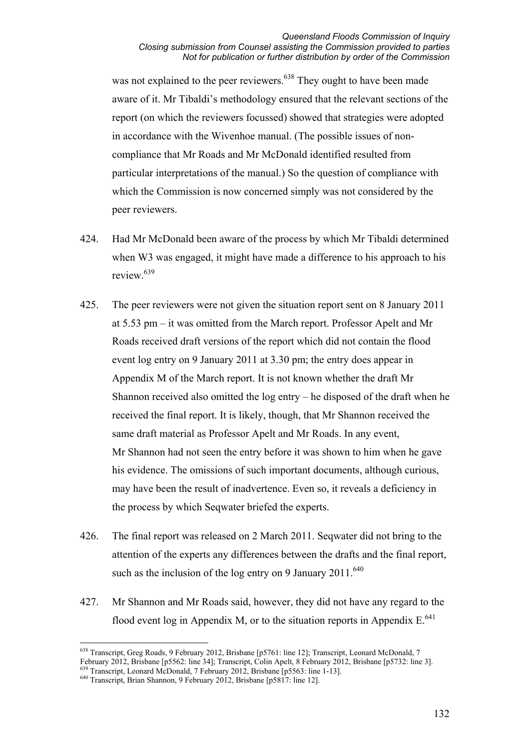#### *Queensland Floods Commission of Inquiry Closing submission from Counsel assisting the Commission provided to parties Not for publication or further distribution by order of the Commission*

was not explained to the peer reviewers.<sup>638</sup> They ought to have been made aware of it. Mr Tibaldi's methodology ensured that the relevant sections of the report (on which the reviewers focussed) showed that strategies were adopted in accordance with the Wivenhoe manual. (The possible issues of noncompliance that Mr Roads and Mr McDonald identified resulted from particular interpretations of the manual.) So the question of compliance with which the Commission is now concerned simply was not considered by the peer reviewers.

- 424. Had Mr McDonald been aware of the process by which Mr Tibaldi determined when W3 was engaged, it might have made a difference to his approach to his review.639
- 425. The peer reviewers were not given the situation report sent on 8 January 2011 at 5.53 pm – it was omitted from the March report. Professor Apelt and Mr Roads received draft versions of the report which did not contain the flood event log entry on 9 January 2011 at 3.30 pm; the entry does appear in Appendix M of the March report. It is not known whether the draft Mr Shannon received also omitted the log entry – he disposed of the draft when he received the final report. It is likely, though, that Mr Shannon received the same draft material as Professor Apelt and Mr Roads. In any event, Mr Shannon had not seen the entry before it was shown to him when he gave his evidence. The omissions of such important documents, although curious, may have been the result of inadvertence. Even so, it reveals a deficiency in the process by which Seqwater briefed the experts.
- 426. The final report was released on 2 March 2011. Seqwater did not bring to the attention of the experts any differences between the drafts and the final report, such as the inclusion of the log entry on 9 January 2011. $^{640}$
- 427. Mr Shannon and Mr Roads said, however, they did not have any regard to the flood event log in Appendix M, or to the situation reports in Appendix  $E^{641}$

<sup>-</sup><sup>638</sup> Transcript, Greg Roads, 9 February 2012, Brisbane [p5761: line 12]; Transcript, Leonard McDonald, 7 February 2012, Brisbane [p5562: line 34]; Transcript, Colin Apelt, 8 February 2012, Brisbane [p5732: line 3].<br><sup>639</sup> Transcript, Leonard McDonald, 7 February 2012, Brisbane [p5563: line 1-13].

 $640$  Transcript, Brian Shannon, 9 February 2012, Brisbane [p5817: line 12].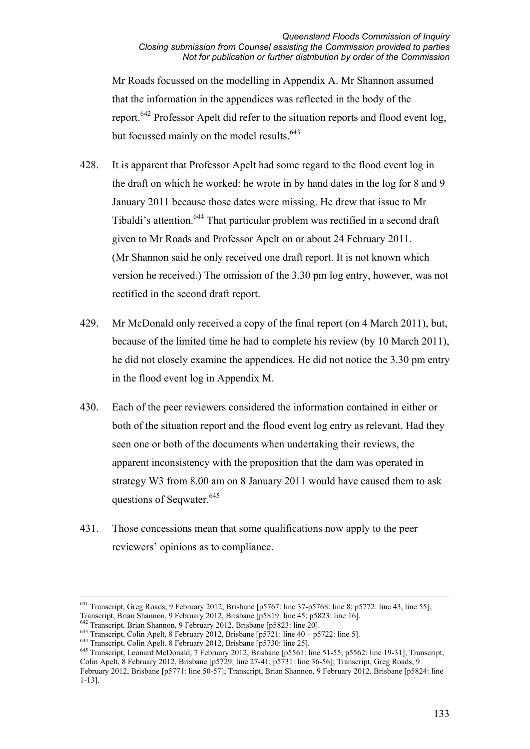Mr Roads focussed on the modelling in Appendix A. Mr Shannon assumed that the information in the appendices was reflected in the body of the report.642 Professor Apelt did refer to the situation reports and flood event log, but focussed mainly on the model results.<sup>643</sup>

- 428. It is apparent that Professor Apelt had some regard to the flood event log in the draft on which he worked: he wrote in by hand dates in the log for 8 and 9 January 2011 because those dates were missing. He drew that issue to Mr Tibaldi's attention.644 That particular problem was rectified in a second draft given to Mr Roads and Professor Apelt on or about 24 February 2011. (Mr Shannon said he only received one draft report. It is not known which version he received.) The omission of the 3.30 pm log entry, however, was not rectified in the second draft report.
- 429. Mr McDonald only received a copy of the final report (on 4 March 2011), but, because of the limited time he had to complete his review (by 10 March 2011), he did not closely examine the appendices. He did not notice the 3.30 pm entry in the flood event log in Appendix M.
- 430. Each of the peer reviewers considered the information contained in either or both of the situation report and the flood event log entry as relevant. Had they seen one or both of the documents when undertaking their reviews, the apparent inconsistency with the proposition that the dam was operated in strategy W3 from 8.00 am on 8 January 2011 would have caused them to ask questions of Seqwater.<sup>645</sup>
- 431. Those concessions mean that some qualifications now apply to the peer reviewers' opinions as to compliance.

<sup>642</sup> Transcript, Brian Shannon, 9 February 2012, Brisbane [p5823: line 20].<br><sup>643</sup> Transcript, Colin Apelt, 8 February 2012, Brisbane [p5721: line 40 – p5722: line 5].<br><sup>644</sup> Transcript, Colin Apelt. 8 February 2012, Brisb Colin Apelt, 8 February 2012, Brisbane [p5729: line 27-41; p5731: line 36-56]; Transcript, Greg Roads, 9 February 2012, Brisbane [p5771: line 50-57]; Transcript, Brian Shannon, 9 February 2012, Brisbane [p5824: line 1-13].

<sup>&</sup>lt;sup>641</sup> Transcript, Greg Roads, 9 February 2012, Brisbane [p5767: line 37-p5768: line 8; p5772: line 43, line 55]; Transcript, Brian Shannon, 9 February 2012, Brisbane [p5819: line 45; p5823: line 16].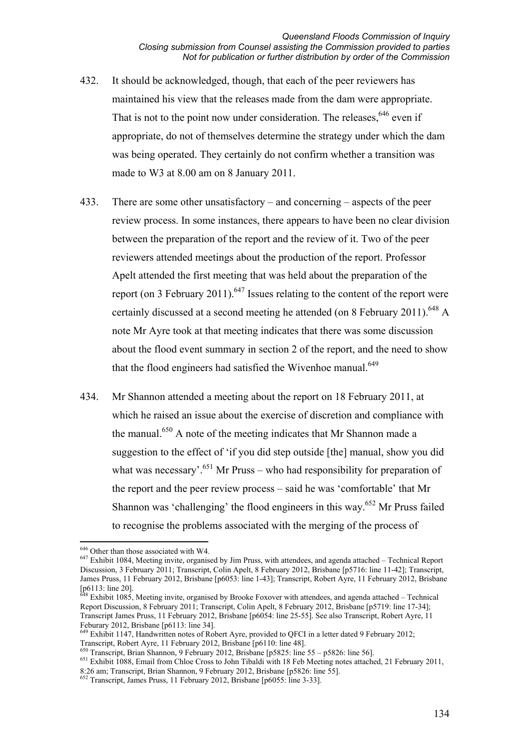- 432. It should be acknowledged, though, that each of the peer reviewers has maintained his view that the releases made from the dam were appropriate. That is not to the point now under consideration. The releases.<sup>646</sup> even if appropriate, do not of themselves determine the strategy under which the dam was being operated. They certainly do not confirm whether a transition was made to W3 at 8.00 am on 8 January 2011.
- 433. There are some other unsatisfactory and concerning aspects of the peer review process. In some instances, there appears to have been no clear division between the preparation of the report and the review of it. Two of the peer reviewers attended meetings about the production of the report. Professor Apelt attended the first meeting that was held about the preparation of the report (on 3 February 2011).<sup>647</sup> Issues relating to the content of the report were certainly discussed at a second meeting he attended (on 8 February 2011).<sup>648</sup> A note Mr Ayre took at that meeting indicates that there was some discussion about the flood event summary in section 2 of the report, and the need to show that the flood engineers had satisfied the Wivenhoe manual.<sup>649</sup>
- 434. Mr Shannon attended a meeting about the report on 18 February 2011, at which he raised an issue about the exercise of discretion and compliance with the manual.650 A note of the meeting indicates that Mr Shannon made a suggestion to the effect of 'if you did step outside [the] manual, show you did what was necessary'.<sup>651</sup> Mr Pruss – who had responsibility for preparation of the report and the peer review process – said he was 'comfortable' that Mr Shannon was 'challenging' the flood engineers in this way.<sup>652</sup> Mr Pruss failed to recognise the problems associated with the merging of the process of

<sup>&</sup>lt;sup>646</sup> Other than those associated with W4.

 $647$  Exhibit 1084. Meeting invite, organised by Jim Pruss, with attendees, and agenda attached – Technical Report Discussion, 3 February 2011; Transcript, Colin Apelt, 8 February 2012, Brisbane [p5716: line 11-42]; Transcript, James Pruss, 11 February 2012, Brisbane [p6053: line 1-43]; Transcript, Robert Ayre, 11 February 2012, Brisbane  $[p6113: line 20]$ .

Exhibit 1085, Meeting invite, organised by Brooke Foxover with attendees, and agenda attached – Technical Report Discussion, 8 February 2011; Transcript, Colin Apelt, 8 February 2012, Brisbane [p5719: line 17-34]; Transcript James Pruss, 11 February 2012, Brisbane [p6054: line 25-55]. See also Transcript, Robert Ayre, 11 Feburary 2012, Brisbane [p6113: line 34].

<sup>&</sup>lt;sup>649</sup> Exhibit 1147, Handwritten notes of Robert Ayre, provided to QFCI in a letter dated 9 February 2012; Transcript, Robert Ayre, 11 February 2012, Brisbane [p6110: line 48].<br>
<sup>650</sup> Transcript, Brian Shannon, 9 February 2012, Brisbane [p5825: line 55 – p5826: line 56].

<sup>651</sup> Exhibit 1088, Email from Chloe Cross to John Tibaldi with 18 Feb Meeting notes attached, 21 February 2011, 8:26 am; Transcript, Brian Shannon, 9 February 2012, Brisbane [p5826: line 55].

<sup>&</sup>lt;sup>652</sup> Transcript, James Pruss, 11 February 2012, Brisbane [p6055: line 3-33].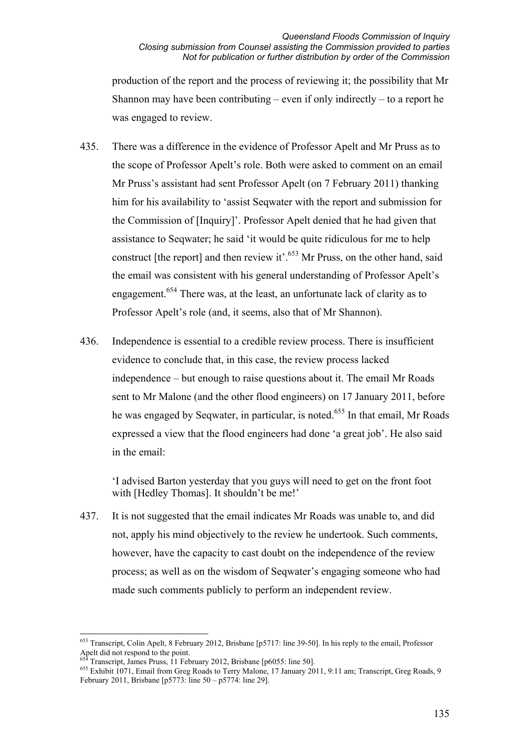production of the report and the process of reviewing it; the possibility that Mr Shannon may have been contributing – even if only indirectly – to a report he was engaged to review.

- 435. There was a difference in the evidence of Professor Apelt and Mr Pruss as to the scope of Professor Apelt's role. Both were asked to comment on an email Mr Pruss's assistant had sent Professor Apelt (on 7 February 2011) thanking him for his availability to 'assist Seqwater with the report and submission for the Commission of [Inquiry]'. Professor Apelt denied that he had given that assistance to Seqwater; he said 'it would be quite ridiculous for me to help construct [the report] and then review it'.<sup>653</sup> Mr Pruss, on the other hand, said the email was consistent with his general understanding of Professor Apelt's engagement.<sup>654</sup> There was, at the least, an unfortunate lack of clarity as to Professor Apelt's role (and, it seems, also that of Mr Shannon).
- 436. Independence is essential to a credible review process. There is insufficient evidence to conclude that, in this case, the review process lacked independence – but enough to raise questions about it. The email Mr Roads sent to Mr Malone (and the other flood engineers) on 17 January 2011, before he was engaged by Seqwater, in particular, is noted.<sup>655</sup> In that email, Mr Roads expressed a view that the flood engineers had done 'a great job'. He also said in the email:

'I advised Barton yesterday that you guys will need to get on the front foot with [Hedley Thomas]. It shouldn't be me!'

437. It is not suggested that the email indicates Mr Roads was unable to, and did not, apply his mind objectively to the review he undertook. Such comments, however, have the capacity to cast doubt on the independence of the review process; as well as on the wisdom of Seqwater's engaging someone who had made such comments publicly to perform an independent review.

<u>.</u>

<sup>&</sup>lt;sup>653</sup> Transcript, Colin Apelt, 8 February 2012, Brisbane [p5717: line 39-50]. In his reply to the email, Professor Apelt did not respond to the point.<br>  $654$  Transcript, James Pruss, 11 February 2012, Brisbane [p6055: line 50].

<sup>655</sup> Exhibit 1071, Email from Greg Roads to Terry Malone, 17 January 2011, 9:11 am; Transcript, Greg Roads, 9 February 2011, Brisbane [p5773: line 50 – p5774: line 29].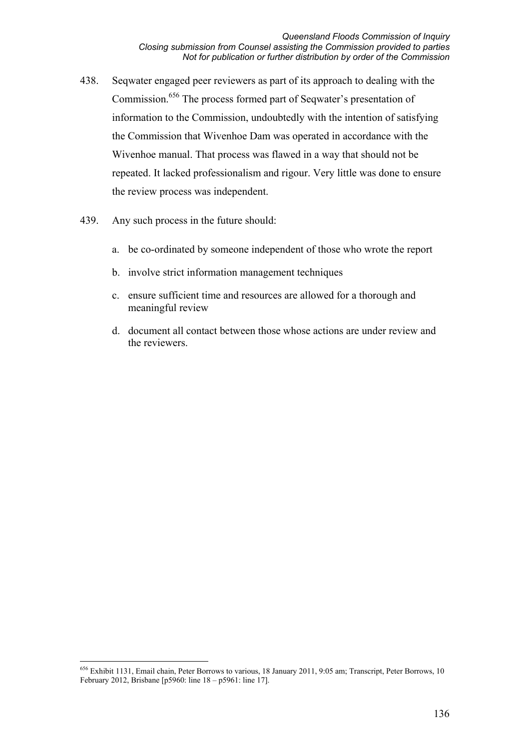- 438. Seqwater engaged peer reviewers as part of its approach to dealing with the Commission.<sup>656</sup> The process formed part of Seqwater's presentation of information to the Commission, undoubtedly with the intention of satisfying the Commission that Wivenhoe Dam was operated in accordance with the Wivenhoe manual. That process was flawed in a way that should not be repeated. It lacked professionalism and rigour. Very little was done to ensure the review process was independent.
- 439. Any such process in the future should:
	- a. be co-ordinated by someone independent of those who wrote the report
	- b. involve strict information management techniques
	- c. ensure sufficient time and resources are allowed for a thorough and meaningful review
	- d. document all contact between those whose actions are under review and the reviewers.

<sup>&</sup>lt;u>.</u> <sup>656</sup> Exhibit 1131, Email chain, Peter Borrows to various, 18 January 2011, 9:05 am; Transcript, Peter Borrows, 10 February 2012, Brisbane [p5960: line 18 – p5961: line 17].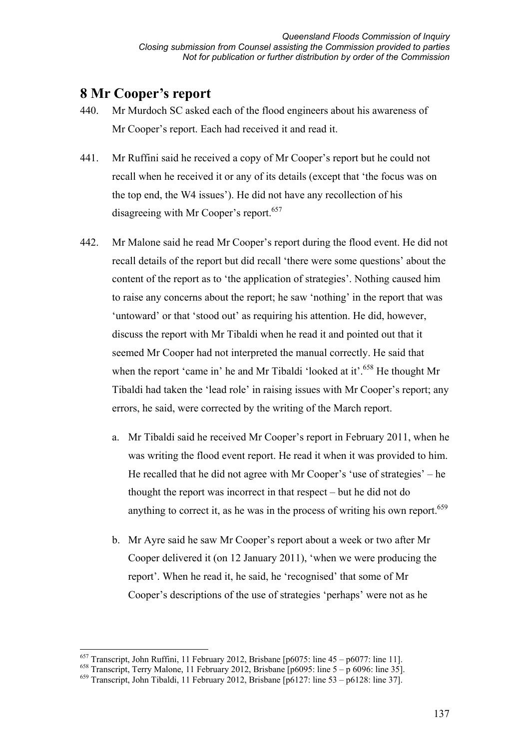# **8 Mr Cooper's report**

- 440. Mr Murdoch SC asked each of the flood engineers about his awareness of Mr Cooper's report. Each had received it and read it.
- 441. Mr Ruffini said he received a copy of Mr Cooper's report but he could not recall when he received it or any of its details (except that 'the focus was on the top end, the W4 issues'). He did not have any recollection of his disagreeing with Mr Cooper's report.<sup>657</sup>
- 442. Mr Malone said he read Mr Cooper's report during the flood event. He did not recall details of the report but did recall 'there were some questions' about the content of the report as to 'the application of strategies'. Nothing caused him to raise any concerns about the report; he saw 'nothing' in the report that was 'untoward' or that 'stood out' as requiring his attention. He did, however, discuss the report with Mr Tibaldi when he read it and pointed out that it seemed Mr Cooper had not interpreted the manual correctly. He said that when the report 'came in' he and Mr Tibaldi 'looked at it'.<sup>658</sup> He thought Mr Tibaldi had taken the 'lead role' in raising issues with Mr Cooper's report; any errors, he said, were corrected by the writing of the March report.
	- a. Mr Tibaldi said he received Mr Cooper's report in February 2011, when he was writing the flood event report. He read it when it was provided to him. He recalled that he did not agree with Mr Cooper's 'use of strategies' – he thought the report was incorrect in that respect – but he did not do anything to correct it, as he was in the process of writing his own report.<sup>659</sup>
	- b. Mr Ayre said he saw Mr Cooper's report about a week or two after Mr Cooper delivered it (on 12 January 2011), 'when we were producing the report'. When he read it, he said, he 'recognised' that some of Mr Cooper's descriptions of the use of strategies 'perhaps' were not as he

<sup>&</sup>lt;u>.</u> 657 Transcript, John Ruffini, 11 February 2012, Brisbane [p6075: line 45 – p6077: line 11].

<sup>&</sup>lt;sup>658</sup> Transcript, Terry Malone, 11 February 2012, Brisbane [p6095: line 5 – p 6096: line 35].

<sup>659</sup> Transcript, John Tibaldi, 11 February 2012, Brisbane [p6127: line 53 – p6128: line 37].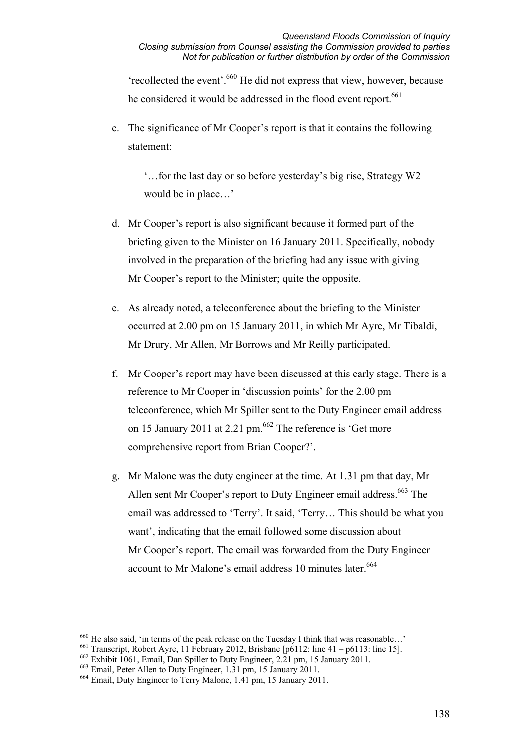'recollected the event'.660 He did not express that view, however, because he considered it would be addressed in the flood event report.<sup>661</sup>

c. The significance of Mr Cooper's report is that it contains the following statement:

'…for the last day or so before yesterday's big rise, Strategy W2 would be in place…'

- d. Mr Cooper's report is also significant because it formed part of the briefing given to the Minister on 16 January 2011. Specifically, nobody involved in the preparation of the briefing had any issue with giving Mr Cooper's report to the Minister; quite the opposite.
- e. As already noted, a teleconference about the briefing to the Minister occurred at 2.00 pm on 15 January 2011, in which Mr Ayre, Mr Tibaldi, Mr Drury, Mr Allen, Mr Borrows and Mr Reilly participated.
- f. Mr Cooper's report may have been discussed at this early stage. There is a reference to Mr Cooper in 'discussion points' for the 2.00 pm teleconference, which Mr Spiller sent to the Duty Engineer email address on 15 January 2011 at 2.21 pm.  $662$  The reference is 'Get more comprehensive report from Brian Cooper?'.
- g. Mr Malone was the duty engineer at the time. At 1.31 pm that day, Mr Allen sent Mr Cooper's report to Duty Engineer email address.<sup>663</sup> The email was addressed to 'Terry'. It said, 'Terry… This should be what you want', indicating that the email followed some discussion about Mr Cooper's report. The email was forwarded from the Duty Engineer account to Mr Malone's email address 10 minutes later.<sup>664</sup>

-

 $660$  He also said, 'in terms of the peak release on the Tuesday I think that was reasonable...'

<sup>&</sup>lt;sup>661</sup> Transcript, Robert Ayre, 11 February 2012, Brisbane  $[p6112:$  line 41 – p6113: line 15].

<sup>662</sup> Exhibit 1061, Email, Dan Spiller to Duty Engineer, 2.21 pm, 15 January 2011.

<sup>663</sup> Email, Peter Allen to Duty Engineer, 1.31 pm, 15 January 2011.

<sup>664</sup> Email, Duty Engineer to Terry Malone, 1.41 pm, 15 January 2011.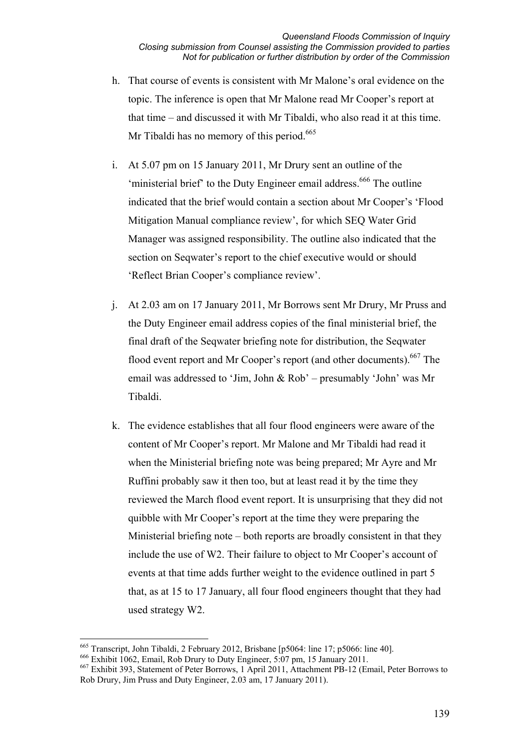- h. That course of events is consistent with Mr Malone's oral evidence on the topic. The inference is open that Mr Malone read Mr Cooper's report at that time – and discussed it with Mr Tibaldi, who also read it at this time. Mr Tibaldi has no memory of this period.<sup>665</sup>
- i. At 5.07 pm on 15 January 2011, Mr Drury sent an outline of the 'ministerial brief' to the Duty Engineer email address.<sup>666</sup> The outline indicated that the brief would contain a section about Mr Cooper's 'Flood Mitigation Manual compliance review', for which SEQ Water Grid Manager was assigned responsibility. The outline also indicated that the section on Seqwater's report to the chief executive would or should 'Reflect Brian Cooper's compliance review'.
- j. At 2.03 am on 17 January 2011, Mr Borrows sent Mr Drury, Mr Pruss and the Duty Engineer email address copies of the final ministerial brief, the final draft of the Seqwater briefing note for distribution, the Seqwater flood event report and Mr Cooper's report (and other documents).<sup>667</sup> The email was addressed to 'Jim, John & Rob' – presumably 'John' was Mr Tibaldi.
- k. The evidence establishes that all four flood engineers were aware of the content of Mr Cooper's report. Mr Malone and Mr Tibaldi had read it when the Ministerial briefing note was being prepared; Mr Ayre and Mr Ruffini probably saw it then too, but at least read it by the time they reviewed the March flood event report. It is unsurprising that they did not quibble with Mr Cooper's report at the time they were preparing the Ministerial briefing note – both reports are broadly consistent in that they include the use of W2. Their failure to object to Mr Cooper's account of events at that time adds further weight to the evidence outlined in part 5 that, as at 15 to 17 January, all four flood engineers thought that they had used strategy W2.

<sup>-</sup>665 Transcript, John Tibaldi, 2 February 2012, Brisbane [p5064: line 17; p5066: line 40].

<sup>666</sup> Exhibit 1062, Email, Rob Drury to Duty Engineer, 5:07 pm, 15 January 2011.

<sup>667</sup> Exhibit 393, Statement of Peter Borrows, 1 April 2011, Attachment PB-12 (Email, Peter Borrows to Rob Drury, Jim Pruss and Duty Engineer, 2.03 am, 17 January 2011).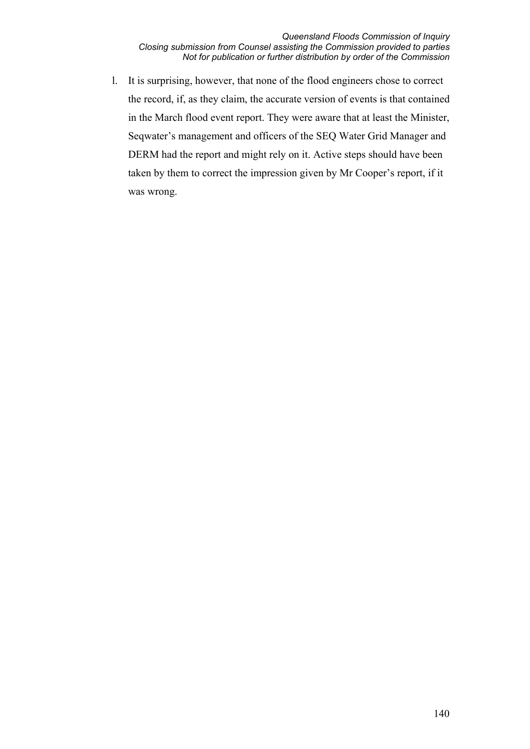l. It is surprising, however, that none of the flood engineers chose to correct the record, if, as they claim, the accurate version of events is that contained in the March flood event report. They were aware that at least the Minister, Seqwater's management and officers of the SEQ Water Grid Manager and DERM had the report and might rely on it. Active steps should have been taken by them to correct the impression given by Mr Cooper's report, if it was wrong.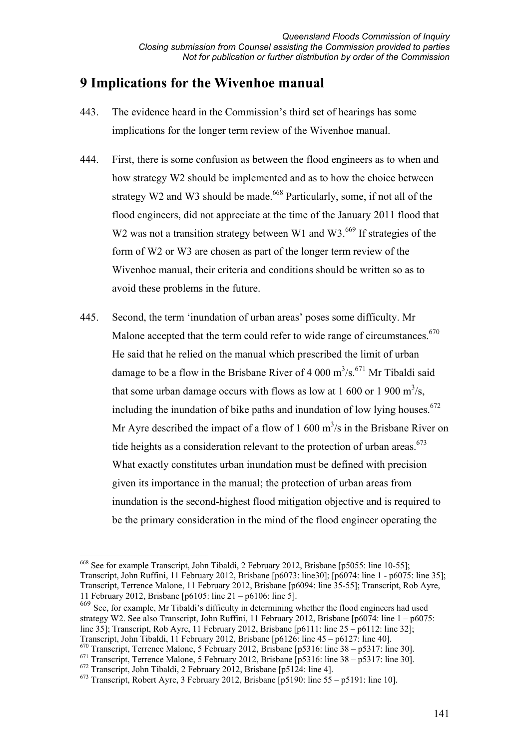# **9 Implications for the Wivenhoe manual**

- 443. The evidence heard in the Commission's third set of hearings has some implications for the longer term review of the Wivenhoe manual.
- 444. First, there is some confusion as between the flood engineers as to when and how strategy W2 should be implemented and as to how the choice between strategy W2 and W3 should be made.<sup>668</sup> Particularly, some, if not all of the flood engineers, did not appreciate at the time of the January 2011 flood that W2 was not a transition strategy between W1 and W3.<sup>669</sup> If strategies of the form of W2 or W3 are chosen as part of the longer term review of the Wivenhoe manual, their criteria and conditions should be written so as to avoid these problems in the future.
- 445. Second, the term 'inundation of urban areas' poses some difficulty. Mr Malone accepted that the term could refer to wide range of circumstances.<sup>670</sup> He said that he relied on the manual which prescribed the limit of urban damage to be a flow in the Brisbane River of 4 000  $m^3/s$ .<sup>671</sup> Mr Tibaldi said that some urban damage occurs with flows as low at 1 600 or 1 900  $\mathrm{m}^3/\mathrm{s}$ , including the inundation of bike paths and inundation of low lying houses.<sup> $672$ </sup> Mr Ayre described the impact of a flow of 1 600  $\text{m}^3\text{/s}$  in the Brisbane River on tide heights as a consideration relevant to the protection of urban areas. $673$ What exactly constitutes urban inundation must be defined with precision given its importance in the manual; the protection of urban areas from inundation is the second-highest flood mitigation objective and is required to be the primary consideration in the mind of the flood engineer operating the

669 See, for example, Mr Tibaldi's difficulty in determining whether the flood engineers had used strategy W2. See also Transcript, John Ruffini, 11 February 2012, Brisbane [p6074: line 1 – p6075: line 35]; Transcript, Rob Ayre, 11 February 2012, Brisbane [p6111: line 25 – p6112: line 32]; Transcript, John Tibaldi, 11 February 2012, Brisbane [p6126: line 45 – p6127: line 40].

 $670$  Transcript, Terrence Malone, 5 February 2012, Brisbane [p5316: line 38 – p5317: line 30].

 $672$  Transcript, John Tibaldi, 2 February 2012, Brisbane [p5124: line 4].

<u>.</u>

<sup>668</sup> See for example Transcript, John Tibaldi, 2 February 2012, Brisbane [p5055: line 10-55]; Transcript, John Ruffini, 11 February 2012, Brisbane [p6073: line30]; [p6074: line 1 - p6075: line 35]; Transcript, Terrence Malone, 11 February 2012, Brisbane [p6094: line 35-55]; Transcript, Rob Ayre, 11 February 2012, Brisbane [p6105: line 21 – p6106: line 5].

 $671$  Transcript, Terrence Malone, 5 February 2012, Brisbane [p5316: line 38 – p5317: line 30].

<sup>&</sup>lt;sup>673</sup> Transcript, Robert Ayre, 3 February 2012, Brisbane  $\overline{p}$  5190: line 55 – p5191: line 10].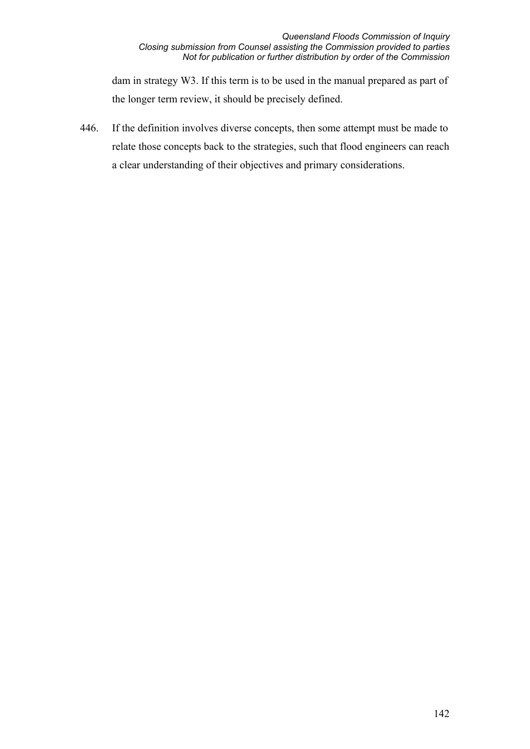dam in strategy W3. If this term is to be used in the manual prepared as part of the longer term review, it should be precisely defined.

446. If the definition involves diverse concepts, then some attempt must be made to relate those concepts back to the strategies, such that flood engineers can reach a clear understanding of their objectives and primary considerations.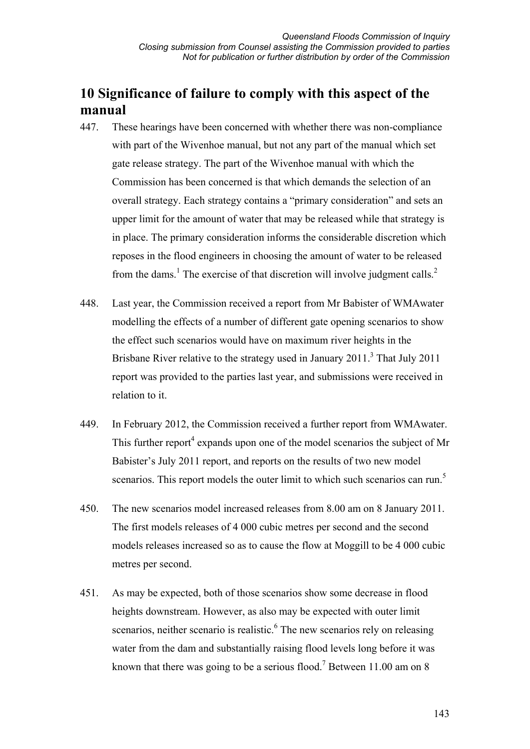# **10 Significance of failure to comply with this aspect of the manual**

- 447. These hearings have been concerned with whether there was non-compliance with part of the Wivenhoe manual, but not any part of the manual which set gate release strategy. The part of the Wivenhoe manual with which the Commission has been concerned is that which demands the selection of an overall strategy. Each strategy contains a "primary consideration" and sets an upper limit for the amount of water that may be released while that strategy is in place. The primary consideration informs the considerable discretion which reposes in the flood engineers in choosing the amount of water to be released from the dams.<sup>1</sup> The exercise of that discretion will involve judgment calls.<sup>2</sup>
- 448. Last year, the Commission received a report from Mr Babister of WMAwater modelling the effects of a number of different gate opening scenarios to show the effect such scenarios would have on maximum river heights in the Brisbane River relative to the strategy used in January  $2011$ .<sup>3</sup> That July  $2011$ report was provided to the parties last year, and submissions were received in relation to it.
- 449. In February 2012, the Commission received a further report from WMAwater. This further report<sup>4</sup> expands upon one of the model scenarios the subject of Mr Babister's July 2011 report, and reports on the results of two new model scenarios. This report models the outer limit to which such scenarios can run.<sup>5</sup>
- 450. The new scenarios model increased releases from 8.00 am on 8 January 2011. The first models releases of 4 000 cubic metres per second and the second models releases increased so as to cause the flow at Moggill to be 4 000 cubic metres per second.
- 451. As may be expected, both of those scenarios show some decrease in flood heights downstream. However, as also may be expected with outer limit scenarios, neither scenario is realistic.<sup>6</sup> The new scenarios rely on releasing water from the dam and substantially raising flood levels long before it was known that there was going to be a serious flood.<sup>7</sup> Between 11.00 am on 8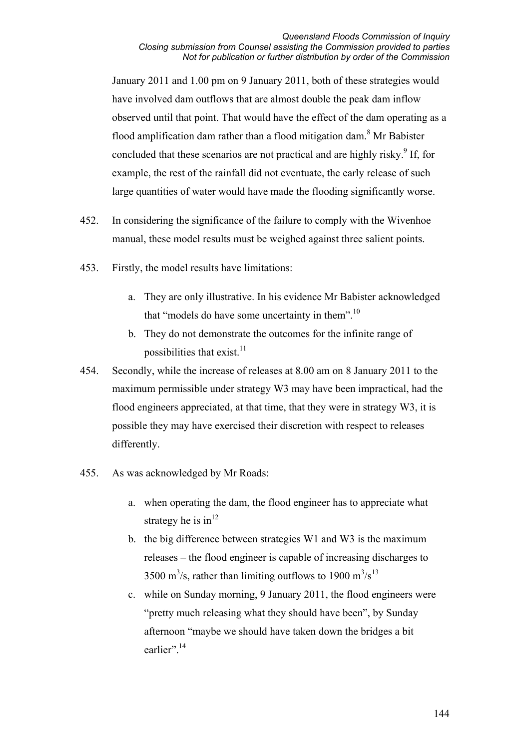January 2011 and 1.00 pm on 9 January 2011, both of these strategies would have involved dam outflows that are almost double the peak dam inflow observed until that point. That would have the effect of the dam operating as a flood amplification dam rather than a flood mitigation dam.<sup>8</sup> Mr Babister concluded that these scenarios are not practical and are highly risky.<sup>9</sup> If, for example, the rest of the rainfall did not eventuate, the early release of such large quantities of water would have made the flooding significantly worse.

- 452. In considering the significance of the failure to comply with the Wivenhoe manual, these model results must be weighed against three salient points.
- 453. Firstly, the model results have limitations:
	- a. They are only illustrative. In his evidence Mr Babister acknowledged that "models do have some uncertainty in them".<sup>10</sup>
	- b. They do not demonstrate the outcomes for the infinite range of possibilities that exist. $11$
- 454. Secondly, while the increase of releases at 8.00 am on 8 January 2011 to the maximum permissible under strategy W3 may have been impractical, had the flood engineers appreciated, at that time, that they were in strategy W3, it is possible they may have exercised their discretion with respect to releases differently.
- 455. As was acknowledged by Mr Roads:
	- a. when operating the dam, the flood engineer has to appreciate what strategy he is  $in^{12}$
	- b. the big difference between strategies W1 and W3 is the maximum releases – the flood engineer is capable of increasing discharges to 3500 m<sup>3</sup>/s, rather than limiting outflows to 1900 m<sup>3</sup>/s<sup>13</sup>
	- c. while on Sunday morning, 9 January 2011, the flood engineers were "pretty much releasing what they should have been", by Sunday afternoon "maybe we should have taken down the bridges a bit earlier".<sup>14</sup>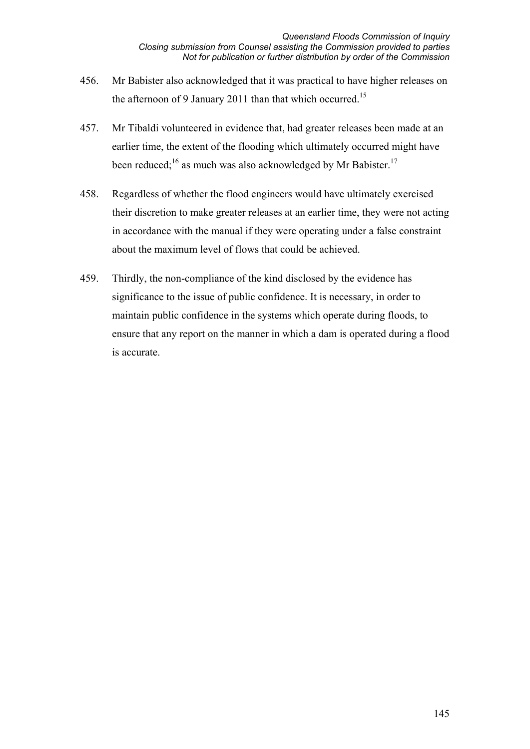- 456. Mr Babister also acknowledged that it was practical to have higher releases on the afternoon of 9 January 2011 than that which occurred.<sup>15</sup>
- 457. Mr Tibaldi volunteered in evidence that, had greater releases been made at an earlier time, the extent of the flooding which ultimately occurred might have been reduced;<sup>16</sup> as much was also acknowledged by Mr Babister.<sup>17</sup>
- 458. Regardless of whether the flood engineers would have ultimately exercised their discretion to make greater releases at an earlier time, they were not acting in accordance with the manual if they were operating under a false constraint about the maximum level of flows that could be achieved.
- 459. Thirdly, the non-compliance of the kind disclosed by the evidence has significance to the issue of public confidence. It is necessary, in order to maintain public confidence in the systems which operate during floods, to ensure that any report on the manner in which a dam is operated during a flood is accurate.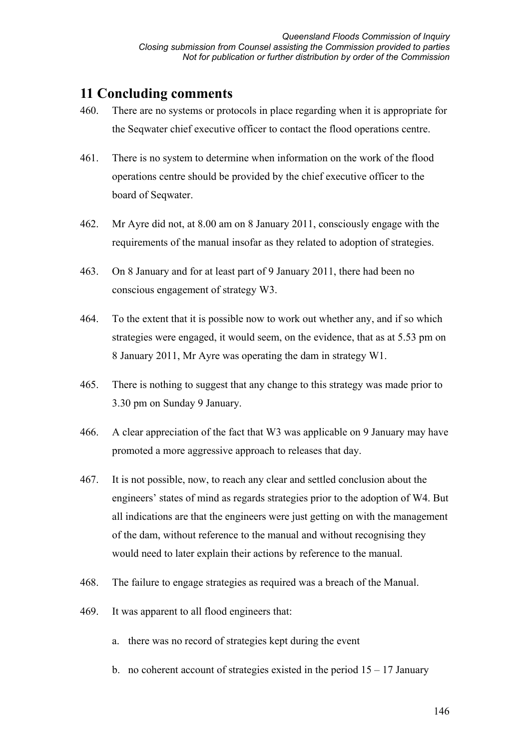## **11 Concluding comments**

- 460. There are no systems or protocols in place regarding when it is appropriate for the Seqwater chief executive officer to contact the flood operations centre.
- 461. There is no system to determine when information on the work of the flood operations centre should be provided by the chief executive officer to the board of Seqwater.
- 462. Mr Ayre did not, at 8.00 am on 8 January 2011, consciously engage with the requirements of the manual insofar as they related to adoption of strategies.
- 463. On 8 January and for at least part of 9 January 2011, there had been no conscious engagement of strategy W3.
- 464. To the extent that it is possible now to work out whether any, and if so which strategies were engaged, it would seem, on the evidence, that as at 5.53 pm on 8 January 2011, Mr Ayre was operating the dam in strategy W1.
- 465. There is nothing to suggest that any change to this strategy was made prior to 3.30 pm on Sunday 9 January.
- 466. A clear appreciation of the fact that W3 was applicable on 9 January may have promoted a more aggressive approach to releases that day.
- 467. It is not possible, now, to reach any clear and settled conclusion about the engineers' states of mind as regards strategies prior to the adoption of W4. But all indications are that the engineers were just getting on with the management of the dam, without reference to the manual and without recognising they would need to later explain their actions by reference to the manual.
- 468. The failure to engage strategies as required was a breach of the Manual.
- 469. It was apparent to all flood engineers that:
	- a. there was no record of strategies kept during the event
	- b. no coherent account of strategies existed in the period  $15 17$  January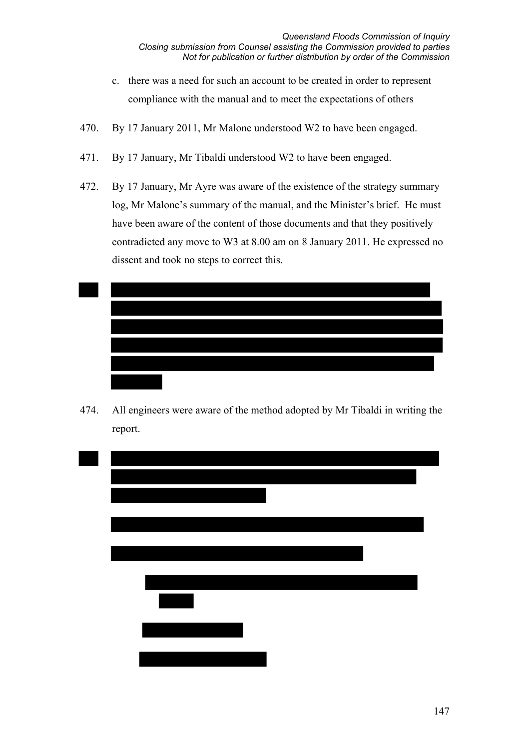- c. there was a need for such an account to be created in order to represent compliance with the manual and to meet the expectations of others
- 470. By 17 January 2011, Mr Malone understood W2 to have been engaged.
- 471. By 17 January, Mr Tibaldi understood W2 to have been engaged.
- 472. By 17 January, Mr Ayre was aware of the existence of the strategy summary log, Mr Malone's summary of the manual, and the Minister's brief. He must have been aware of the content of those documents and that they positively contradicted any move to W3 at 8.00 am on 8 January 2011. He expressed no dissent and took no steps to correct this.



474. All engineers were aware of the method adopted by Mr Tibaldi in writing the report.

| <u> Maria Alemania de Santa C</u> |
|-----------------------------------|
|                                   |
|                                   |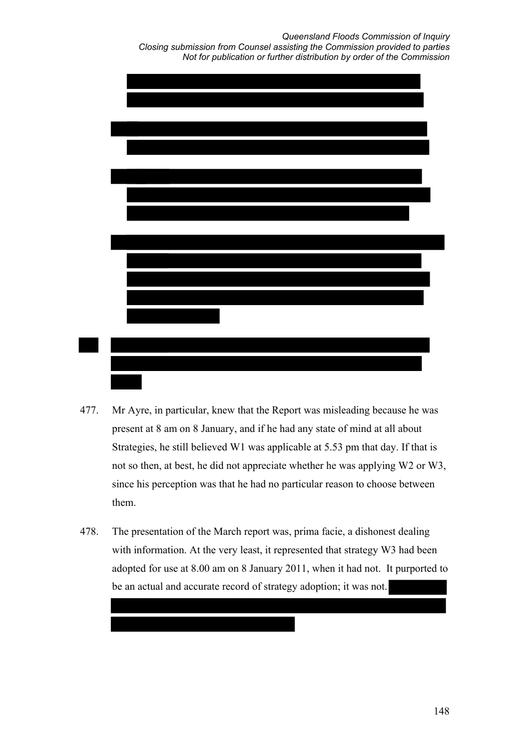*Queensland Floods Commission of Inquiry Closing submission from Counsel assisting the Commission provided to parties Not for publication or further distribution by order of the Commission* 



- 477. Mr Ayre, in particular, knew that the Report was misleading because he was present at 8 am on 8 January, and if he had any state of mind at all about Strategies, he still believed W1 was applicable at 5.53 pm that day. If that is not so then, at best, he did not appreciate whether he was applying W2 or W3, since his perception was that he had no particular reason to choose between them.
- 478. The presentation of the March report was, prima facie, a dishonest dealing with information. At the very least, it represented that strategy W3 had been adopted for use at 8.00 am on 8 January 2011, when it had not. It purported to be an actual and accurate record of strategy adoption; it was not.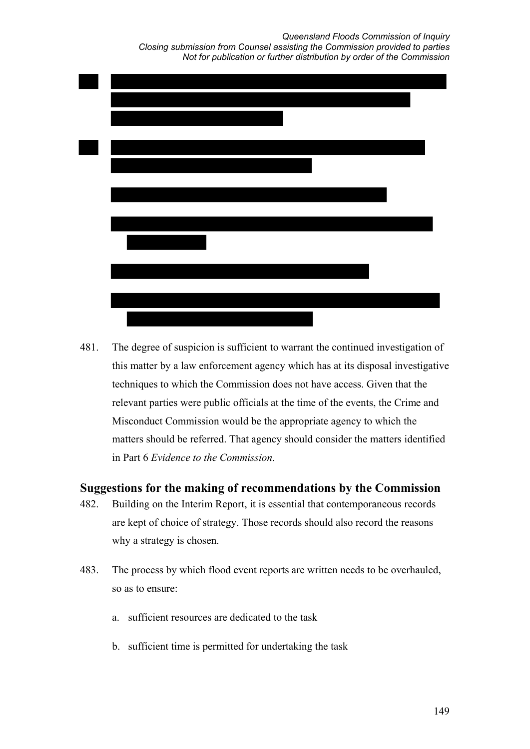*Queensland Floods Commission of Inquiry Closing submission from Counsel assisting the Commission provided to parties Not for publication or further distribution by order of the Commission* 



481. The degree of suspicion is sufficient to warrant the continued investigation of this matter by a law enforcement agency which has at its disposal investigative techniques to which the Commission does not have access. Given that the relevant parties were public officials at the time of the events, the Crime and Misconduct Commission would be the appropriate agency to which the matters should be referred. That agency should consider the matters identified in Part 6 *Evidence to the Commission*.

## **Suggestions for the making of recommendations by the Commission**

- 482. Building on the Interim Report, it is essential that contemporaneous records are kept of choice of strategy. Those records should also record the reasons why a strategy is chosen.
- 483. The process by which flood event reports are written needs to be overhauled, so as to ensure:
	- a. sufficient resources are dedicated to the task
	- b. sufficient time is permitted for undertaking the task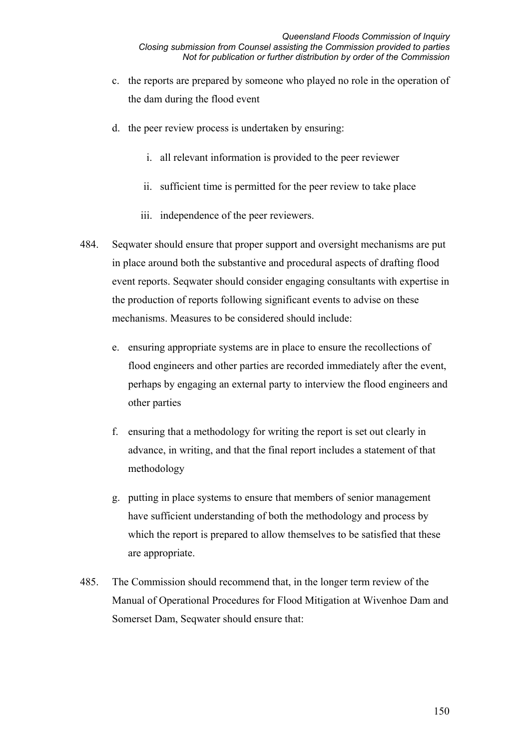- c. the reports are prepared by someone who played no role in the operation of the dam during the flood event
- d. the peer review process is undertaken by ensuring:
	- i. all relevant information is provided to the peer reviewer
	- ii. sufficient time is permitted for the peer review to take place
	- iii. independence of the peer reviewers.
- 484. Seqwater should ensure that proper support and oversight mechanisms are put in place around both the substantive and procedural aspects of drafting flood event reports. Seqwater should consider engaging consultants with expertise in the production of reports following significant events to advise on these mechanisms. Measures to be considered should include:
	- e. ensuring appropriate systems are in place to ensure the recollections of flood engineers and other parties are recorded immediately after the event, perhaps by engaging an external party to interview the flood engineers and other parties
	- f. ensuring that a methodology for writing the report is set out clearly in advance, in writing, and that the final report includes a statement of that methodology
	- g. putting in place systems to ensure that members of senior management have sufficient understanding of both the methodology and process by which the report is prepared to allow themselves to be satisfied that these are appropriate.
- 485. The Commission should recommend that, in the longer term review of the Manual of Operational Procedures for Flood Mitigation at Wivenhoe Dam and Somerset Dam, Seqwater should ensure that: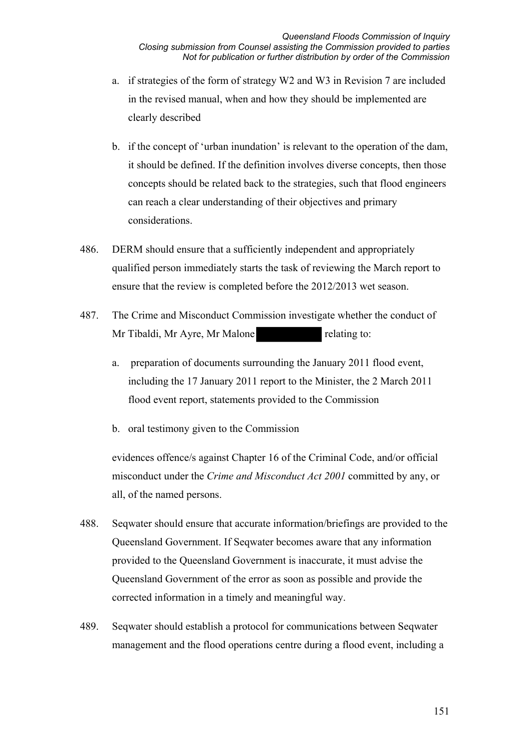- a. if strategies of the form of strategy W2 and W3 in Revision 7 are included in the revised manual, when and how they should be implemented are clearly described
- b. if the concept of 'urban inundation' is relevant to the operation of the dam, it should be defined. If the definition involves diverse concepts, then those concepts should be related back to the strategies, such that flood engineers can reach a clear understanding of their objectives and primary considerations.
- 486. DERM should ensure that a sufficiently independent and appropriately qualified person immediately starts the task of reviewing the March report to ensure that the review is completed before the 2012/2013 wet season.
- 487. The Crime and Misconduct Commission investigate whether the conduct of Mr Tibaldi, Mr Ayre, Mr Malone relating to:
	- a. preparation of documents surrounding the January 2011 flood event, including the 17 January 2011 report to the Minister, the 2 March 2011 flood event report, statements provided to the Commission
	- b. oral testimony given to the Commission

evidences offence/s against Chapter 16 of the Criminal Code, and/or official misconduct under the *Crime and Misconduct Act 2001* committed by any, or all, of the named persons.

- 488. Seqwater should ensure that accurate information/briefings are provided to the Queensland Government. If Seqwater becomes aware that any information provided to the Queensland Government is inaccurate, it must advise the Queensland Government of the error as soon as possible and provide the corrected information in a timely and meaningful way.
- 489. Seqwater should establish a protocol for communications between Seqwater management and the flood operations centre during a flood event, including a